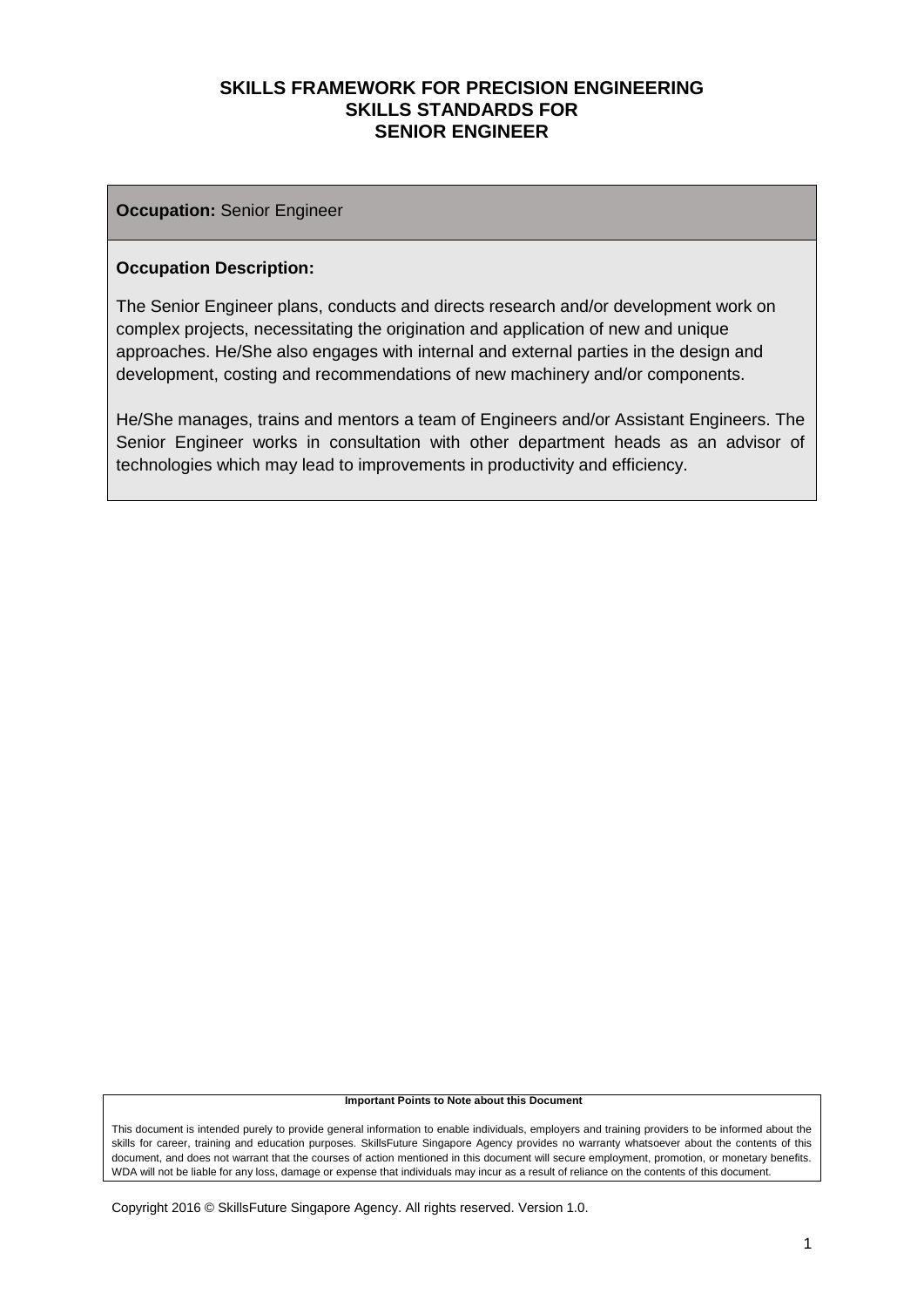#### **Occupation:** Senior Engineer

#### **Occupation Description:**

The Senior Engineer plans, conducts and directs research and/or development work on complex projects, necessitating the origination and application of new and unique approaches. He/She also engages with internal and external parties in the design and development, costing and recommendations of new machinery and/or components.

He/She manages, trains and mentors a team of Engineers and/or Assistant Engineers. The Senior Engineer works in consultation with other department heads as an advisor of technologies which may lead to improvements in productivity and efficiency.

#### **Important Points to Note about this Document**

This document is intended purely to provide general information to enable individuals, employers and training providers to be informed about the skills for career, training and education purposes. SkillsFuture Singapore Agency provides no warranty whatsoever about the contents of this document, and does not warrant that the courses of action mentioned in this document will secure employment, promotion, or monetary benefits. WDA will not be liable for any loss, damage or expense that individuals may incur as a result of reliance on the contents of this document.

Copyright 2016 © SkillsFuture Singapore Agency. All rights reserved. Version 1.0.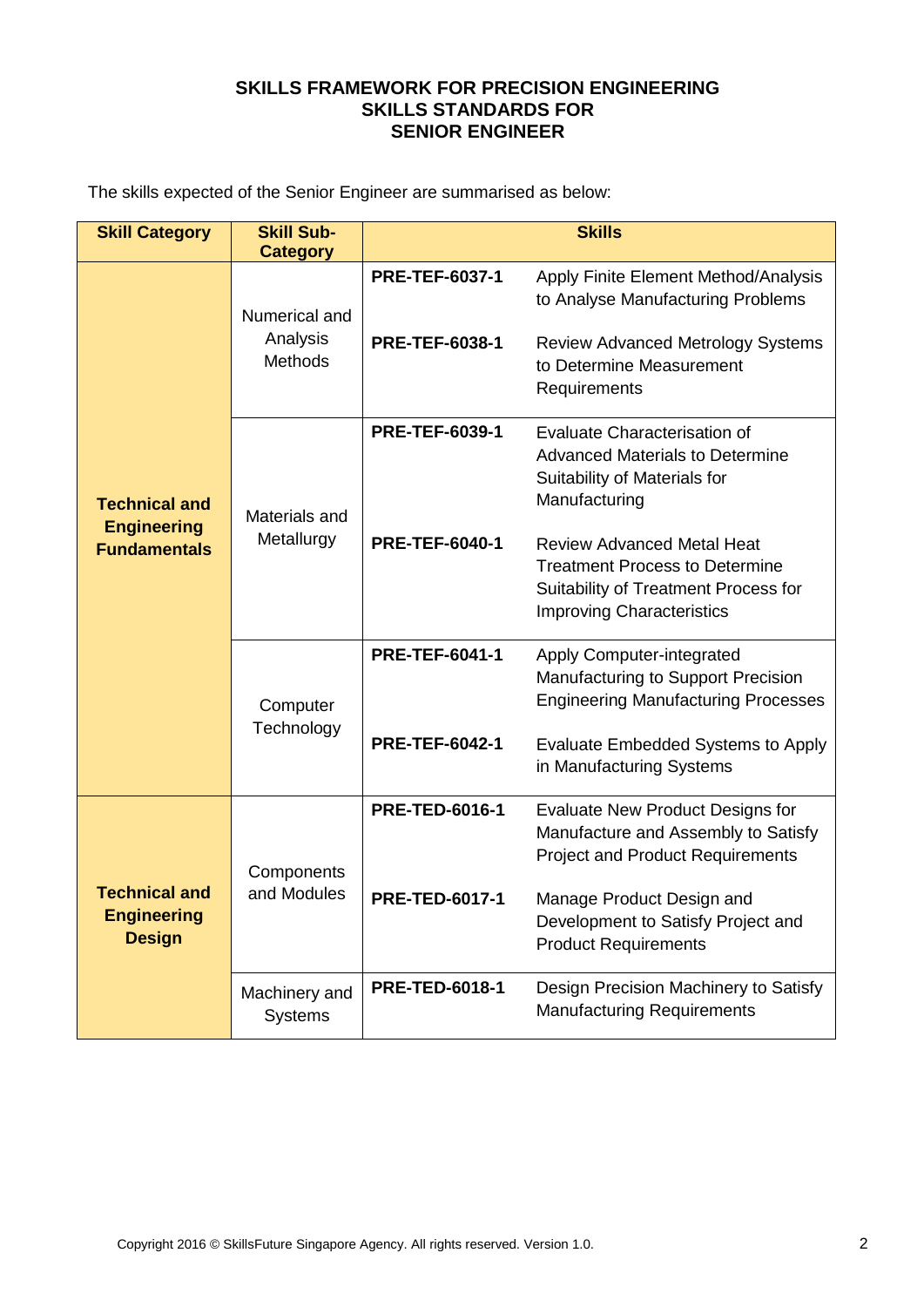The skills expected of the Senior Engineer are summarised as below:

| <b>Skill Category</b>                                             | <b>Skill Sub-</b>                           | <b>Skills</b>         |                                                                                                                                                                                                                                                                                                      |  |
|-------------------------------------------------------------------|---------------------------------------------|-----------------------|------------------------------------------------------------------------------------------------------------------------------------------------------------------------------------------------------------------------------------------------------------------------------------------------------|--|
|                                                                   | <b>Category</b>                             |                       |                                                                                                                                                                                                                                                                                                      |  |
| <b>Technical and</b><br><b>Engineering</b><br><b>Fundamentals</b> | Numerical and<br>Analysis<br><b>Methods</b> | <b>PRE-TEF-6037-1</b> | Apply Finite Element Method/Analysis<br>to Analyse Manufacturing Problems                                                                                                                                                                                                                            |  |
|                                                                   |                                             | <b>PRE-TEF-6038-1</b> | <b>Review Advanced Metrology Systems</b><br>to Determine Measurement<br>Requirements                                                                                                                                                                                                                 |  |
|                                                                   | Materials and                               | <b>PRE-TEF-6039-1</b> | <b>Evaluate Characterisation of</b><br><b>Advanced Materials to Determine</b><br>Suitability of Materials for<br>Manufacturing                                                                                                                                                                       |  |
|                                                                   | Metallurgy                                  | <b>PRE-TEF-6040-1</b> | <b>Review Advanced Metal Heat</b><br><b>Treatment Process to Determine</b><br>Suitability of Treatment Process for<br><b>Improving Characteristics</b>                                                                                                                                               |  |
|                                                                   | Computer                                    | <b>PRE-TEF-6041-1</b> | <b>Apply Computer-integrated</b><br>Manufacturing to Support Precision<br><b>Engineering Manufacturing Processes</b>                                                                                                                                                                                 |  |
|                                                                   | Technology                                  | <b>PRE-TEF-6042-1</b> | <b>Evaluate Embedded Systems to Apply</b><br>in Manufacturing Systems<br><b>Evaluate New Product Designs for</b><br>Manufacture and Assembly to Satisfy<br><b>Project and Product Requirements</b><br>Manage Product Design and<br>Development to Satisfy Project and<br><b>Product Requirements</b> |  |
| <b>Technical and</b><br><b>Engineering</b><br><b>Design</b>       | Components                                  | <b>PRE-TED-6016-1</b> |                                                                                                                                                                                                                                                                                                      |  |
|                                                                   | and Modules                                 | <b>PRE-TED-6017-1</b> |                                                                                                                                                                                                                                                                                                      |  |
|                                                                   | Machinery and<br><b>Systems</b>             | <b>PRE-TED-6018-1</b> | Design Precision Machinery to Satisfy<br><b>Manufacturing Requirements</b>                                                                                                                                                                                                                           |  |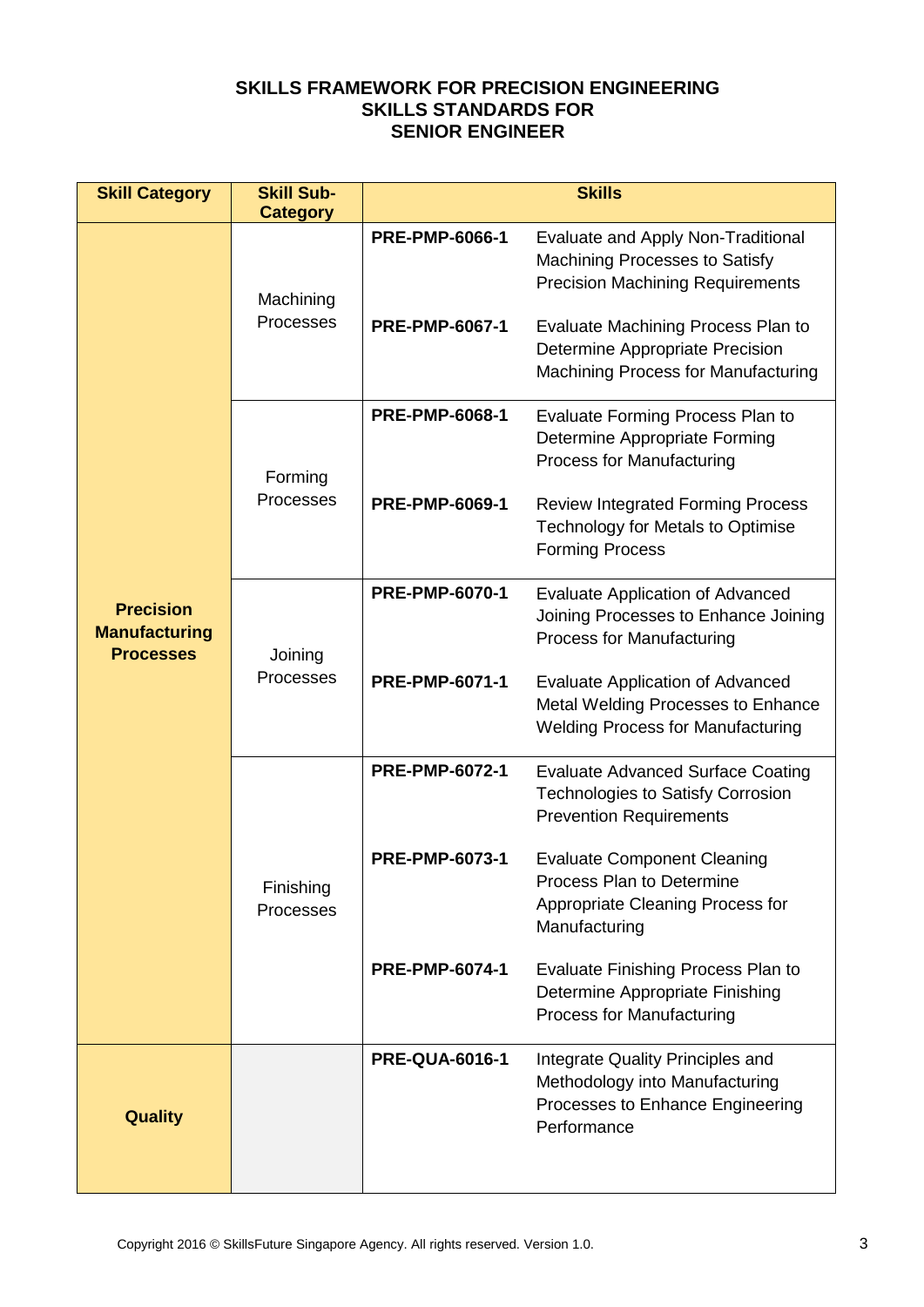| <b>Skill Category</b>                                        | <b>Skill Sub-</b><br><b>Category</b>                                   | <b>Skills</b>                                  |                                                                                                                                                                                                                                                                                                                                                                                                                                                                                                                                                                                                                                             |  |
|--------------------------------------------------------------|------------------------------------------------------------------------|------------------------------------------------|---------------------------------------------------------------------------------------------------------------------------------------------------------------------------------------------------------------------------------------------------------------------------------------------------------------------------------------------------------------------------------------------------------------------------------------------------------------------------------------------------------------------------------------------------------------------------------------------------------------------------------------------|--|
| <b>Precision</b><br><b>Manufacturing</b><br><b>Processes</b> | Machining<br>Processes                                                 | <b>PRE-PMP-6066-1</b><br><b>PRE-PMP-6067-1</b> | Evaluate and Apply Non-Traditional<br>Machining Processes to Satisfy<br><b>Precision Machining Requirements</b><br>Evaluate Machining Process Plan to<br>Determine Appropriate Precision<br>Machining Process for Manufacturing                                                                                                                                                                                                                                                                                                                                                                                                             |  |
|                                                              | <b>PRE-PMP-6068-1</b><br>Forming<br>Processes<br><b>PRE-PMP-6069-1</b> |                                                | Evaluate Forming Process Plan to<br>Determine Appropriate Forming<br><b>Process for Manufacturing</b><br><b>Review Integrated Forming Process</b><br>Technology for Metals to Optimise                                                                                                                                                                                                                                                                                                                                                                                                                                                      |  |
|                                                              | Joining<br>Processes                                                   | <b>PRE-PMP-6070-1</b><br><b>PRE-PMP-6071-1</b> | <b>Evaluate Application of Advanced</b><br>Joining Processes to Enhance Joining<br><b>Process for Manufacturing</b>                                                                                                                                                                                                                                                                                                                                                                                                                                                                                                                         |  |
|                                                              |                                                                        |                                                | <b>Forming Process</b><br><b>Evaluate Application of Advanced</b><br>Metal Welding Processes to Enhance<br><b>Welding Process for Manufacturing</b><br><b>Evaluate Advanced Surface Coating</b><br><b>Technologies to Satisfy Corrosion</b><br><b>Prevention Requirements</b><br><b>Evaluate Component Cleaning</b><br>Process Plan to Determine<br>Appropriate Cleaning Process for<br>Manufacturing<br>Evaluate Finishing Process Plan to<br>Determine Appropriate Finishing<br><b>Process for Manufacturing</b><br>Integrate Quality Principles and<br>Methodology into Manufacturing<br>Processes to Enhance Engineering<br>Performance |  |
|                                                              |                                                                        | <b>PRE-PMP-6072-1</b>                          |                                                                                                                                                                                                                                                                                                                                                                                                                                                                                                                                                                                                                                             |  |
|                                                              | Finishing<br>Processes                                                 | <b>PRE-PMP-6073-1</b>                          |                                                                                                                                                                                                                                                                                                                                                                                                                                                                                                                                                                                                                                             |  |
|                                                              |                                                                        | <b>PRE-PMP-6074-1</b>                          |                                                                                                                                                                                                                                                                                                                                                                                                                                                                                                                                                                                                                                             |  |
| <b>Quality</b>                                               |                                                                        | <b>PRE-QUA-6016-1</b>                          |                                                                                                                                                                                                                                                                                                                                                                                                                                                                                                                                                                                                                                             |  |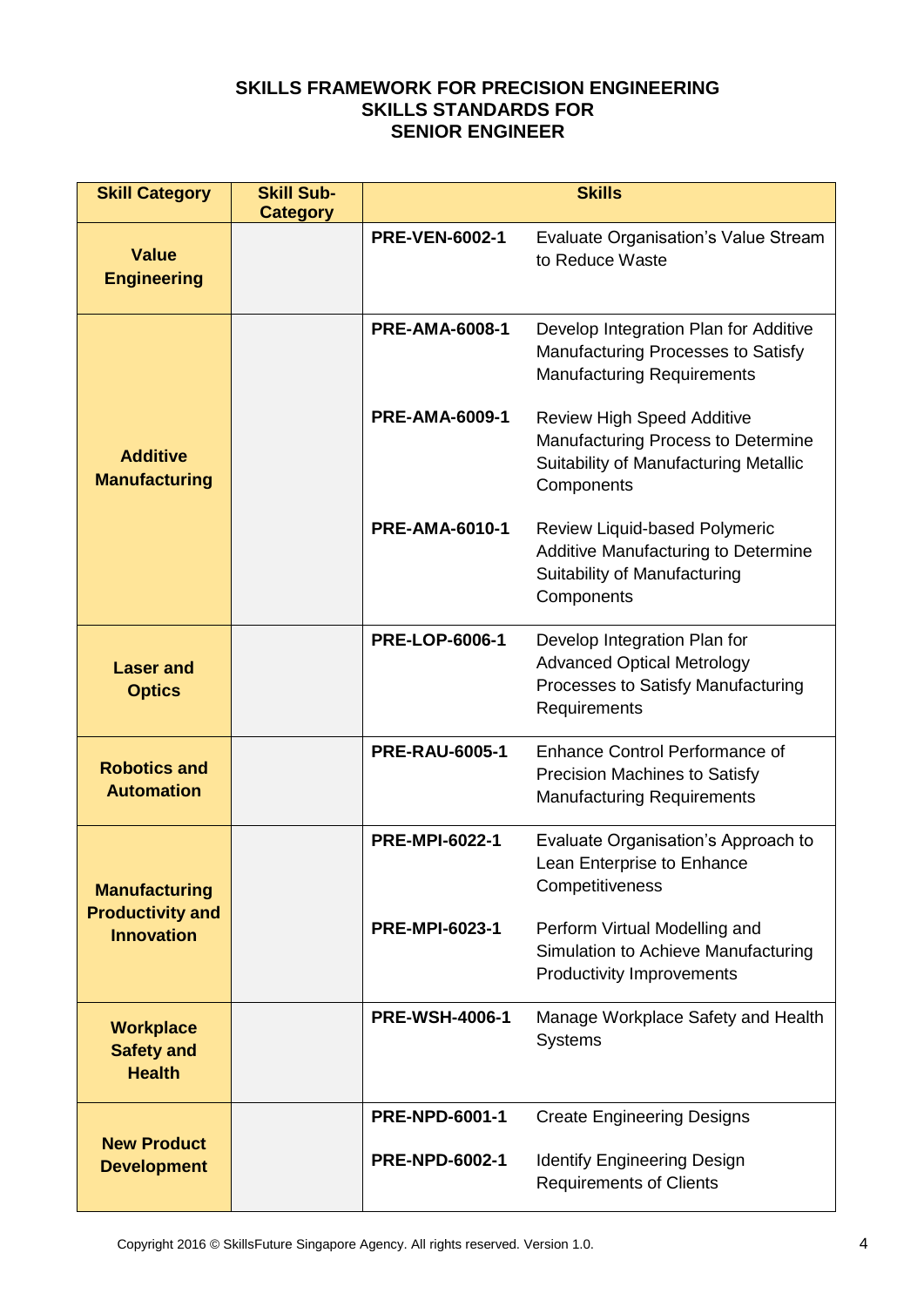| <b>Skill Category</b>                                  | <b>Skill Sub-</b><br><b>Category</b> | <b>Skills</b>         |                                                                                                                                |  |
|--------------------------------------------------------|--------------------------------------|-----------------------|--------------------------------------------------------------------------------------------------------------------------------|--|
| <b>Value</b><br><b>Engineering</b>                     |                                      | <b>PRE-VEN-6002-1</b> | Evaluate Organisation's Value Stream<br>to Reduce Waste                                                                        |  |
|                                                        |                                      | <b>PRE-AMA-6008-1</b> | Develop Integration Plan for Additive<br>Manufacturing Processes to Satisfy<br><b>Manufacturing Requirements</b>               |  |
| <b>Additive</b><br><b>Manufacturing</b>                |                                      | <b>PRE-AMA-6009-1</b> | <b>Review High Speed Additive</b><br>Manufacturing Process to Determine<br>Suitability of Manufacturing Metallic<br>Components |  |
|                                                        |                                      | <b>PRE-AMA-6010-1</b> | Review Liquid-based Polymeric<br>Additive Manufacturing to Determine<br>Suitability of Manufacturing<br>Components             |  |
| <b>Laser and</b><br><b>Optics</b>                      |                                      | <b>PRE-LOP-6006-1</b> | Develop Integration Plan for<br><b>Advanced Optical Metrology</b><br>Processes to Satisfy Manufacturing<br>Requirements        |  |
| <b>Robotics and</b><br><b>Automation</b>               |                                      | <b>PRE-RAU-6005-1</b> | <b>Enhance Control Performance of</b><br><b>Precision Machines to Satisfy</b><br><b>Manufacturing Requirements</b>             |  |
| <b>Manufacturing</b>                                   |                                      | <b>PRE-MPI-6022-1</b> | Evaluate Organisation's Approach to<br>Lean Enterprise to Enhance<br>Competitiveness                                           |  |
| <b>Productivity and</b><br><b>Innovation</b>           |                                      | <b>PRE-MPI-6023-1</b> | Perform Virtual Modelling and<br>Simulation to Achieve Manufacturing<br><b>Productivity Improvements</b>                       |  |
| <b>Workplace</b><br><b>Safety and</b><br><b>Health</b> |                                      | <b>PRE-WSH-4006-1</b> | Manage Workplace Safety and Health<br><b>Systems</b>                                                                           |  |
| <b>New Product</b>                                     |                                      | <b>PRE-NPD-6001-1</b> | <b>Create Engineering Designs</b>                                                                                              |  |
| <b>Development</b>                                     |                                      | <b>PRE-NPD-6002-1</b> | <b>Identify Engineering Design</b><br><b>Requirements of Clients</b>                                                           |  |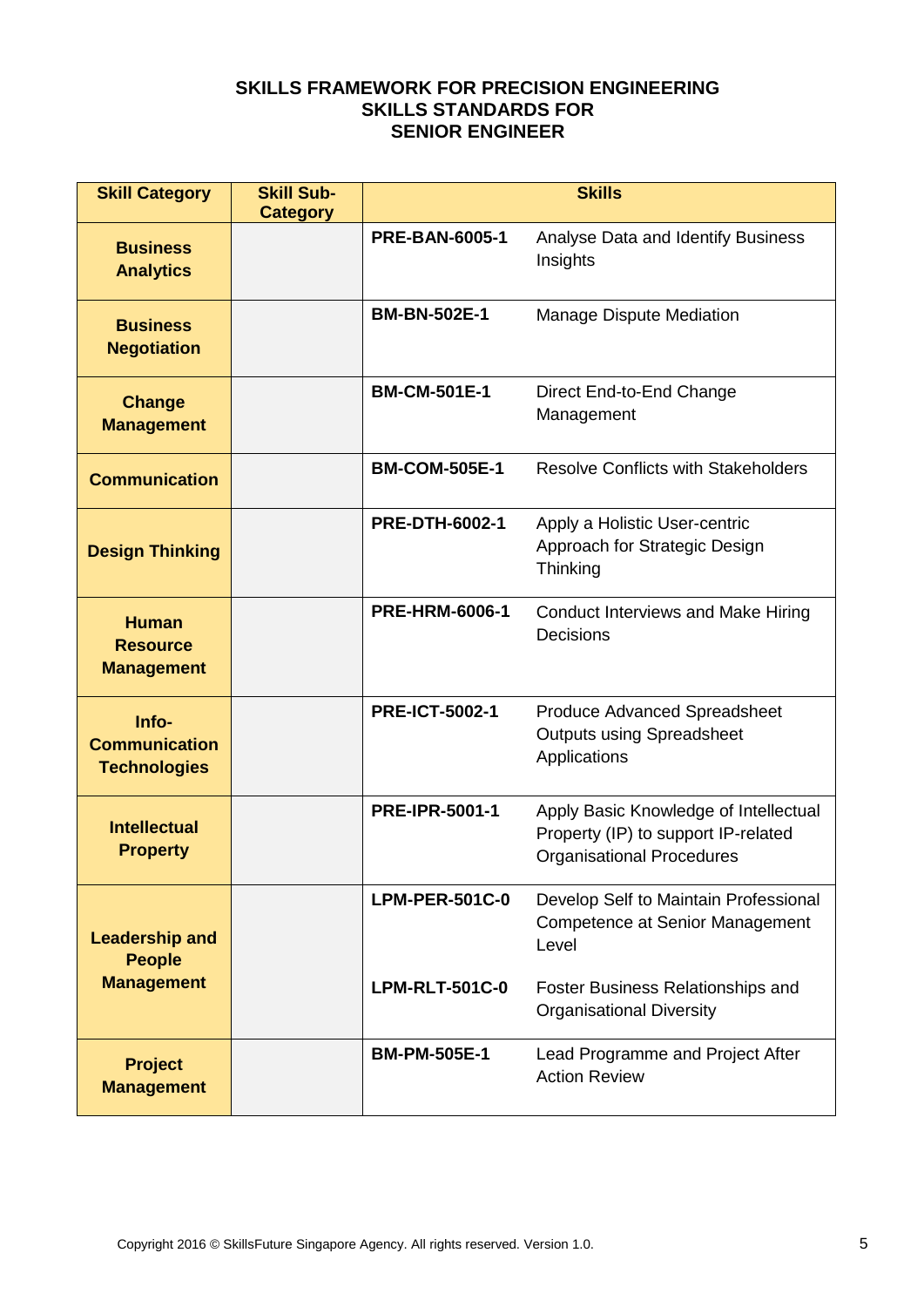| <b>Skill Category</b>                                | <b>Skill Sub-</b><br><b>Category</b> |                       | <b>Skills</b>                                                                                                    |
|------------------------------------------------------|--------------------------------------|-----------------------|------------------------------------------------------------------------------------------------------------------|
| <b>Business</b><br><b>Analytics</b>                  |                                      | <b>PRE-BAN-6005-1</b> | Analyse Data and Identify Business<br>Insights                                                                   |
| <b>Business</b><br><b>Negotiation</b>                |                                      | <b>BM-BN-502E-1</b>   | Manage Dispute Mediation                                                                                         |
| <b>Change</b><br><b>Management</b>                   |                                      | <b>BM-CM-501E-1</b>   | Direct End-to-End Change<br>Management                                                                           |
| <b>Communication</b>                                 |                                      | <b>BM-COM-505E-1</b>  | <b>Resolve Conflicts with Stakeholders</b>                                                                       |
| <b>Design Thinking</b>                               |                                      | <b>PRE-DTH-6002-1</b> | Apply a Holistic User-centric<br>Approach for Strategic Design<br>Thinking                                       |
| <b>Human</b><br><b>Resource</b><br><b>Management</b> |                                      | <b>PRE-HRM-6006-1</b> | Conduct Interviews and Make Hiring<br><b>Decisions</b>                                                           |
| Info-<br><b>Communication</b><br><b>Technologies</b> |                                      | <b>PRE-ICT-5002-1</b> | <b>Produce Advanced Spreadsheet</b><br><b>Outputs using Spreadsheet</b><br>Applications                          |
| <b>Intellectual</b><br><b>Property</b>               |                                      | <b>PRE-IPR-5001-1</b> | Apply Basic Knowledge of Intellectual<br>Property (IP) to support IP-related<br><b>Organisational Procedures</b> |
| <b>Leadership and</b><br><b>People</b>               |                                      | <b>LPM-PER-501C-0</b> | Develop Self to Maintain Professional<br><b>Competence at Senior Management</b><br>Level                         |
| <b>Management</b>                                    |                                      | <b>LPM-RLT-501C-0</b> | Foster Business Relationships and<br><b>Organisational Diversity</b>                                             |
| <b>Project</b><br><b>Management</b>                  |                                      | <b>BM-PM-505E-1</b>   | Lead Programme and Project After<br><b>Action Review</b>                                                         |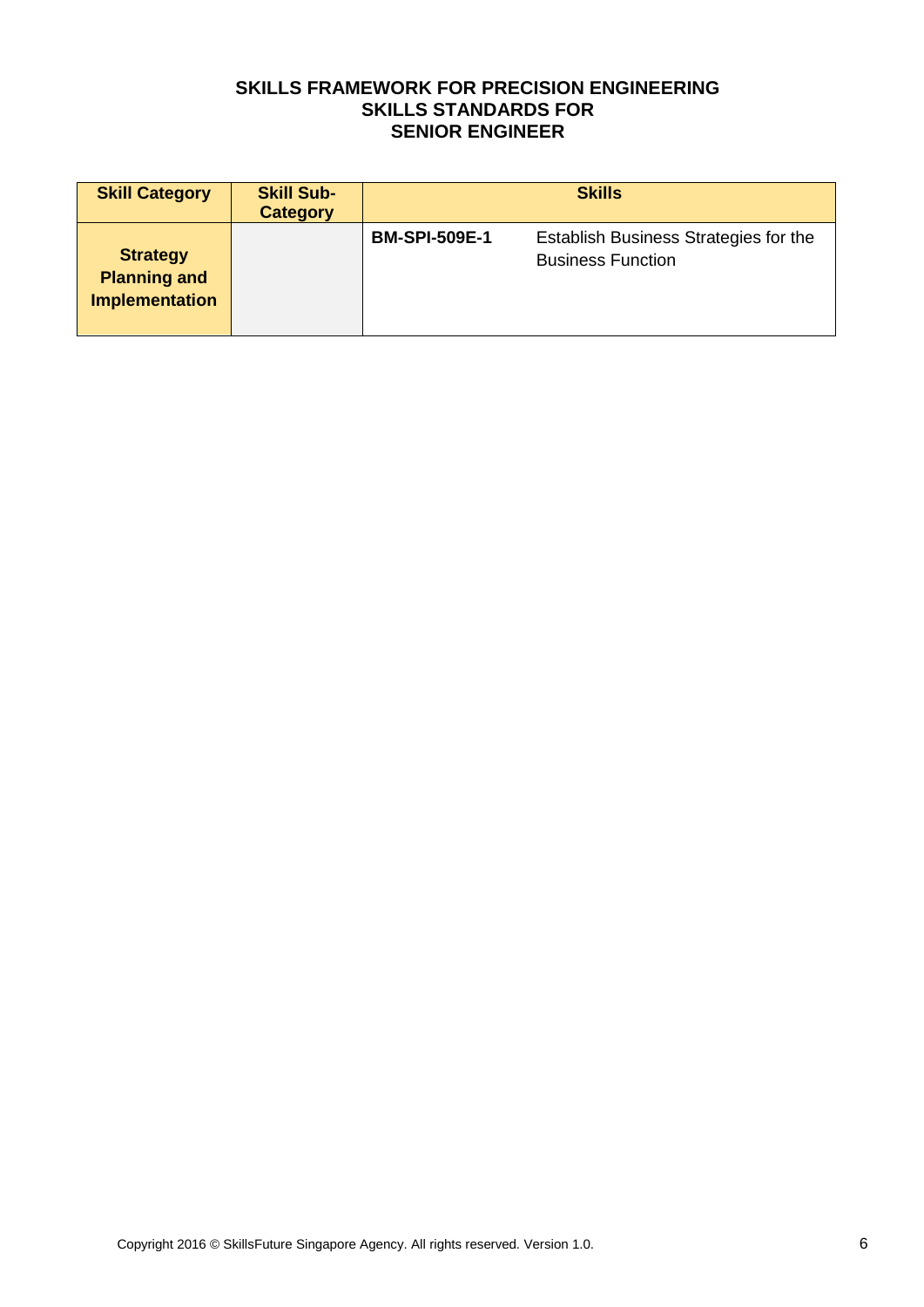| <b>Skill Category</b>                                           | <b>Skill Sub-</b><br><b>Category</b> | <b>Skills</b>        |                                                                   |
|-----------------------------------------------------------------|--------------------------------------|----------------------|-------------------------------------------------------------------|
| <b>Strategy</b><br><b>Planning and</b><br><b>Implementation</b> |                                      | <b>BM-SPI-509E-1</b> | Establish Business Strategies for the<br><b>Business Function</b> |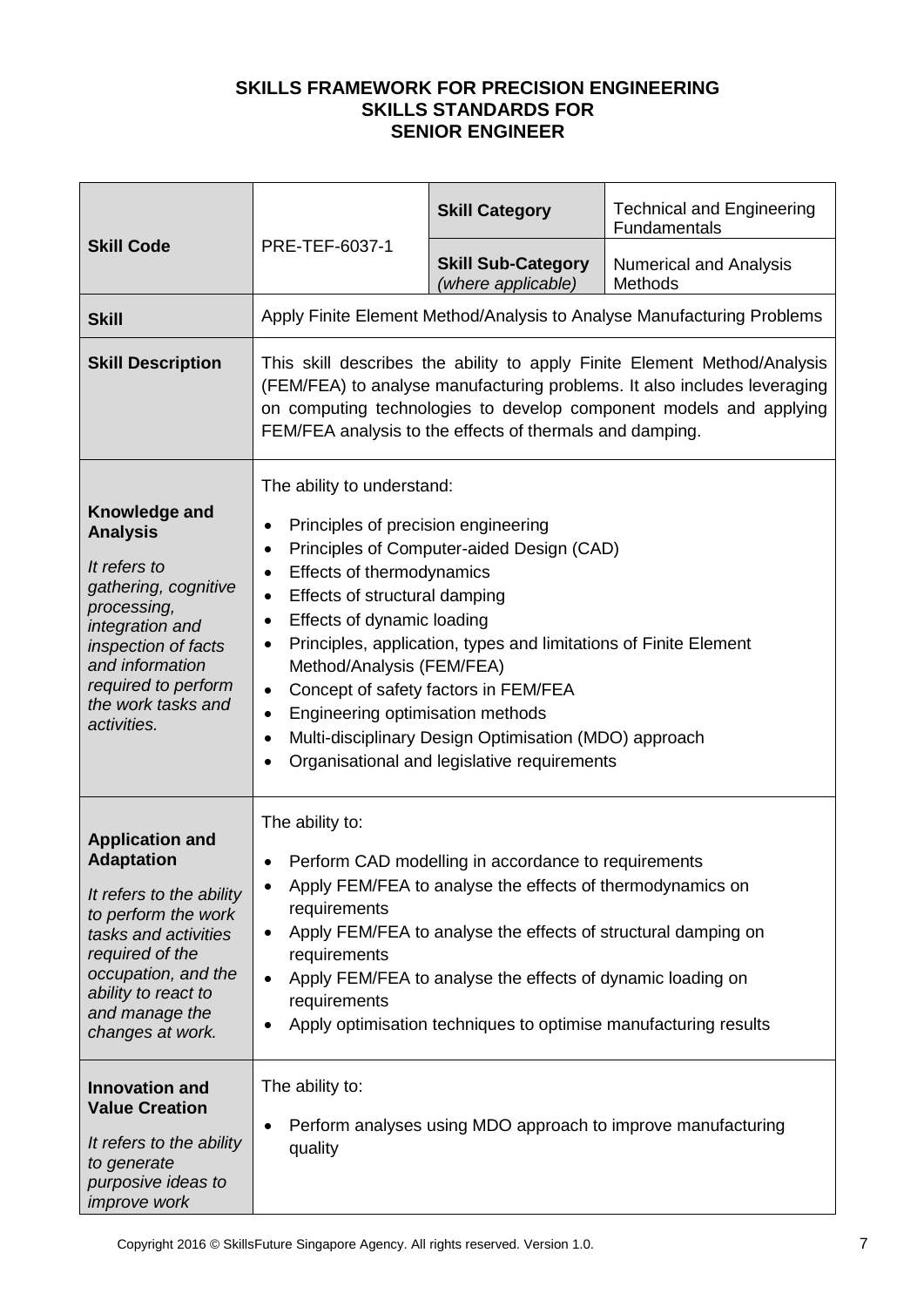|                                                                                                                                                                                                                               |                                                                                                                                                                                                                                                                                                                                                  | <b>Skill Category</b>                                                                                                                                                                                                                                                                                              | <b>Technical and Engineering</b><br>Fundamentals                                                                                                                                                                           |
|-------------------------------------------------------------------------------------------------------------------------------------------------------------------------------------------------------------------------------|--------------------------------------------------------------------------------------------------------------------------------------------------------------------------------------------------------------------------------------------------------------------------------------------------------------------------------------------------|--------------------------------------------------------------------------------------------------------------------------------------------------------------------------------------------------------------------------------------------------------------------------------------------------------------------|----------------------------------------------------------------------------------------------------------------------------------------------------------------------------------------------------------------------------|
| <b>Skill Code</b>                                                                                                                                                                                                             | PRE-TEF-6037-1                                                                                                                                                                                                                                                                                                                                   | <b>Skill Sub-Category</b><br>(where applicable)                                                                                                                                                                                                                                                                    | <b>Numerical and Analysis</b><br>Methods                                                                                                                                                                                   |
| <b>Skill</b>                                                                                                                                                                                                                  |                                                                                                                                                                                                                                                                                                                                                  |                                                                                                                                                                                                                                                                                                                    | Apply Finite Element Method/Analysis to Analyse Manufacturing Problems                                                                                                                                                     |
| <b>Skill Description</b>                                                                                                                                                                                                      |                                                                                                                                                                                                                                                                                                                                                  | FEM/FEA analysis to the effects of thermals and damping.                                                                                                                                                                                                                                                           | This skill describes the ability to apply Finite Element Method/Analysis<br>(FEM/FEA) to analyse manufacturing problems. It also includes leveraging<br>on computing technologies to develop component models and applying |
| Knowledge and<br><b>Analysis</b><br>It refers to<br>gathering, cognitive<br>processing,<br>integration and<br>inspection of facts<br>and information<br>required to perform<br>the work tasks and<br>activities.              | The ability to understand:<br>Principles of precision engineering<br>٠<br>$\bullet$<br>Effects of thermodynamics<br>$\bullet$<br>Effects of structural damping<br>٠<br>Effects of dynamic loading<br>$\bullet$<br>$\bullet$<br>Method/Analysis (FEM/FEA)<br>$\bullet$<br>Engineering optimisation methods<br>$\bullet$<br>$\bullet$<br>$\bullet$ | Principles of Computer-aided Design (CAD)<br>Principles, application, types and limitations of Finite Element<br>Concept of safety factors in FEM/FEA<br>Multi-disciplinary Design Optimisation (MDO) approach<br>Organisational and legislative requirements                                                      |                                                                                                                                                                                                                            |
| <b>Application and</b><br><b>Adaptation</b><br>It refers to the ability<br>to perform the work<br>tasks and activities<br>required of the<br>occupation, and the<br>ability to react to<br>and manage the<br>changes at work. | The ability to:<br>$\bullet$<br>٠<br>requirements<br>$\bullet$<br>requirements<br>$\bullet$<br>requirements                                                                                                                                                                                                                                      | Perform CAD modelling in accordance to requirements<br>Apply FEM/FEA to analyse the effects of thermodynamics on<br>Apply FEM/FEA to analyse the effects of structural damping on<br>Apply FEM/FEA to analyse the effects of dynamic loading on<br>Apply optimisation techniques to optimise manufacturing results |                                                                                                                                                                                                                            |
| <b>Innovation and</b><br><b>Value Creation</b><br>It refers to the ability<br>to generate<br>purposive ideas to<br>improve work                                                                                               | The ability to:<br>٠<br>quality                                                                                                                                                                                                                                                                                                                  |                                                                                                                                                                                                                                                                                                                    | Perform analyses using MDO approach to improve manufacturing                                                                                                                                                               |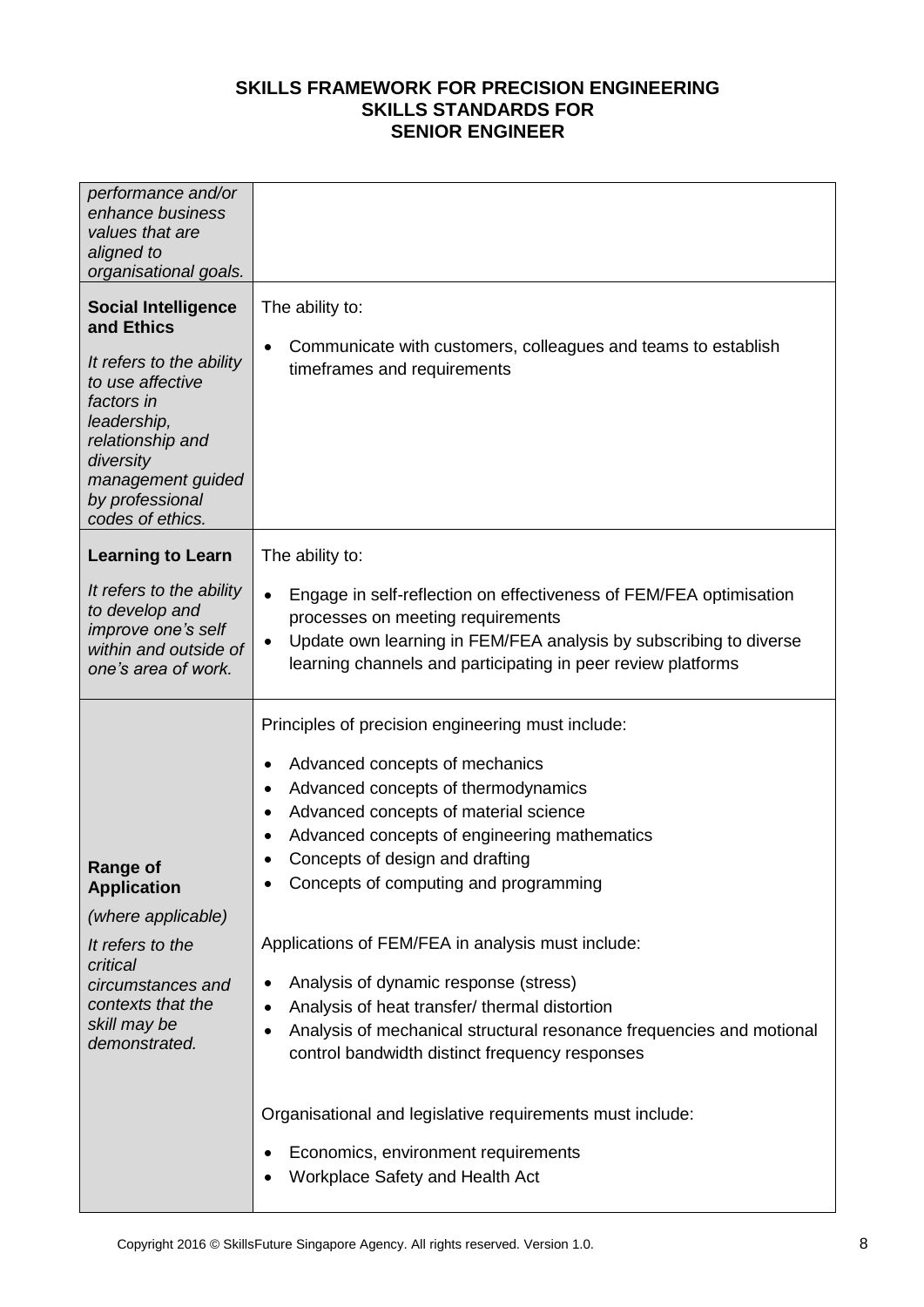| performance and/or<br>enhance business<br>values that are<br>aligned to<br>organisational goals.                                                                                                                   |                                                                                                                                                                                                                                                                                                                                                           |
|--------------------------------------------------------------------------------------------------------------------------------------------------------------------------------------------------------------------|-----------------------------------------------------------------------------------------------------------------------------------------------------------------------------------------------------------------------------------------------------------------------------------------------------------------------------------------------------------|
| <b>Social Intelligence</b><br>and Ethics<br>It refers to the ability<br>to use affective<br>factors in<br>leadership,<br>relationship and<br>diversity<br>management guided<br>by professional<br>codes of ethics. | The ability to:<br>Communicate with customers, colleagues and teams to establish<br>٠<br>timeframes and requirements                                                                                                                                                                                                                                      |
| <b>Learning to Learn</b>                                                                                                                                                                                           | The ability to:                                                                                                                                                                                                                                                                                                                                           |
| It refers to the ability<br>to develop and<br>improve one's self<br>within and outside of<br>one's area of work.                                                                                                   | Engage in self-reflection on effectiveness of FEM/FEA optimisation<br>$\bullet$<br>processes on meeting requirements<br>Update own learning in FEM/FEA analysis by subscribing to diverse<br>$\bullet$<br>learning channels and participating in peer review platforms                                                                                    |
|                                                                                                                                                                                                                    | Principles of precision engineering must include:                                                                                                                                                                                                                                                                                                         |
| <b>Range of</b><br><b>Application</b>                                                                                                                                                                              | Advanced concepts of mechanics<br>٠<br>Advanced concepts of thermodynamics<br>$\bullet$<br>Advanced concepts of material science<br>٠<br>Advanced concepts of engineering mathematics<br>٠<br>Concepts of design and drafting<br>Concepts of computing and programming                                                                                    |
| (where applicable)                                                                                                                                                                                                 |                                                                                                                                                                                                                                                                                                                                                           |
| It refers to the<br>critical<br>circumstances and<br>contexts that the<br>skill may be<br>demonstrated.                                                                                                            | Applications of FEM/FEA in analysis must include:<br>Analysis of dynamic response (stress)<br>$\bullet$<br>Analysis of heat transfer/ thermal distortion<br>٠<br>Analysis of mechanical structural resonance frequencies and motional<br>٠<br>control bandwidth distinct frequency responses<br>Organisational and legislative requirements must include: |
|                                                                                                                                                                                                                    | Economics, environment requirements<br>$\bullet$<br>Workplace Safety and Health Act                                                                                                                                                                                                                                                                       |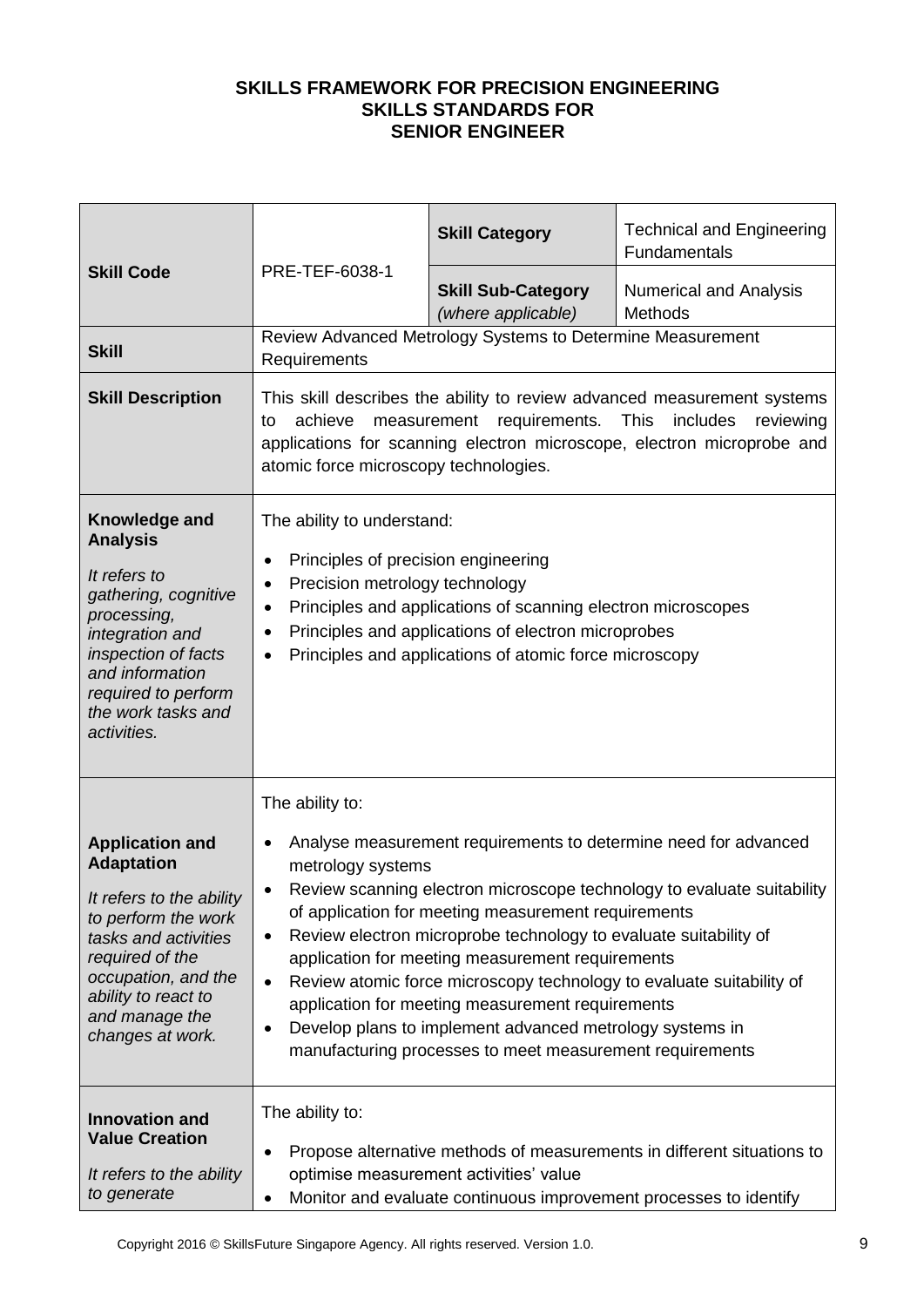|                                                                                                                                                                                                                               |                                                                                                                                                              | <b>Skill Category</b>                                                                                                                                                                                                                                                                                                                                   | <b>Technical and Engineering</b><br>Fundamentals                                                                                                                                                                  |
|-------------------------------------------------------------------------------------------------------------------------------------------------------------------------------------------------------------------------------|--------------------------------------------------------------------------------------------------------------------------------------------------------------|---------------------------------------------------------------------------------------------------------------------------------------------------------------------------------------------------------------------------------------------------------------------------------------------------------------------------------------------------------|-------------------------------------------------------------------------------------------------------------------------------------------------------------------------------------------------------------------|
| <b>Skill Code</b>                                                                                                                                                                                                             | PRE-TEF-6038-1                                                                                                                                               | <b>Skill Sub-Category</b><br>(where applicable)                                                                                                                                                                                                                                                                                                         | <b>Numerical and Analysis</b><br><b>Methods</b>                                                                                                                                                                   |
| <b>Skill</b>                                                                                                                                                                                                                  | Requirements                                                                                                                                                 | Review Advanced Metrology Systems to Determine Measurement                                                                                                                                                                                                                                                                                              |                                                                                                                                                                                                                   |
| <b>Skill Description</b>                                                                                                                                                                                                      | achieve<br>to<br>atomic force microscopy technologies.                                                                                                       | measurement<br>requirements.                                                                                                                                                                                                                                                                                                                            | This skill describes the ability to review advanced measurement systems<br><b>This</b><br>includes<br>reviewing<br>applications for scanning electron microscope, electron microprobe and                         |
| Knowledge and<br><b>Analysis</b><br>It refers to<br>gathering, cognitive<br>processing,<br>integration and<br>inspection of facts<br>and information<br>required to perform<br>the work tasks and<br>activities.              | The ability to understand:<br>Principles of precision engineering<br>$\bullet$<br>Precision metrology technology<br>$\bullet$<br>٠<br>$\bullet$<br>$\bullet$ | Principles and applications of scanning electron microscopes<br>Principles and applications of electron microprobes<br>Principles and applications of atomic force microscopy                                                                                                                                                                           |                                                                                                                                                                                                                   |
| <b>Application and</b><br><b>Adaptation</b><br>It refers to the ability<br>to perform the work<br>tasks and activities<br>required of the<br>occupation, and the<br>ability to react to<br>and manage the<br>changes at work. | The ability to:<br>$\bullet$<br>metrology systems<br>٠<br>٠<br>$\bullet$<br>$\bullet$                                                                        | of application for meeting measurement requirements<br>Review electron microprobe technology to evaluate suitability of<br>application for meeting measurement requirements<br>application for meeting measurement requirements<br>Develop plans to implement advanced metrology systems in<br>manufacturing processes to meet measurement requirements | Analyse measurement requirements to determine need for advanced<br>Review scanning electron microscope technology to evaluate suitability<br>Review atomic force microscopy technology to evaluate suitability of |
| <b>Innovation and</b><br><b>Value Creation</b><br>It refers to the ability<br>to generate                                                                                                                                     | The ability to:<br>٠<br>$\bullet$                                                                                                                            | optimise measurement activities' value                                                                                                                                                                                                                                                                                                                  | Propose alternative methods of measurements in different situations to<br>Monitor and evaluate continuous improvement processes to identify                                                                       |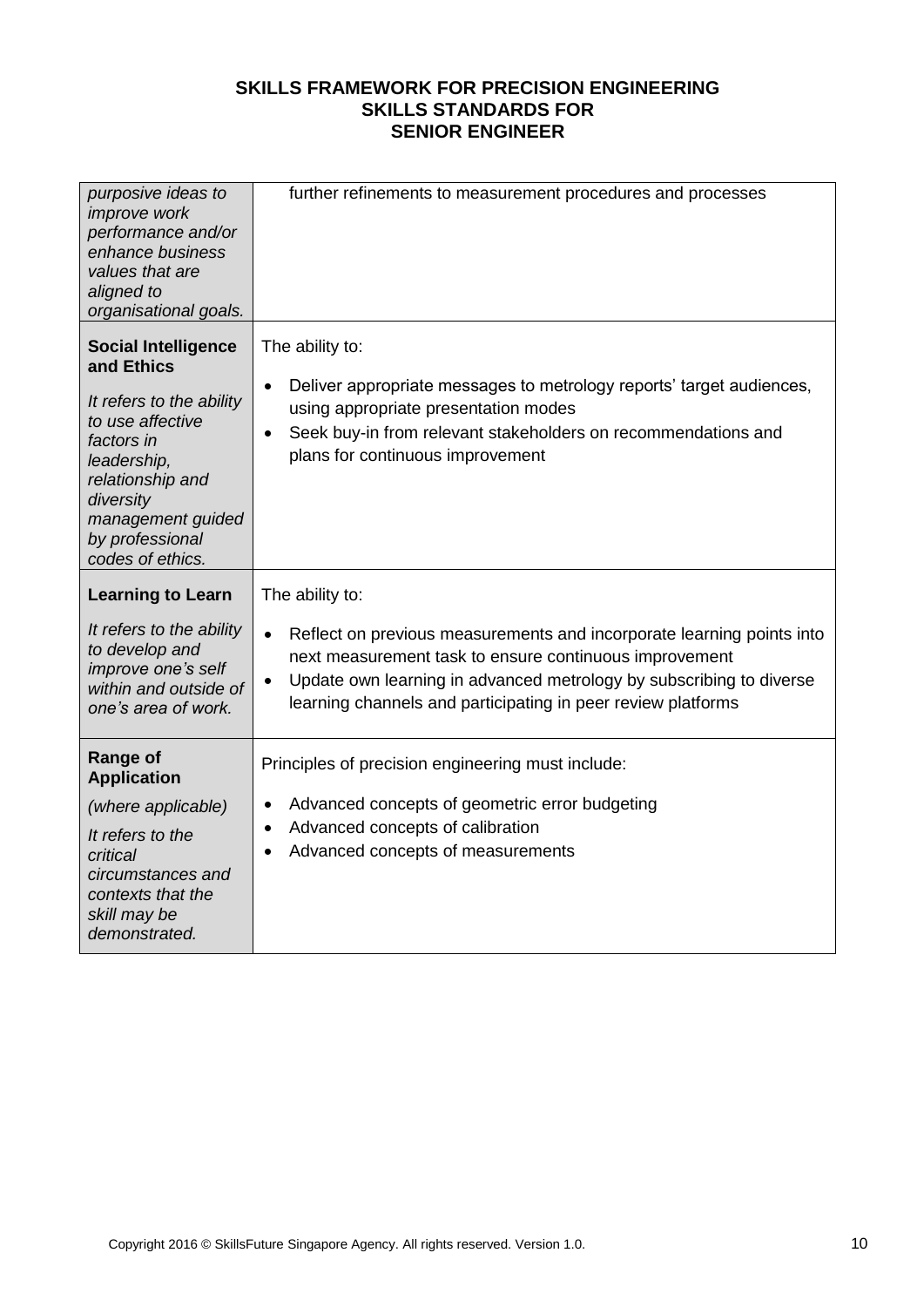| purposive ideas to<br>improve work<br>performance and/or<br>enhance business<br>values that are<br>aligned to<br>organisational goals.                                                                             | further refinements to measurement procedures and processes                                                                                                                                                                                                                                      |
|--------------------------------------------------------------------------------------------------------------------------------------------------------------------------------------------------------------------|--------------------------------------------------------------------------------------------------------------------------------------------------------------------------------------------------------------------------------------------------------------------------------------------------|
| <b>Social Intelligence</b><br>and Ethics<br>It refers to the ability<br>to use affective<br>factors in<br>leadership,<br>relationship and<br>diversity<br>management guided<br>by professional<br>codes of ethics. | The ability to:<br>Deliver appropriate messages to metrology reports' target audiences,<br>$\bullet$<br>using appropriate presentation modes<br>Seek buy-in from relevant stakeholders on recommendations and<br>$\bullet$<br>plans for continuous improvement                                   |
| <b>Learning to Learn</b>                                                                                                                                                                                           | The ability to:                                                                                                                                                                                                                                                                                  |
| It refers to the ability<br>to develop and<br>improve one's self<br>within and outside of<br>one's area of work.                                                                                                   | Reflect on previous measurements and incorporate learning points into<br>$\bullet$<br>next measurement task to ensure continuous improvement<br>Update own learning in advanced metrology by subscribing to diverse<br>$\bullet$<br>learning channels and participating in peer review platforms |
| <b>Range of</b><br><b>Application</b>                                                                                                                                                                              | Principles of precision engineering must include:                                                                                                                                                                                                                                                |
| (where applicable)<br>It refers to the<br>critical<br>circumstances and<br>contexts that the<br>skill may be<br>demonstrated.                                                                                      | Advanced concepts of geometric error budgeting<br>$\bullet$<br>Advanced concepts of calibration<br>$\bullet$<br>Advanced concepts of measurements                                                                                                                                                |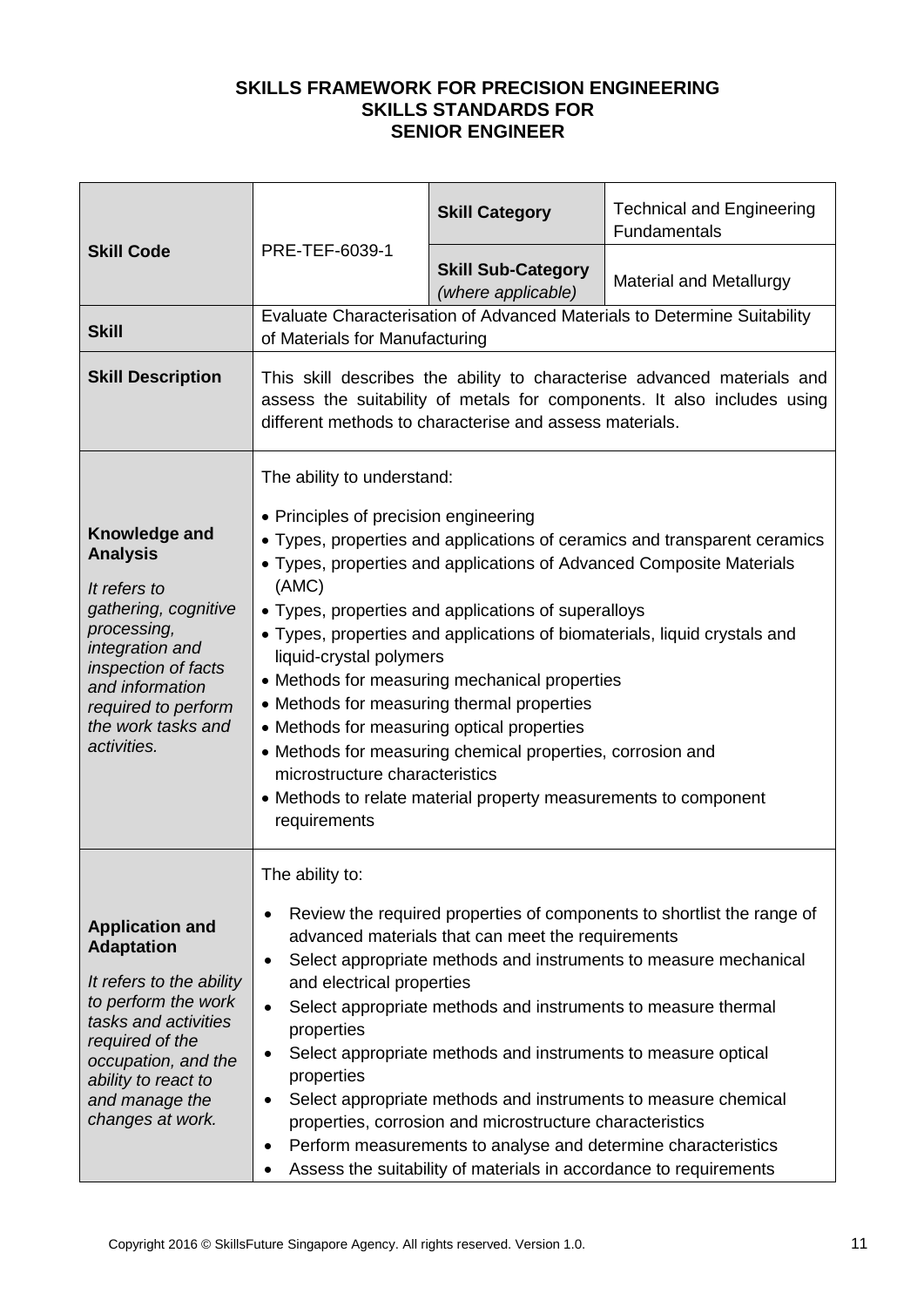|                                                                                                                                                                                                                               |                                                                                                                                                                                                                                                       | <b>Skill Category</b>                                                                                                                                                                                                                                                                                                                                                                 | <b>Technical and Engineering</b><br>Fundamentals                                                                                                                                                                               |
|-------------------------------------------------------------------------------------------------------------------------------------------------------------------------------------------------------------------------------|-------------------------------------------------------------------------------------------------------------------------------------------------------------------------------------------------------------------------------------------------------|---------------------------------------------------------------------------------------------------------------------------------------------------------------------------------------------------------------------------------------------------------------------------------------------------------------------------------------------------------------------------------------|--------------------------------------------------------------------------------------------------------------------------------------------------------------------------------------------------------------------------------|
| <b>Skill Code</b>                                                                                                                                                                                                             | PRE-TEF-6039-1                                                                                                                                                                                                                                        | <b>Skill Sub-Category</b><br>(where applicable)                                                                                                                                                                                                                                                                                                                                       | <b>Material and Metallurgy</b>                                                                                                                                                                                                 |
| <b>Skill</b>                                                                                                                                                                                                                  | of Materials for Manufacturing                                                                                                                                                                                                                        |                                                                                                                                                                                                                                                                                                                                                                                       | Evaluate Characterisation of Advanced Materials to Determine Suitability                                                                                                                                                       |
| <b>Skill Description</b>                                                                                                                                                                                                      |                                                                                                                                                                                                                                                       | different methods to characterise and assess materials.                                                                                                                                                                                                                                                                                                                               | This skill describes the ability to characterise advanced materials and<br>assess the suitability of metals for components. It also includes using                                                                             |
| Knowledge and<br><b>Analysis</b><br>It refers to<br>gathering, cognitive<br>processing,<br>integration and<br>inspection of facts<br>and information<br>required to perform<br>the work tasks and<br>activities.              | The ability to understand:<br>• Principles of precision engineering<br>(AMC)<br>liquid-crystal polymers<br>• Methods for measuring thermal properties<br>• Methods for measuring optical properties<br>microstructure characteristics<br>requirements | • Types, properties and applications of superalloys<br>• Methods for measuring mechanical properties<br>• Methods for measuring chemical properties, corrosion and<br>• Methods to relate material property measurements to component                                                                                                                                                 | • Types, properties and applications of ceramics and transparent ceramics<br>• Types, properties and applications of Advanced Composite Materials<br>• Types, properties and applications of biomaterials, liquid crystals and |
| <b>Application and</b><br><b>Adaptation</b><br>It refers to the ability<br>to perform the work<br>tasks and activities<br>required of the<br>occupation, and the<br>ability to react to<br>and manage the<br>changes at work. | The ability to:<br>$\bullet$<br>$\bullet$<br>and electrical properties<br>$\bullet$<br>properties<br>٠<br>properties<br>$\bullet$<br>$\bullet$<br>٠                                                                                                   | advanced materials that can meet the requirements<br>Select appropriate methods and instruments to measure thermal<br>Select appropriate methods and instruments to measure optical<br>properties, corrosion and microstructure characteristics<br>Perform measurements to analyse and determine characteristics<br>Assess the suitability of materials in accordance to requirements | Review the required properties of components to shortlist the range of<br>Select appropriate methods and instruments to measure mechanical<br>Select appropriate methods and instruments to measure chemical                   |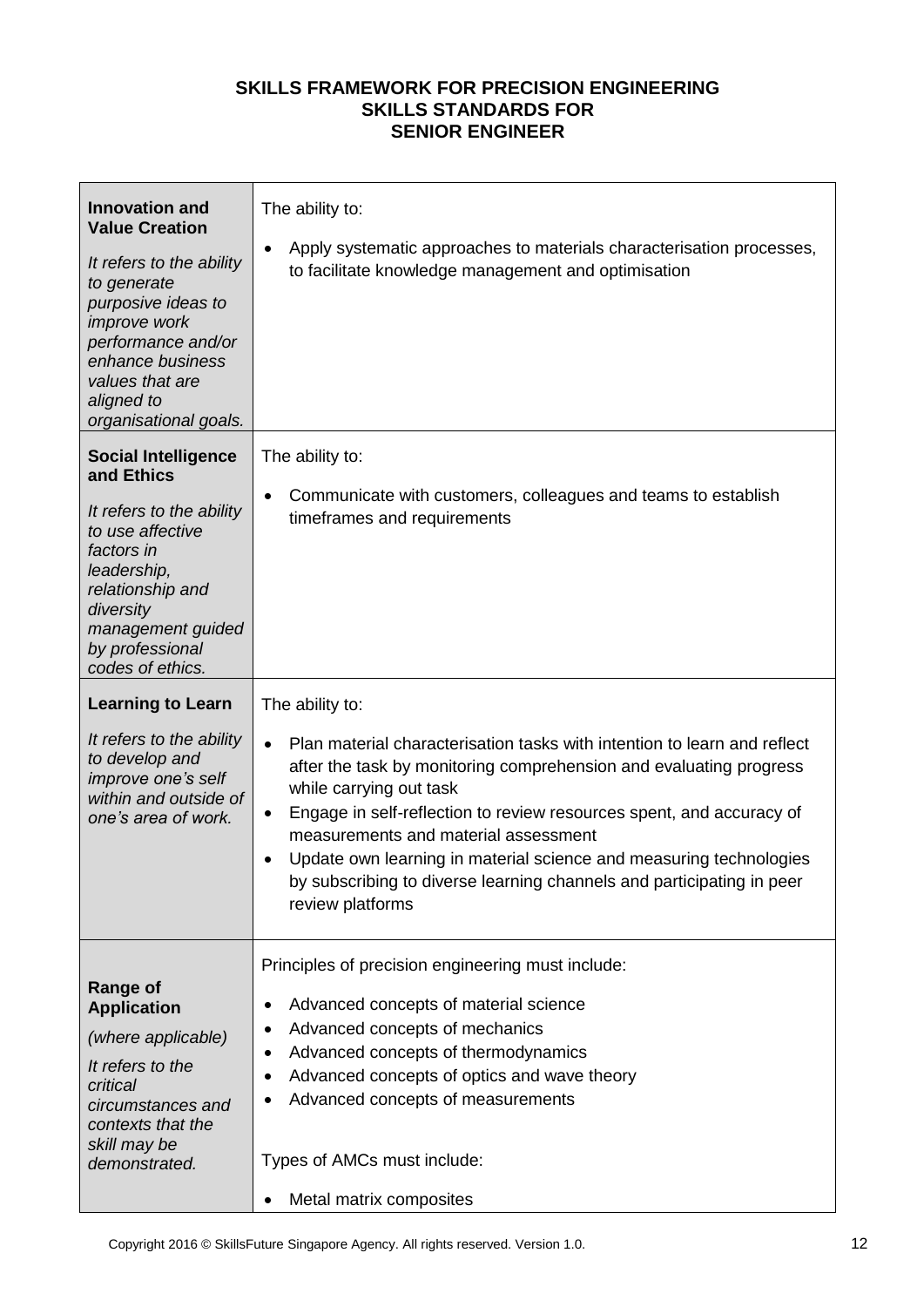| <b>Innovation and</b><br><b>Value Creation</b><br>It refers to the ability<br>to generate<br>purposive ideas to<br><i>improve</i> work<br>performance and/or<br>enhance business<br>values that are<br>aligned to<br>organisational goals. | The ability to:<br>Apply systematic approaches to materials characterisation processes,<br>$\bullet$<br>to facilitate knowledge management and optimisation                                                                                                                                                                                                                                                                                                                                            |
|--------------------------------------------------------------------------------------------------------------------------------------------------------------------------------------------------------------------------------------------|--------------------------------------------------------------------------------------------------------------------------------------------------------------------------------------------------------------------------------------------------------------------------------------------------------------------------------------------------------------------------------------------------------------------------------------------------------------------------------------------------------|
| <b>Social Intelligence</b><br>and Ethics<br>It refers to the ability<br>to use affective<br>factors in<br>leadership,<br>relationship and<br>diversity<br>management guided<br>by professional<br>codes of ethics.                         | The ability to:<br>Communicate with customers, colleagues and teams to establish<br>$\bullet$<br>timeframes and requirements                                                                                                                                                                                                                                                                                                                                                                           |
| <b>Learning to Learn</b><br>It refers to the ability<br>to develop and<br>improve one's self<br>within and outside of<br>one's area of work.                                                                                               | The ability to:<br>Plan material characterisation tasks with intention to learn and reflect<br>$\bullet$<br>after the task by monitoring comprehension and evaluating progress<br>while carrying out task<br>Engage in self-reflection to review resources spent, and accuracy of<br>٠<br>measurements and material assessment<br>Update own learning in material science and measuring technologies<br>٠<br>by subscribing to diverse learning channels and participating in peer<br>review platforms |
| <b>Range of</b><br><b>Application</b><br>(where applicable)<br>It refers to the<br>critical<br>circumstances and<br>contexts that the<br>skill may be<br>demonstrated.                                                                     | Principles of precision engineering must include:<br>Advanced concepts of material science<br>٠<br>Advanced concepts of mechanics<br>٠<br>Advanced concepts of thermodynamics<br>٠<br>Advanced concepts of optics and wave theory<br>٠<br>Advanced concepts of measurements<br>٠<br>Types of AMCs must include:<br>Metal matrix composites<br>٠                                                                                                                                                        |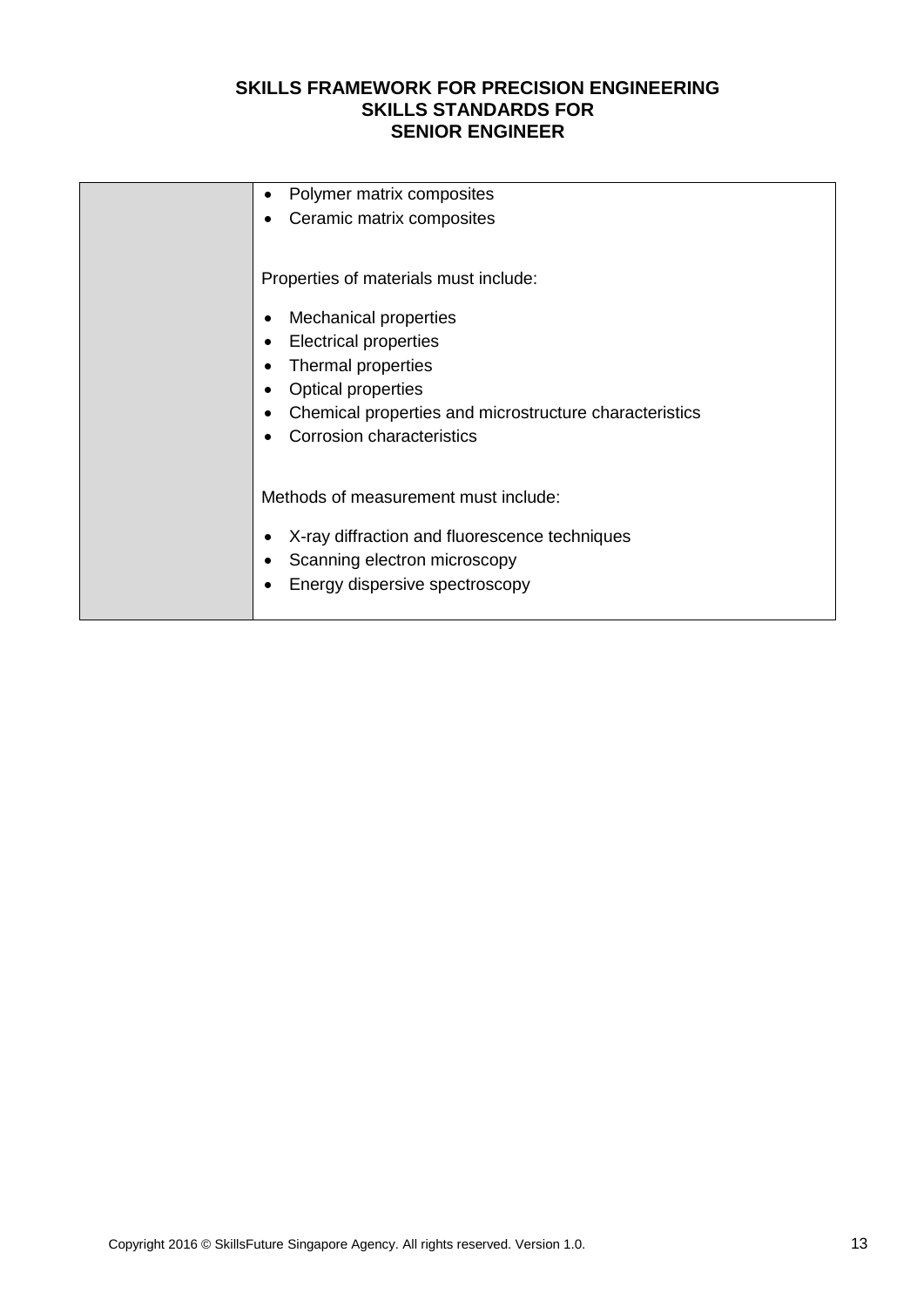| Polymer matrix composites<br>$\bullet$                              |
|---------------------------------------------------------------------|
| Ceramic matrix composites                                           |
|                                                                     |
| Properties of materials must include:                               |
| <b>Mechanical properties</b><br>$\bullet$                           |
| <b>Electrical properties</b><br>$\bullet$                           |
| Thermal properties<br>$\bullet$                                     |
| <b>Optical properties</b><br>$\bullet$                              |
| Chemical properties and microstructure characteristics<br>$\bullet$ |
| <b>Corrosion characteristics</b>                                    |
|                                                                     |
| Methods of measurement must include:                                |
| X-ray diffraction and fluorescence techniques                       |
| Scanning electron microscopy                                        |
| Energy dispersive spectroscopy                                      |
|                                                                     |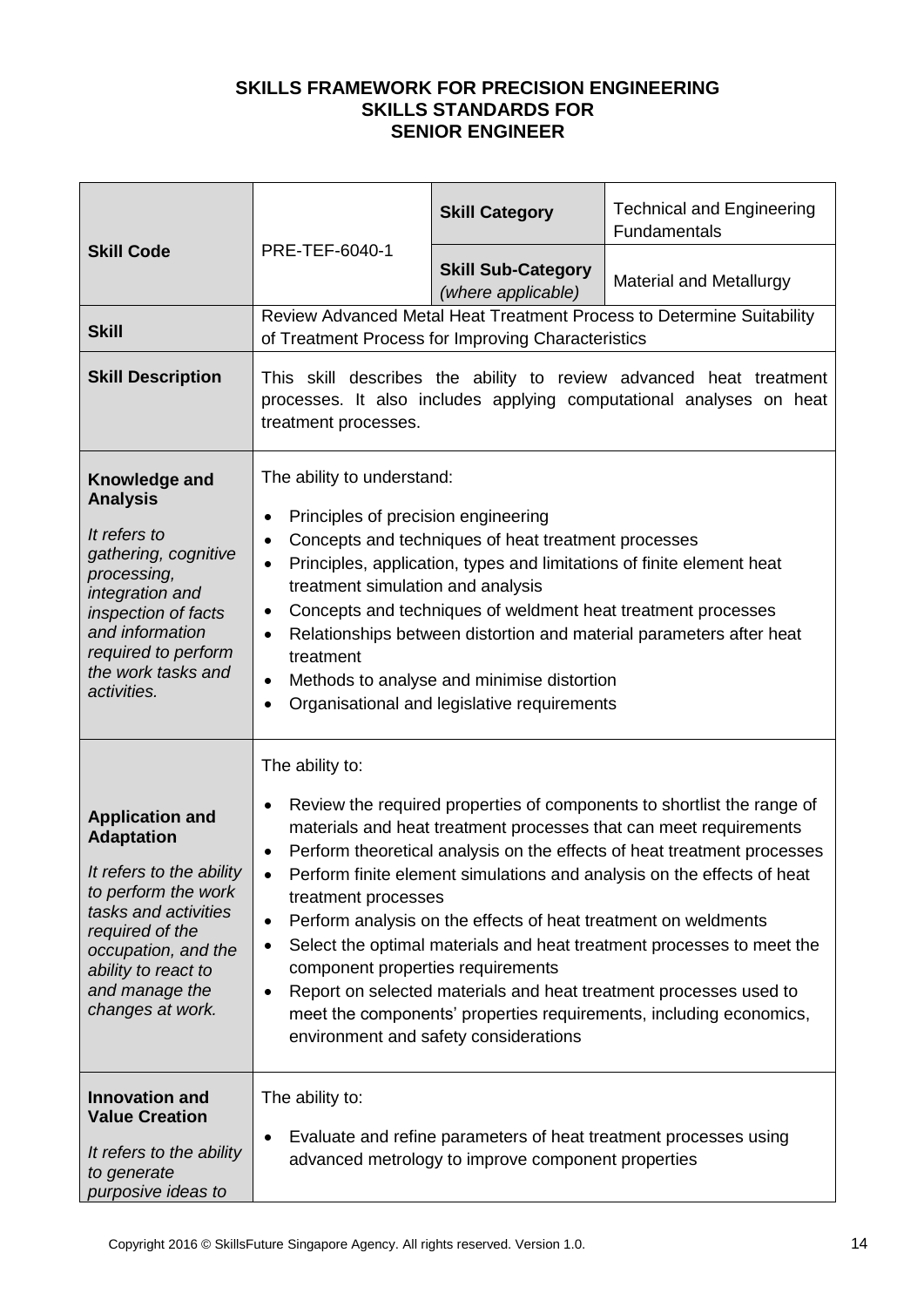|                                                                                                                                                                                                                               | PRE-TEF-6040-1                                                                                                                                                                                                                                                                                                                                                                                                                                                                                                                                                                                                                                                                                                                                                                               | <b>Skill Category</b>                              | <b>Technical and Engineering</b><br>Fundamentals                                                                                          |
|-------------------------------------------------------------------------------------------------------------------------------------------------------------------------------------------------------------------------------|----------------------------------------------------------------------------------------------------------------------------------------------------------------------------------------------------------------------------------------------------------------------------------------------------------------------------------------------------------------------------------------------------------------------------------------------------------------------------------------------------------------------------------------------------------------------------------------------------------------------------------------------------------------------------------------------------------------------------------------------------------------------------------------------|----------------------------------------------------|-------------------------------------------------------------------------------------------------------------------------------------------|
| <b>Skill Code</b>                                                                                                                                                                                                             |                                                                                                                                                                                                                                                                                                                                                                                                                                                                                                                                                                                                                                                                                                                                                                                              | <b>Skill Sub-Category</b><br>(where applicable)    | <b>Material and Metallurgy</b>                                                                                                            |
| <b>Skill</b>                                                                                                                                                                                                                  |                                                                                                                                                                                                                                                                                                                                                                                                                                                                                                                                                                                                                                                                                                                                                                                              | of Treatment Process for Improving Characteristics | Review Advanced Metal Heat Treatment Process to Determine Suitability                                                                     |
| <b>Skill Description</b>                                                                                                                                                                                                      | treatment processes.                                                                                                                                                                                                                                                                                                                                                                                                                                                                                                                                                                                                                                                                                                                                                                         |                                                    | This skill describes the ability to review advanced heat treatment<br>processes. It also includes applying computational analyses on heat |
| Knowledge and<br><b>Analysis</b><br>It refers to<br>gathering, cognitive<br>processing,<br>integration and<br>inspection of facts<br>and information<br>required to perform<br>the work tasks and<br>activities.              | The ability to understand:<br>Principles of precision engineering<br>$\bullet$<br>Concepts and techniques of heat treatment processes<br>$\bullet$<br>Principles, application, types and limitations of finite element heat<br>$\bullet$<br>treatment simulation and analysis<br>Concepts and techniques of weldment heat treatment processes<br>$\bullet$<br>Relationships between distortion and material parameters after heat<br>$\bullet$<br>treatment<br>Methods to analyse and minimise distortion<br>$\bullet$<br>Organisational and legislative requirements<br>$\bullet$                                                                                                                                                                                                           |                                                    |                                                                                                                                           |
| <b>Application and</b><br><b>Adaptation</b><br>It refers to the ability<br>to perform the work<br>tasks and activities<br>required of the<br>occupation, and the<br>ability to react to<br>and manage the<br>changes at work. | The ability to:<br>Review the required properties of components to shortlist the range of<br>$\bullet$<br>materials and heat treatment processes that can meet requirements<br>Perform theoretical analysis on the effects of heat treatment processes<br>$\bullet$<br>Perform finite element simulations and analysis on the effects of heat<br>$\bullet$<br>treatment processes<br>Perform analysis on the effects of heat treatment on weldments<br>$\bullet$<br>Select the optimal materials and heat treatment processes to meet the<br>$\bullet$<br>component properties requirements<br>Report on selected materials and heat treatment processes used to<br>$\bullet$<br>meet the components' properties requirements, including economics,<br>environment and safety considerations |                                                    |                                                                                                                                           |
| <b>Innovation and</b><br><b>Value Creation</b><br>It refers to the ability<br>to generate<br>purposive ideas to                                                                                                               | The ability to:<br>Evaluate and refine parameters of heat treatment processes using<br>$\bullet$<br>advanced metrology to improve component properties                                                                                                                                                                                                                                                                                                                                                                                                                                                                                                                                                                                                                                       |                                                    |                                                                                                                                           |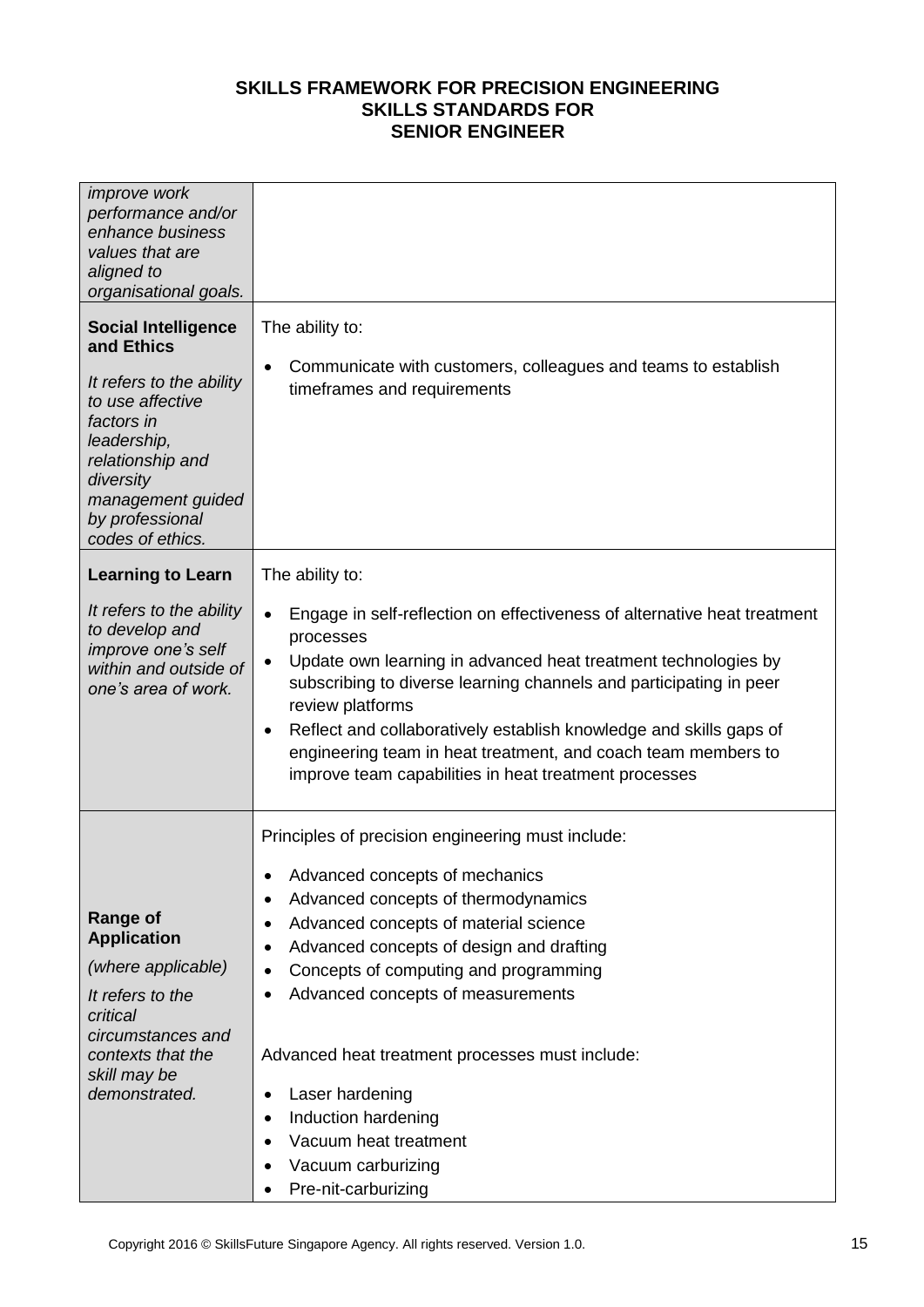| <i>improve</i> work<br>performance and/or<br>enhance business<br>values that are<br>aligned to<br>organisational goals.<br><b>Social Intelligence</b><br>and Ethics<br>It refers to the ability<br>to use affective<br>factors in<br>leadership,<br>relationship and<br>diversity | The ability to:<br>Communicate with customers, colleagues and teams to establish<br>$\bullet$<br>timeframes and requirements                                                                                                                                                                                                                                                                                                                                                                                                                                          |
|-----------------------------------------------------------------------------------------------------------------------------------------------------------------------------------------------------------------------------------------------------------------------------------|-----------------------------------------------------------------------------------------------------------------------------------------------------------------------------------------------------------------------------------------------------------------------------------------------------------------------------------------------------------------------------------------------------------------------------------------------------------------------------------------------------------------------------------------------------------------------|
| management guided<br>by professional<br>codes of ethics.                                                                                                                                                                                                                          |                                                                                                                                                                                                                                                                                                                                                                                                                                                                                                                                                                       |
| <b>Learning to Learn</b>                                                                                                                                                                                                                                                          | The ability to:                                                                                                                                                                                                                                                                                                                                                                                                                                                                                                                                                       |
| It refers to the ability<br>to develop and<br>improve one's self<br>within and outside of<br>one's area of work.                                                                                                                                                                  | Engage in self-reflection on effectiveness of alternative heat treatment<br>$\bullet$<br>processes<br>Update own learning in advanced heat treatment technologies by<br>$\bullet$<br>subscribing to diverse learning channels and participating in peer<br>review platforms<br>Reflect and collaboratively establish knowledge and skills gaps of<br>$\bullet$<br>engineering team in heat treatment, and coach team members to<br>improve team capabilities in heat treatment processes                                                                              |
| <b>Range of</b><br><b>Application</b><br>(where applicable)<br>It refers to the<br>critical<br>circumstances and<br>contexts that the<br>skill may be<br>demonstrated.                                                                                                            | Principles of precision engineering must include:<br>Advanced concepts of mechanics<br>Advanced concepts of thermodynamics<br>$\bullet$<br>Advanced concepts of material science<br>$\bullet$<br>Advanced concepts of design and drafting<br>$\bullet$<br>Concepts of computing and programming<br>$\bullet$<br>Advanced concepts of measurements<br>٠<br>Advanced heat treatment processes must include:<br>Laser hardening<br>$\bullet$<br>Induction hardening<br>$\bullet$<br>Vacuum heat treatment<br>Vacuum carburizing<br>$\bullet$<br>Pre-nit-carburizing<br>٠ |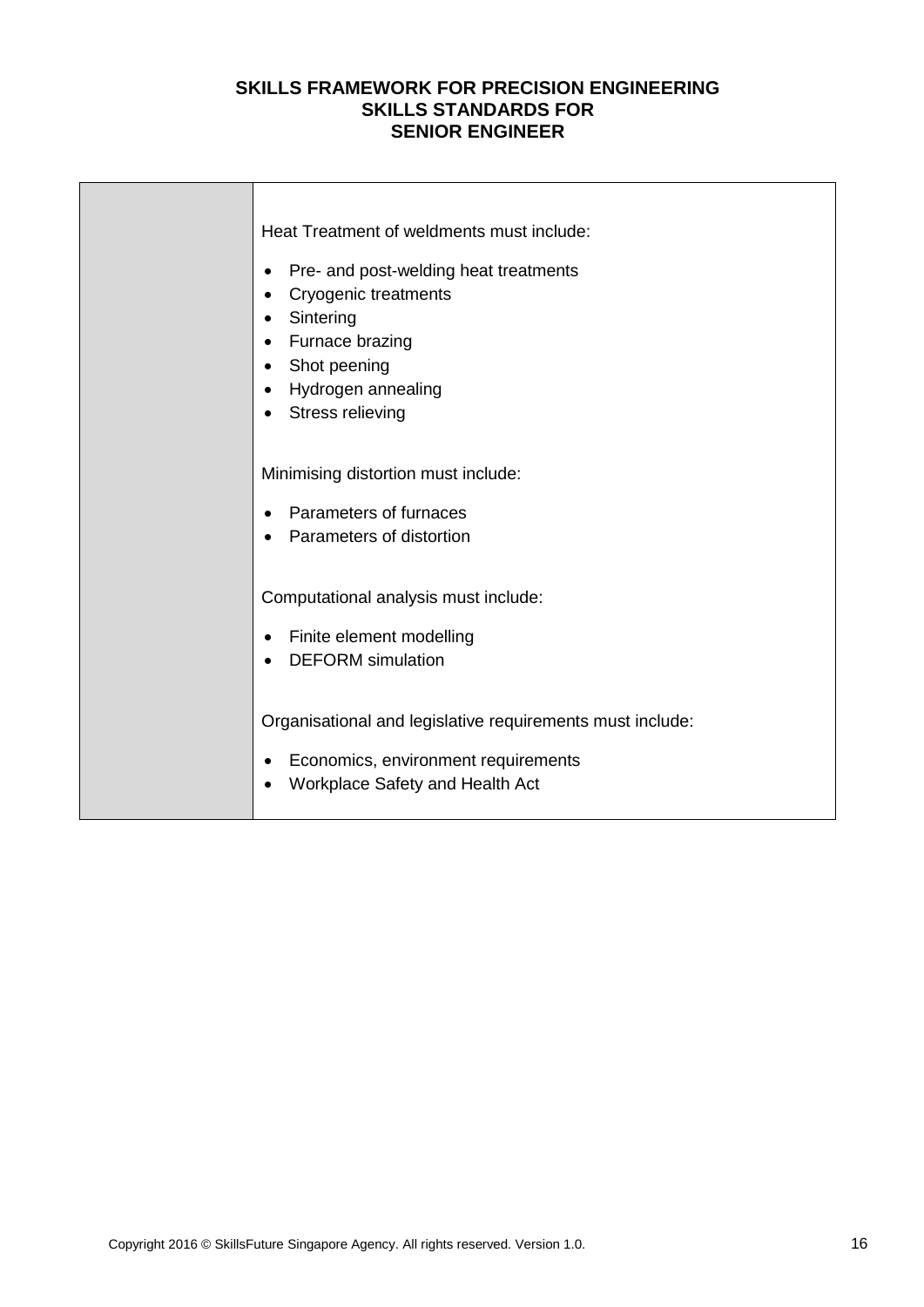| Heat Treatment of weldments must include:<br>Pre- and post-welding heat treatments<br><b>Cryogenic treatments</b><br>Sintering<br>Furnace brazing<br>$\bullet$<br>Shot peening<br>Hydrogen annealing<br><b>Stress relieving</b> |
|---------------------------------------------------------------------------------------------------------------------------------------------------------------------------------------------------------------------------------|
| Minimising distortion must include:<br>Parameters of furnaces<br>Parameters of distortion                                                                                                                                       |
| Computational analysis must include:<br>Finite element modelling<br><b>DEFORM</b> simulation                                                                                                                                    |
| Organisational and legislative requirements must include:<br>Economics, environment requirements<br>Workplace Safety and Health Act                                                                                             |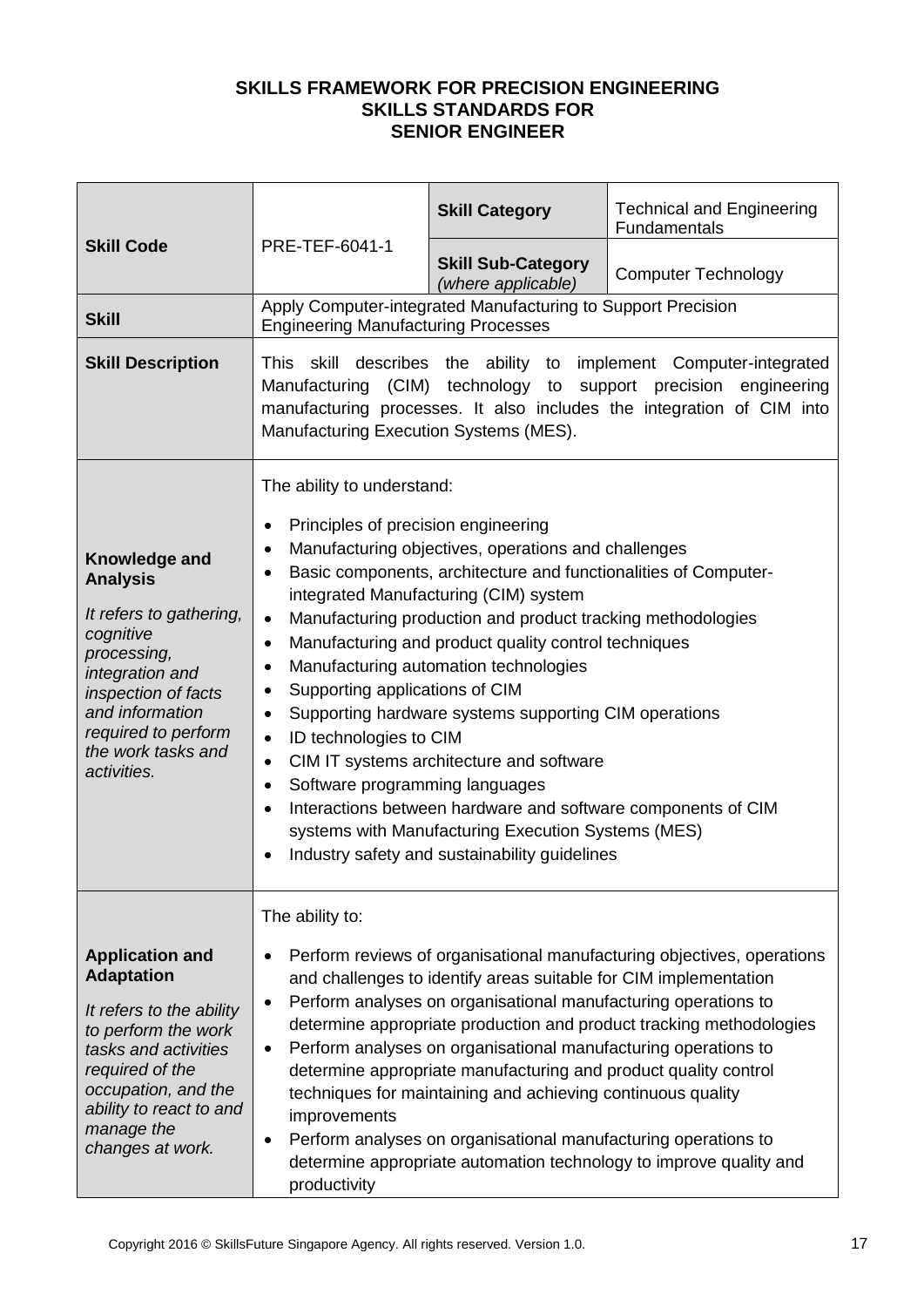|                                                                                                                                                                                                                               |                                                                                                                                                                                                                                                                                                             | <b>Skill Category</b>                                                                                                                                                                                                                                                                                                                                                                                                                                                                                                                                                                                       | <b>Technical and Engineering</b><br>Fundamentals                                                                                                                                                                    |
|-------------------------------------------------------------------------------------------------------------------------------------------------------------------------------------------------------------------------------|-------------------------------------------------------------------------------------------------------------------------------------------------------------------------------------------------------------------------------------------------------------------------------------------------------------|-------------------------------------------------------------------------------------------------------------------------------------------------------------------------------------------------------------------------------------------------------------------------------------------------------------------------------------------------------------------------------------------------------------------------------------------------------------------------------------------------------------------------------------------------------------------------------------------------------------|---------------------------------------------------------------------------------------------------------------------------------------------------------------------------------------------------------------------|
| <b>Skill Code</b>                                                                                                                                                                                                             | PRE-TEF-6041-1                                                                                                                                                                                                                                                                                              | <b>Skill Sub-Category</b><br>(where applicable)                                                                                                                                                                                                                                                                                                                                                                                                                                                                                                                                                             | <b>Computer Technology</b>                                                                                                                                                                                          |
| <b>Skill</b>                                                                                                                                                                                                                  | <b>Engineering Manufacturing Processes</b>                                                                                                                                                                                                                                                                  | Apply Computer-integrated Manufacturing to Support Precision                                                                                                                                                                                                                                                                                                                                                                                                                                                                                                                                                |                                                                                                                                                                                                                     |
| <b>Skill Description</b>                                                                                                                                                                                                      | Manufacturing Execution Systems (MES).                                                                                                                                                                                                                                                                      |                                                                                                                                                                                                                                                                                                                                                                                                                                                                                                                                                                                                             | This skill describes the ability to implement Computer-integrated<br>Manufacturing (CIM) technology to support precision engineering<br>manufacturing processes. It also includes the integration of CIM into       |
| Knowledge and<br><b>Analysis</b><br>It refers to gathering,<br>cognitive<br>processing,<br>integration and<br>inspection of facts<br>and information<br>required to perform<br>the work tasks and<br>activities.              | The ability to understand:<br>Principles of precision engineering<br>$\bullet$<br>$\bullet$<br>$\bullet$<br>$\bullet$<br>$\bullet$<br>$\bullet$<br>Supporting applications of CIM<br>٠<br>$\bullet$<br>ID technologies to CIM<br>$\bullet$<br>$\bullet$<br>Software programming languages<br>٠<br>$\bullet$ | Manufacturing objectives, operations and challenges<br>Basic components, architecture and functionalities of Computer-<br>integrated Manufacturing (CIM) system<br>Manufacturing production and product tracking methodologies<br>Manufacturing and product quality control techniques<br>Manufacturing automation technologies<br>Supporting hardware systems supporting CIM operations<br>CIM IT systems architecture and software<br>Interactions between hardware and software components of CIM<br>systems with Manufacturing Execution Systems (MES)<br>Industry safety and sustainability guidelines |                                                                                                                                                                                                                     |
| <b>Application and</b><br><b>Adaptation</b><br>It refers to the ability<br>to perform the work<br>tasks and activities<br>required of the<br>occupation, and the<br>ability to react to and<br>manage the<br>changes at work. | The ability to:<br>$\bullet$<br>$\bullet$<br>$\bullet$<br>improvements<br>$\bullet$<br>productivity                                                                                                                                                                                                         | and challenges to identify areas suitable for CIM implementation<br>Perform analyses on organisational manufacturing operations to<br>Perform analyses on organisational manufacturing operations to<br>determine appropriate manufacturing and product quality control<br>techniques for maintaining and achieving continuous quality<br>Perform analyses on organisational manufacturing operations to                                                                                                                                                                                                    | Perform reviews of organisational manufacturing objectives, operations<br>determine appropriate production and product tracking methodologies<br>determine appropriate automation technology to improve quality and |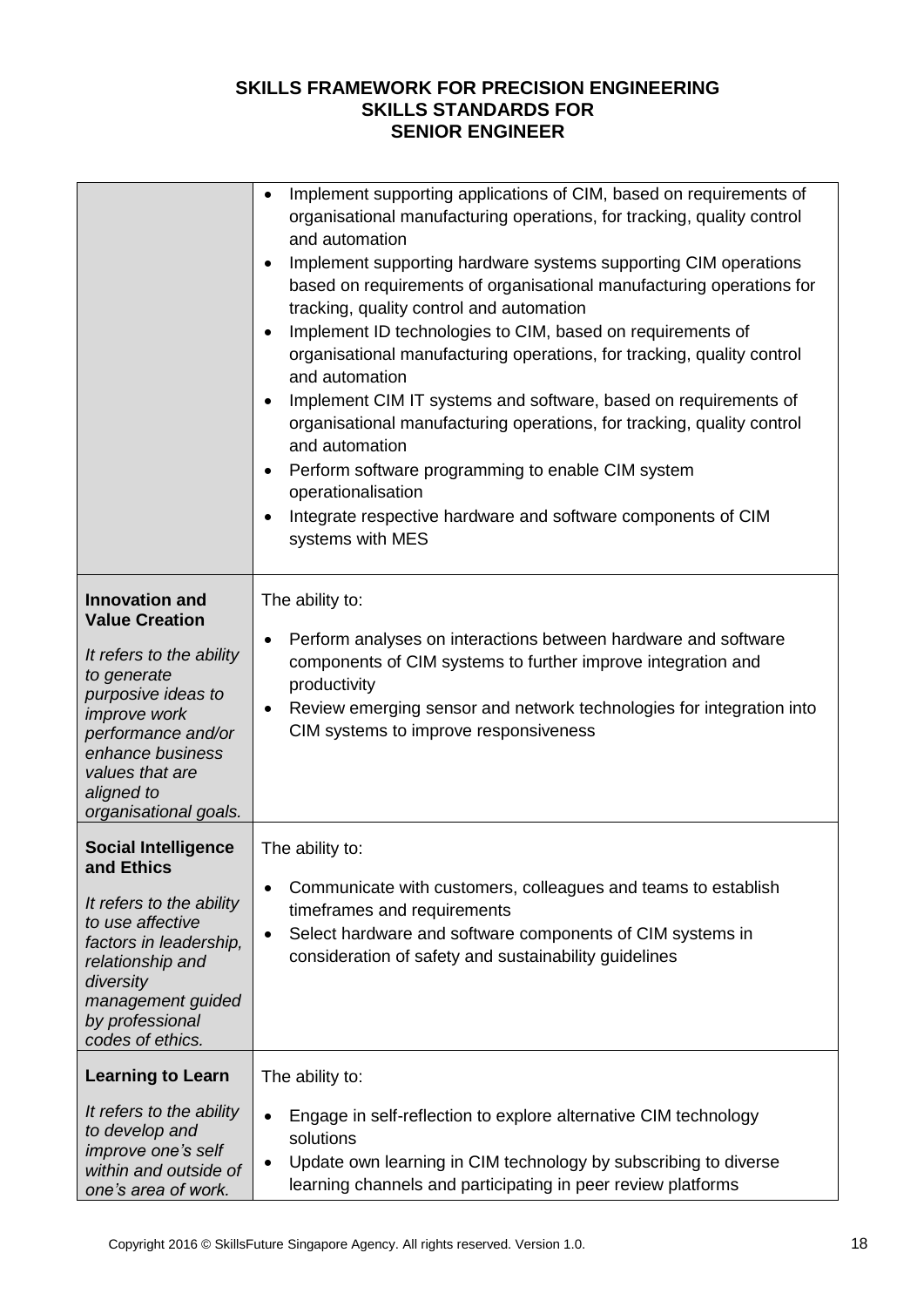|                                                                                                                                                                                                                                            | Implement supporting applications of CIM, based on requirements of<br>$\bullet$<br>organisational manufacturing operations, for tracking, quality control<br>and automation<br>Implement supporting hardware systems supporting CIM operations<br>$\bullet$<br>based on requirements of organisational manufacturing operations for<br>tracking, quality control and automation<br>Implement ID technologies to CIM, based on requirements of<br>$\bullet$<br>organisational manufacturing operations, for tracking, quality control<br>and automation<br>Implement CIM IT systems and software, based on requirements of<br>$\bullet$<br>organisational manufacturing operations, for tracking, quality control<br>and automation<br>Perform software programming to enable CIM system<br>$\bullet$<br>operationalisation<br>Integrate respective hardware and software components of CIM<br>$\bullet$<br>systems with MES |
|--------------------------------------------------------------------------------------------------------------------------------------------------------------------------------------------------------------------------------------------|-----------------------------------------------------------------------------------------------------------------------------------------------------------------------------------------------------------------------------------------------------------------------------------------------------------------------------------------------------------------------------------------------------------------------------------------------------------------------------------------------------------------------------------------------------------------------------------------------------------------------------------------------------------------------------------------------------------------------------------------------------------------------------------------------------------------------------------------------------------------------------------------------------------------------------|
| <b>Innovation and</b><br><b>Value Creation</b><br>It refers to the ability<br>to generate<br>purposive ideas to<br><i>improve</i> work<br>performance and/or<br>enhance business<br>values that are<br>aligned to<br>organisational goals. | The ability to:<br>Perform analyses on interactions between hardware and software<br>$\bullet$<br>components of CIM systems to further improve integration and<br>productivity<br>Review emerging sensor and network technologies for integration into<br>٠<br>CIM systems to improve responsiveness                                                                                                                                                                                                                                                                                                                                                                                                                                                                                                                                                                                                                        |
| <b>Social Intelligence</b><br>and Ethics<br>It refers to the ability<br>to use affective<br>factors in leadership,<br>relationship and<br>diversity<br>management guided<br>by professional<br>codes of ethics.                            | The ability to:<br>Communicate with customers, colleagues and teams to establish<br>$\bullet$<br>timeframes and requirements<br>Select hardware and software components of CIM systems in<br>$\bullet$<br>consideration of safety and sustainability guidelines                                                                                                                                                                                                                                                                                                                                                                                                                                                                                                                                                                                                                                                             |
| <b>Learning to Learn</b><br>It refers to the ability<br>to develop and<br>improve one's self<br>within and outside of<br>one's area of work.                                                                                               | The ability to:<br>Engage in self-reflection to explore alternative CIM technology<br>$\bullet$<br>solutions<br>Update own learning in CIM technology by subscribing to diverse<br>$\bullet$<br>learning channels and participating in peer review platforms                                                                                                                                                                                                                                                                                                                                                                                                                                                                                                                                                                                                                                                                |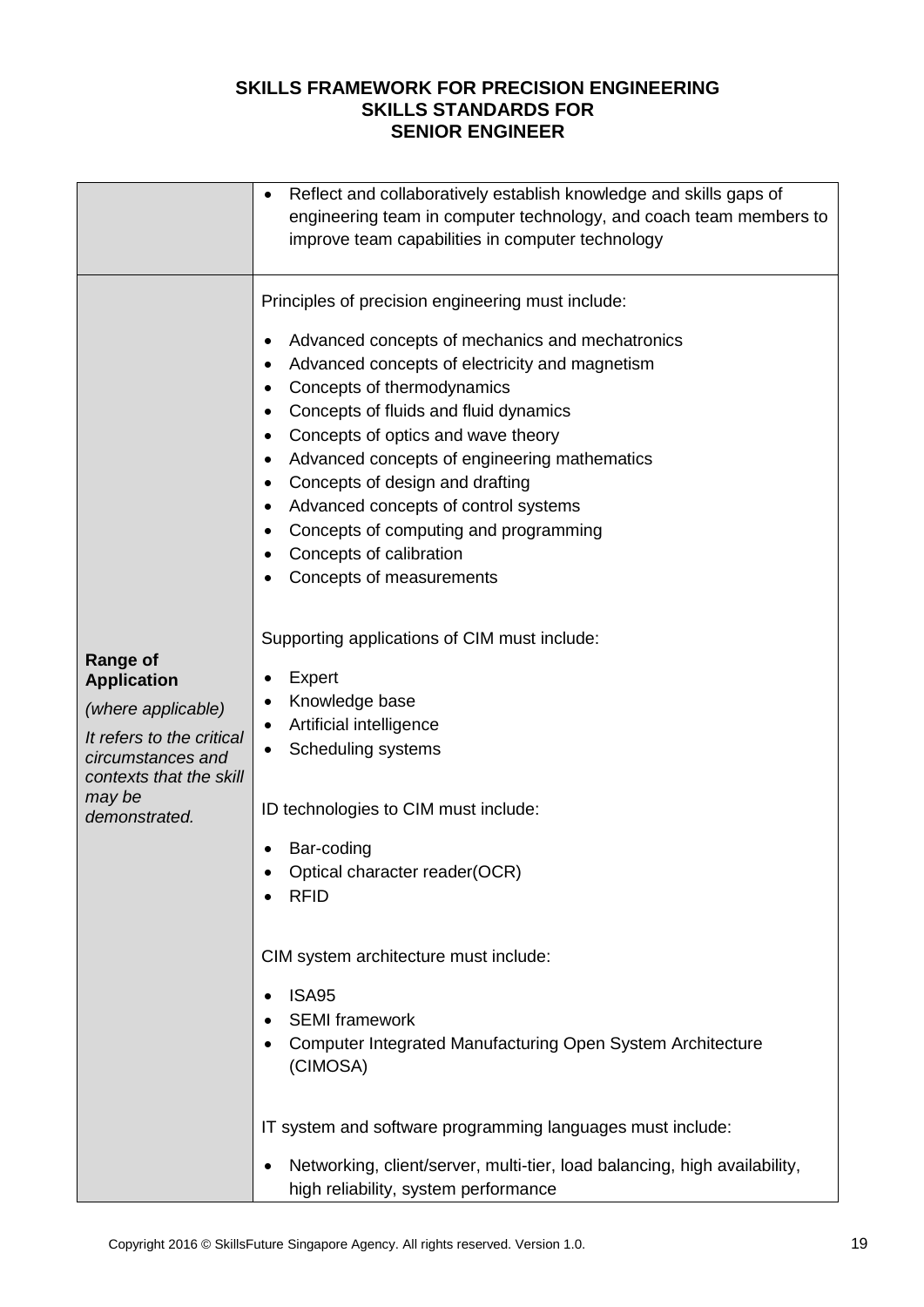|                                                                                                                                                                     | Reflect and collaboratively establish knowledge and skills gaps of<br>engineering team in computer technology, and coach team members to<br>improve team capabilities in computer technology                                                                                                                                                                                                                                                                                                                                                                                                                                                                                                                                                                                                                                                                                                                                                                                                                                                                                                                                                                                           |
|---------------------------------------------------------------------------------------------------------------------------------------------------------------------|----------------------------------------------------------------------------------------------------------------------------------------------------------------------------------------------------------------------------------------------------------------------------------------------------------------------------------------------------------------------------------------------------------------------------------------------------------------------------------------------------------------------------------------------------------------------------------------------------------------------------------------------------------------------------------------------------------------------------------------------------------------------------------------------------------------------------------------------------------------------------------------------------------------------------------------------------------------------------------------------------------------------------------------------------------------------------------------------------------------------------------------------------------------------------------------|
| <b>Range of</b><br><b>Application</b><br>(where applicable)<br>It refers to the critical<br>circumstances and<br>contexts that the skill<br>may be<br>demonstrated. | Principles of precision engineering must include:<br>Advanced concepts of mechanics and mechatronics<br>٠<br>Advanced concepts of electricity and magnetism<br>$\bullet$<br>Concepts of thermodynamics<br>٠<br>Concepts of fluids and fluid dynamics<br>$\bullet$<br>Concepts of optics and wave theory<br>$\bullet$<br>Advanced concepts of engineering mathematics<br>$\bullet$<br>Concepts of design and drafting<br>٠<br>Advanced concepts of control systems<br>٠<br>Concepts of computing and programming<br>$\bullet$<br>Concepts of calibration<br>$\bullet$<br>Concepts of measurements<br>Supporting applications of CIM must include:<br>Expert<br>٠<br>Knowledge base<br>$\bullet$<br>Artificial intelligence<br>Scheduling systems<br>$\bullet$<br>ID technologies to CIM must include:<br>Bar-coding<br>Optical character reader(OCR)<br>$\bullet$<br><b>RFID</b><br>CIM system architecture must include:<br><b>ISA95</b><br><b>SEMI</b> framework<br>Computer Integrated Manufacturing Open System Architecture<br>(CIMOSA)<br>IT system and software programming languages must include:<br>Networking, client/server, multi-tier, load balancing, high availability, |
|                                                                                                                                                                     | high reliability, system performance                                                                                                                                                                                                                                                                                                                                                                                                                                                                                                                                                                                                                                                                                                                                                                                                                                                                                                                                                                                                                                                                                                                                                   |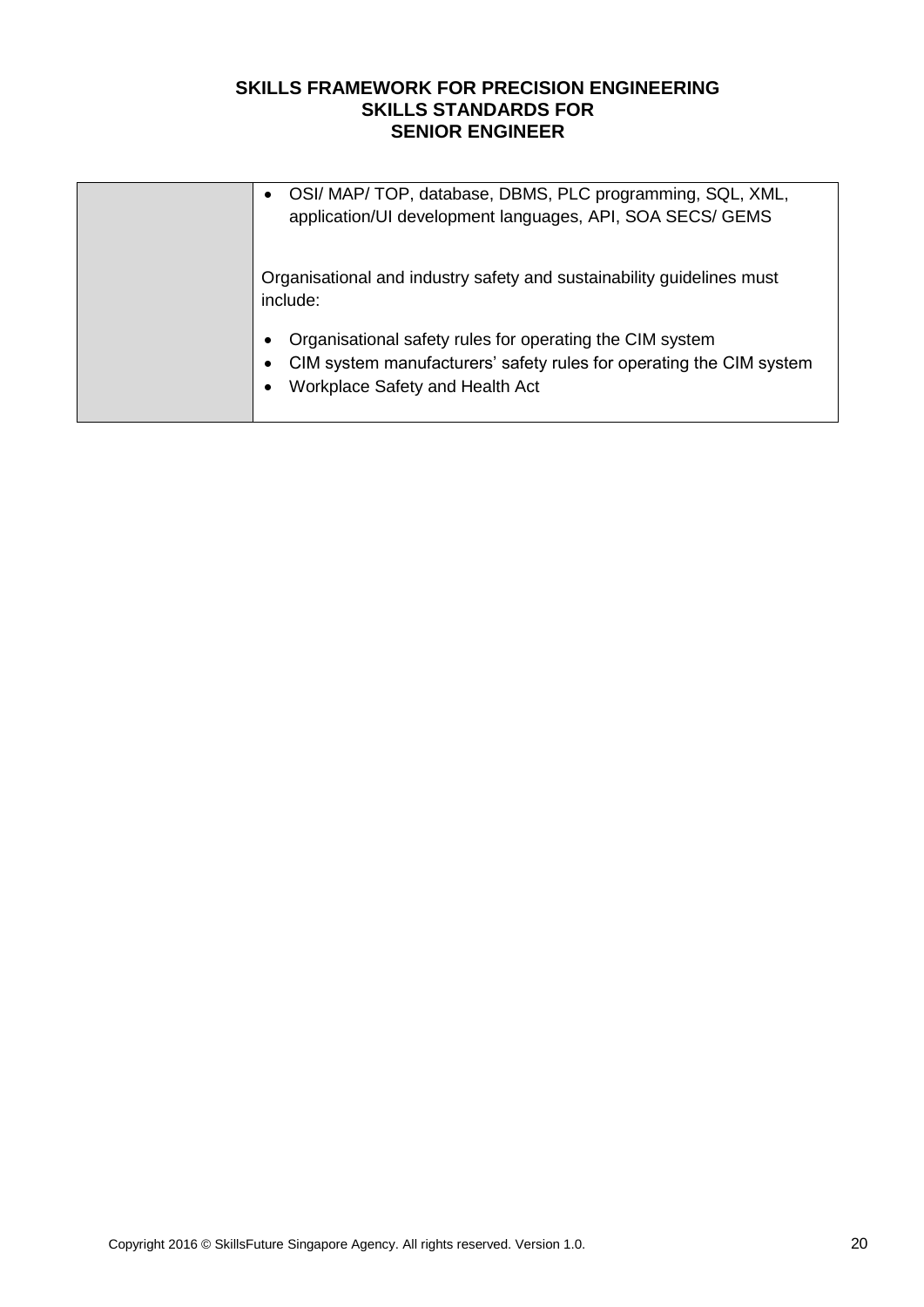| OSI/ MAP/ TOP, database, DBMS, PLC programming, SQL, XML,<br>$\bullet$<br>application/UI development languages, API, SOA SECS/ GEMS                                                               |
|---------------------------------------------------------------------------------------------------------------------------------------------------------------------------------------------------|
| Organisational and industry safety and sustainability guidelines must<br>include:                                                                                                                 |
| Organisational safety rules for operating the CIM system<br>$\bullet$<br>CIM system manufacturers' safety rules for operating the CIM system<br>٠<br>Workplace Safety and Health Act<br>$\bullet$ |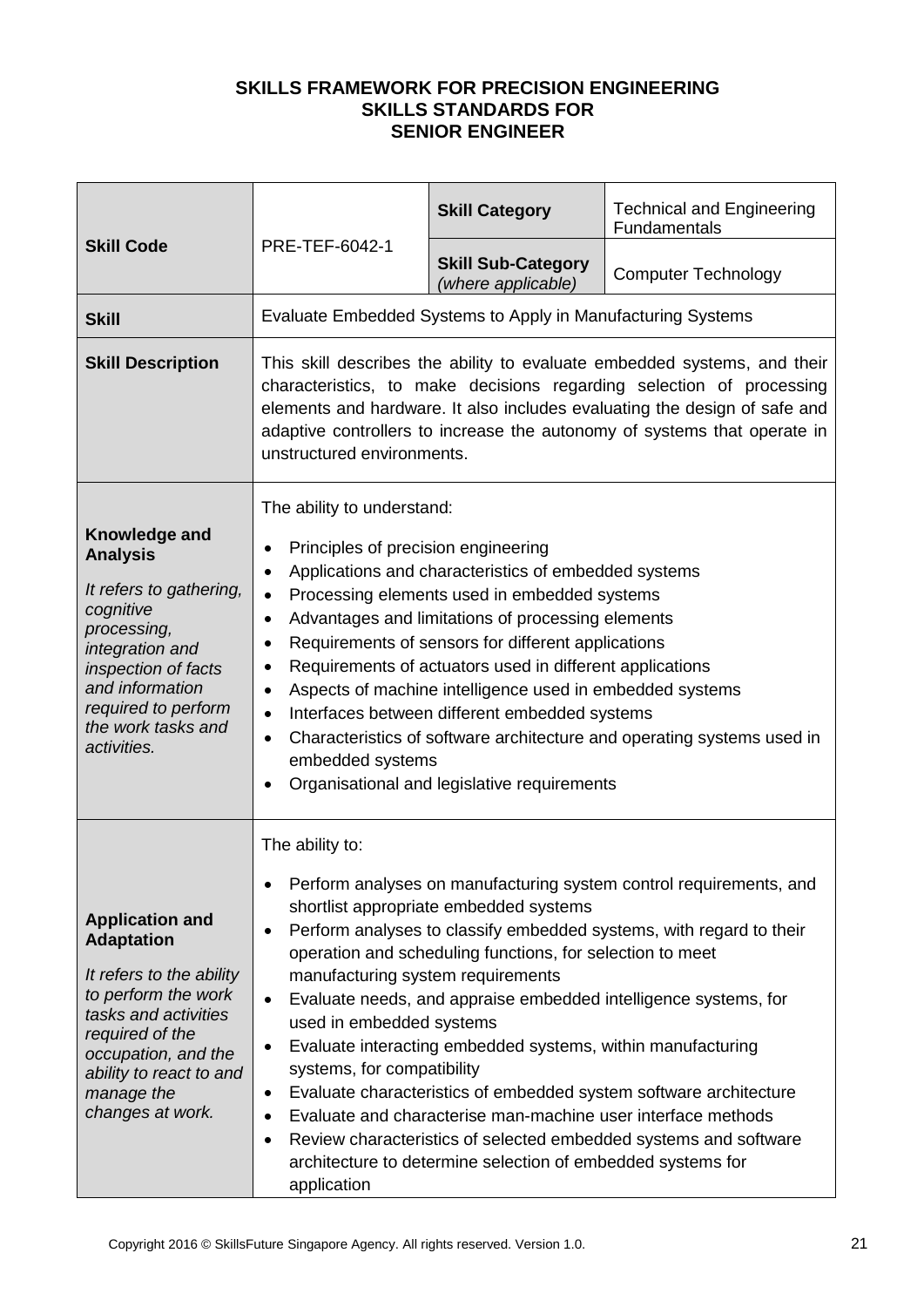|                                                                                                                                                                                                                               |                                                                                                                                                                                                                                                                                                                                                                                                                                                                                                                                                                                                                                                                                                                                              | <b>Skill Category</b>                                                                                                                                                                                                                                                                             | <b>Technical and Engineering</b><br>Fundamentals                                                                                                                                                                                                                                                                                                      |
|-------------------------------------------------------------------------------------------------------------------------------------------------------------------------------------------------------------------------------|----------------------------------------------------------------------------------------------------------------------------------------------------------------------------------------------------------------------------------------------------------------------------------------------------------------------------------------------------------------------------------------------------------------------------------------------------------------------------------------------------------------------------------------------------------------------------------------------------------------------------------------------------------------------------------------------------------------------------------------------|---------------------------------------------------------------------------------------------------------------------------------------------------------------------------------------------------------------------------------------------------------------------------------------------------|-------------------------------------------------------------------------------------------------------------------------------------------------------------------------------------------------------------------------------------------------------------------------------------------------------------------------------------------------------|
| <b>Skill Code</b>                                                                                                                                                                                                             | PRE-TEF-6042-1                                                                                                                                                                                                                                                                                                                                                                                                                                                                                                                                                                                                                                                                                                                               | <b>Skill Sub-Category</b><br>(where applicable)                                                                                                                                                                                                                                                   | <b>Computer Technology</b>                                                                                                                                                                                                                                                                                                                            |
| <b>Skill</b>                                                                                                                                                                                                                  |                                                                                                                                                                                                                                                                                                                                                                                                                                                                                                                                                                                                                                                                                                                                              | Evaluate Embedded Systems to Apply in Manufacturing Systems                                                                                                                                                                                                                                       |                                                                                                                                                                                                                                                                                                                                                       |
| <b>Skill Description</b>                                                                                                                                                                                                      | This skill describes the ability to evaluate embedded systems, and their<br>characteristics, to make decisions regarding selection of processing<br>elements and hardware. It also includes evaluating the design of safe and<br>adaptive controllers to increase the autonomy of systems that operate in<br>unstructured environments.                                                                                                                                                                                                                                                                                                                                                                                                      |                                                                                                                                                                                                                                                                                                   |                                                                                                                                                                                                                                                                                                                                                       |
| Knowledge and<br><b>Analysis</b><br>It refers to gathering,<br>cognitive<br>processing,<br>integration and<br>inspection of facts<br>and information<br>required to perform<br>the work tasks and<br>activities.              | The ability to understand:<br>Principles of precision engineering<br>$\bullet$<br>Applications and characteristics of embedded systems<br>$\bullet$<br>Processing elements used in embedded systems<br>$\bullet$<br>Advantages and limitations of processing elements<br>$\bullet$<br>Requirements of sensors for different applications<br>$\bullet$<br>Requirements of actuators used in different applications<br>$\bullet$<br>Aspects of machine intelligence used in embedded systems<br>$\bullet$<br>Interfaces between different embedded systems<br>$\bullet$<br>Characteristics of software architecture and operating systems used in<br>$\bullet$<br>embedded systems<br>Organisational and legislative requirements<br>$\bullet$ |                                                                                                                                                                                                                                                                                                   |                                                                                                                                                                                                                                                                                                                                                       |
| <b>Application and</b><br><b>Adaptation</b><br>It refers to the ability<br>to perform the work<br>tasks and activities<br>required of the<br>occupation, and the<br>ability to react to and<br>manage the<br>changes at work. | The ability to:<br>$\bullet$<br>manufacturing system requirements<br>$\bullet$<br>used in embedded systems<br>٠<br>systems, for compatibility<br>$\bullet$<br>٠<br>٠<br>application                                                                                                                                                                                                                                                                                                                                                                                                                                                                                                                                                          | shortlist appropriate embedded systems<br>operation and scheduling functions, for selection to meet<br>Evaluate interacting embedded systems, within manufacturing<br>Evaluate and characterise man-machine user interface methods<br>architecture to determine selection of embedded systems for | Perform analyses on manufacturing system control requirements, and<br>Perform analyses to classify embedded systems, with regard to their<br>Evaluate needs, and appraise embedded intelligence systems, for<br>Evaluate characteristics of embedded system software architecture<br>Review characteristics of selected embedded systems and software |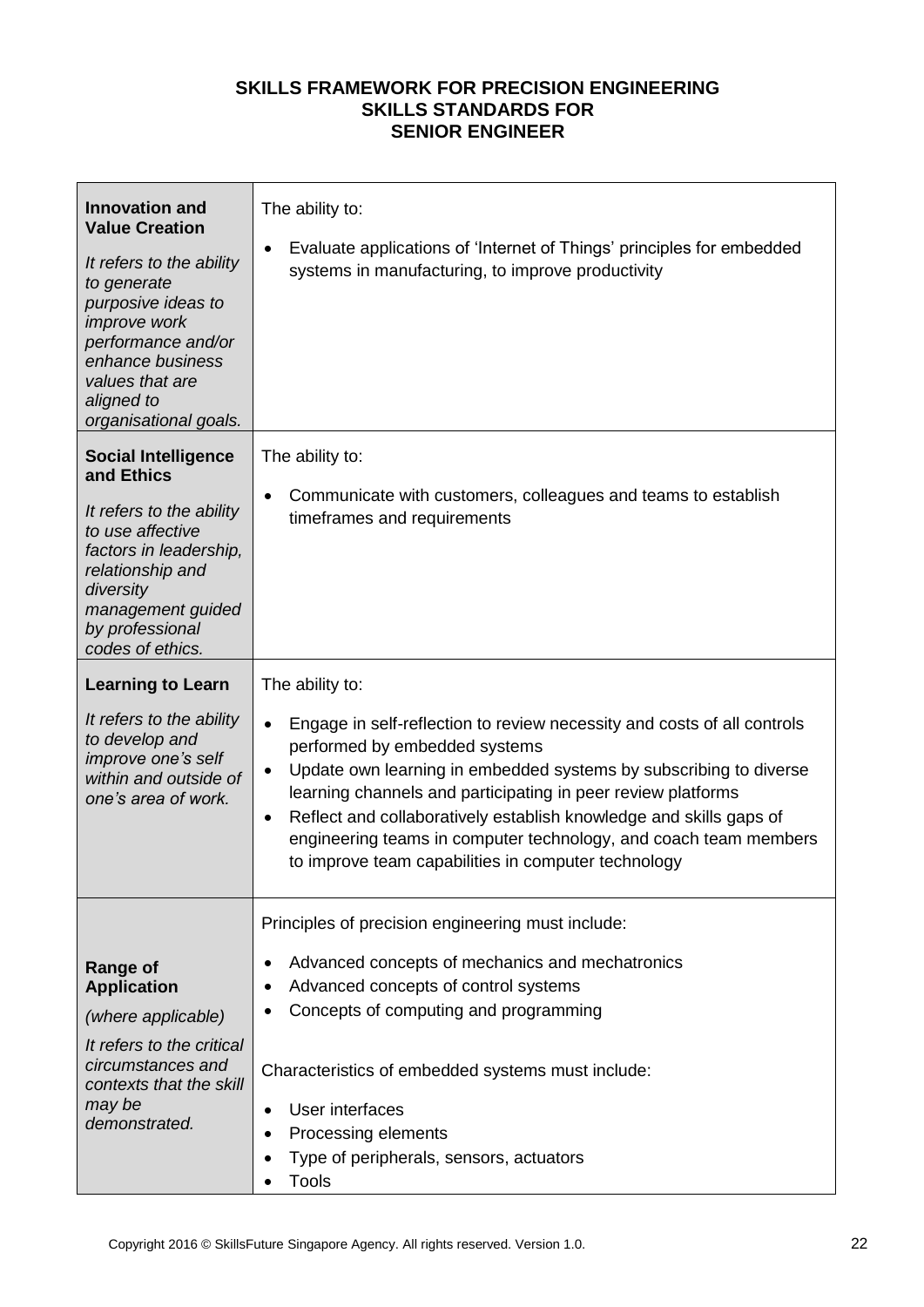| <b>Innovation and</b><br><b>Value Creation</b><br>It refers to the ability<br>to generate<br>purposive ideas to<br><i>improve</i> work<br>performance and/or<br>enhance business<br>values that are<br>aligned to<br>organisational goals. | The ability to:<br>Evaluate applications of 'Internet of Things' principles for embedded<br>$\bullet$<br>systems in manufacturing, to improve productivity                                                                                                                                                                                                                                                                                                                                               |
|--------------------------------------------------------------------------------------------------------------------------------------------------------------------------------------------------------------------------------------------|----------------------------------------------------------------------------------------------------------------------------------------------------------------------------------------------------------------------------------------------------------------------------------------------------------------------------------------------------------------------------------------------------------------------------------------------------------------------------------------------------------|
| <b>Social Intelligence</b><br>and Ethics<br>It refers to the ability<br>to use affective<br>factors in leadership,<br>relationship and<br>diversity<br>management guided<br>by professional<br>codes of ethics.                            | The ability to:<br>Communicate with customers, colleagues and teams to establish<br>$\bullet$<br>timeframes and requirements                                                                                                                                                                                                                                                                                                                                                                             |
| <b>Learning to Learn</b><br>It refers to the ability<br>to develop and<br>improve one's self<br>within and outside of<br>one's area of work.                                                                                               | The ability to:<br>Engage in self-reflection to review necessity and costs of all controls<br>$\bullet$<br>performed by embedded systems<br>Update own learning in embedded systems by subscribing to diverse<br>$\bullet$<br>learning channels and participating in peer review platforms<br>Reflect and collaboratively establish knowledge and skills gaps of<br>$\bullet$<br>engineering teams in computer technology, and coach team members<br>to improve team capabilities in computer technology |
| <b>Range of</b><br><b>Application</b><br>(where applicable)<br>It refers to the critical<br>circumstances and<br>contexts that the skill<br>may be<br>demonstrated.                                                                        | Principles of precision engineering must include:<br>Advanced concepts of mechanics and mechatronics<br>$\bullet$<br>Advanced concepts of control systems<br>٠<br>Concepts of computing and programming<br>$\bullet$<br>Characteristics of embedded systems must include:<br>User interfaces<br>$\bullet$<br>Processing elements<br>$\bullet$<br>Type of peripherals, sensors, actuators<br>$\bullet$<br><b>Tools</b>                                                                                    |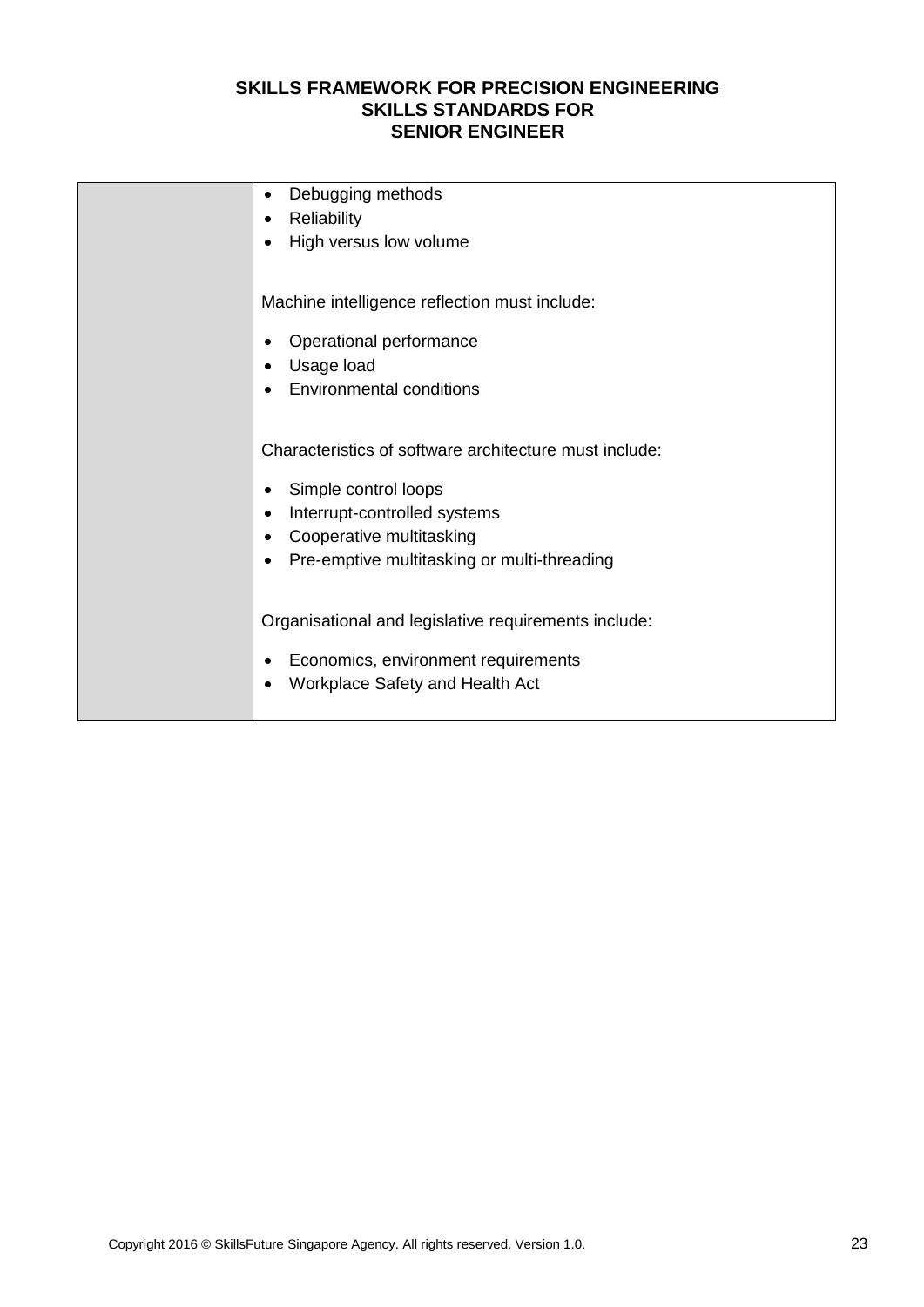| Debugging methods<br>٠                                 |
|--------------------------------------------------------|
| Reliability<br>$\bullet$                               |
| High versus low volume<br>$\bullet$                    |
|                                                        |
| Machine intelligence reflection must include:          |
| Operational performance<br>٠                           |
| Usage load<br>٠                                        |
| <b>Environmental conditions</b>                        |
|                                                        |
| Characteristics of software architecture must include: |
| Simple control loops<br>٠                              |
| Interrupt-controlled systems<br>$\bullet$              |
| Cooperative multitasking<br>٠                          |
| Pre-emptive multitasking or multi-threading            |
|                                                        |
| Organisational and legislative requirements include:   |
|                                                        |
| Economics, environment requirements<br>٠               |
| Workplace Safety and Health Act<br>٠                   |
|                                                        |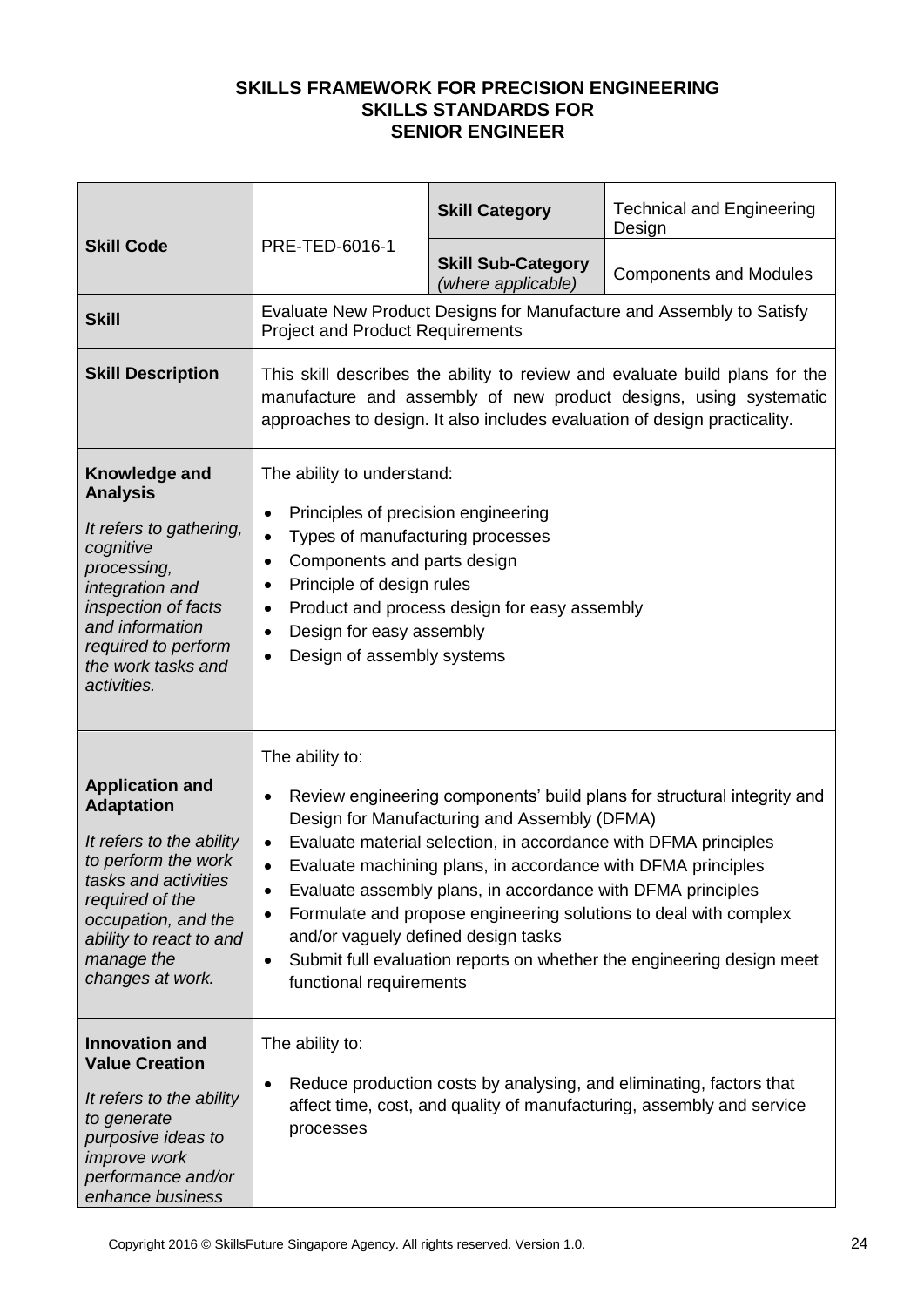|                                                                                                                                                                                                                               |                                                                                                                                                                                                                                                                                                                                                                                                                                                                                                                                                                                                      | <b>Skill Category</b>                           | <b>Technical and Engineering</b><br>Design                                                                                                   |
|-------------------------------------------------------------------------------------------------------------------------------------------------------------------------------------------------------------------------------|------------------------------------------------------------------------------------------------------------------------------------------------------------------------------------------------------------------------------------------------------------------------------------------------------------------------------------------------------------------------------------------------------------------------------------------------------------------------------------------------------------------------------------------------------------------------------------------------------|-------------------------------------------------|----------------------------------------------------------------------------------------------------------------------------------------------|
| <b>Skill Code</b>                                                                                                                                                                                                             | PRE-TED-6016-1                                                                                                                                                                                                                                                                                                                                                                                                                                                                                                                                                                                       | <b>Skill Sub-Category</b><br>(where applicable) | <b>Components and Modules</b>                                                                                                                |
| <b>Skill</b>                                                                                                                                                                                                                  | <b>Project and Product Requirements</b>                                                                                                                                                                                                                                                                                                                                                                                                                                                                                                                                                              |                                                 | Evaluate New Product Designs for Manufacture and Assembly to Satisfy                                                                         |
| <b>Skill Description</b>                                                                                                                                                                                                      | This skill describes the ability to review and evaluate build plans for the<br>manufacture and assembly of new product designs, using systematic<br>approaches to design. It also includes evaluation of design practicality.                                                                                                                                                                                                                                                                                                                                                                        |                                                 |                                                                                                                                              |
| Knowledge and<br><b>Analysis</b><br>It refers to gathering,<br>cognitive<br>processing,<br>integration and<br>inspection of facts<br>and information<br>required to perform<br>the work tasks and<br>activities.              | The ability to understand:<br>Principles of precision engineering<br>$\bullet$<br>Types of manufacturing processes<br>$\bullet$<br>Components and parts design<br>٠<br>Principle of design rules<br>$\bullet$<br>٠<br>Design for easy assembly<br>$\bullet$<br>Design of assembly systems                                                                                                                                                                                                                                                                                                            | Product and process design for easy assembly    |                                                                                                                                              |
| <b>Application and</b><br><b>Adaptation</b><br>It refers to the ability<br>to perform the work<br>tasks and activities<br>required of the<br>occupation, and the<br>ability to react to and<br>manage the<br>changes at work. | The ability to:<br>Review engineering components' build plans for structural integrity and<br>٠<br>Design for Manufacturing and Assembly (DFMA)<br>Evaluate material selection, in accordance with DFMA principles<br>$\bullet$<br>Evaluate machining plans, in accordance with DFMA principles<br>Evaluate assembly plans, in accordance with DFMA principles<br>٠<br>Formulate and propose engineering solutions to deal with complex<br>٠<br>and/or vaguely defined design tasks<br>Submit full evaluation reports on whether the engineering design meet<br>$\bullet$<br>functional requirements |                                                 |                                                                                                                                              |
| <b>Innovation and</b><br><b>Value Creation</b><br>It refers to the ability<br>to generate<br>purposive ideas to<br><i>improve</i> work<br>performance and/or<br>enhance business                                              | The ability to:<br>٠<br>processes                                                                                                                                                                                                                                                                                                                                                                                                                                                                                                                                                                    |                                                 | Reduce production costs by analysing, and eliminating, factors that<br>affect time, cost, and quality of manufacturing, assembly and service |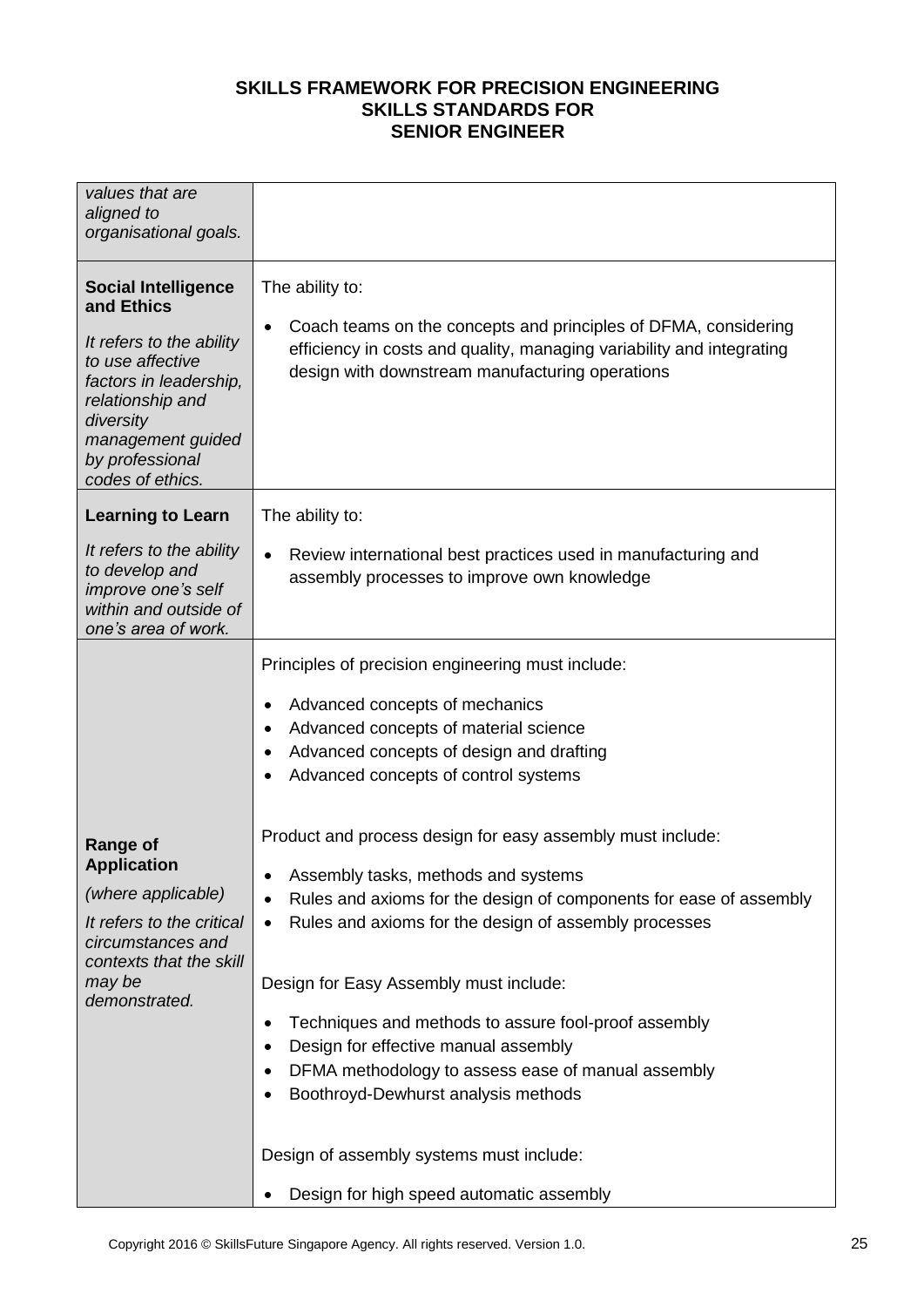| values that are<br>aligned to<br>organisational goals.                                                                                                                                                          |                                                                                                                                                                                                                                                                                                                                                                                                                                                                                                                                               |
|-----------------------------------------------------------------------------------------------------------------------------------------------------------------------------------------------------------------|-----------------------------------------------------------------------------------------------------------------------------------------------------------------------------------------------------------------------------------------------------------------------------------------------------------------------------------------------------------------------------------------------------------------------------------------------------------------------------------------------------------------------------------------------|
| <b>Social Intelligence</b><br>and Ethics<br>It refers to the ability<br>to use affective<br>factors in leadership,<br>relationship and<br>diversity<br>management guided<br>by professional<br>codes of ethics. | The ability to:<br>Coach teams on the concepts and principles of DFMA, considering<br>$\bullet$<br>efficiency in costs and quality, managing variability and integrating<br>design with downstream manufacturing operations                                                                                                                                                                                                                                                                                                                   |
| <b>Learning to Learn</b>                                                                                                                                                                                        | The ability to:                                                                                                                                                                                                                                                                                                                                                                                                                                                                                                                               |
| It refers to the ability<br>to develop and<br>improve one's self<br>within and outside of<br>one's area of work.                                                                                                | Review international best practices used in manufacturing and<br>$\bullet$<br>assembly processes to improve own knowledge                                                                                                                                                                                                                                                                                                                                                                                                                     |
|                                                                                                                                                                                                                 | Principles of precision engineering must include:<br>Advanced concepts of mechanics<br>٠<br>Advanced concepts of material science<br>Advanced concepts of design and drafting<br>Advanced concepts of control systems<br>Product and process design for easy assembly must include:                                                                                                                                                                                                                                                           |
| <b>Range of</b><br><b>Application</b><br>(where applicable)<br>It refers to the critical<br>circumstances and<br>contexts that the skill<br>may be<br>demonstrated.                                             | Assembly tasks, methods and systems<br>Rules and axioms for the design of components for ease of assembly<br>Rules and axioms for the design of assembly processes<br>$\bullet$<br>Design for Easy Assembly must include:<br>Techniques and methods to assure fool-proof assembly<br>٠<br>Design for effective manual assembly<br>$\bullet$<br>DFMA methodology to assess ease of manual assembly<br>$\bullet$<br>Boothroyd-Dewhurst analysis methods<br>Design of assembly systems must include:<br>Design for high speed automatic assembly |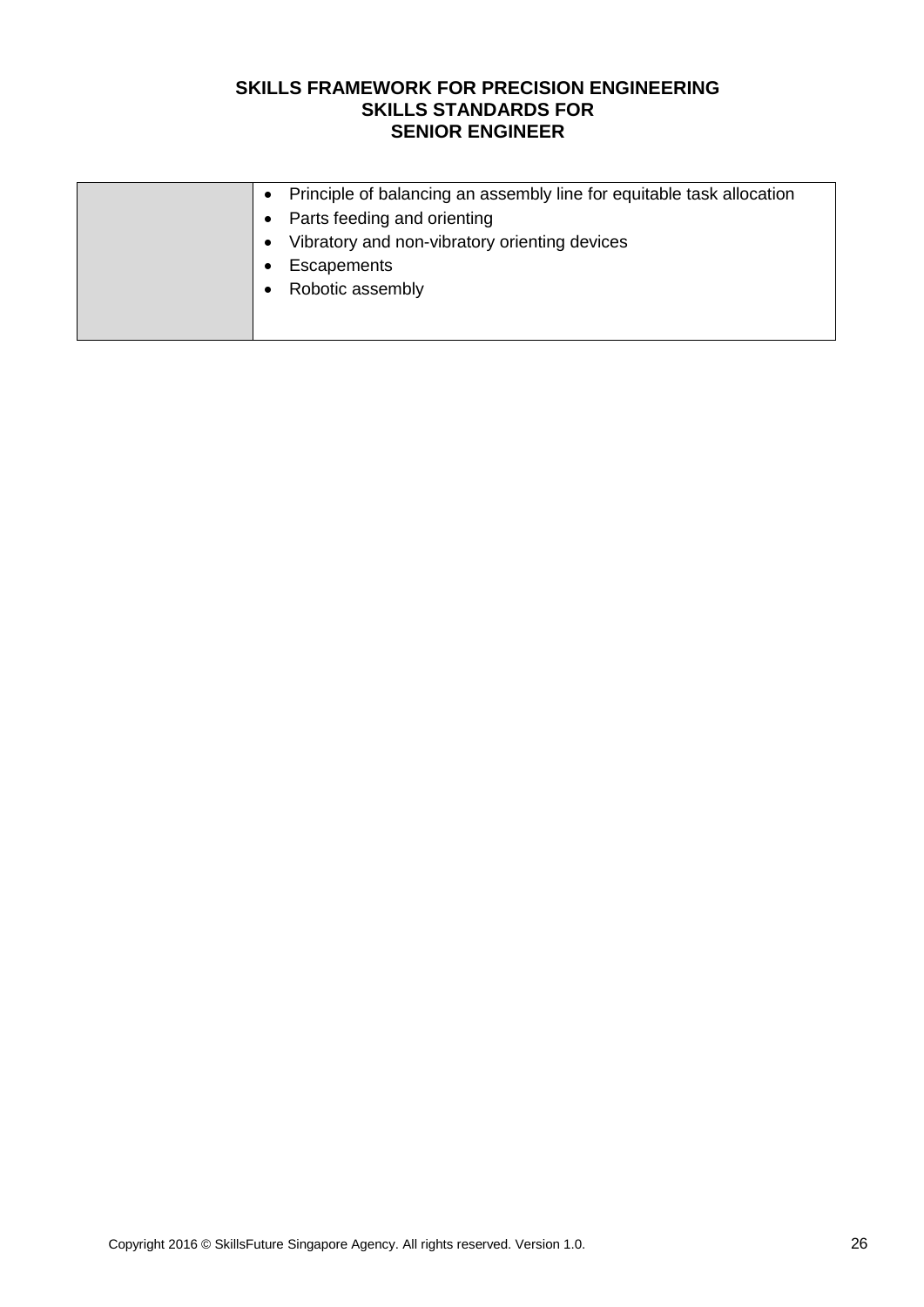| Principle of balancing an assembly line for equitable task allocation |
|-----------------------------------------------------------------------|
| • Parts feeding and orienting                                         |
| Vibratory and non-vibratory orienting devices                         |
| Escapements                                                           |
| Robotic assembly                                                      |
|                                                                       |
|                                                                       |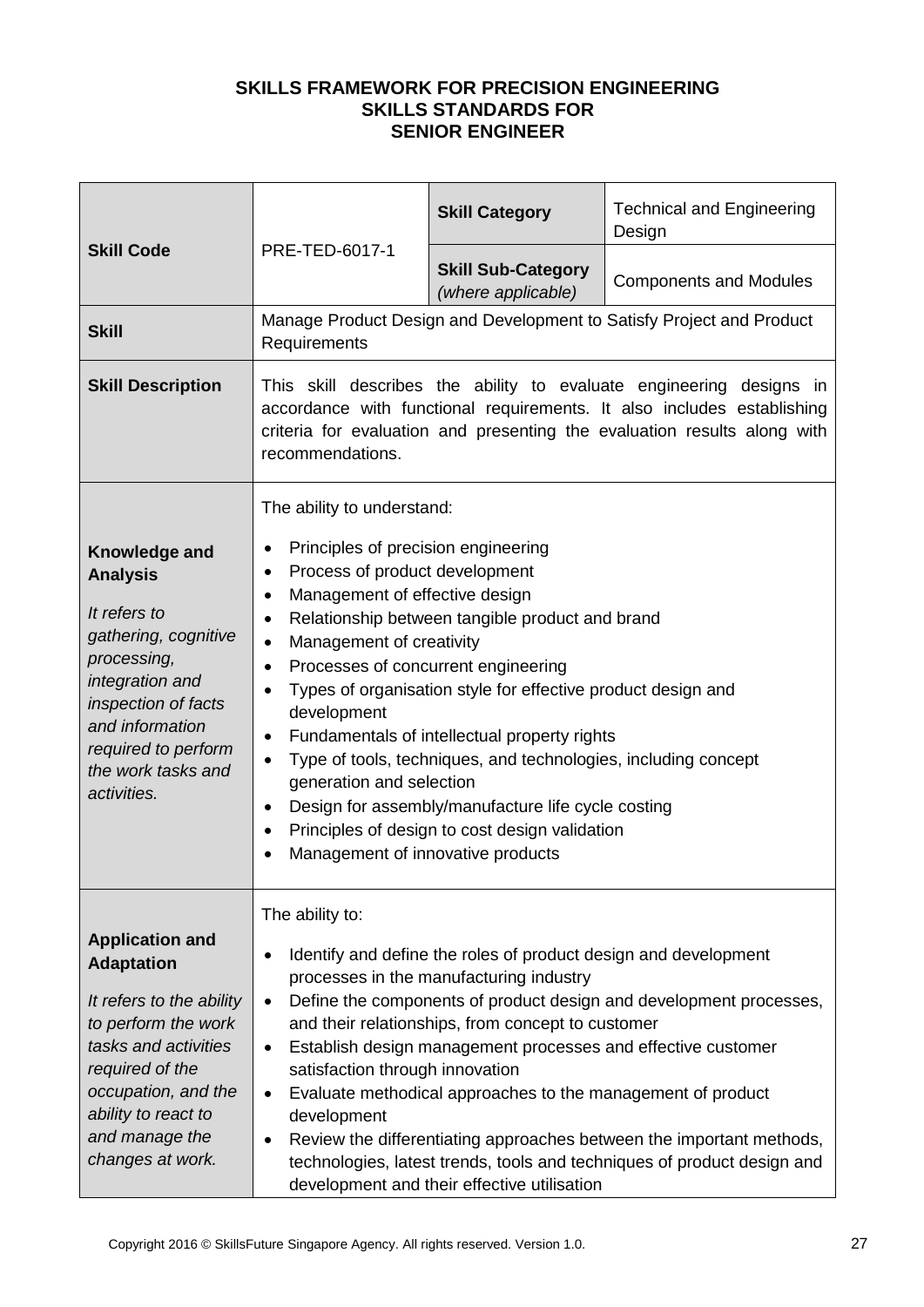| <b>Skill Code</b>                                                                                                                                                                                                             | PRE-TED-6017-1                                                                                                                                                                                                                                                                                                                                                                                                                                                                                                                                                                                                                                                                                                                                                            | <b>Skill Category</b>                           | <b>Technical and Engineering</b><br>Design                           |
|-------------------------------------------------------------------------------------------------------------------------------------------------------------------------------------------------------------------------------|---------------------------------------------------------------------------------------------------------------------------------------------------------------------------------------------------------------------------------------------------------------------------------------------------------------------------------------------------------------------------------------------------------------------------------------------------------------------------------------------------------------------------------------------------------------------------------------------------------------------------------------------------------------------------------------------------------------------------------------------------------------------------|-------------------------------------------------|----------------------------------------------------------------------|
|                                                                                                                                                                                                                               |                                                                                                                                                                                                                                                                                                                                                                                                                                                                                                                                                                                                                                                                                                                                                                           | <b>Skill Sub-Category</b><br>(where applicable) | <b>Components and Modules</b>                                        |
| <b>Skill</b>                                                                                                                                                                                                                  | Requirements                                                                                                                                                                                                                                                                                                                                                                                                                                                                                                                                                                                                                                                                                                                                                              |                                                 | Manage Product Design and Development to Satisfy Project and Product |
| <b>Skill Description</b>                                                                                                                                                                                                      | This skill describes the ability to evaluate engineering designs in<br>accordance with functional requirements. It also includes establishing<br>criteria for evaluation and presenting the evaluation results along with<br>recommendations.                                                                                                                                                                                                                                                                                                                                                                                                                                                                                                                             |                                                 |                                                                      |
| Knowledge and<br><b>Analysis</b><br>It refers to<br>gathering, cognitive<br>processing,<br>integration and<br>inspection of facts<br>and information<br>required to perform<br>the work tasks and<br>activities.              | The ability to understand:<br>Principles of precision engineering<br>٠<br>Process of product development<br>٠<br>Management of effective design<br>$\bullet$<br>Relationship between tangible product and brand<br>٠<br>Management of creativity<br>$\bullet$<br>Processes of concurrent engineering<br>$\bullet$<br>Types of organisation style for effective product design and<br>$\bullet$<br>development<br>Fundamentals of intellectual property rights<br>$\bullet$<br>Type of tools, techniques, and technologies, including concept<br>$\bullet$<br>generation and selection<br>Design for assembly/manufacture life cycle costing<br>$\bullet$<br>Principles of design to cost design validation<br>$\bullet$<br>Management of innovative products<br>$\bullet$ |                                                 |                                                                      |
| <b>Application and</b><br><b>Adaptation</b><br>It refers to the ability<br>to perform the work<br>tasks and activities<br>required of the<br>occupation, and the<br>ability to react to<br>and manage the<br>changes at work. | The ability to:<br>Identify and define the roles of product design and development<br>$\bullet$<br>processes in the manufacturing industry<br>Define the components of product design and development processes,<br>$\bullet$<br>and their relationships, from concept to customer<br>Establish design management processes and effective customer<br>$\bullet$<br>satisfaction through innovation<br>Evaluate methodical approaches to the management of product<br>$\bullet$<br>development<br>Review the differentiating approaches between the important methods,<br>$\bullet$<br>technologies, latest trends, tools and techniques of product design and<br>development and their effective utilisation                                                              |                                                 |                                                                      |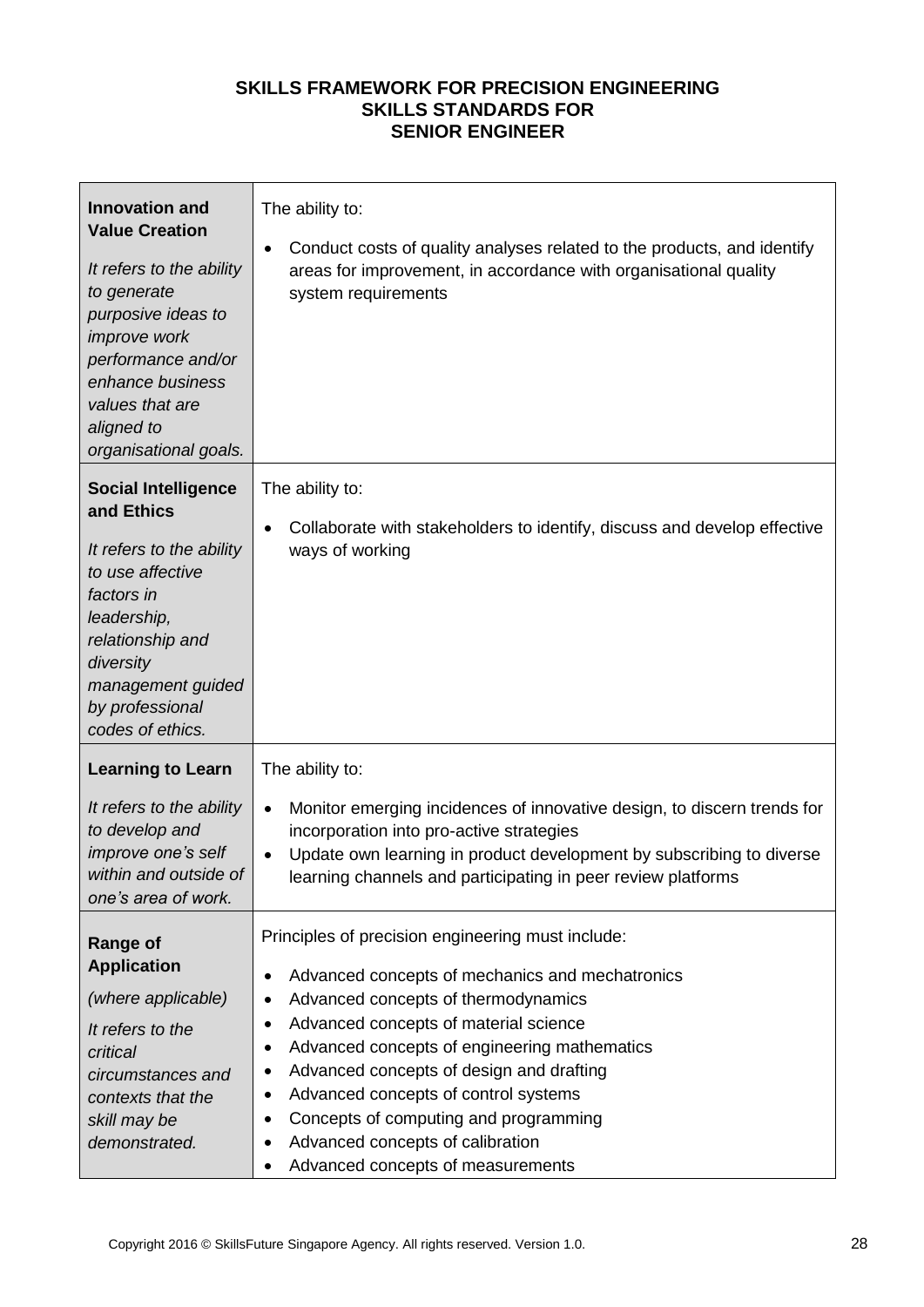| <b>Innovation and</b><br><b>Value Creation</b><br>It refers to the ability<br>to generate<br>purposive ideas to<br>improve work<br>performance and/or<br>enhance business<br>values that are<br>aligned to<br>organisational goals. | The ability to:<br>Conduct costs of quality analyses related to the products, and identify<br>٠<br>areas for improvement, in accordance with organisational quality<br>system requirements                                                                                                                                                                                                                                                                                                      |
|-------------------------------------------------------------------------------------------------------------------------------------------------------------------------------------------------------------------------------------|-------------------------------------------------------------------------------------------------------------------------------------------------------------------------------------------------------------------------------------------------------------------------------------------------------------------------------------------------------------------------------------------------------------------------------------------------------------------------------------------------|
| <b>Social Intelligence</b><br>and Ethics<br>It refers to the ability<br>to use affective<br>factors in<br>leadership,<br>relationship and<br>diversity<br>management guided<br>by professional<br>codes of ethics.                  | The ability to:<br>Collaborate with stakeholders to identify, discuss and develop effective<br>$\bullet$<br>ways of working                                                                                                                                                                                                                                                                                                                                                                     |
| <b>Learning to Learn</b><br>It refers to the ability<br>to develop and<br>improve one's self<br>within and outside of<br>one's area of work.                                                                                        | The ability to:<br>Monitor emerging incidences of innovative design, to discern trends for<br>$\bullet$<br>incorporation into pro-active strategies<br>Update own learning in product development by subscribing to diverse<br>$\bullet$<br>learning channels and participating in peer review platforms                                                                                                                                                                                        |
| <b>Range of</b><br><b>Application</b><br>(where applicable)<br>It refers to the<br>critical<br>circumstances and<br>contexts that the<br>skill may be<br>demonstrated.                                                              | Principles of precision engineering must include:<br>Advanced concepts of mechanics and mechatronics<br>٠<br>Advanced concepts of thermodynamics<br>٠<br>Advanced concepts of material science<br>٠<br>Advanced concepts of engineering mathematics<br>٠<br>Advanced concepts of design and drafting<br>٠<br>Advanced concepts of control systems<br>٠<br>Concepts of computing and programming<br>٠<br>Advanced concepts of calibration<br>٠<br>Advanced concepts of measurements<br>$\bullet$ |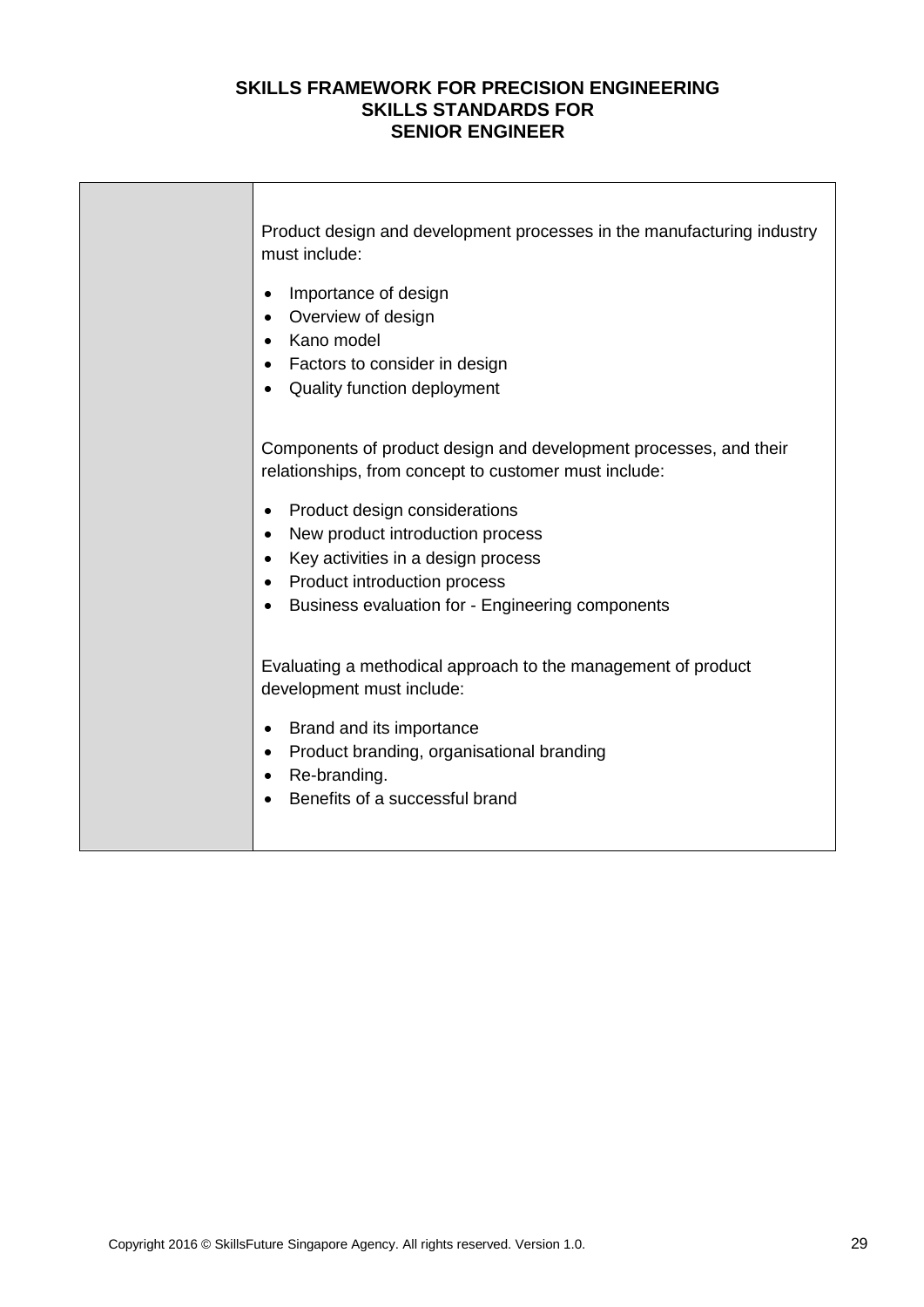| Product design and development processes in the manufacturing industry<br>must include:                                                                                                                                            |
|------------------------------------------------------------------------------------------------------------------------------------------------------------------------------------------------------------------------------------|
| Importance of design<br>٠<br>Overview of design<br>Kano model<br>Factors to consider in design<br>Quality function deployment                                                                                                      |
| Components of product design and development processes, and their<br>relationships, from concept to customer must include:                                                                                                         |
| Product design considerations<br>$\bullet$<br>New product introduction process<br>$\bullet$<br>Key activities in a design process<br>Product introduction process<br>$\bullet$<br>Business evaluation for - Engineering components |
| Evaluating a methodical approach to the management of product<br>development must include:                                                                                                                                         |
| Brand and its importance<br>$\bullet$<br>Product branding, organisational branding<br>$\bullet$<br>Re-branding.<br>$\bullet$<br>Benefits of a successful brand                                                                     |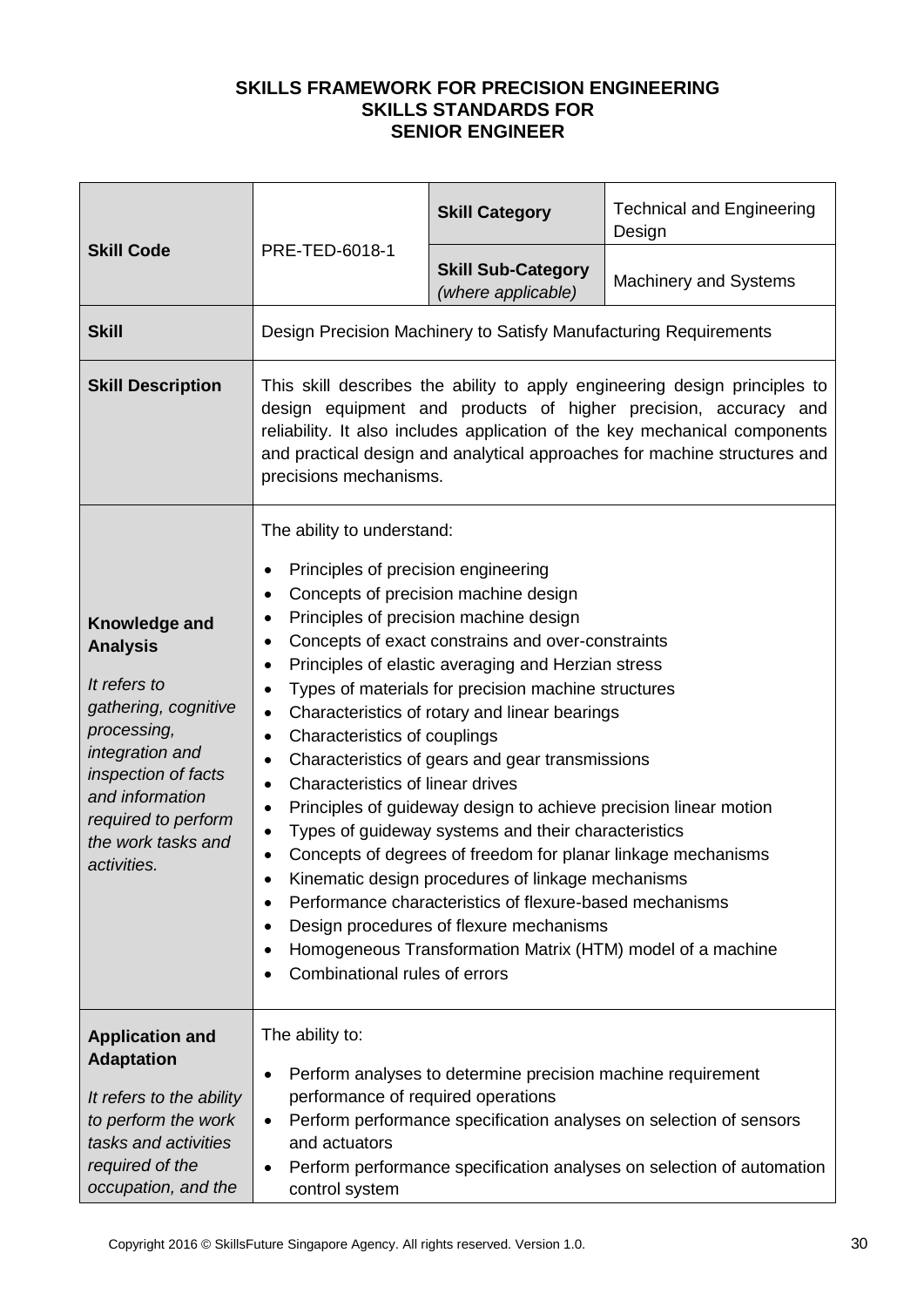| <b>Skill Code</b>                                                                                                                                                                                                | PRE-TED-6018-1                                                                                                                                                                                                                                                                                                                                                                                                                                                                                                                                                                                                                                                                                                                                                                                                                                                                                                                                                                                                                                                                                                                     | <b>Skill Category</b>                                            | <b>Technical and Engineering</b><br>Design |
|------------------------------------------------------------------------------------------------------------------------------------------------------------------------------------------------------------------|------------------------------------------------------------------------------------------------------------------------------------------------------------------------------------------------------------------------------------------------------------------------------------------------------------------------------------------------------------------------------------------------------------------------------------------------------------------------------------------------------------------------------------------------------------------------------------------------------------------------------------------------------------------------------------------------------------------------------------------------------------------------------------------------------------------------------------------------------------------------------------------------------------------------------------------------------------------------------------------------------------------------------------------------------------------------------------------------------------------------------------|------------------------------------------------------------------|--------------------------------------------|
|                                                                                                                                                                                                                  |                                                                                                                                                                                                                                                                                                                                                                                                                                                                                                                                                                                                                                                                                                                                                                                                                                                                                                                                                                                                                                                                                                                                    | <b>Skill Sub-Category</b><br>(where applicable)                  | <b>Machinery and Systems</b>               |
| <b>Skill</b>                                                                                                                                                                                                     |                                                                                                                                                                                                                                                                                                                                                                                                                                                                                                                                                                                                                                                                                                                                                                                                                                                                                                                                                                                                                                                                                                                                    | Design Precision Machinery to Satisfy Manufacturing Requirements |                                            |
| <b>Skill Description</b>                                                                                                                                                                                         | This skill describes the ability to apply engineering design principles to<br>design equipment and products of higher precision, accuracy and<br>reliability. It also includes application of the key mechanical components<br>and practical design and analytical approaches for machine structures and<br>precisions mechanisms.                                                                                                                                                                                                                                                                                                                                                                                                                                                                                                                                                                                                                                                                                                                                                                                                 |                                                                  |                                            |
| Knowledge and<br><b>Analysis</b><br>It refers to<br>gathering, cognitive<br>processing,<br>integration and<br>inspection of facts<br>and information<br>required to perform<br>the work tasks and<br>activities. | The ability to understand:<br>Principles of precision engineering<br>$\bullet$<br>Concepts of precision machine design<br>$\bullet$<br>Principles of precision machine design<br>٠<br>Concepts of exact constrains and over-constraints<br>٠<br>Principles of elastic averaging and Herzian stress<br>٠<br>Types of materials for precision machine structures<br>$\bullet$<br>Characteristics of rotary and linear bearings<br>$\bullet$<br>Characteristics of couplings<br>$\bullet$<br>Characteristics of gears and gear transmissions<br>٠<br>Characteristics of linear drives<br>$\bullet$<br>Principles of guideway design to achieve precision linear motion<br>$\bullet$<br>Types of guideway systems and their characteristics<br>$\bullet$<br>Concepts of degrees of freedom for planar linkage mechanisms<br>$\bullet$<br>Kinematic design procedures of linkage mechanisms<br>Performance characteristics of flexure-based mechanisms<br>$\bullet$<br>Design procedures of flexure mechanisms<br>$\bullet$<br>Homogeneous Transformation Matrix (HTM) model of a machine<br>$\bullet$<br>Combinational rules of errors |                                                                  |                                            |
| <b>Application and</b><br><b>Adaptation</b><br>It refers to the ability<br>to perform the work<br>tasks and activities<br>required of the<br>occupation, and the                                                 | The ability to:<br>Perform analyses to determine precision machine requirement<br>$\bullet$<br>performance of required operations<br>Perform performance specification analyses on selection of sensors<br>$\bullet$<br>and actuators<br>Perform performance specification analyses on selection of automation<br>$\bullet$<br>control system                                                                                                                                                                                                                                                                                                                                                                                                                                                                                                                                                                                                                                                                                                                                                                                      |                                                                  |                                            |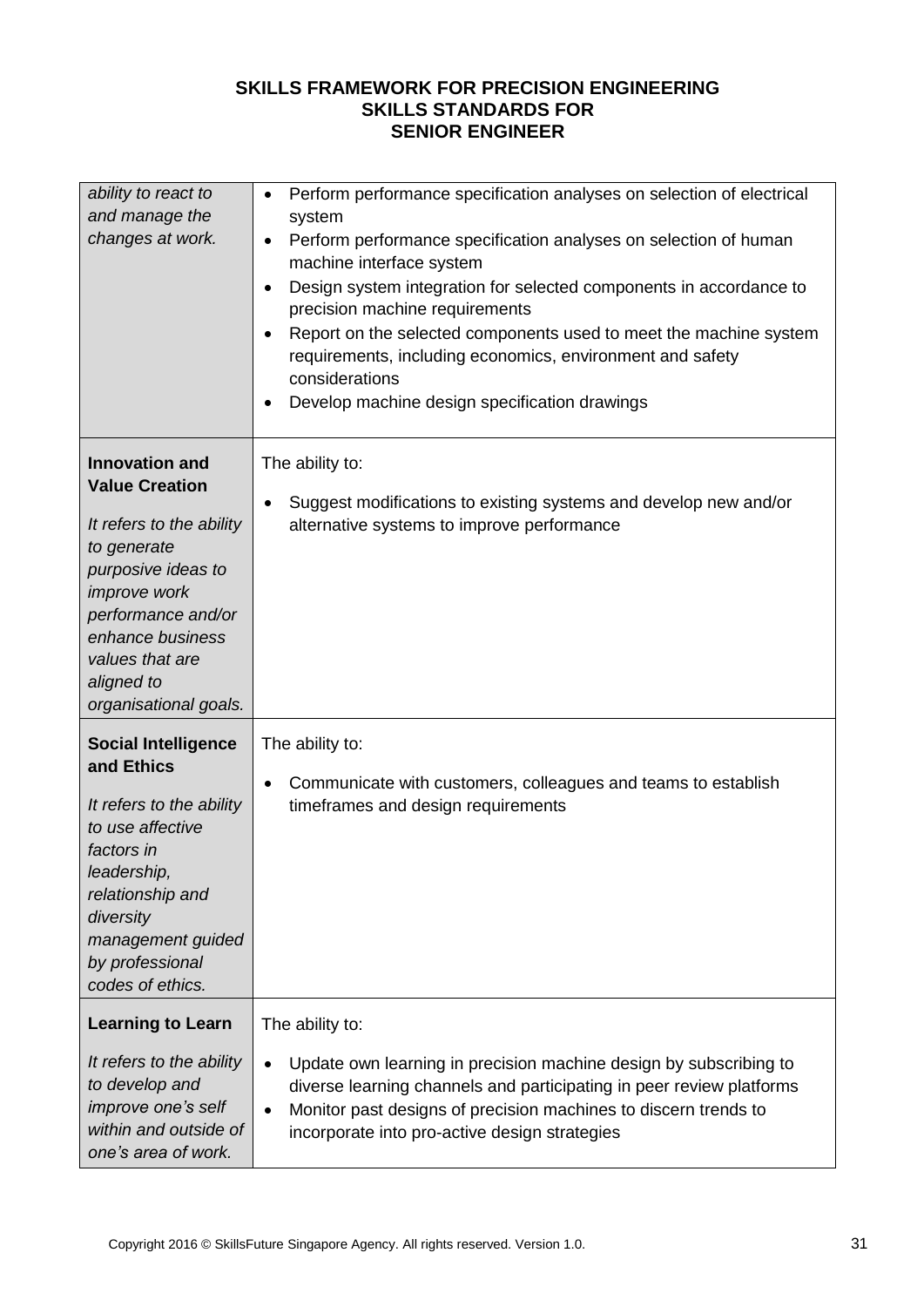| ability to react to<br>and manage the<br>changes at work.                                                                                                                                                                           | Perform performance specification analyses on selection of electrical<br>$\bullet$<br>system<br>Perform performance specification analyses on selection of human<br>$\bullet$<br>machine interface system<br>Design system integration for selected components in accordance to<br>$\bullet$<br>precision machine requirements<br>Report on the selected components used to meet the machine system<br>$\bullet$<br>requirements, including economics, environment and safety<br>considerations<br>Develop machine design specification drawings<br>٠ |
|-------------------------------------------------------------------------------------------------------------------------------------------------------------------------------------------------------------------------------------|-------------------------------------------------------------------------------------------------------------------------------------------------------------------------------------------------------------------------------------------------------------------------------------------------------------------------------------------------------------------------------------------------------------------------------------------------------------------------------------------------------------------------------------------------------|
| <b>Innovation and</b><br><b>Value Creation</b><br>It refers to the ability<br>to generate<br>purposive ideas to<br>improve work<br>performance and/or<br>enhance business<br>values that are<br>aligned to<br>organisational goals. | The ability to:<br>Suggest modifications to existing systems and develop new and/or<br>$\bullet$<br>alternative systems to improve performance                                                                                                                                                                                                                                                                                                                                                                                                        |
| <b>Social Intelligence</b><br>and Ethics<br>It refers to the ability<br>to use affective<br>factors in<br>leadership,<br>relationship and<br>diversity<br>management guided<br>by professional<br>codes of ethics.                  | The ability to:<br>Communicate with customers, colleagues and teams to establish<br>$\bullet$<br>timeframes and design requirements                                                                                                                                                                                                                                                                                                                                                                                                                   |
| <b>Learning to Learn</b><br>It refers to the ability<br>to develop and<br>improve one's self<br>within and outside of<br>one's area of work.                                                                                        | The ability to:<br>Update own learning in precision machine design by subscribing to<br>$\bullet$<br>diverse learning channels and participating in peer review platforms<br>Monitor past designs of precision machines to discern trends to<br>$\bullet$<br>incorporate into pro-active design strategies                                                                                                                                                                                                                                            |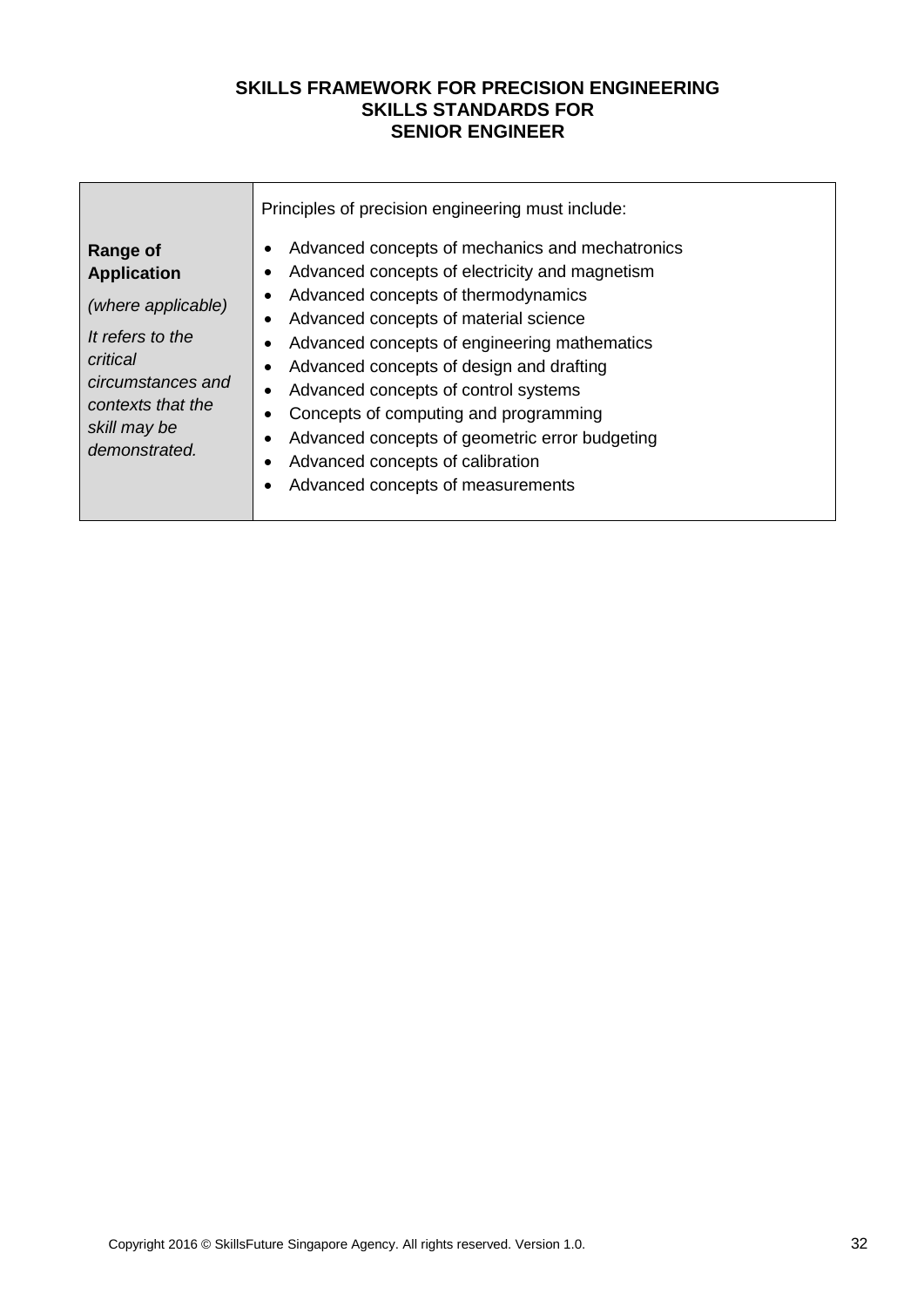|                                                                                                                                                                        | Principles of precision engineering must include:                                                                                                                                                                                                                                                                                                                                                                                                                                                                                               |  |  |  |
|------------------------------------------------------------------------------------------------------------------------------------------------------------------------|-------------------------------------------------------------------------------------------------------------------------------------------------------------------------------------------------------------------------------------------------------------------------------------------------------------------------------------------------------------------------------------------------------------------------------------------------------------------------------------------------------------------------------------------------|--|--|--|
| <b>Range of</b><br><b>Application</b><br>(where applicable)<br>It refers to the<br>critical<br>circumstances and<br>contexts that the<br>skill may be<br>demonstrated. | Advanced concepts of mechanics and mechatronics<br>٠<br>Advanced concepts of electricity and magnetism<br>٠<br>Advanced concepts of thermodynamics<br>Advanced concepts of material science<br>Advanced concepts of engineering mathematics<br>$\bullet$<br>Advanced concepts of design and drafting<br>$\bullet$<br>Advanced concepts of control systems<br>$\bullet$<br>Concepts of computing and programming<br>Advanced concepts of geometric error budgeting<br>٠<br>Advanced concepts of calibration<br>Advanced concepts of measurements |  |  |  |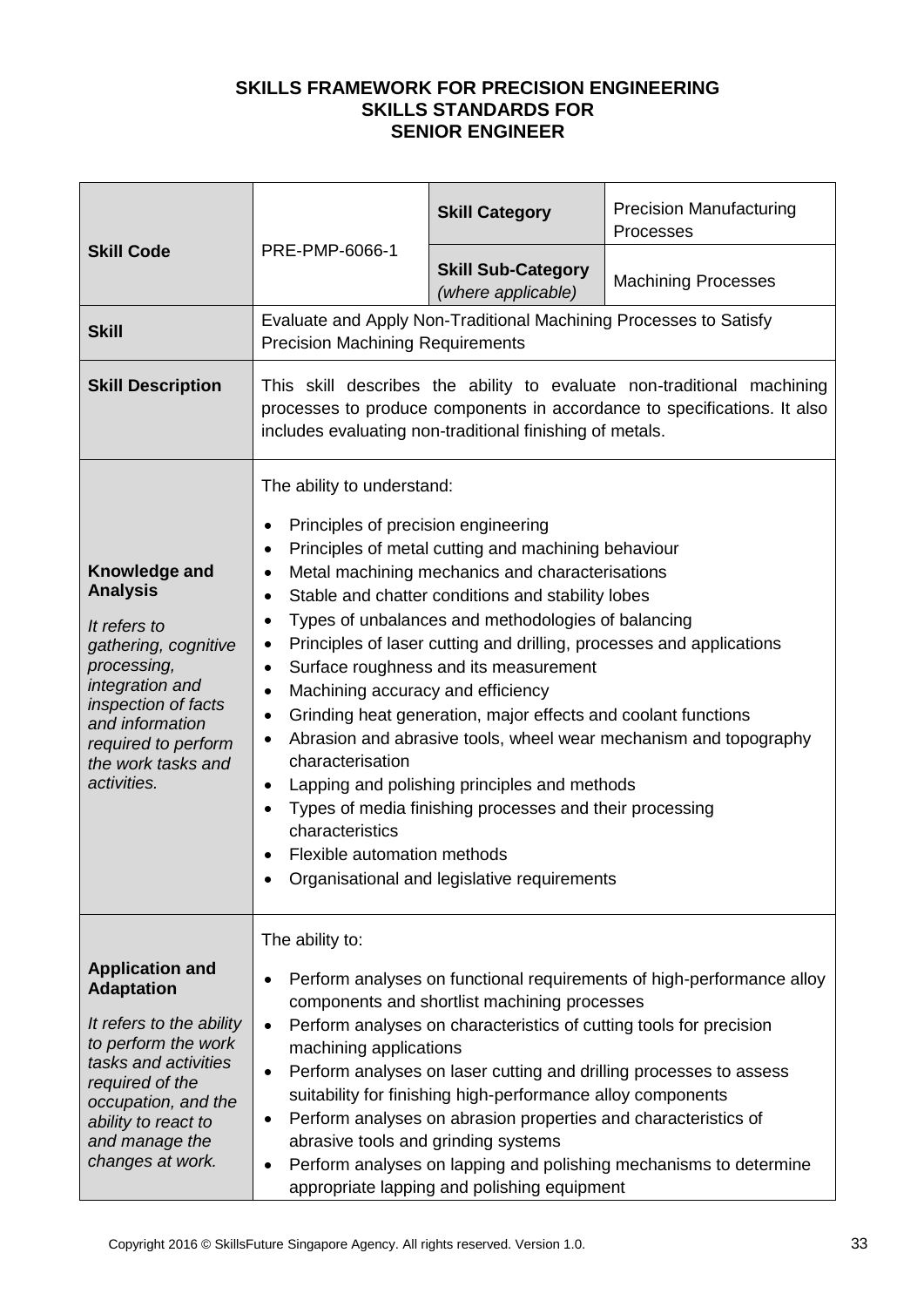| <b>Skill Code</b>                                                                                                                                                                                                             | PRE-PMP-6066-1                                                                                                                                                                                                                                                                                                                                                                                                                                                                                                                                                                                                                                                                                                                                                                                                                                                                                                                                                                     | <b>Skill Category</b>                                             | <b>Precision Manufacturing</b><br>Processes |
|-------------------------------------------------------------------------------------------------------------------------------------------------------------------------------------------------------------------------------|------------------------------------------------------------------------------------------------------------------------------------------------------------------------------------------------------------------------------------------------------------------------------------------------------------------------------------------------------------------------------------------------------------------------------------------------------------------------------------------------------------------------------------------------------------------------------------------------------------------------------------------------------------------------------------------------------------------------------------------------------------------------------------------------------------------------------------------------------------------------------------------------------------------------------------------------------------------------------------|-------------------------------------------------------------------|---------------------------------------------|
|                                                                                                                                                                                                                               |                                                                                                                                                                                                                                                                                                                                                                                                                                                                                                                                                                                                                                                                                                                                                                                                                                                                                                                                                                                    | <b>Skill Sub-Category</b><br>(where applicable)                   | <b>Machining Processes</b>                  |
| <b>Skill</b>                                                                                                                                                                                                                  | <b>Precision Machining Requirements</b>                                                                                                                                                                                                                                                                                                                                                                                                                                                                                                                                                                                                                                                                                                                                                                                                                                                                                                                                            | Evaluate and Apply Non-Traditional Machining Processes to Satisfy |                                             |
| <b>Skill Description</b>                                                                                                                                                                                                      | This skill describes the ability to evaluate non-traditional machining<br>processes to produce components in accordance to specifications. It also<br>includes evaluating non-traditional finishing of metals.                                                                                                                                                                                                                                                                                                                                                                                                                                                                                                                                                                                                                                                                                                                                                                     |                                                                   |                                             |
| Knowledge and<br><b>Analysis</b><br>It refers to<br>gathering, cognitive<br>processing,<br>integration and<br>inspection of facts<br>and information<br>required to perform<br>the work tasks and<br>activities.              | The ability to understand:<br>Principles of precision engineering<br>$\bullet$<br>Principles of metal cutting and machining behaviour<br>$\bullet$<br>Metal machining mechanics and characterisations<br>$\bullet$<br>Stable and chatter conditions and stability lobes<br>٠<br>Types of unbalances and methodologies of balancing<br>$\bullet$<br>Principles of laser cutting and drilling, processes and applications<br>$\bullet$<br>Surface roughness and its measurement<br>$\bullet$<br>Machining accuracy and efficiency<br>$\bullet$<br>Grinding heat generation, major effects and coolant functions<br>$\bullet$<br>Abrasion and abrasive tools, wheel wear mechanism and topography<br>$\bullet$<br>characterisation<br>Lapping and polishing principles and methods<br>$\bullet$<br>Types of media finishing processes and their processing<br>$\bullet$<br>characteristics<br>Flexible automation methods<br>$\bullet$<br>Organisational and legislative requirements |                                                                   |                                             |
| <b>Application and</b><br><b>Adaptation</b><br>It refers to the ability<br>to perform the work<br>tasks and activities<br>required of the<br>occupation, and the<br>ability to react to<br>and manage the<br>changes at work. | The ability to:<br>Perform analyses on functional requirements of high-performance alloy<br>$\bullet$<br>components and shortlist machining processes<br>Perform analyses on characteristics of cutting tools for precision<br>$\bullet$<br>machining applications<br>Perform analyses on laser cutting and drilling processes to assess<br>$\bullet$<br>suitability for finishing high-performance alloy components<br>Perform analyses on abrasion properties and characteristics of<br>$\bullet$<br>abrasive tools and grinding systems<br>Perform analyses on lapping and polishing mechanisms to determine<br>$\bullet$<br>appropriate lapping and polishing equipment                                                                                                                                                                                                                                                                                                        |                                                                   |                                             |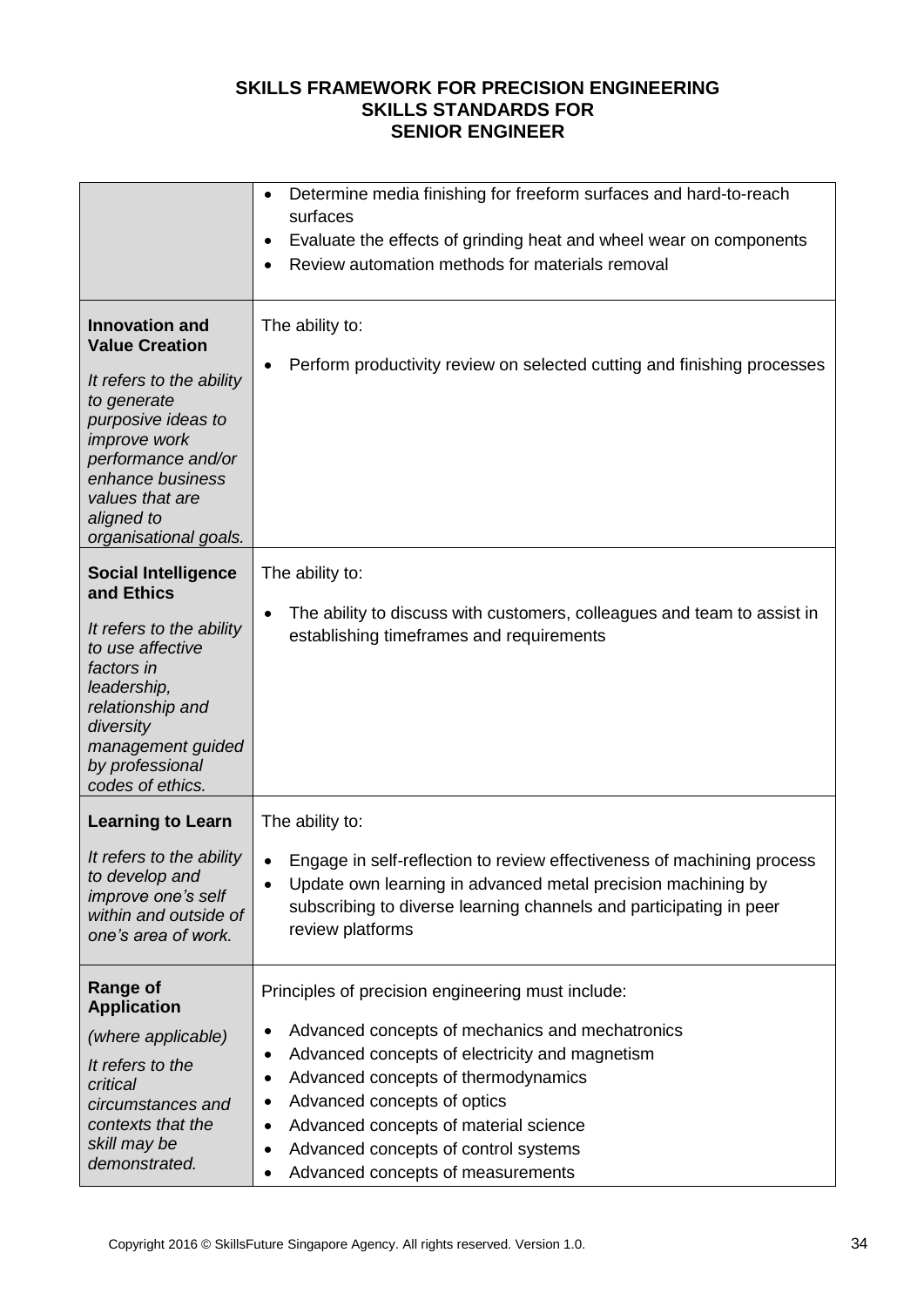|                                                                                                                                                                                                                                     | Determine media finishing for freeform surfaces and hard-to-reach<br>$\bullet$<br>surfaces<br>Evaluate the effects of grinding heat and wheel wear on components<br>٠<br>Review automation methods for materials removal                                                                                                                                                                                                      |
|-------------------------------------------------------------------------------------------------------------------------------------------------------------------------------------------------------------------------------------|-------------------------------------------------------------------------------------------------------------------------------------------------------------------------------------------------------------------------------------------------------------------------------------------------------------------------------------------------------------------------------------------------------------------------------|
| <b>Innovation and</b><br><b>Value Creation</b><br>It refers to the ability<br>to generate<br>purposive ideas to<br>improve work<br>performance and/or<br>enhance business<br>values that are<br>aligned to<br>organisational goals. | The ability to:<br>Perform productivity review on selected cutting and finishing processes                                                                                                                                                                                                                                                                                                                                    |
| <b>Social Intelligence</b><br>and Ethics<br>It refers to the ability<br>to use affective<br>factors in<br>leadership,<br>relationship and<br>diversity<br>management guided<br>by professional<br>codes of ethics.                  | The ability to:<br>The ability to discuss with customers, colleagues and team to assist in<br>$\bullet$<br>establishing timeframes and requirements                                                                                                                                                                                                                                                                           |
| <b>Learning to Learn</b><br>It refers to the ability<br>to develop and<br>improve one's self<br>within and outside of<br>one's area of work.                                                                                        | The ability to:<br>Engage in self-reflection to review effectiveness of machining process<br>$\bullet$<br>Update own learning in advanced metal precision machining by<br>$\bullet$<br>subscribing to diverse learning channels and participating in peer<br>review platforms                                                                                                                                                 |
| Range of<br><b>Application</b><br>(where applicable)<br>It refers to the<br>critical<br>circumstances and<br>contexts that the<br>skill may be<br>demonstrated.                                                                     | Principles of precision engineering must include:<br>Advanced concepts of mechanics and mechatronics<br>٠<br>Advanced concepts of electricity and magnetism<br>$\bullet$<br>Advanced concepts of thermodynamics<br>$\bullet$<br>Advanced concepts of optics<br>$\bullet$<br>Advanced concepts of material science<br>$\bullet$<br>Advanced concepts of control systems<br>$\bullet$<br>Advanced concepts of measurements<br>٠ |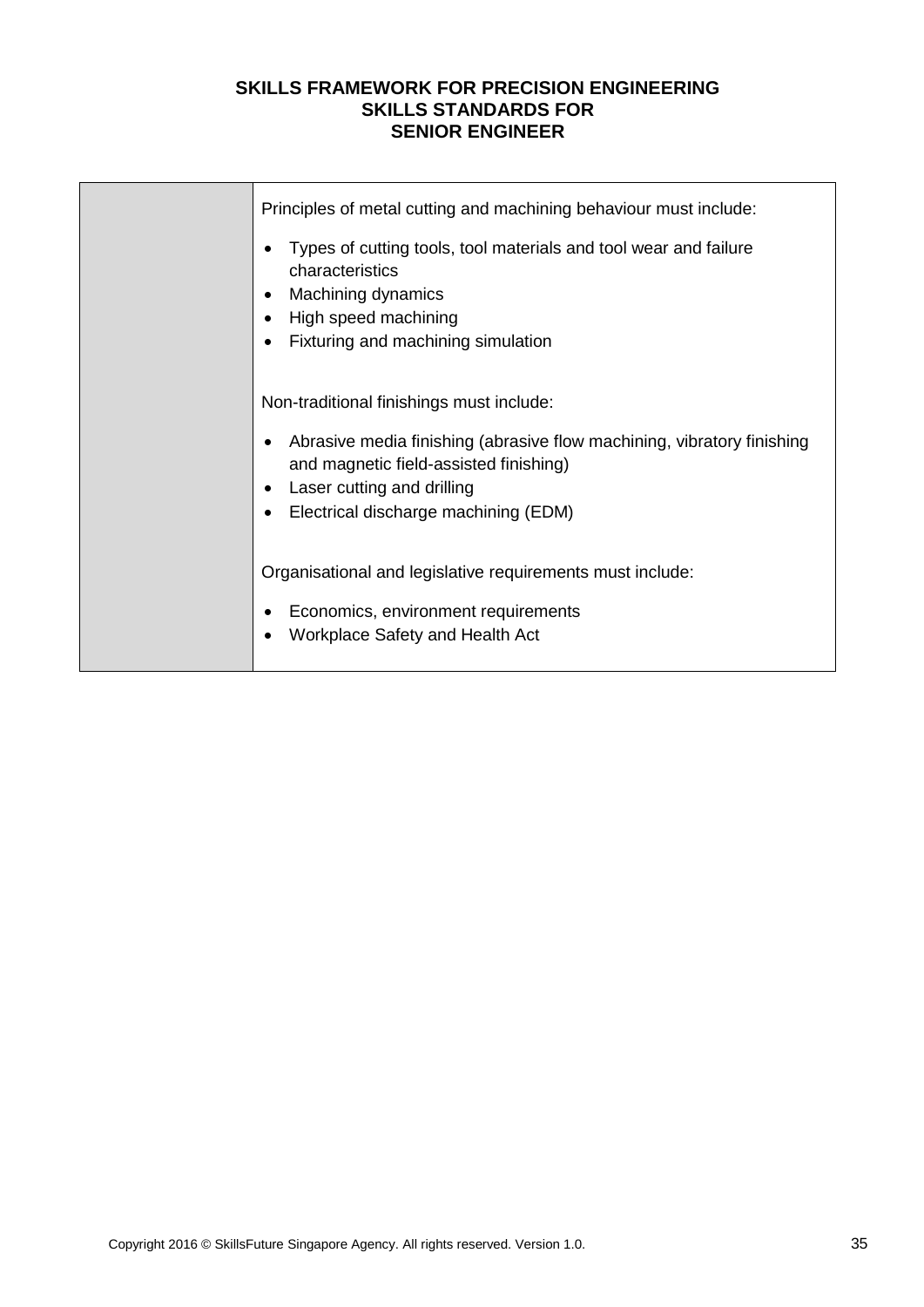| Principles of metal cutting and machining behaviour must include:<br>Types of cutting tools, tool materials and tool wear and failure<br>$\bullet$<br>characteristics<br>Machining dynamics<br>$\bullet$<br>High speed machining<br>$\bullet$<br>Fixturing and machining simulation<br>$\bullet$ |
|--------------------------------------------------------------------------------------------------------------------------------------------------------------------------------------------------------------------------------------------------------------------------------------------------|
| Non-traditional finishings must include:<br>Abrasive media finishing (abrasive flow machining, vibratory finishing<br>and magnetic field-assisted finishing)<br>Laser cutting and drilling<br>$\bullet$<br>Electrical discharge machining (EDM)<br>$\bullet$                                     |
| Organisational and legislative requirements must include:<br>Economics, environment requirements<br>Workplace Safety and Health Act                                                                                                                                                              |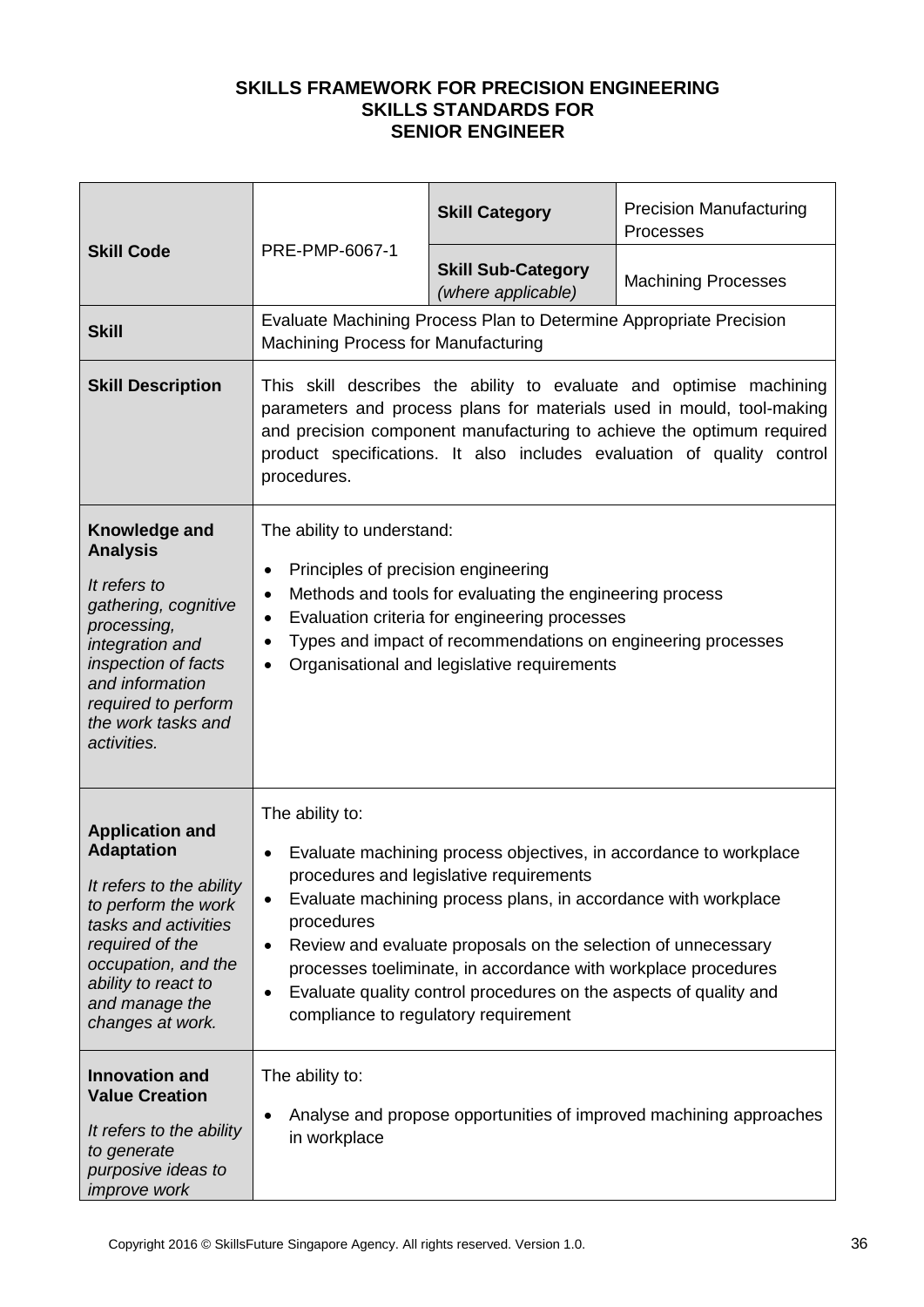| <b>Skill Code</b>                                                                                                                                                                                                             | PRE-PMP-6067-1                                                                                                                                                                                                                                                                                                                                                                                                                                                                                      | <b>Skill Category</b>                                              | <b>Precision Manufacturing</b><br>Processes |  |
|-------------------------------------------------------------------------------------------------------------------------------------------------------------------------------------------------------------------------------|-----------------------------------------------------------------------------------------------------------------------------------------------------------------------------------------------------------------------------------------------------------------------------------------------------------------------------------------------------------------------------------------------------------------------------------------------------------------------------------------------------|--------------------------------------------------------------------|---------------------------------------------|--|
|                                                                                                                                                                                                                               |                                                                                                                                                                                                                                                                                                                                                                                                                                                                                                     | <b>Skill Sub-Category</b><br>(where applicable)                    | <b>Machining Processes</b>                  |  |
| <b>Skill</b>                                                                                                                                                                                                                  | Machining Process for Manufacturing                                                                                                                                                                                                                                                                                                                                                                                                                                                                 | Evaluate Machining Process Plan to Determine Appropriate Precision |                                             |  |
| <b>Skill Description</b>                                                                                                                                                                                                      | This skill describes the ability to evaluate and optimise machining<br>parameters and process plans for materials used in mould, tool-making<br>and precision component manufacturing to achieve the optimum required<br>product specifications. It also includes evaluation of quality control<br>procedures.                                                                                                                                                                                      |                                                                    |                                             |  |
| Knowledge and<br><b>Analysis</b><br>It refers to<br>gathering, cognitive<br>processing,<br>integration and<br>inspection of facts<br>and information<br>required to perform<br>the work tasks and<br>activities.              | The ability to understand:<br>Principles of precision engineering<br>$\bullet$<br>Methods and tools for evaluating the engineering process<br>$\bullet$<br>Evaluation criteria for engineering processes<br>$\bullet$<br>Types and impact of recommendations on engineering processes<br>٠<br>Organisational and legislative requirements<br>$\bullet$                                                                                                                                              |                                                                    |                                             |  |
| <b>Application and</b><br><b>Adaptation</b><br>It refers to the ability<br>to perform the work<br>tasks and activities<br>required of the<br>occupation, and the<br>ability to react to<br>and manage the<br>changes at work. | The ability to:<br>Evaluate machining process objectives, in accordance to workplace<br>٠<br>procedures and legislative requirements<br>Evaluate machining process plans, in accordance with workplace<br>٠<br>procedures<br>Review and evaluate proposals on the selection of unnecessary<br>$\bullet$<br>processes toeliminate, in accordance with workplace procedures<br>Evaluate quality control procedures on the aspects of quality and<br>$\bullet$<br>compliance to regulatory requirement |                                                                    |                                             |  |
| <b>Innovation and</b><br><b>Value Creation</b><br>It refers to the ability<br>to generate<br>purposive ideas to<br><i>improve</i> work                                                                                        | The ability to:<br>Analyse and propose opportunities of improved machining approaches<br>$\bullet$<br>in workplace                                                                                                                                                                                                                                                                                                                                                                                  |                                                                    |                                             |  |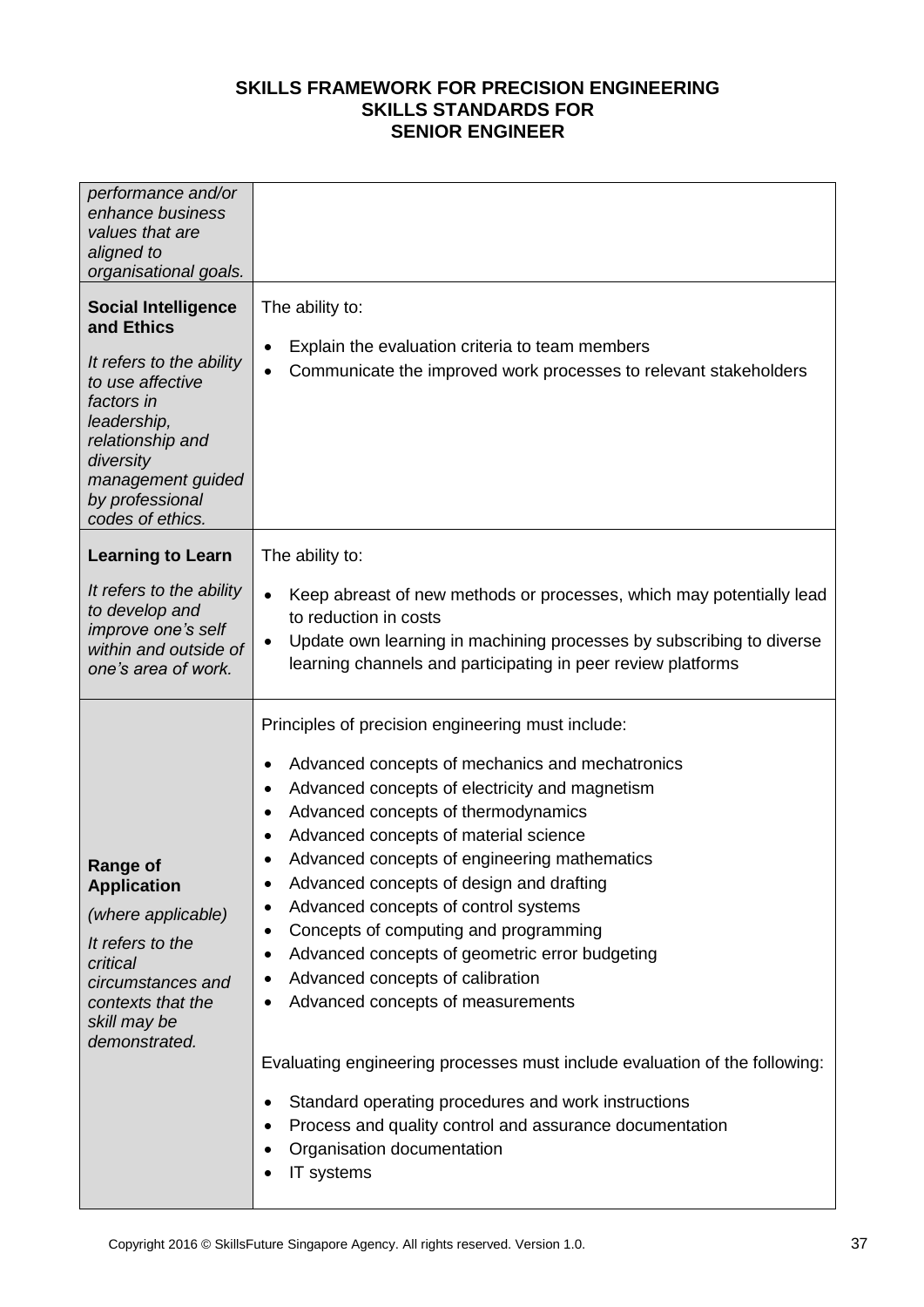| performance and/or<br>enhance business<br>values that are<br>aligned to<br>organisational goals.                                                                                                                   |                                                                                                                                                                                                                                                                                                                                                                                                                                                                                                                                                                                                                                                                                                                                                                                                                                                                                                                  |
|--------------------------------------------------------------------------------------------------------------------------------------------------------------------------------------------------------------------|------------------------------------------------------------------------------------------------------------------------------------------------------------------------------------------------------------------------------------------------------------------------------------------------------------------------------------------------------------------------------------------------------------------------------------------------------------------------------------------------------------------------------------------------------------------------------------------------------------------------------------------------------------------------------------------------------------------------------------------------------------------------------------------------------------------------------------------------------------------------------------------------------------------|
| <b>Social Intelligence</b><br>and Ethics<br>It refers to the ability<br>to use affective<br>factors in<br>leadership,<br>relationship and<br>diversity<br>management guided<br>by professional<br>codes of ethics. | The ability to:<br>Explain the evaluation criteria to team members<br>$\bullet$<br>Communicate the improved work processes to relevant stakeholders<br>$\bullet$                                                                                                                                                                                                                                                                                                                                                                                                                                                                                                                                                                                                                                                                                                                                                 |
| <b>Learning to Learn</b>                                                                                                                                                                                           | The ability to:                                                                                                                                                                                                                                                                                                                                                                                                                                                                                                                                                                                                                                                                                                                                                                                                                                                                                                  |
| It refers to the ability<br>to develop and<br>improve one's self<br>within and outside of<br>one's area of work.                                                                                                   | Keep abreast of new methods or processes, which may potentially lead<br>$\bullet$<br>to reduction in costs<br>Update own learning in machining processes by subscribing to diverse<br>$\bullet$<br>learning channels and participating in peer review platforms                                                                                                                                                                                                                                                                                                                                                                                                                                                                                                                                                                                                                                                  |
| <b>Range of</b><br><b>Application</b><br>(where applicable)<br>It refers to the<br>critical<br>circumstances and<br>contexts that the<br>skill may be<br>demonstrated.                                             | Principles of precision engineering must include:<br>Advanced concepts of mechanics and mechatronics<br>٠<br>Advanced concepts of electricity and magnetism<br>$\bullet$<br>Advanced concepts of thermodynamics<br>٠<br>Advanced concepts of material science<br>$\bullet$<br>Advanced concepts of engineering mathematics<br>Advanced concepts of design and drafting<br>٠<br>Advanced concepts of control systems<br>٠<br>Concepts of computing and programming<br>٠<br>Advanced concepts of geometric error budgeting<br>٠<br>Advanced concepts of calibration<br>٠<br>Advanced concepts of measurements<br>٠<br>Evaluating engineering processes must include evaluation of the following:<br>Standard operating procedures and work instructions<br>$\bullet$<br>Process and quality control and assurance documentation<br>$\bullet$<br>Organisation documentation<br>$\bullet$<br>IT systems<br>$\bullet$ |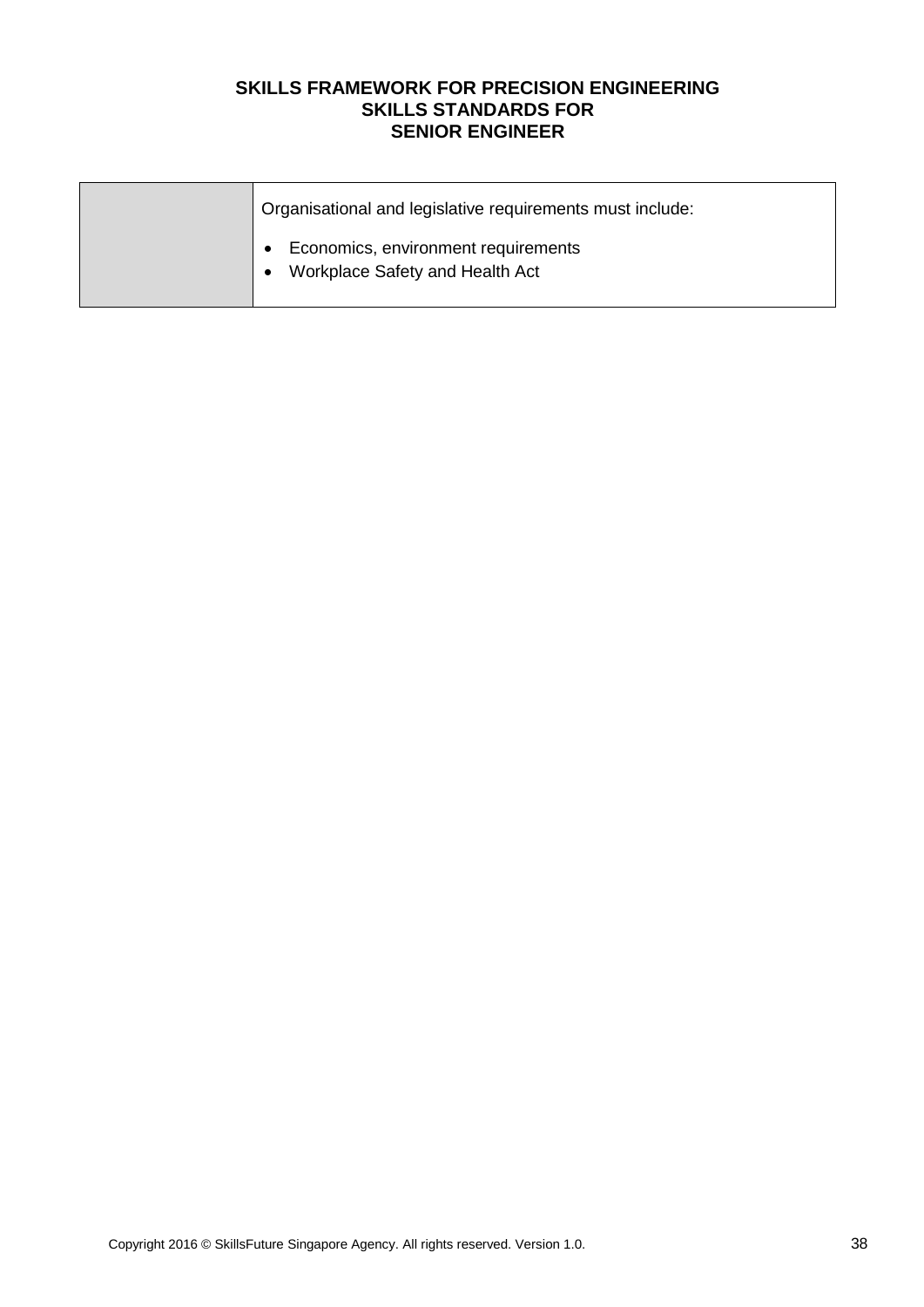| Organisational and legislative requirements must include:              |
|------------------------------------------------------------------------|
| Economics, environment requirements<br>Workplace Safety and Health Act |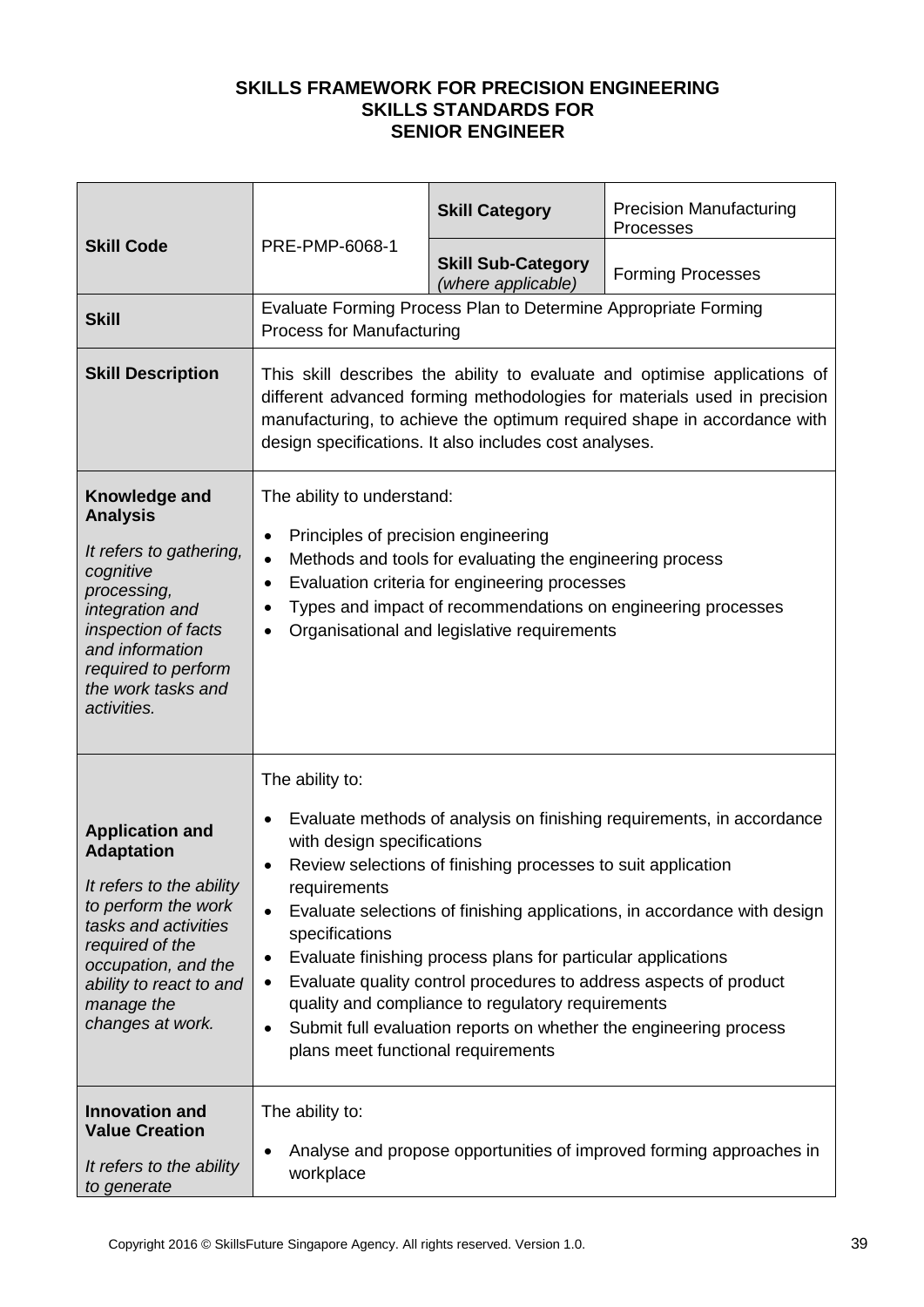|                                                                                                                                                                                                                               |                                                                                                                                                                                                                                                                                                                                                                                                                                                                                                                                                                                                                                                            | <b>Skill Category</b>                                          | <b>Precision Manufacturing</b><br>Processes |
|-------------------------------------------------------------------------------------------------------------------------------------------------------------------------------------------------------------------------------|------------------------------------------------------------------------------------------------------------------------------------------------------------------------------------------------------------------------------------------------------------------------------------------------------------------------------------------------------------------------------------------------------------------------------------------------------------------------------------------------------------------------------------------------------------------------------------------------------------------------------------------------------------|----------------------------------------------------------------|---------------------------------------------|
| <b>Skill Code</b>                                                                                                                                                                                                             | PRE-PMP-6068-1                                                                                                                                                                                                                                                                                                                                                                                                                                                                                                                                                                                                                                             | <b>Skill Sub-Category</b><br>(where applicable)                | <b>Forming Processes</b>                    |
| <b>Skill</b>                                                                                                                                                                                                                  | <b>Process for Manufacturing</b>                                                                                                                                                                                                                                                                                                                                                                                                                                                                                                                                                                                                                           | Evaluate Forming Process Plan to Determine Appropriate Forming |                                             |
| <b>Skill Description</b>                                                                                                                                                                                                      | This skill describes the ability to evaluate and optimise applications of<br>different advanced forming methodologies for materials used in precision<br>manufacturing, to achieve the optimum required shape in accordance with<br>design specifications. It also includes cost analyses.                                                                                                                                                                                                                                                                                                                                                                 |                                                                |                                             |
| Knowledge and<br><b>Analysis</b><br>It refers to gathering,<br>cognitive<br>processing,<br>integration and<br>inspection of facts<br>and information<br>required to perform<br>the work tasks and<br>activities.              | The ability to understand:<br>Principles of precision engineering<br>$\bullet$<br>Methods and tools for evaluating the engineering process<br>$\bullet$<br>Evaluation criteria for engineering processes<br>$\bullet$<br>Types and impact of recommendations on engineering processes<br>$\bullet$<br>Organisational and legislative requirements<br>$\bullet$                                                                                                                                                                                                                                                                                             |                                                                |                                             |
| <b>Application and</b><br><b>Adaptation</b><br>It refers to the ability<br>to perform the work<br>tasks and activities<br>required of the<br>occupation, and the<br>ability to react to and<br>manage the<br>changes at work. | The ability to:<br>Evaluate methods of analysis on finishing requirements, in accordance<br>$\bullet$<br>with design specifications<br>Review selections of finishing processes to suit application<br>requirements<br>Evaluate selections of finishing applications, in accordance with design<br>$\bullet$<br>specifications<br>Evaluate finishing process plans for particular applications<br>٠<br>Evaluate quality control procedures to address aspects of product<br>٠<br>quality and compliance to regulatory requirements<br>Submit full evaluation reports on whether the engineering process<br>$\bullet$<br>plans meet functional requirements |                                                                |                                             |
| <b>Innovation and</b><br><b>Value Creation</b><br>It refers to the ability<br>to generate                                                                                                                                     | The ability to:<br>Analyse and propose opportunities of improved forming approaches in<br>٠<br>workplace                                                                                                                                                                                                                                                                                                                                                                                                                                                                                                                                                   |                                                                |                                             |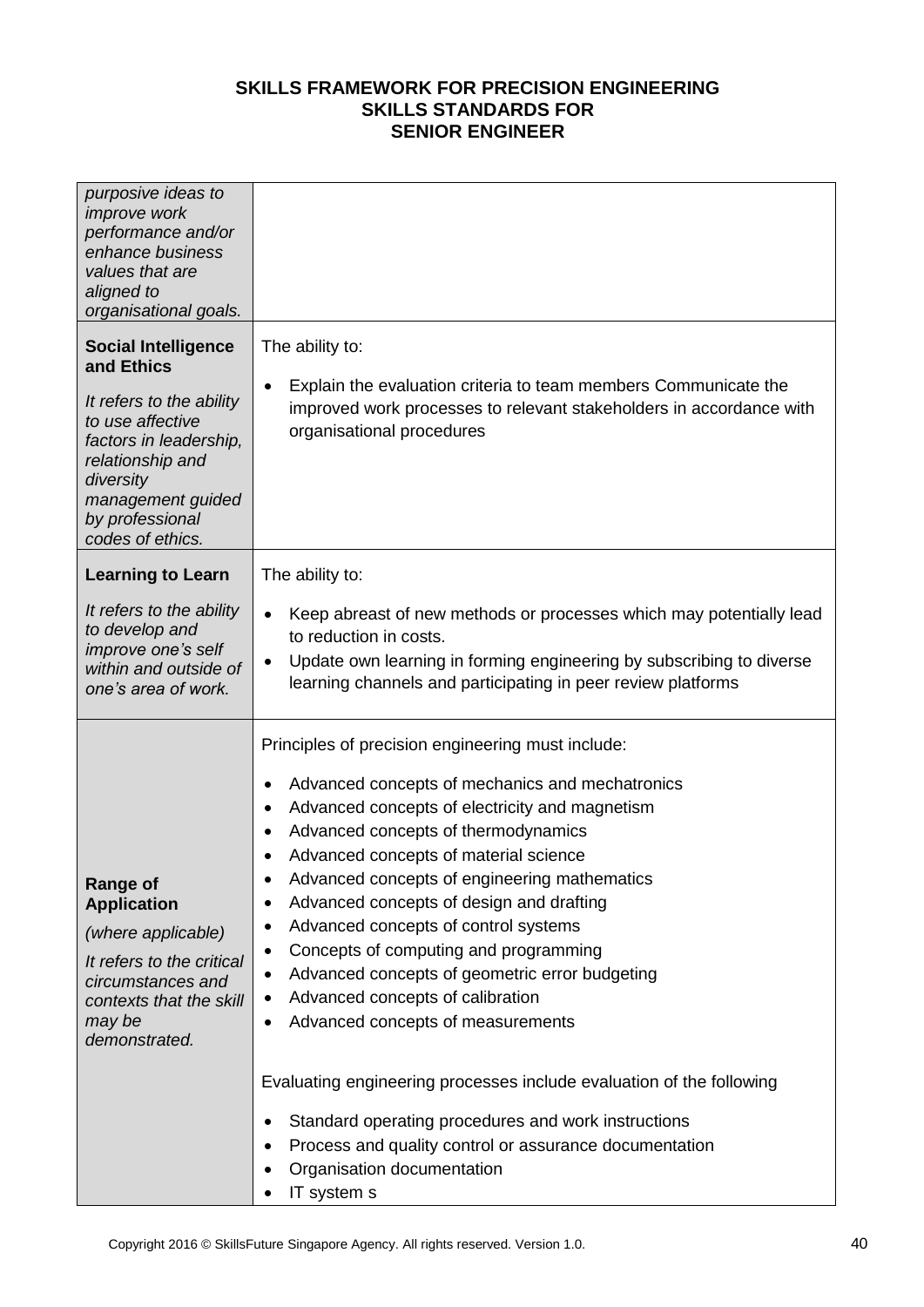| purposive ideas to<br><i>improve</i> work<br>performance and/or<br>enhance business<br>values that are<br>aligned to<br>organisational goals.                                                                   |                                                                                                                                                                                                                                                                                                                                                                                                                                                                                                                                                                                                                                                                     |
|-----------------------------------------------------------------------------------------------------------------------------------------------------------------------------------------------------------------|---------------------------------------------------------------------------------------------------------------------------------------------------------------------------------------------------------------------------------------------------------------------------------------------------------------------------------------------------------------------------------------------------------------------------------------------------------------------------------------------------------------------------------------------------------------------------------------------------------------------------------------------------------------------|
| <b>Social Intelligence</b><br>and Ethics<br>It refers to the ability<br>to use affective<br>factors in leadership,<br>relationship and<br>diversity<br>management guided<br>by professional<br>codes of ethics. | The ability to:<br>Explain the evaluation criteria to team members Communicate the<br>$\bullet$<br>improved work processes to relevant stakeholders in accordance with<br>organisational procedures                                                                                                                                                                                                                                                                                                                                                                                                                                                                 |
| <b>Learning to Learn</b>                                                                                                                                                                                        | The ability to:                                                                                                                                                                                                                                                                                                                                                                                                                                                                                                                                                                                                                                                     |
| It refers to the ability<br>to develop and<br>improve one's self<br>within and outside of<br>one's area of work.                                                                                                | Keep abreast of new methods or processes which may potentially lead<br>$\bullet$<br>to reduction in costs.<br>Update own learning in forming engineering by subscribing to diverse<br>$\bullet$<br>learning channels and participating in peer review platforms                                                                                                                                                                                                                                                                                                                                                                                                     |
| <b>Range of</b><br><b>Application</b><br>(where applicable)<br>It refers to the critical<br>circumstances and<br>contexts that the skill<br>may be<br>demonstrated.                                             | Principles of precision engineering must include:<br>Advanced concepts of mechanics and mechatronics<br>$\bullet$<br>Advanced concepts of electricity and magnetism<br>$\bullet$<br>Advanced concepts of thermodynamics<br>$\bullet$<br>Advanced concepts of material science<br>Advanced concepts of engineering mathematics<br>Advanced concepts of design and drafting<br>$\bullet$<br>Advanced concepts of control systems<br>$\bullet$<br>Concepts of computing and programming<br>$\bullet$<br>Advanced concepts of geometric error budgeting<br>$\bullet$<br>Advanced concepts of calibration<br>$\bullet$<br>Advanced concepts of measurements<br>$\bullet$ |
|                                                                                                                                                                                                                 | Evaluating engineering processes include evaluation of the following<br>Standard operating procedures and work instructions<br>$\bullet$<br>Process and quality control or assurance documentation<br>$\bullet$<br>Organisation documentation<br>IT system s                                                                                                                                                                                                                                                                                                                                                                                                        |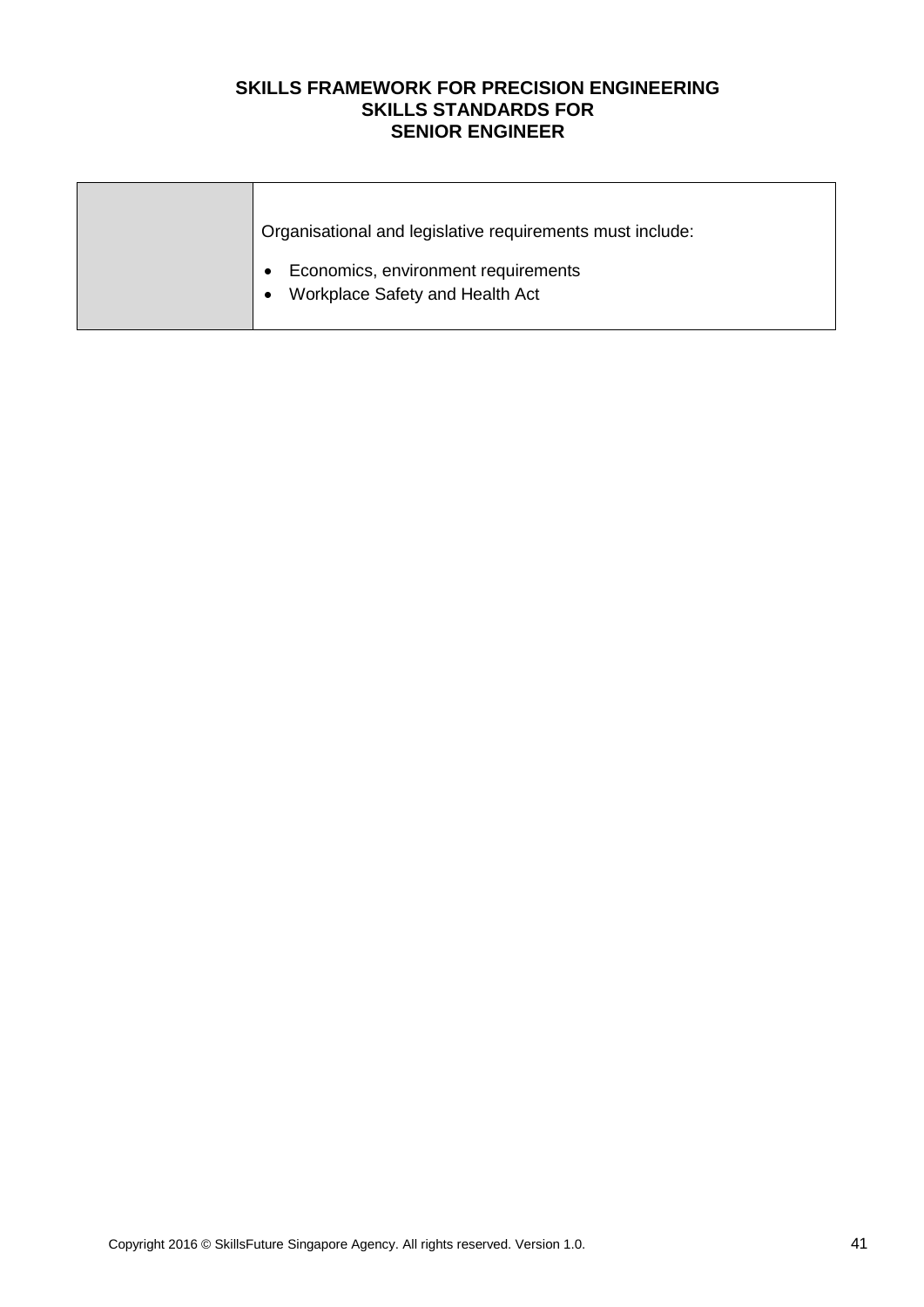| Organisational and legislative requirements must include:                                        |
|--------------------------------------------------------------------------------------------------|
| Economics, environment requirements<br>$\bullet$<br>Workplace Safety and Health Act<br>$\bullet$ |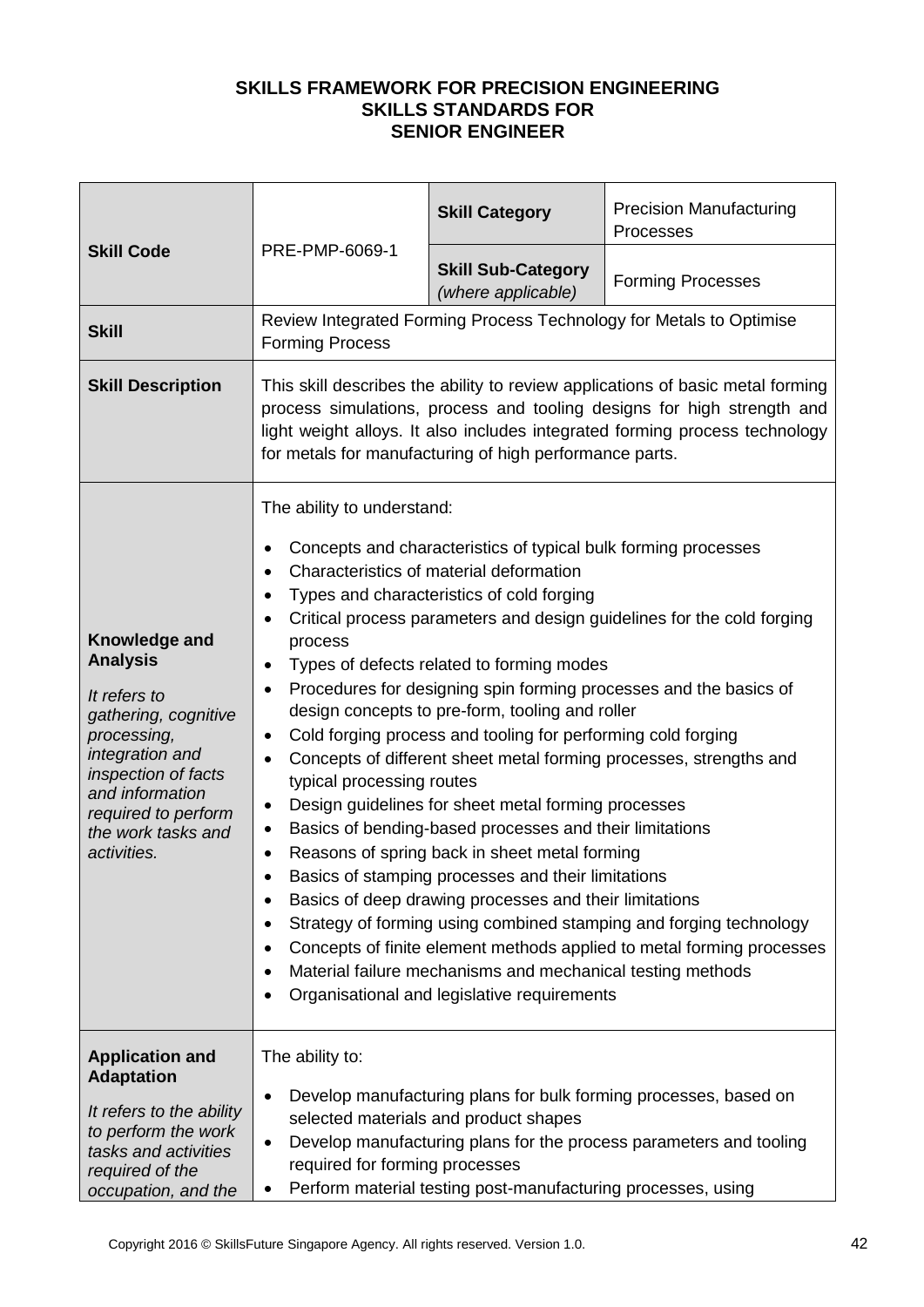| <b>Skill Code</b>                                                                                                                                                                                                | PRE-PMP-6069-1                                                                                                                                                                                                                                                                                                                                                                                                                                                                                                                                                                                                                                                                                                                                                                                                                                                                                                                                                                                                                                                                                                                                                                                                                                                                                                                                                           | <b>Skill Category</b>                           | <b>Precision Manufacturing</b><br>Processes                         |
|------------------------------------------------------------------------------------------------------------------------------------------------------------------------------------------------------------------|--------------------------------------------------------------------------------------------------------------------------------------------------------------------------------------------------------------------------------------------------------------------------------------------------------------------------------------------------------------------------------------------------------------------------------------------------------------------------------------------------------------------------------------------------------------------------------------------------------------------------------------------------------------------------------------------------------------------------------------------------------------------------------------------------------------------------------------------------------------------------------------------------------------------------------------------------------------------------------------------------------------------------------------------------------------------------------------------------------------------------------------------------------------------------------------------------------------------------------------------------------------------------------------------------------------------------------------------------------------------------|-------------------------------------------------|---------------------------------------------------------------------|
|                                                                                                                                                                                                                  |                                                                                                                                                                                                                                                                                                                                                                                                                                                                                                                                                                                                                                                                                                                                                                                                                                                                                                                                                                                                                                                                                                                                                                                                                                                                                                                                                                          | <b>Skill Sub-Category</b><br>(where applicable) | <b>Forming Processes</b>                                            |
| <b>Skill</b>                                                                                                                                                                                                     | <b>Forming Process</b>                                                                                                                                                                                                                                                                                                                                                                                                                                                                                                                                                                                                                                                                                                                                                                                                                                                                                                                                                                                                                                                                                                                                                                                                                                                                                                                                                   |                                                 | Review Integrated Forming Process Technology for Metals to Optimise |
| <b>Skill Description</b>                                                                                                                                                                                         | This skill describes the ability to review applications of basic metal forming<br>process simulations, process and tooling designs for high strength and<br>light weight alloys. It also includes integrated forming process technology<br>for metals for manufacturing of high performance parts.                                                                                                                                                                                                                                                                                                                                                                                                                                                                                                                                                                                                                                                                                                                                                                                                                                                                                                                                                                                                                                                                       |                                                 |                                                                     |
| Knowledge and<br><b>Analysis</b><br>It refers to<br>gathering, cognitive<br>processing,<br>integration and<br>inspection of facts<br>and information<br>required to perform<br>the work tasks and<br>activities. | The ability to understand:<br>Concepts and characteristics of typical bulk forming processes<br>$\bullet$<br>Characteristics of material deformation<br>$\bullet$<br>Types and characteristics of cold forging<br>$\bullet$<br>Critical process parameters and design guidelines for the cold forging<br>$\bullet$<br>process<br>Types of defects related to forming modes<br>٠<br>Procedures for designing spin forming processes and the basics of<br>$\bullet$<br>design concepts to pre-form, tooling and roller<br>Cold forging process and tooling for performing cold forging<br>$\bullet$<br>Concepts of different sheet metal forming processes, strengths and<br>$\bullet$<br>typical processing routes<br>Design guidelines for sheet metal forming processes<br>$\bullet$<br>Basics of bending-based processes and their limitations<br>$\bullet$<br>Reasons of spring back in sheet metal forming<br>$\bullet$<br>Basics of stamping processes and their limitations<br>Basics of deep drawing processes and their limitations<br>$\bullet$<br>Strategy of forming using combined stamping and forging technology<br>$\bullet$<br>Concepts of finite element methods applied to metal forming processes<br>$\bullet$<br>Material failure mechanisms and mechanical testing methods<br>$\bullet$<br>Organisational and legislative requirements<br>$\bullet$ |                                                 |                                                                     |
| <b>Application and</b><br><b>Adaptation</b><br>It refers to the ability<br>to perform the work<br>tasks and activities<br>required of the<br>occupation, and the                                                 | The ability to:<br>Develop manufacturing plans for bulk forming processes, based on<br>$\bullet$<br>selected materials and product shapes<br>Develop manufacturing plans for the process parameters and tooling<br>$\bullet$<br>required for forming processes<br>Perform material testing post-manufacturing processes, using<br>$\bullet$                                                                                                                                                                                                                                                                                                                                                                                                                                                                                                                                                                                                                                                                                                                                                                                                                                                                                                                                                                                                                              |                                                 |                                                                     |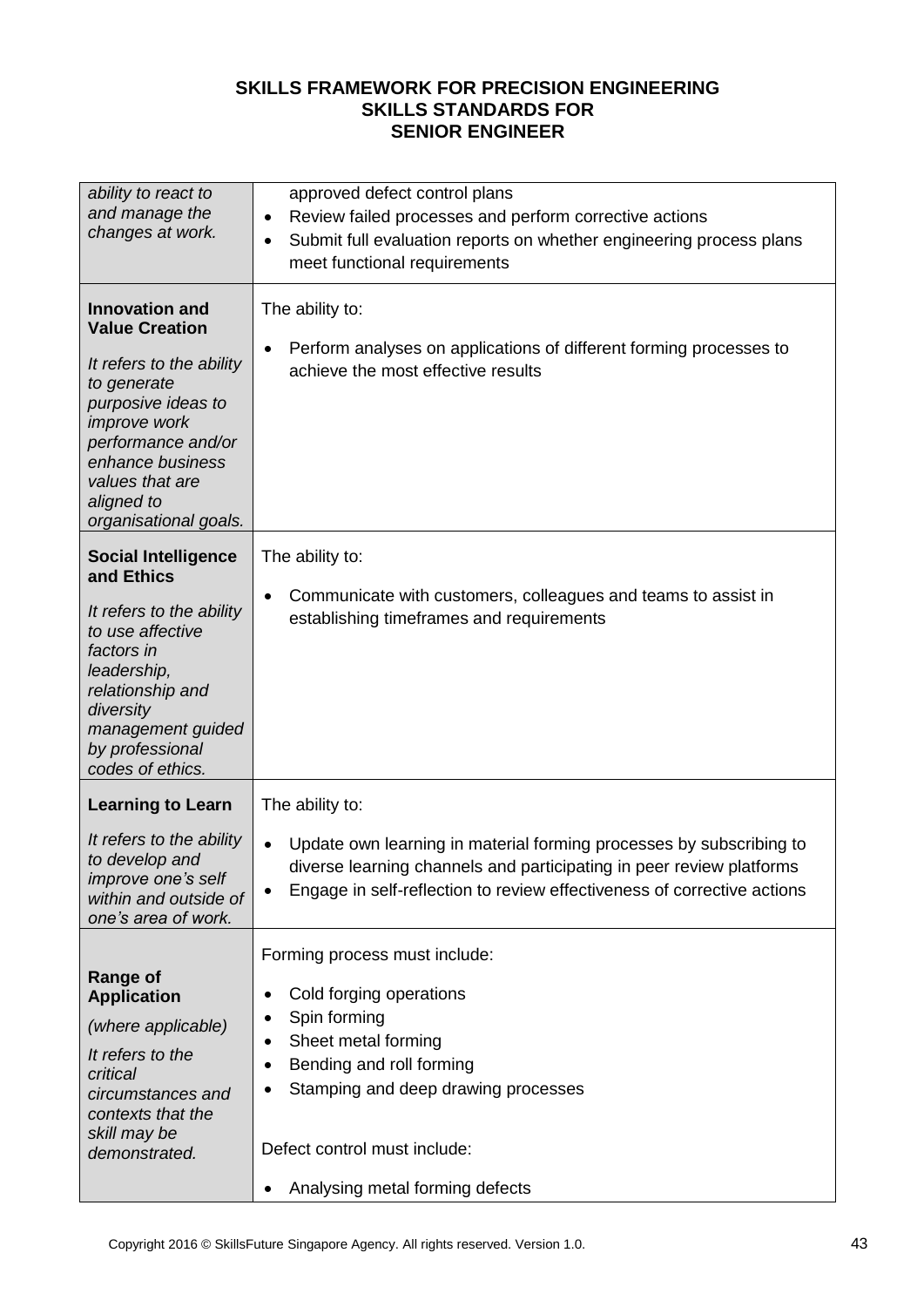| ability to react to<br>and manage the<br>changes at work.                                                                                                                                                                           | approved defect control plans<br>Review failed processes and perform corrective actions<br>$\bullet$<br>Submit full evaluation reports on whether engineering process plans<br>$\bullet$<br>meet functional requirements                                                            |  |  |  |
|-------------------------------------------------------------------------------------------------------------------------------------------------------------------------------------------------------------------------------------|-------------------------------------------------------------------------------------------------------------------------------------------------------------------------------------------------------------------------------------------------------------------------------------|--|--|--|
| <b>Innovation and</b><br><b>Value Creation</b><br>It refers to the ability<br>to generate<br>purposive ideas to<br>improve work<br>performance and/or<br>enhance business<br>values that are<br>aligned to<br>organisational goals. | The ability to:<br>Perform analyses on applications of different forming processes to<br>٠<br>achieve the most effective results                                                                                                                                                    |  |  |  |
| <b>Social Intelligence</b><br>and Ethics<br>It refers to the ability<br>to use affective<br>factors in<br>leadership,<br>relationship and<br>diversity<br>management guided<br>by professional<br>codes of ethics.                  | The ability to:<br>Communicate with customers, colleagues and teams to assist in<br>$\bullet$<br>establishing timeframes and requirements                                                                                                                                           |  |  |  |
| <b>Learning to Learn</b>                                                                                                                                                                                                            | The ability to:                                                                                                                                                                                                                                                                     |  |  |  |
| It refers to the ability<br>to develop and<br><i>improve one's self</i><br>within and outside of<br>one's area of work.                                                                                                             | Update own learning in material forming processes by subscribing to<br>$\bullet$<br>diverse learning channels and participating in peer review platforms<br>Engage in self-reflection to review effectiveness of corrective actions<br>٠                                            |  |  |  |
| <b>Range of</b><br><b>Application</b><br>(where applicable)<br>It refers to the<br>critical<br>circumstances and<br>contexts that the<br>skill may be<br>demonstrated.                                                              | Forming process must include:<br>Cold forging operations<br>٠<br>Spin forming<br>$\bullet$<br>Sheet metal forming<br>٠<br>Bending and roll forming<br>٠<br>Stamping and deep drawing processes<br>٠<br>Defect control must include:<br>Analysing metal forming defects<br>$\bullet$ |  |  |  |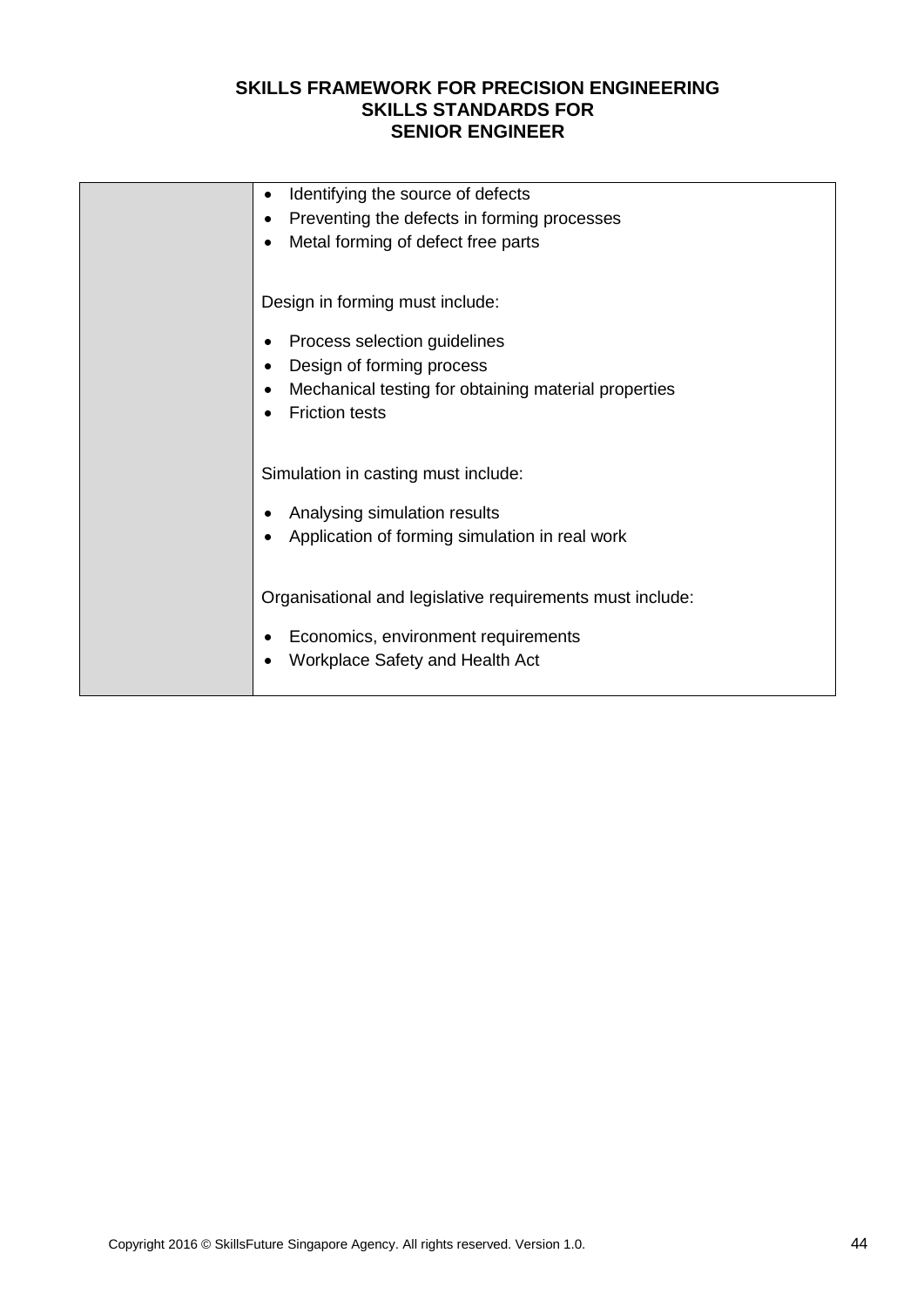| Identifying the source of defects<br>$\bullet$                    |
|-------------------------------------------------------------------|
| Preventing the defects in forming processes                       |
| Metal forming of defect free parts                                |
|                                                                   |
| Design in forming must include:                                   |
| Process selection guidelines<br>٠                                 |
| Design of forming process                                         |
| Mechanical testing for obtaining material properties<br>$\bullet$ |
| <b>Friction tests</b>                                             |
|                                                                   |
| Simulation in casting must include:                               |
|                                                                   |
| Analysing simulation results                                      |
| Application of forming simulation in real work                    |
|                                                                   |
| Organisational and legislative requirements must include:         |
|                                                                   |
| Economics, environment requirements                               |
| Workplace Safety and Health Act                                   |
|                                                                   |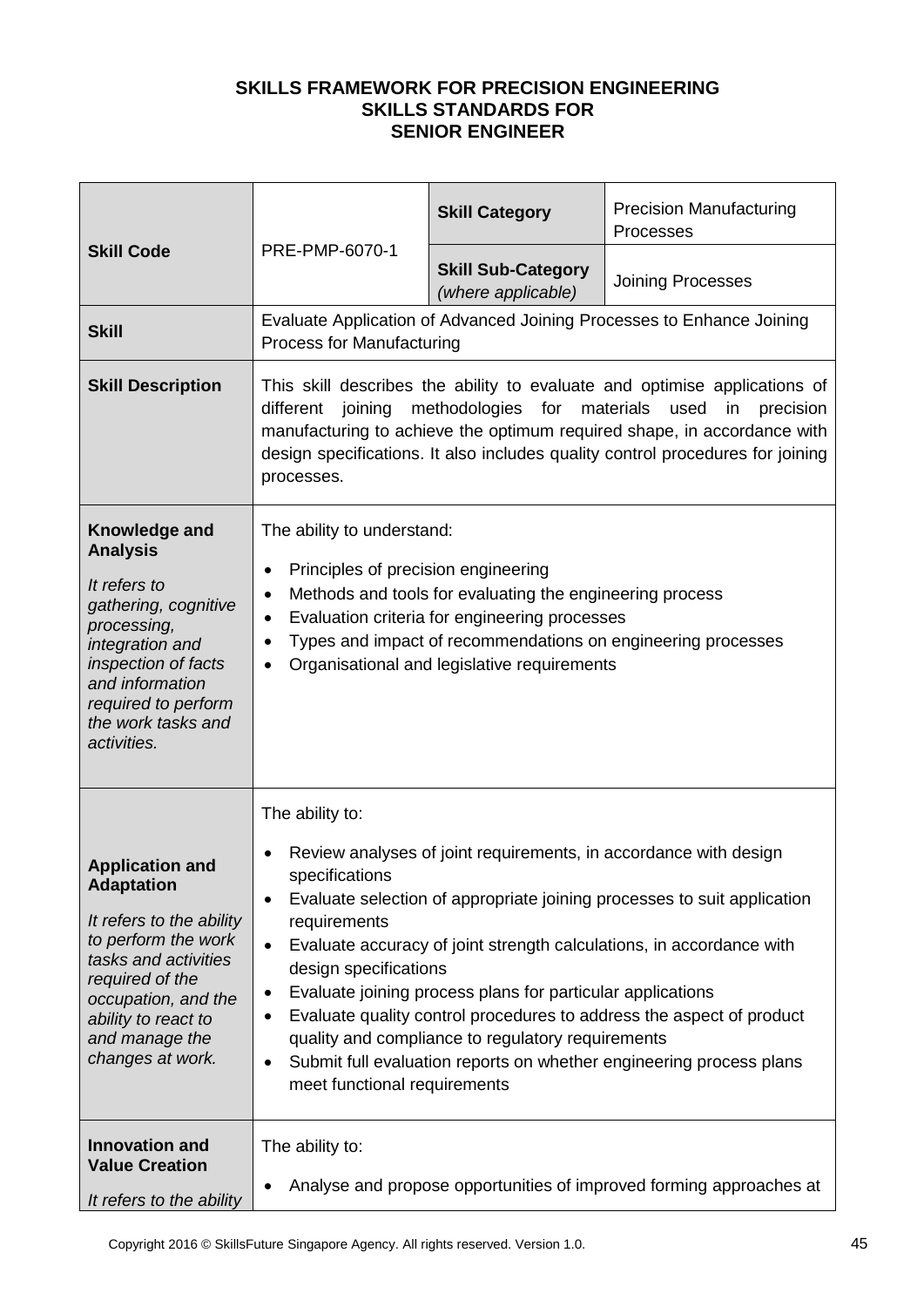| <b>Skill Code</b>                                                                                                                                                                                                             | PRE-PMP-6070-1                                                                                                                                                                                                                                                                                                                                                                                                                                                                                                                                                                                                                                       | <b>Skill Category</b>                           | <b>Precision Manufacturing</b><br>Processes                           |
|-------------------------------------------------------------------------------------------------------------------------------------------------------------------------------------------------------------------------------|------------------------------------------------------------------------------------------------------------------------------------------------------------------------------------------------------------------------------------------------------------------------------------------------------------------------------------------------------------------------------------------------------------------------------------------------------------------------------------------------------------------------------------------------------------------------------------------------------------------------------------------------------|-------------------------------------------------|-----------------------------------------------------------------------|
|                                                                                                                                                                                                                               |                                                                                                                                                                                                                                                                                                                                                                                                                                                                                                                                                                                                                                                      | <b>Skill Sub-Category</b><br>(where applicable) | <b>Joining Processes</b>                                              |
| <b>Skill</b>                                                                                                                                                                                                                  | <b>Process for Manufacturing</b>                                                                                                                                                                                                                                                                                                                                                                                                                                                                                                                                                                                                                     |                                                 | Evaluate Application of Advanced Joining Processes to Enhance Joining |
| <b>Skill Description</b>                                                                                                                                                                                                      | This skill describes the ability to evaluate and optimise applications of<br>methodologies<br>materials<br>different<br>joining<br>for<br>used<br>in<br>precision<br>manufacturing to achieve the optimum required shape, in accordance with<br>design specifications. It also includes quality control procedures for joining<br>processes.                                                                                                                                                                                                                                                                                                         |                                                 |                                                                       |
| Knowledge and<br><b>Analysis</b><br>It refers to<br>gathering, cognitive<br>processing,<br>integration and<br>inspection of facts<br>and information<br>required to perform<br>the work tasks and<br>activities.              | The ability to understand:<br>Principles of precision engineering<br>$\bullet$<br>Methods and tools for evaluating the engineering process<br>$\bullet$<br>Evaluation criteria for engineering processes<br>$\bullet$<br>Types and impact of recommendations on engineering processes<br>$\bullet$<br>Organisational and legislative requirements<br>$\bullet$                                                                                                                                                                                                                                                                                       |                                                 |                                                                       |
| <b>Application and</b><br><b>Adaptation</b><br>It refers to the ability<br>to perform the work<br>tasks and activities<br>required of the<br>occupation, and the<br>ability to react to<br>and manage the<br>changes at work. | The ability to:<br>Review analyses of joint requirements, in accordance with design<br>specifications<br>Evaluate selection of appropriate joining processes to suit application<br>٠<br>requirements<br>Evaluate accuracy of joint strength calculations, in accordance with<br>$\bullet$<br>design specifications<br>Evaluate joining process plans for particular applications<br>$\bullet$<br>Evaluate quality control procedures to address the aspect of product<br>٠<br>quality and compliance to regulatory requirements<br>Submit full evaluation reports on whether engineering process plans<br>$\bullet$<br>meet functional requirements |                                                 |                                                                       |
| <b>Innovation and</b><br><b>Value Creation</b><br>It refers to the ability                                                                                                                                                    | The ability to:<br>Analyse and propose opportunities of improved forming approaches at                                                                                                                                                                                                                                                                                                                                                                                                                                                                                                                                                               |                                                 |                                                                       |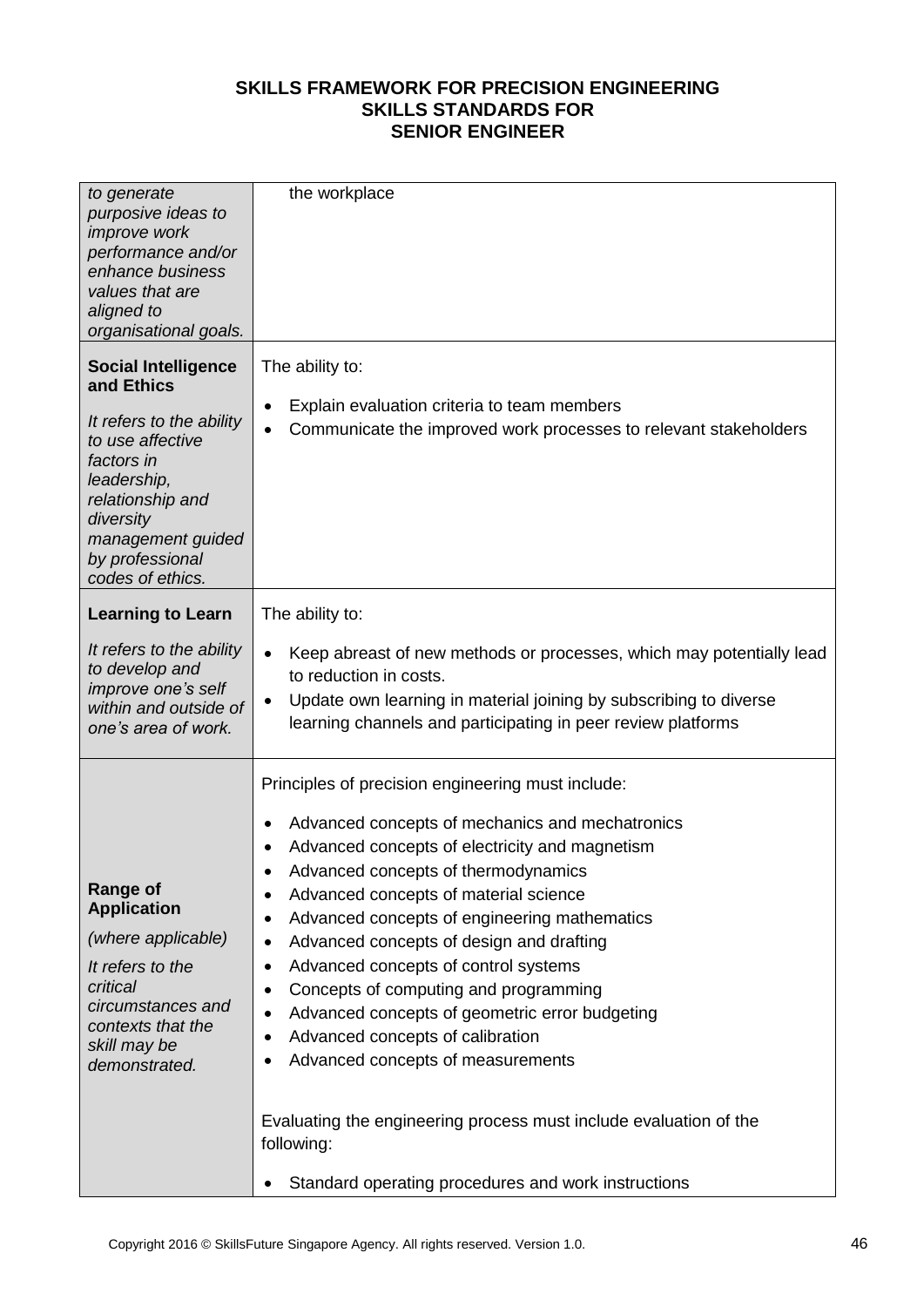| to generate<br>purposive ideas to<br><i>improve</i> work<br>performance and/or<br>enhance business<br>values that are<br>aligned to<br>organisational goals.                                                       | the workplace                                                                                                                                                                                                                                                                                                                                                                                                                                                                                                                                                                                                                                                                                                                                                      |
|--------------------------------------------------------------------------------------------------------------------------------------------------------------------------------------------------------------------|--------------------------------------------------------------------------------------------------------------------------------------------------------------------------------------------------------------------------------------------------------------------------------------------------------------------------------------------------------------------------------------------------------------------------------------------------------------------------------------------------------------------------------------------------------------------------------------------------------------------------------------------------------------------------------------------------------------------------------------------------------------------|
| <b>Social Intelligence</b><br>and Ethics<br>It refers to the ability<br>to use affective<br>factors in<br>leadership,<br>relationship and<br>diversity<br>management guided<br>by professional<br>codes of ethics. | The ability to:<br>Explain evaluation criteria to team members<br>٠<br>Communicate the improved work processes to relevant stakeholders<br>$\bullet$                                                                                                                                                                                                                                                                                                                                                                                                                                                                                                                                                                                                               |
| <b>Learning to Learn</b><br>It refers to the ability<br>to develop and<br>improve one's self<br>within and outside of<br>one's area of work.                                                                       | The ability to:<br>Keep abreast of new methods or processes, which may potentially lead<br>$\bullet$<br>to reduction in costs.<br>Update own learning in material joining by subscribing to diverse<br>$\bullet$<br>learning channels and participating in peer review platforms                                                                                                                                                                                                                                                                                                                                                                                                                                                                                   |
| <b>Range of</b><br><b>Application</b><br>(where applicable)<br>It refers to the<br>critical<br>circumstances and<br>contexts that the<br>skill may be<br>demonstrated.                                             | Principles of precision engineering must include:<br>Advanced concepts of mechanics and mechatronics<br>٠<br>Advanced concepts of electricity and magnetism<br>Advanced concepts of thermodynamics<br>Advanced concepts of material science<br>٠<br>Advanced concepts of engineering mathematics<br>٠<br>Advanced concepts of design and drafting<br>٠<br>Advanced concepts of control systems<br>$\bullet$<br>Concepts of computing and programming<br>$\bullet$<br>Advanced concepts of geometric error budgeting<br>$\bullet$<br>Advanced concepts of calibration<br>٠<br>Advanced concepts of measurements<br>٠<br>Evaluating the engineering process must include evaluation of the<br>following:<br>Standard operating procedures and work instructions<br>٠ |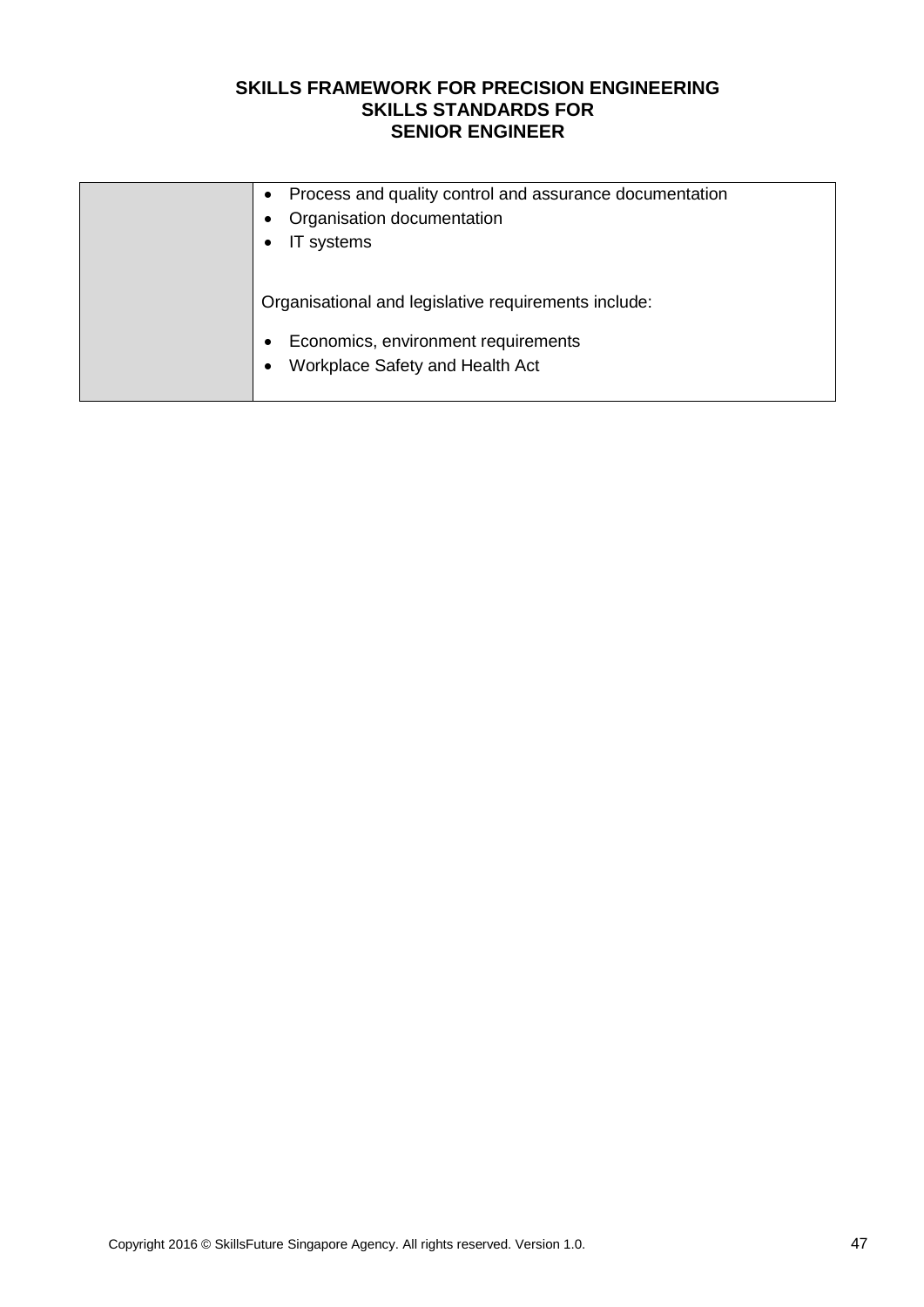| Process and quality control and assurance documentation |
|---------------------------------------------------------|
| Organisation documentation                              |
| IT systems                                              |
|                                                         |
| Organisational and legislative requirements include:    |
| Economics, environment requirements<br>٠                |
| Workplace Safety and Health Act                         |
|                                                         |
|                                                         |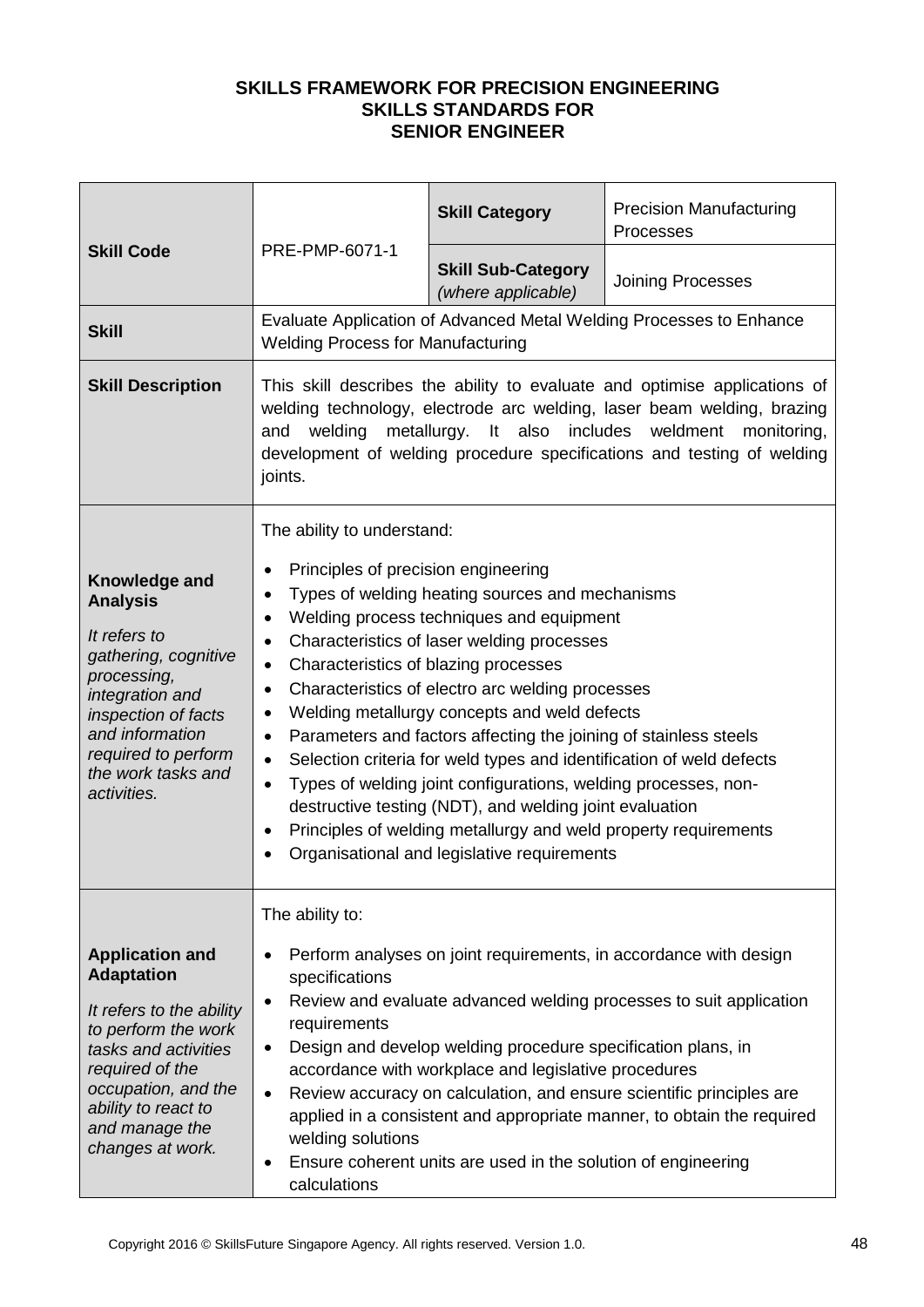| <b>Skill Code</b>                                                                                                                                                                                                | PRE-PMP-6071-1                                                                                                                                                                                                                                                                                                                                                                                                                                                                                                                                                                                                                                                                                                                                                                                                                                                                                            | <b>Skill Category</b>                           | <b>Precision Manufacturing</b><br>Processes                         |
|------------------------------------------------------------------------------------------------------------------------------------------------------------------------------------------------------------------|-----------------------------------------------------------------------------------------------------------------------------------------------------------------------------------------------------------------------------------------------------------------------------------------------------------------------------------------------------------------------------------------------------------------------------------------------------------------------------------------------------------------------------------------------------------------------------------------------------------------------------------------------------------------------------------------------------------------------------------------------------------------------------------------------------------------------------------------------------------------------------------------------------------|-------------------------------------------------|---------------------------------------------------------------------|
|                                                                                                                                                                                                                  |                                                                                                                                                                                                                                                                                                                                                                                                                                                                                                                                                                                                                                                                                                                                                                                                                                                                                                           | <b>Skill Sub-Category</b><br>(where applicable) | <b>Joining Processes</b>                                            |
| <b>Skill</b>                                                                                                                                                                                                     | <b>Welding Process for Manufacturing</b>                                                                                                                                                                                                                                                                                                                                                                                                                                                                                                                                                                                                                                                                                                                                                                                                                                                                  |                                                 | Evaluate Application of Advanced Metal Welding Processes to Enhance |
| <b>Skill Description</b>                                                                                                                                                                                         | This skill describes the ability to evaluate and optimise applications of<br>welding technology, electrode arc welding, laser beam welding, brazing<br>welding metallurgy. It also includes weldment<br>monitoring,<br>and<br>development of welding procedure specifications and testing of welding<br>joints.                                                                                                                                                                                                                                                                                                                                                                                                                                                                                                                                                                                           |                                                 |                                                                     |
| Knowledge and<br><b>Analysis</b><br>It refers to<br>gathering, cognitive<br>processing,<br>integration and<br>inspection of facts<br>and information<br>required to perform<br>the work tasks and<br>activities. | The ability to understand:<br>Principles of precision engineering<br>$\bullet$<br>Types of welding heating sources and mechanisms<br>$\bullet$<br>Welding process techniques and equipment<br>٠<br>Characteristics of laser welding processes<br>$\bullet$<br>Characteristics of blazing processes<br>$\bullet$<br>Characteristics of electro arc welding processes<br>$\bullet$<br>Welding metallurgy concepts and weld defects<br>$\bullet$<br>Parameters and factors affecting the joining of stainless steels<br>$\bullet$<br>Selection criteria for weld types and identification of weld defects<br>$\bullet$<br>Types of welding joint configurations, welding processes, non-<br>$\bullet$<br>destructive testing (NDT), and welding joint evaluation<br>Principles of welding metallurgy and weld property requirements<br>$\bullet$<br>Organisational and legislative requirements<br>$\bullet$ |                                                 |                                                                     |
|                                                                                                                                                                                                                  | The ability to:                                                                                                                                                                                                                                                                                                                                                                                                                                                                                                                                                                                                                                                                                                                                                                                                                                                                                           |                                                 |                                                                     |
| <b>Application and</b><br><b>Adaptation</b>                                                                                                                                                                      | Perform analyses on joint requirements, in accordance with design<br>$\bullet$<br>specifications                                                                                                                                                                                                                                                                                                                                                                                                                                                                                                                                                                                                                                                                                                                                                                                                          |                                                 |                                                                     |
| It refers to the ability<br>to perform the work<br>tasks and activities<br>required of the<br>occupation, and the<br>ability to react to<br>and manage the<br>changes at work.                                   | Review and evaluate advanced welding processes to suit application<br>$\bullet$<br>requirements<br>Design and develop welding procedure specification plans, in<br>$\bullet$<br>accordance with workplace and legislative procedures<br>Review accuracy on calculation, and ensure scientific principles are<br>$\bullet$<br>applied in a consistent and appropriate manner, to obtain the required<br>welding solutions<br>Ensure coherent units are used in the solution of engineering<br>٠<br>calculations                                                                                                                                                                                                                                                                                                                                                                                            |                                                 |                                                                     |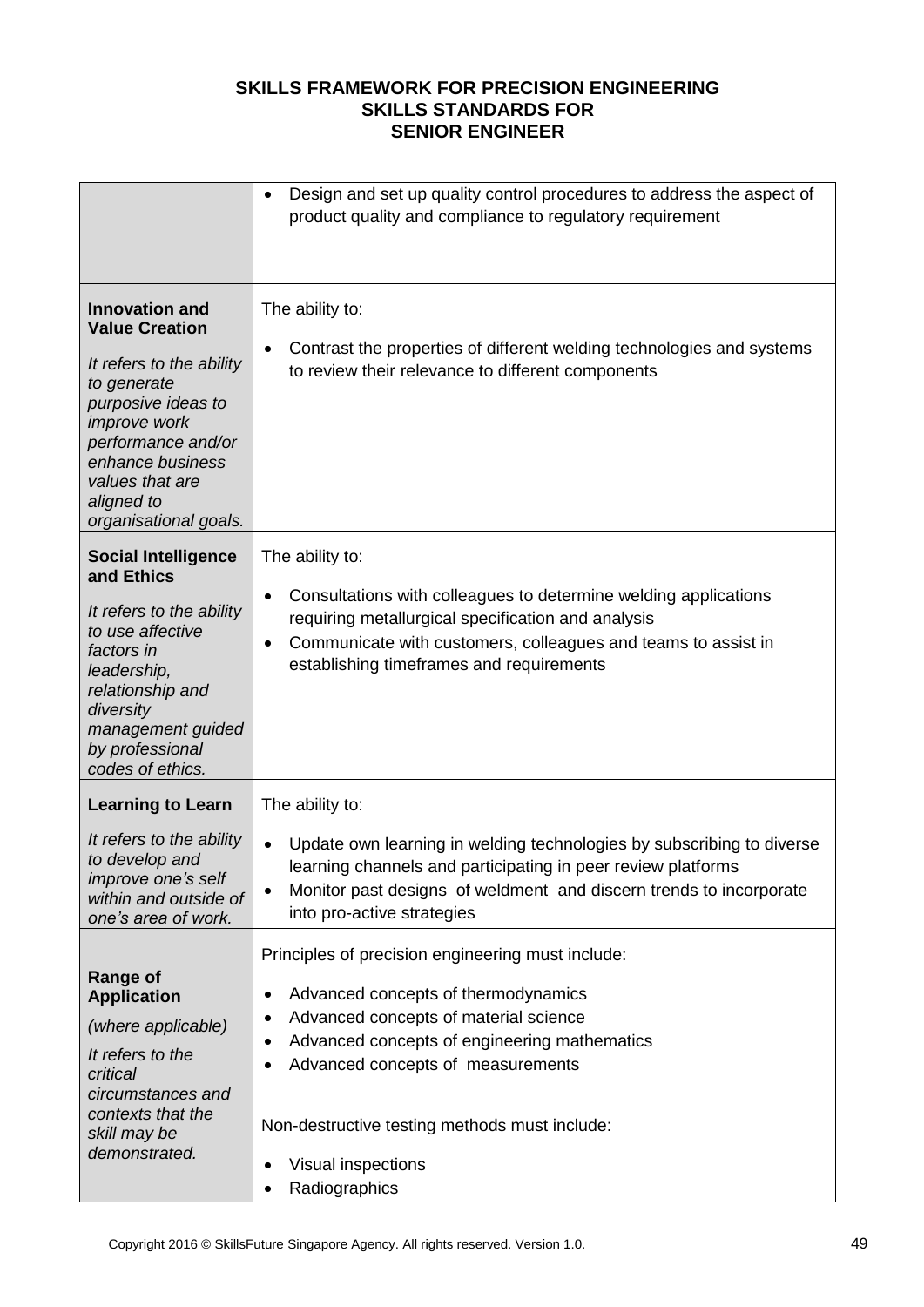|                                                                                                                                                                                                                                            | Design and set up quality control procedures to address the aspect of<br>$\bullet$<br>product quality and compliance to regulatory requirement                                                                                                                                                                                                       |
|--------------------------------------------------------------------------------------------------------------------------------------------------------------------------------------------------------------------------------------------|------------------------------------------------------------------------------------------------------------------------------------------------------------------------------------------------------------------------------------------------------------------------------------------------------------------------------------------------------|
| <b>Innovation and</b><br><b>Value Creation</b><br>It refers to the ability<br>to generate<br>purposive ideas to<br><i>improve</i> work<br>performance and/or<br>enhance business<br>values that are<br>aligned to<br>organisational goals. | The ability to:<br>Contrast the properties of different welding technologies and systems<br>٠<br>to review their relevance to different components                                                                                                                                                                                                   |
| <b>Social Intelligence</b><br>and Ethics<br>It refers to the ability<br>to use affective<br>factors in<br>leadership,<br>relationship and<br>diversity<br>management guided<br>by professional<br>codes of ethics.                         | The ability to:<br>Consultations with colleagues to determine welding applications<br>$\bullet$<br>requiring metallurgical specification and analysis<br>Communicate with customers, colleagues and teams to assist in<br>$\bullet$<br>establishing timeframes and requirements                                                                      |
| <b>Learning to Learn</b>                                                                                                                                                                                                                   | The ability to:                                                                                                                                                                                                                                                                                                                                      |
| It refers to the ability<br>to develop and<br><i>improve one's self</i><br>within and outside of<br>one's area of work.                                                                                                                    | Update own learning in welding technologies by subscribing to diverse<br>$\bullet$<br>learning channels and participating in peer review platforms<br>Monitor past designs of weldment and discern trends to incorporate<br>$\bullet$<br>into pro-active strategies                                                                                  |
| <b>Range of</b><br><b>Application</b><br>(where applicable)<br>It refers to the<br>critical<br>circumstances and<br>contexts that the<br>skill may be<br>demonstrated.                                                                     | Principles of precision engineering must include:<br>Advanced concepts of thermodynamics<br>٠<br>Advanced concepts of material science<br>٠<br>Advanced concepts of engineering mathematics<br>٠<br>Advanced concepts of measurements<br>$\bullet$<br>Non-destructive testing methods must include:<br>Visual inspections<br>٠<br>Radiographics<br>٠ |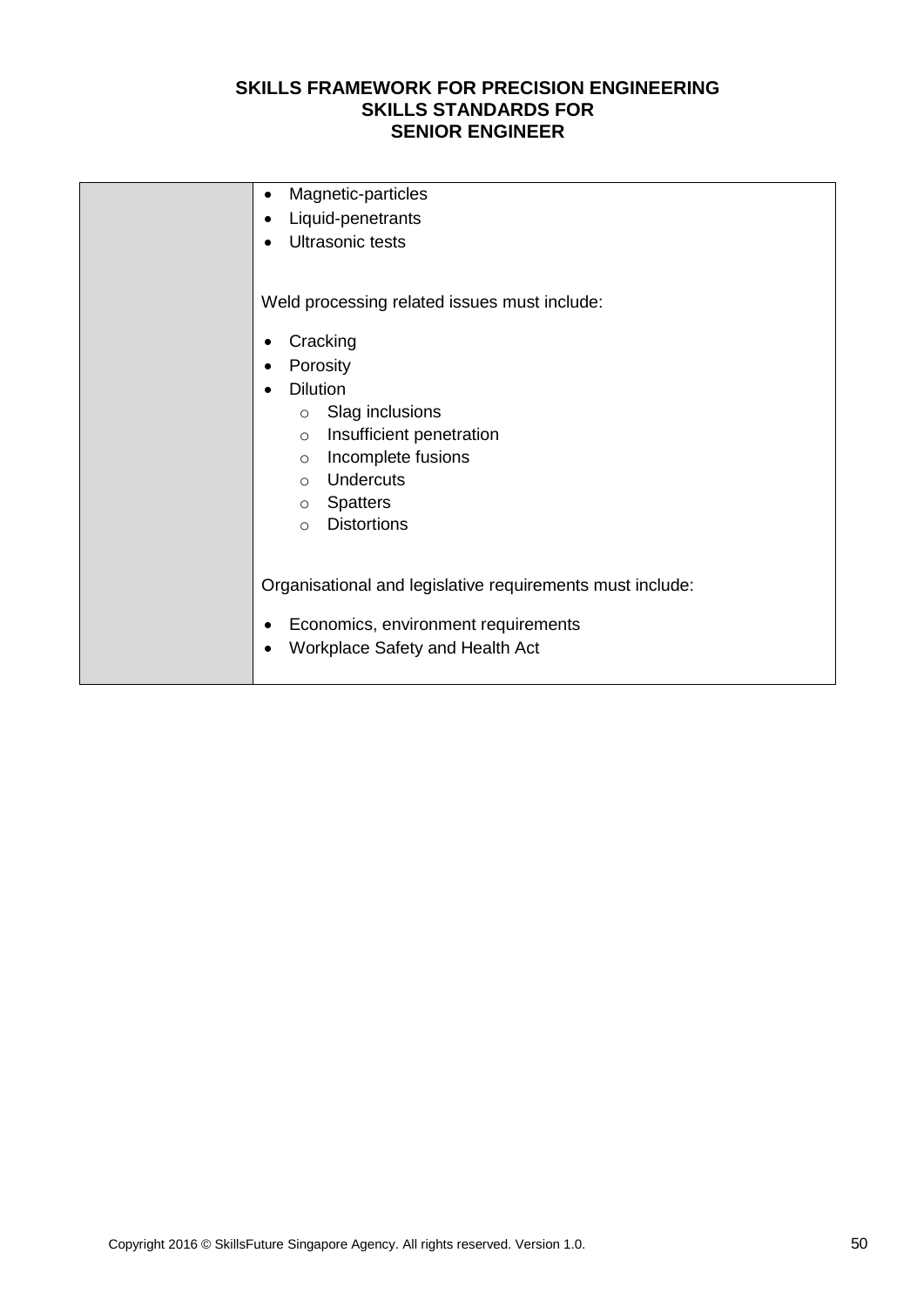| Magnetic-particles<br>٠                                   |
|-----------------------------------------------------------|
| Liquid-penetrants<br>$\bullet$                            |
| Ultrasonic tests<br>$\bullet$                             |
| Weld processing related issues must include:              |
| Cracking<br>٠                                             |
| Porosity<br>$\bullet$                                     |
| <b>Dilution</b><br>$\bullet$                              |
| Slag inclusions<br>$\circ$                                |
| Insufficient penetration<br>$\circ$                       |
| Incomplete fusions<br>$\circ$                             |
| Undercuts<br>$\circ$                                      |
| <b>Spatters</b><br>$\circ$                                |
| <b>Distortions</b><br>$\circ$                             |
|                                                           |
|                                                           |
| Organisational and legislative requirements must include: |
| Economics, environment requirements<br>$\bullet$          |
|                                                           |
| Workplace Safety and Health Act<br>$\bullet$              |
|                                                           |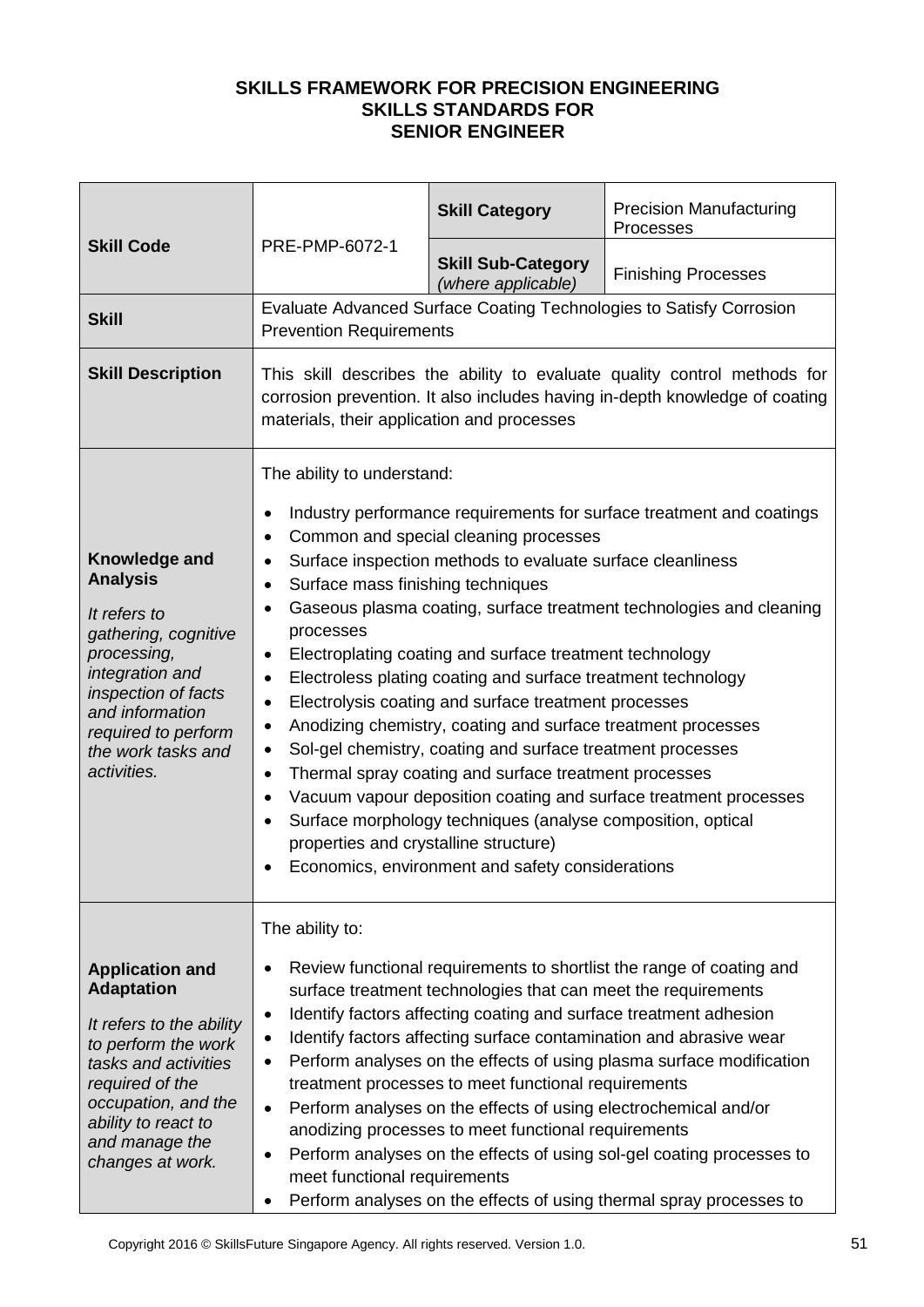|                                                                                                                                                                                                                               |                                                                                                                                                                                                                                                                                                                                                                                                                                                                                                                                                                                                                                                                                                                                                                                                                                                                                                                                                                                                                                                                            | <b>Skill Category</b>                                                                                                                                                                                                                                                                                               | <b>Precision Manufacturing</b><br>Processes                                                                                                                                                                                                                                                                                                                        |
|-------------------------------------------------------------------------------------------------------------------------------------------------------------------------------------------------------------------------------|----------------------------------------------------------------------------------------------------------------------------------------------------------------------------------------------------------------------------------------------------------------------------------------------------------------------------------------------------------------------------------------------------------------------------------------------------------------------------------------------------------------------------------------------------------------------------------------------------------------------------------------------------------------------------------------------------------------------------------------------------------------------------------------------------------------------------------------------------------------------------------------------------------------------------------------------------------------------------------------------------------------------------------------------------------------------------|---------------------------------------------------------------------------------------------------------------------------------------------------------------------------------------------------------------------------------------------------------------------------------------------------------------------|--------------------------------------------------------------------------------------------------------------------------------------------------------------------------------------------------------------------------------------------------------------------------------------------------------------------------------------------------------------------|
| <b>Skill Code</b><br>PRE-PMP-6072-1                                                                                                                                                                                           | <b>Skill Sub-Category</b><br>(where applicable)                                                                                                                                                                                                                                                                                                                                                                                                                                                                                                                                                                                                                                                                                                                                                                                                                                                                                                                                                                                                                            | <b>Finishing Processes</b>                                                                                                                                                                                                                                                                                          |                                                                                                                                                                                                                                                                                                                                                                    |
| <b>Skill</b>                                                                                                                                                                                                                  | <b>Prevention Requirements</b>                                                                                                                                                                                                                                                                                                                                                                                                                                                                                                                                                                                                                                                                                                                                                                                                                                                                                                                                                                                                                                             |                                                                                                                                                                                                                                                                                                                     | Evaluate Advanced Surface Coating Technologies to Satisfy Corrosion                                                                                                                                                                                                                                                                                                |
| <b>Skill Description</b>                                                                                                                                                                                                      | This skill describes the ability to evaluate quality control methods for<br>corrosion prevention. It also includes having in-depth knowledge of coating<br>materials, their application and processes                                                                                                                                                                                                                                                                                                                                                                                                                                                                                                                                                                                                                                                                                                                                                                                                                                                                      |                                                                                                                                                                                                                                                                                                                     |                                                                                                                                                                                                                                                                                                                                                                    |
| Knowledge and<br><b>Analysis</b><br>It refers to<br>gathering, cognitive<br>processing,<br>integration and<br>inspection of facts<br>and information<br>required to perform<br>the work tasks and<br>activities.              | The ability to understand:<br>Industry performance requirements for surface treatment and coatings<br>٠<br>Common and special cleaning processes<br>$\bullet$<br>Surface inspection methods to evaluate surface cleanliness<br>٠<br>Surface mass finishing techniques<br>$\bullet$<br>Gaseous plasma coating, surface treatment technologies and cleaning<br>$\bullet$<br>processes<br>Electroplating coating and surface treatment technology<br>٠<br>Electroless plating coating and surface treatment technology<br>$\bullet$<br>Electrolysis coating and surface treatment processes<br>٠<br>Anodizing chemistry, coating and surface treatment processes<br>٠<br>Sol-gel chemistry, coating and surface treatment processes<br>٠<br>Thermal spray coating and surface treatment processes<br>$\bullet$<br>Vacuum vapour deposition coating and surface treatment processes<br>$\bullet$<br>Surface morphology techniques (analyse composition, optical<br>٠<br>properties and crystalline structure)<br>Economics, environment and safety considerations<br>$\bullet$ |                                                                                                                                                                                                                                                                                                                     |                                                                                                                                                                                                                                                                                                                                                                    |
| <b>Application and</b><br><b>Adaptation</b><br>It refers to the ability<br>to perform the work<br>tasks and activities<br>required of the<br>occupation, and the<br>ability to react to<br>and manage the<br>changes at work. | The ability to:<br>٠<br>٠<br>٠<br>٠<br>$\bullet$<br>٠<br>meet functional requirements                                                                                                                                                                                                                                                                                                                                                                                                                                                                                                                                                                                                                                                                                                                                                                                                                                                                                                                                                                                      | surface treatment technologies that can meet the requirements<br>Identify factors affecting coating and surface treatment adhesion<br>treatment processes to meet functional requirements<br>Perform analyses on the effects of using electrochemical and/or<br>anodizing processes to meet functional requirements | Review functional requirements to shortlist the range of coating and<br>Identify factors affecting surface contamination and abrasive wear<br>Perform analyses on the effects of using plasma surface modification<br>Perform analyses on the effects of using sol-gel coating processes to<br>Perform analyses on the effects of using thermal spray processes to |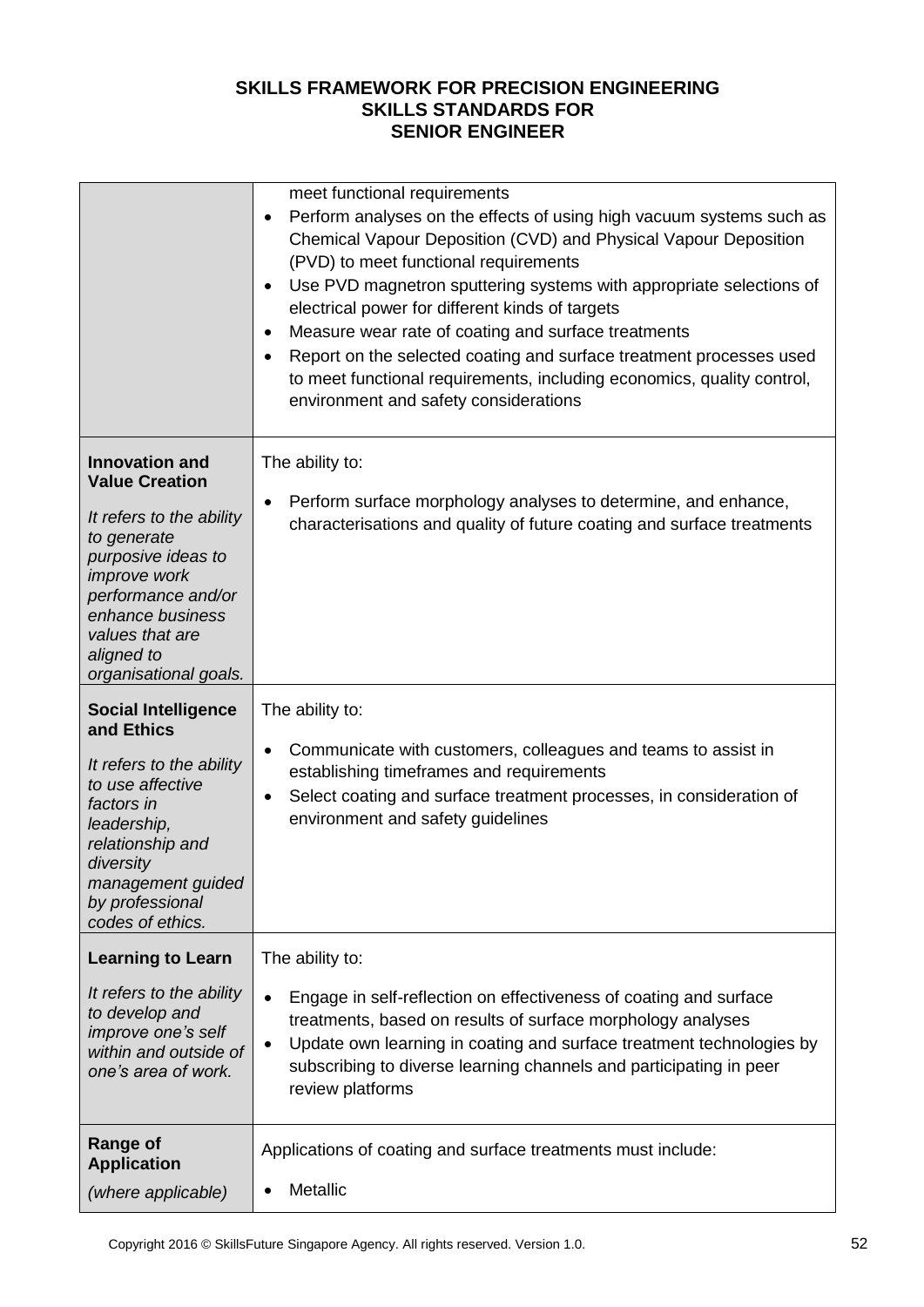|                                                                                                                                                                                                                                            | meet functional requirements<br>Perform analyses on the effects of using high vacuum systems such as<br>$\bullet$<br>Chemical Vapour Deposition (CVD) and Physical Vapour Deposition<br>(PVD) to meet functional requirements<br>Use PVD magnetron sputtering systems with appropriate selections of<br>$\bullet$<br>electrical power for different kinds of targets<br>Measure wear rate of coating and surface treatments<br>$\bullet$<br>Report on the selected coating and surface treatment processes used<br>$\bullet$<br>to meet functional requirements, including economics, quality control,<br>environment and safety considerations |
|--------------------------------------------------------------------------------------------------------------------------------------------------------------------------------------------------------------------------------------------|-------------------------------------------------------------------------------------------------------------------------------------------------------------------------------------------------------------------------------------------------------------------------------------------------------------------------------------------------------------------------------------------------------------------------------------------------------------------------------------------------------------------------------------------------------------------------------------------------------------------------------------------------|
| <b>Innovation and</b><br><b>Value Creation</b><br>It refers to the ability<br>to generate<br>purposive ideas to<br><i>improve</i> work<br>performance and/or<br>enhance business<br>values that are<br>aligned to<br>organisational goals. | The ability to:<br>Perform surface morphology analyses to determine, and enhance,<br>٠<br>characterisations and quality of future coating and surface treatments                                                                                                                                                                                                                                                                                                                                                                                                                                                                                |
| <b>Social Intelligence</b><br>and Ethics<br>It refers to the ability<br>to use affective<br>factors in<br>leadership,<br>relationship and<br>diversity<br>management guided<br>by professional<br>codes of ethics.                         | The ability to:<br>Communicate with customers, colleagues and teams to assist in<br>$\bullet$<br>establishing timeframes and requirements<br>Select coating and surface treatment processes, in consideration of<br>٠<br>environment and safety guidelines                                                                                                                                                                                                                                                                                                                                                                                      |
| <b>Learning to Learn</b><br>It refers to the ability<br>to develop and<br>improve one's self<br>within and outside of<br>one's area of work.                                                                                               | The ability to:<br>Engage in self-reflection on effectiveness of coating and surface<br>$\bullet$<br>treatments, based on results of surface morphology analyses<br>Update own learning in coating and surface treatment technologies by<br>$\bullet$<br>subscribing to diverse learning channels and participating in peer<br>review platforms                                                                                                                                                                                                                                                                                                 |
| <b>Range of</b><br><b>Application</b><br>(where applicable)                                                                                                                                                                                | Applications of coating and surface treatments must include:<br><b>Metallic</b><br>$\bullet$                                                                                                                                                                                                                                                                                                                                                                                                                                                                                                                                                    |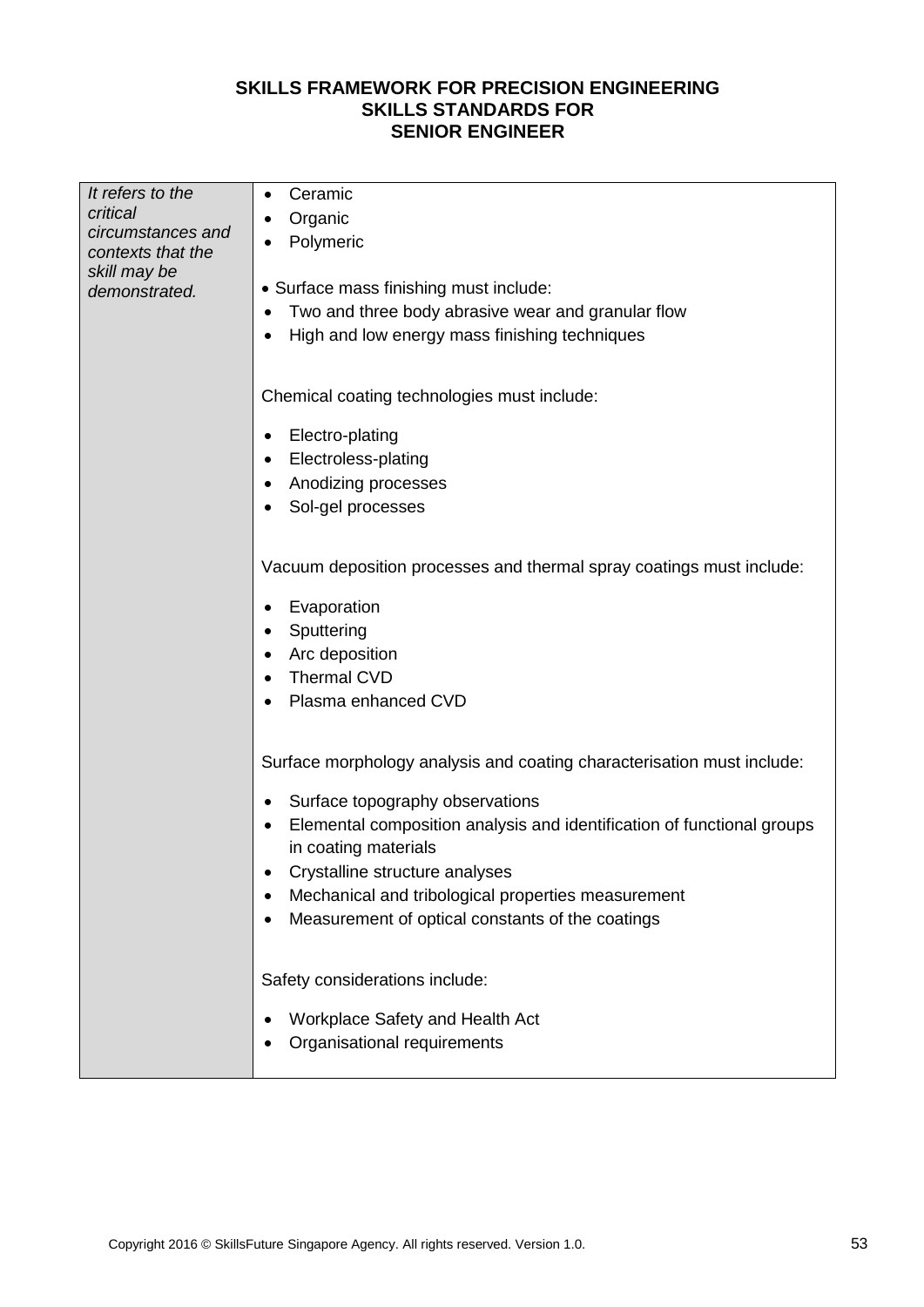| It refers to the                  | Ceramic<br>$\bullet$                                                        |  |  |  |
|-----------------------------------|-----------------------------------------------------------------------------|--|--|--|
| critical                          | Organic<br>٠                                                                |  |  |  |
| circumstances and                 | Polymeric<br>٠                                                              |  |  |  |
| contexts that the<br>skill may be |                                                                             |  |  |  |
| demonstrated.                     | • Surface mass finishing must include:                                      |  |  |  |
|                                   | Two and three body abrasive wear and granular flow                          |  |  |  |
|                                   | High and low energy mass finishing techniques<br>$\bullet$                  |  |  |  |
|                                   |                                                                             |  |  |  |
|                                   |                                                                             |  |  |  |
|                                   | Chemical coating technologies must include:                                 |  |  |  |
|                                   | Electro-plating<br>$\bullet$                                                |  |  |  |
|                                   | Electroless-plating<br>$\bullet$                                            |  |  |  |
|                                   | Anodizing processes<br>٠                                                    |  |  |  |
|                                   | Sol-gel processes                                                           |  |  |  |
|                                   |                                                                             |  |  |  |
|                                   |                                                                             |  |  |  |
|                                   | Vacuum deposition processes and thermal spray coatings must include:        |  |  |  |
|                                   | Evaporation<br>٠                                                            |  |  |  |
|                                   | Sputtering<br>$\bullet$                                                     |  |  |  |
|                                   | Arc deposition<br>٠                                                         |  |  |  |
|                                   | Thermal CVD<br>$\bullet$                                                    |  |  |  |
|                                   | Plasma enhanced CVD                                                         |  |  |  |
|                                   |                                                                             |  |  |  |
|                                   |                                                                             |  |  |  |
|                                   | Surface morphology analysis and coating characterisation must include:      |  |  |  |
|                                   | Surface topography observations<br>$\bullet$                                |  |  |  |
|                                   | Elemental composition analysis and identification of functional groups<br>٠ |  |  |  |
|                                   | in coating materials                                                        |  |  |  |
|                                   | Crystalline structure analyses                                              |  |  |  |
|                                   | Mechanical and tribological properties measurement<br>٠                     |  |  |  |
|                                   | Measurement of optical constants of the coatings                            |  |  |  |
|                                   |                                                                             |  |  |  |
|                                   |                                                                             |  |  |  |
|                                   | Safety considerations include:                                              |  |  |  |
|                                   | Workplace Safety and Health Act                                             |  |  |  |
|                                   | Organisational requirements                                                 |  |  |  |
|                                   |                                                                             |  |  |  |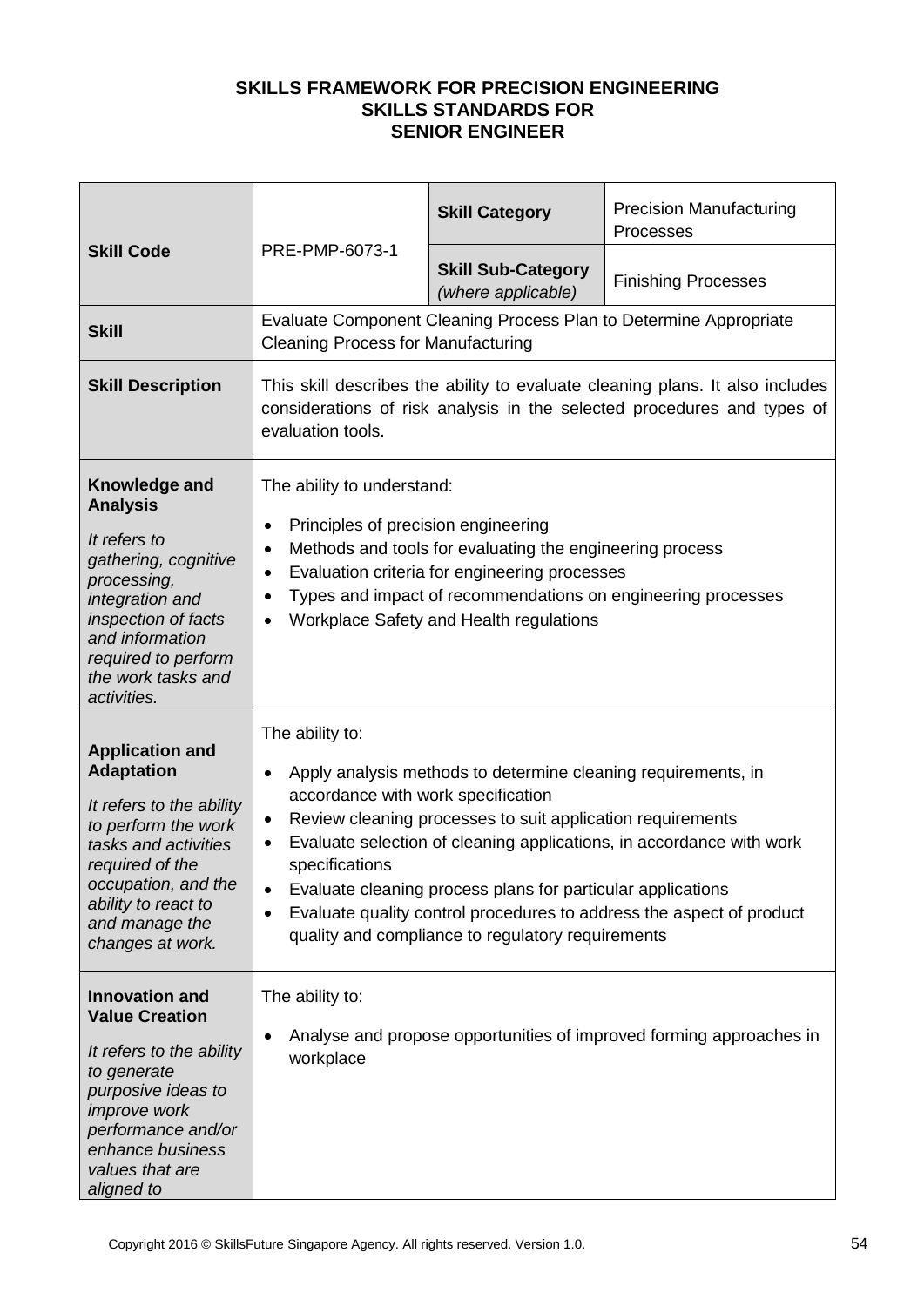|                                                                                                                                                                                                                               | PRE-PMP-6073-1                                                                                                             | <b>Skill Category</b>                                                                                                                                                                                                                           | <b>Precision Manufacturing</b><br>Processes                                                                                                              |
|-------------------------------------------------------------------------------------------------------------------------------------------------------------------------------------------------------------------------------|----------------------------------------------------------------------------------------------------------------------------|-------------------------------------------------------------------------------------------------------------------------------------------------------------------------------------------------------------------------------------------------|----------------------------------------------------------------------------------------------------------------------------------------------------------|
| <b>Skill Code</b>                                                                                                                                                                                                             |                                                                                                                            | <b>Skill Sub-Category</b><br>(where applicable)                                                                                                                                                                                                 | <b>Finishing Processes</b>                                                                                                                               |
| <b>Skill</b>                                                                                                                                                                                                                  | <b>Cleaning Process for Manufacturing</b>                                                                                  |                                                                                                                                                                                                                                                 | Evaluate Component Cleaning Process Plan to Determine Appropriate                                                                                        |
| <b>Skill Description</b>                                                                                                                                                                                                      | evaluation tools.                                                                                                          |                                                                                                                                                                                                                                                 | This skill describes the ability to evaluate cleaning plans. It also includes<br>considerations of risk analysis in the selected procedures and types of |
| Knowledge and<br><b>Analysis</b><br>It refers to<br>gathering, cognitive<br>processing,<br>integration and<br>inspection of facts<br>and information<br>required to perform<br>the work tasks and<br>activities.              | The ability to understand:<br>Principles of precision engineering<br>$\bullet$<br>$\bullet$<br>$\bullet$<br>٠<br>$\bullet$ | Methods and tools for evaluating the engineering process<br>Evaluation criteria for engineering processes<br>Workplace Safety and Health regulations                                                                                            | Types and impact of recommendations on engineering processes                                                                                             |
| <b>Application and</b><br><b>Adaptation</b><br>It refers to the ability<br>to perform the work<br>tasks and activities<br>required of the<br>occupation, and the<br>ability to react to<br>and manage the<br>changes at work. | The ability to:<br>$\bullet$<br>accordance with work specification<br>٠<br>$\bullet$<br>specifications<br>٠                | Apply analysis methods to determine cleaning requirements, in<br>Review cleaning processes to suit application requirements<br>Evaluate cleaning process plans for particular applications<br>quality and compliance to regulatory requirements | Evaluate selection of cleaning applications, in accordance with work<br>Evaluate quality control procedures to address the aspect of product             |
| <b>Innovation and</b><br><b>Value Creation</b><br>It refers to the ability<br>to generate<br>purposive ideas to<br><i>improve</i> work<br>performance and/or<br>enhance business<br>values that are<br>aligned to             | The ability to:<br>٠<br>workplace                                                                                          |                                                                                                                                                                                                                                                 | Analyse and propose opportunities of improved forming approaches in                                                                                      |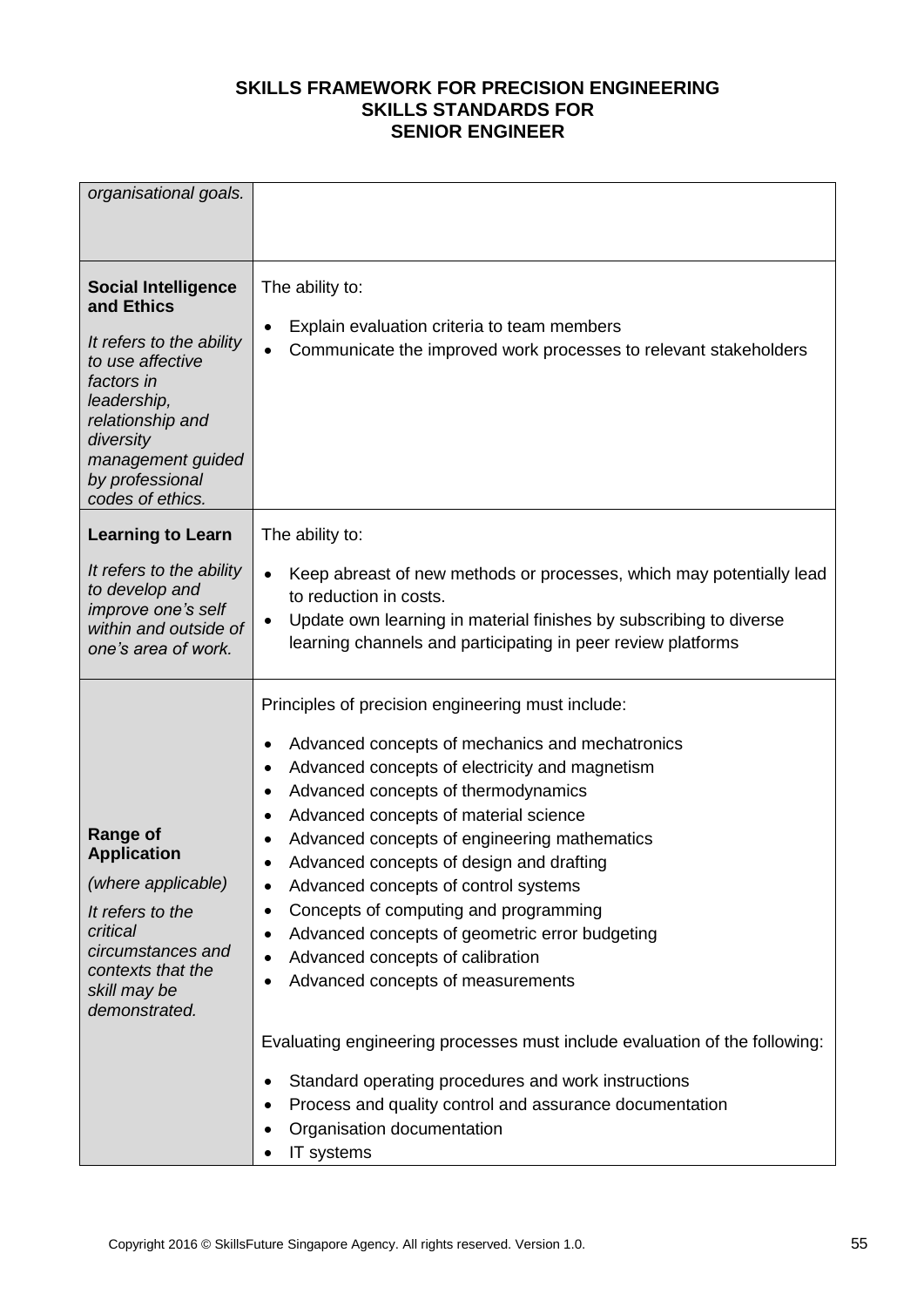| organisational goals.                                                                                                                                                                                              |                                                                                                                                                                                                                                                                                                                                                                                                                                                                                                                                                                                                                                                                                                                                     |
|--------------------------------------------------------------------------------------------------------------------------------------------------------------------------------------------------------------------|-------------------------------------------------------------------------------------------------------------------------------------------------------------------------------------------------------------------------------------------------------------------------------------------------------------------------------------------------------------------------------------------------------------------------------------------------------------------------------------------------------------------------------------------------------------------------------------------------------------------------------------------------------------------------------------------------------------------------------------|
| <b>Social Intelligence</b><br>and Ethics<br>It refers to the ability<br>to use affective<br>factors in<br>leadership,<br>relationship and<br>diversity<br>management guided<br>by professional<br>codes of ethics. | The ability to:<br>Explain evaluation criteria to team members<br>$\bullet$<br>Communicate the improved work processes to relevant stakeholders<br>$\bullet$                                                                                                                                                                                                                                                                                                                                                                                                                                                                                                                                                                        |
| <b>Learning to Learn</b>                                                                                                                                                                                           | The ability to:                                                                                                                                                                                                                                                                                                                                                                                                                                                                                                                                                                                                                                                                                                                     |
| It refers to the ability<br>to develop and<br>improve one's self<br>within and outside of<br>one's area of work.                                                                                                   | Keep abreast of new methods or processes, which may potentially lead<br>$\bullet$<br>to reduction in costs.<br>Update own learning in material finishes by subscribing to diverse<br>$\bullet$<br>learning channels and participating in peer review platforms                                                                                                                                                                                                                                                                                                                                                                                                                                                                      |
| <b>Range of</b><br><b>Application</b><br>(where applicable)<br>It refers to the<br>critical<br>circumstances and<br>contexts that the<br>skill may be<br>demonstrated.                                             | Principles of precision engineering must include:<br>Advanced concepts of mechanics and mechatronics<br>٠<br>Advanced concepts of electricity and magnetism<br>$\bullet$<br>Advanced concepts of thermodynamics<br>٠<br>Advanced concepts of material science<br>$\bullet$<br>Advanced concepts of engineering mathematics<br>$\bullet$<br>Advanced concepts of design and drafting<br>$\bullet$<br>Advanced concepts of control systems<br>$\bullet$<br>Concepts of computing and programming<br>٠<br>Advanced concepts of geometric error budgeting<br>٠<br>Advanced concepts of calibration<br>٠<br>Advanced concepts of measurements<br>$\bullet$<br>Evaluating engineering processes must include evaluation of the following: |
|                                                                                                                                                                                                                    | Standard operating procedures and work instructions<br>$\bullet$<br>Process and quality control and assurance documentation<br>٠<br>Organisation documentation<br>IT systems<br>$\bullet$                                                                                                                                                                                                                                                                                                                                                                                                                                                                                                                                           |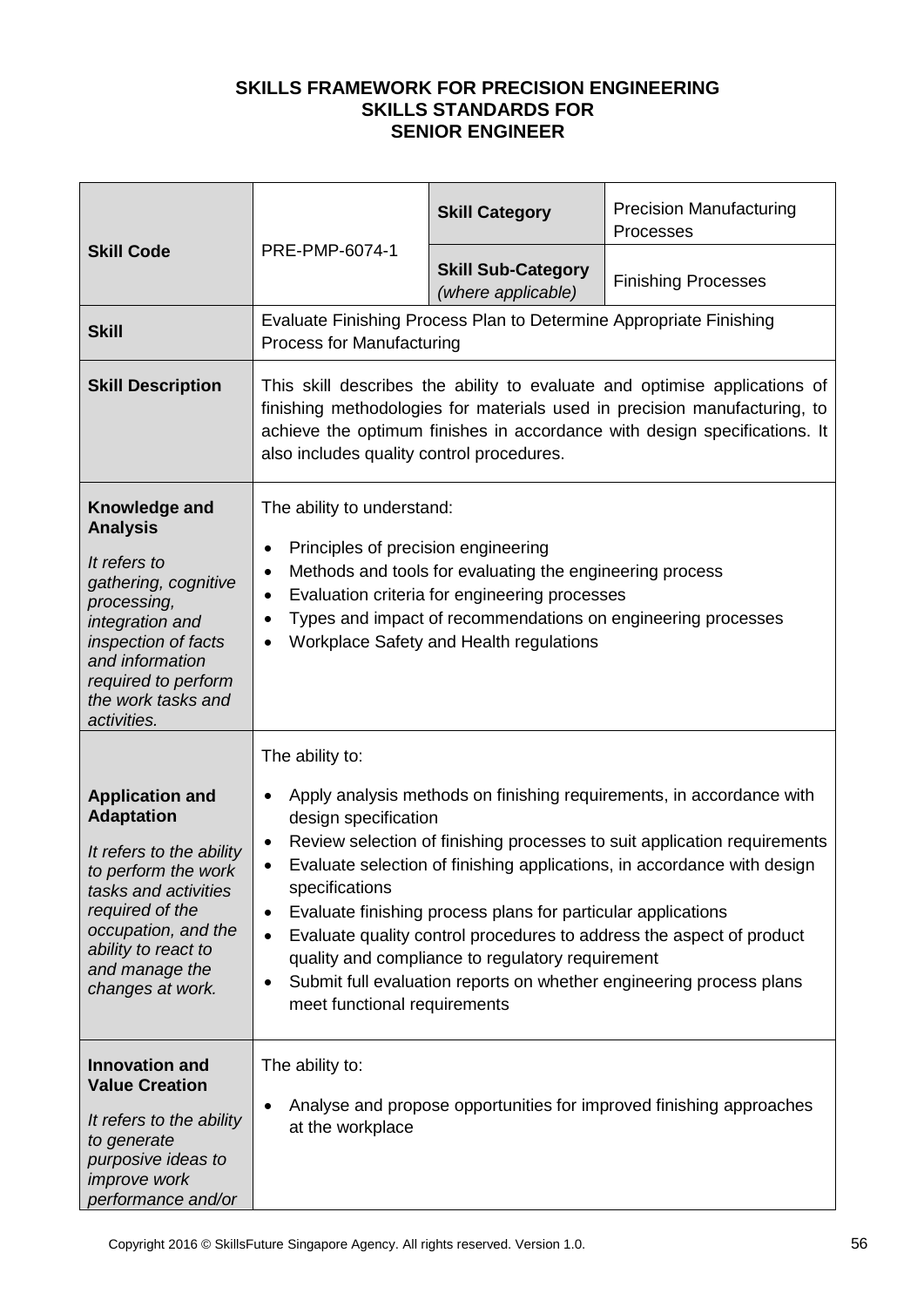|                                                                                                                                                                                                                               |                                                                                                                                                                                                                                                                                                                                                    | <b>Skill Category</b>                                                                                            | <b>Precision Manufacturing</b><br>Processes                                                                                                                                                                                                                                                                                                                                |
|-------------------------------------------------------------------------------------------------------------------------------------------------------------------------------------------------------------------------------|----------------------------------------------------------------------------------------------------------------------------------------------------------------------------------------------------------------------------------------------------------------------------------------------------------------------------------------------------|------------------------------------------------------------------------------------------------------------------|----------------------------------------------------------------------------------------------------------------------------------------------------------------------------------------------------------------------------------------------------------------------------------------------------------------------------------------------------------------------------|
| <b>Skill Code</b>                                                                                                                                                                                                             | PRE-PMP-6074-1                                                                                                                                                                                                                                                                                                                                     | <b>Skill Sub-Category</b><br>(where applicable)                                                                  | <b>Finishing Processes</b>                                                                                                                                                                                                                                                                                                                                                 |
| <b>Skill</b>                                                                                                                                                                                                                  | <b>Process for Manufacturing</b>                                                                                                                                                                                                                                                                                                                   | Evaluate Finishing Process Plan to Determine Appropriate Finishing                                               |                                                                                                                                                                                                                                                                                                                                                                            |
| <b>Skill Description</b>                                                                                                                                                                                                      | This skill describes the ability to evaluate and optimise applications of<br>finishing methodologies for materials used in precision manufacturing, to<br>achieve the optimum finishes in accordance with design specifications. It<br>also includes quality control procedures.                                                                   |                                                                                                                  |                                                                                                                                                                                                                                                                                                                                                                            |
| Knowledge and<br><b>Analysis</b><br>It refers to<br>gathering, cognitive<br>processing,<br>integration and<br>inspection of facts<br>and information<br>required to perform<br>the work tasks and<br>activities.              | The ability to understand:<br>Principles of precision engineering<br>$\bullet$<br>Methods and tools for evaluating the engineering process<br>$\bullet$<br>Evaluation criteria for engineering processes<br>٠<br>Types and impact of recommendations on engineering processes<br>$\bullet$<br>Workplace Safety and Health regulations<br>$\bullet$ |                                                                                                                  |                                                                                                                                                                                                                                                                                                                                                                            |
| <b>Application and</b><br><b>Adaptation</b><br>It refers to the ability<br>to perform the work<br>tasks and activities<br>required of the<br>occupation, and the<br>ability to react to<br>and manage the<br>changes at work. | The ability to:<br>$\bullet$<br>design specification<br>$\bullet$<br>specifications<br>$\bullet$<br>$\bullet$<br>٠<br>meet functional requirements                                                                                                                                                                                                 | Evaluate finishing process plans for particular applications<br>quality and compliance to regulatory requirement | Apply analysis methods on finishing requirements, in accordance with<br>Review selection of finishing processes to suit application requirements<br>Evaluate selection of finishing applications, in accordance with design<br>Evaluate quality control procedures to address the aspect of product<br>Submit full evaluation reports on whether engineering process plans |
| <b>Innovation and</b><br><b>Value Creation</b><br>It refers to the ability<br>to generate<br>purposive ideas to<br><i>improve</i> work<br>performance and/or                                                                  | The ability to:<br>$\bullet$<br>at the workplace                                                                                                                                                                                                                                                                                                   |                                                                                                                  | Analyse and propose opportunities for improved finishing approaches                                                                                                                                                                                                                                                                                                        |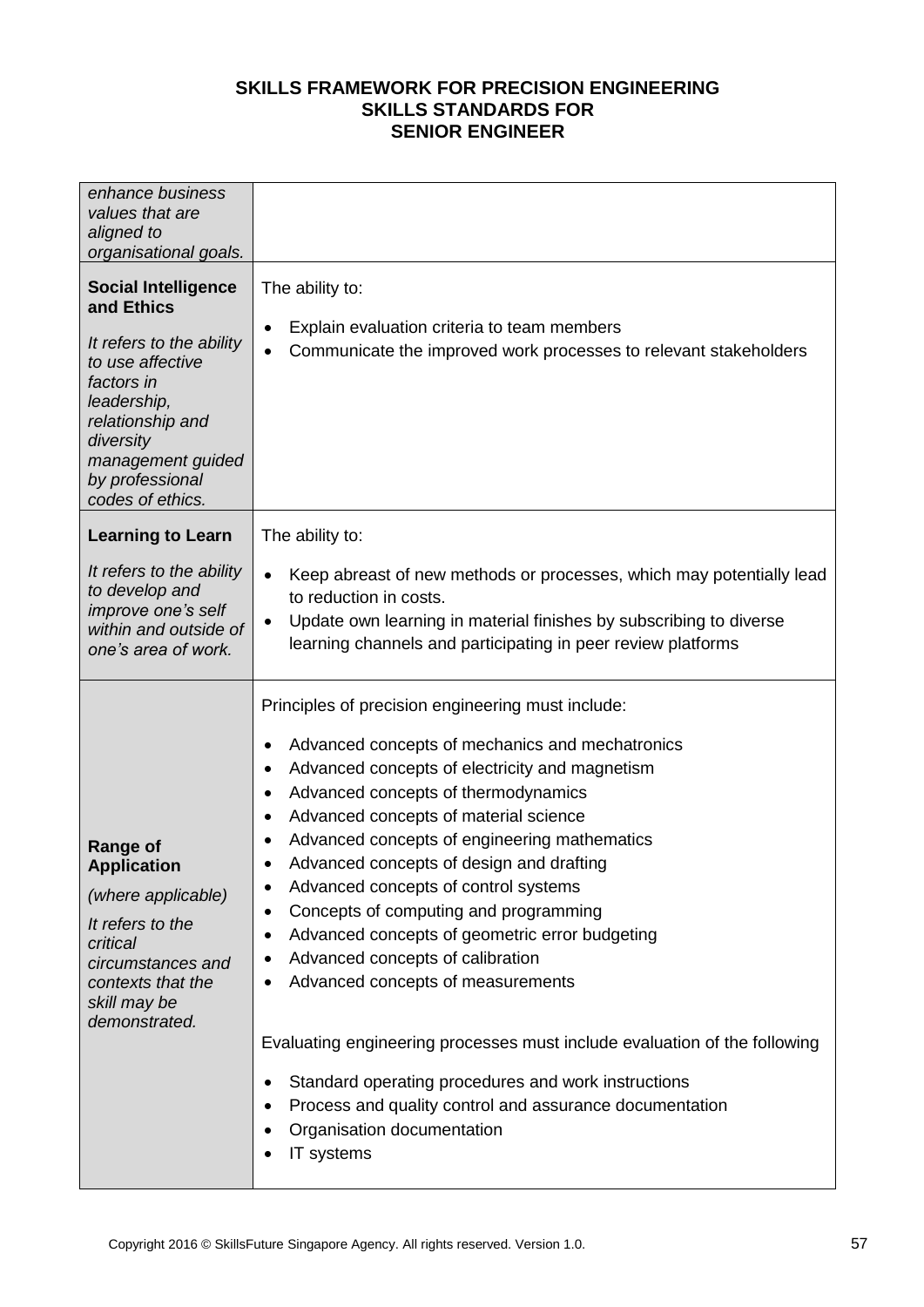| enhance business<br>values that are<br>aligned to<br>organisational goals.                                                                                                                                         |                                                                                                                                                                                                                                                                                                                                                                                                                                                                                                                                                                                                                                                                                                                                                                                                                                                                      |
|--------------------------------------------------------------------------------------------------------------------------------------------------------------------------------------------------------------------|----------------------------------------------------------------------------------------------------------------------------------------------------------------------------------------------------------------------------------------------------------------------------------------------------------------------------------------------------------------------------------------------------------------------------------------------------------------------------------------------------------------------------------------------------------------------------------------------------------------------------------------------------------------------------------------------------------------------------------------------------------------------------------------------------------------------------------------------------------------------|
| <b>Social Intelligence</b><br>and Ethics<br>It refers to the ability<br>to use affective<br>factors in<br>leadership,<br>relationship and<br>diversity<br>management guided<br>by professional<br>codes of ethics. | The ability to:<br>Explain evaluation criteria to team members<br>$\bullet$<br>Communicate the improved work processes to relevant stakeholders<br>$\bullet$                                                                                                                                                                                                                                                                                                                                                                                                                                                                                                                                                                                                                                                                                                         |
| <b>Learning to Learn</b><br>It refers to the ability<br>to develop and<br>improve one's self<br>within and outside of<br>one's area of work.                                                                       | The ability to:<br>Keep abreast of new methods or processes, which may potentially lead<br>$\bullet$<br>to reduction in costs.<br>Update own learning in material finishes by subscribing to diverse<br>$\bullet$<br>learning channels and participating in peer review platforms                                                                                                                                                                                                                                                                                                                                                                                                                                                                                                                                                                                    |
| <b>Range of</b><br><b>Application</b><br>(where applicable)<br>It refers to the<br>critical<br>circumstances and<br>contexts that the<br>skill may be<br>demonstrated.                                             | Principles of precision engineering must include:<br>Advanced concepts of mechanics and mechatronics<br>٠<br>Advanced concepts of electricity and magnetism<br>٠<br>Advanced concepts of thermodynamics<br>٠<br>Advanced concepts of material science<br>٠<br>Advanced concepts of engineering mathematics<br>٠<br>Advanced concepts of design and drafting<br>٠<br>Advanced concepts of control systems<br>٠<br>Concepts of computing and programming<br>٠<br>Advanced concepts of geometric error budgeting<br>٠<br>Advanced concepts of calibration<br>٠<br>Advanced concepts of measurements<br>٠<br>Evaluating engineering processes must include evaluation of the following<br>Standard operating procedures and work instructions<br>٠<br>Process and quality control and assurance documentation<br>٠<br>Organisation documentation<br>٠<br>IT systems<br>٠ |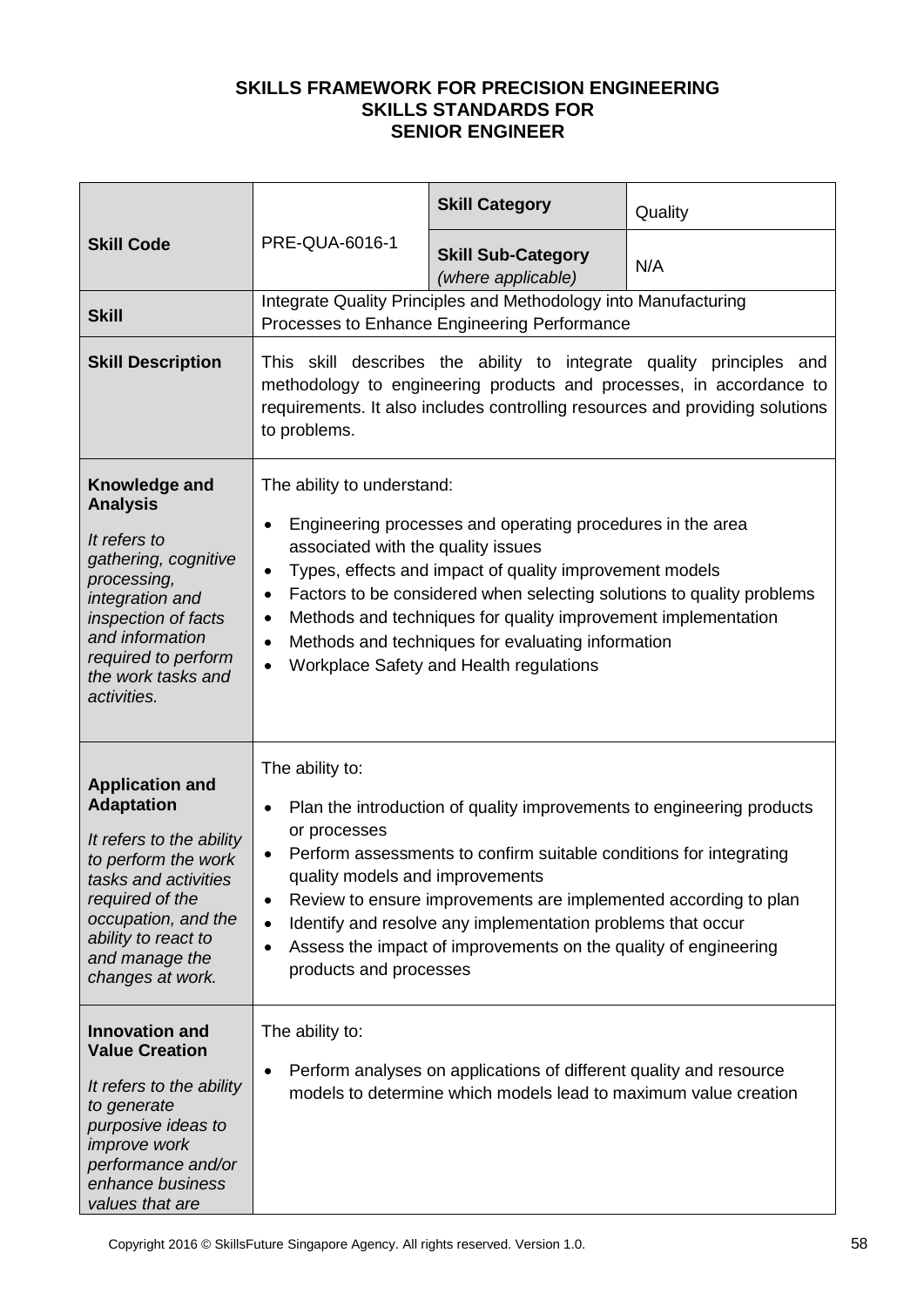|                                                                                                                                                                                                                               |                                                                                                                                                                                                                                             | <b>Skill Category</b>                                                                                                                                                                                                                                                                                                                                           | Quality |
|-------------------------------------------------------------------------------------------------------------------------------------------------------------------------------------------------------------------------------|---------------------------------------------------------------------------------------------------------------------------------------------------------------------------------------------------------------------------------------------|-----------------------------------------------------------------------------------------------------------------------------------------------------------------------------------------------------------------------------------------------------------------------------------------------------------------------------------------------------------------|---------|
| <b>Skill Code</b>                                                                                                                                                                                                             | PRE-QUA-6016-1                                                                                                                                                                                                                              | <b>Skill Sub-Category</b><br>(where applicable)                                                                                                                                                                                                                                                                                                                 | N/A     |
| <b>Skill</b>                                                                                                                                                                                                                  |                                                                                                                                                                                                                                             | Integrate Quality Principles and Methodology into Manufacturing<br>Processes to Enhance Engineering Performance                                                                                                                                                                                                                                                 |         |
| <b>Skill Description</b>                                                                                                                                                                                                      | This skill describes the ability to integrate quality principles and<br>methodology to engineering products and processes, in accordance to<br>requirements. It also includes controlling resources and providing solutions<br>to problems. |                                                                                                                                                                                                                                                                                                                                                                 |         |
| Knowledge and<br><b>Analysis</b><br>It refers to<br>gathering, cognitive<br>processing,<br>integration and<br>inspection of facts<br>and information<br>required to perform<br>the work tasks and<br>activities.              | The ability to understand:<br>$\bullet$<br>associated with the quality issues<br>$\bullet$<br>$\bullet$<br>$\bullet$<br>$\bullet$<br>$\bullet$                                                                                              | Engineering processes and operating procedures in the area<br>Types, effects and impact of quality improvement models<br>Factors to be considered when selecting solutions to quality problems<br>Methods and techniques for quality improvement implementation<br>Methods and techniques for evaluating information<br>Workplace Safety and Health regulations |         |
| <b>Application and</b><br><b>Adaptation</b><br>It refers to the ability<br>to perform the work<br>tasks and activities<br>required of the<br>occupation, and the<br>ability to react to<br>and manage the<br>changes at work. | The ability to:<br>$\bullet$<br>or processes<br>$\bullet$<br>quality models and improvements<br>$\bullet$<br>$\bullet$<br>$\bullet$<br>products and processes                                                                               | Plan the introduction of quality improvements to engineering products<br>Perform assessments to confirm suitable conditions for integrating<br>Review to ensure improvements are implemented according to plan<br>Identify and resolve any implementation problems that occur<br>Assess the impact of improvements on the quality of engineering                |         |
| <b>Innovation and</b><br><b>Value Creation</b><br>It refers to the ability<br>to generate<br>purposive ideas to<br><i>improve</i> work<br>performance and/or<br>enhance business<br>values that are                           | The ability to:<br>٠                                                                                                                                                                                                                        | Perform analyses on applications of different quality and resource<br>models to determine which models lead to maximum value creation                                                                                                                                                                                                                           |         |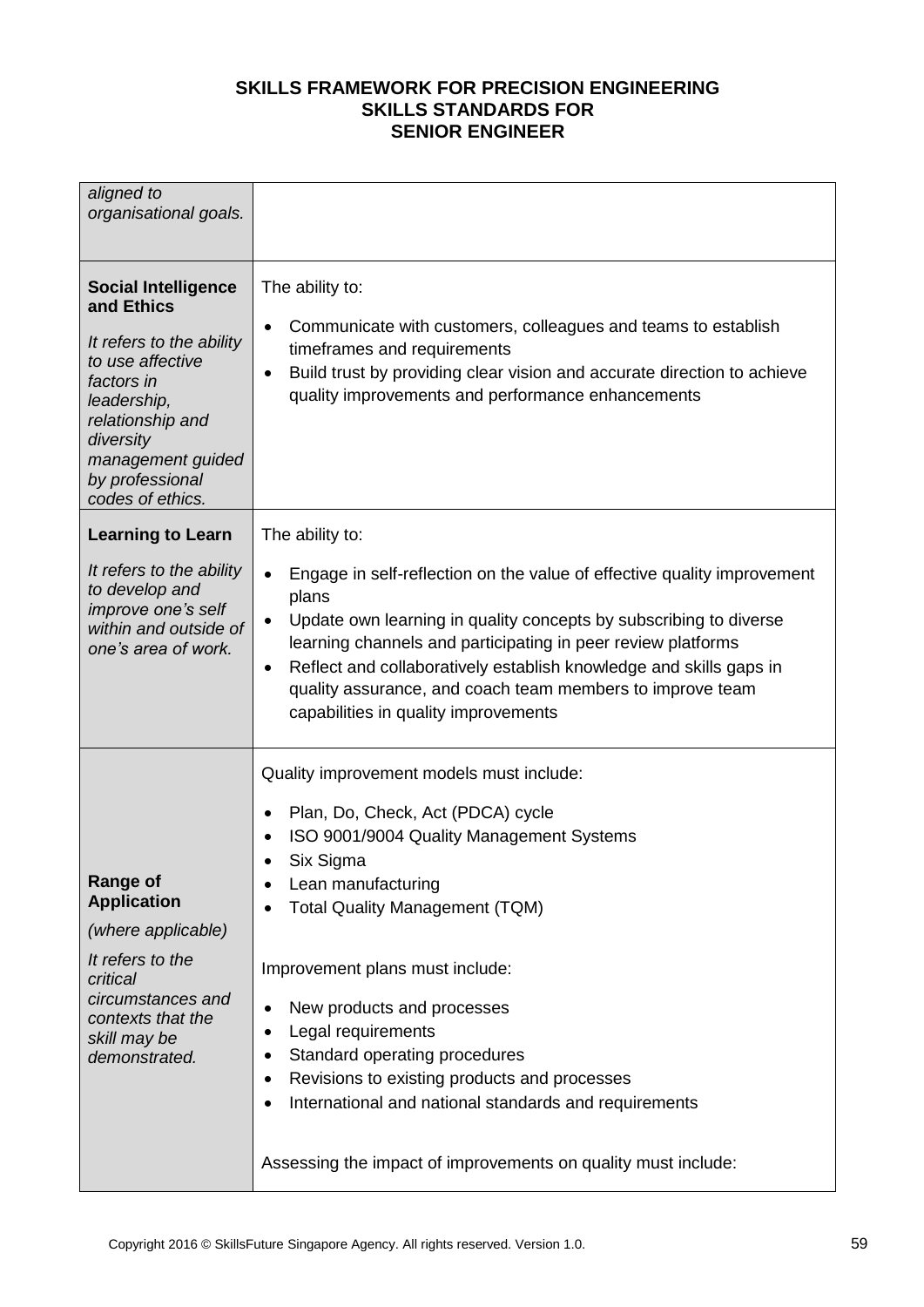| aligned to<br>organisational goals.                                                                                                                                                                                |                                                                                                                                                                                                                                                                                                                                                                                                                                                                                                                                                                 |
|--------------------------------------------------------------------------------------------------------------------------------------------------------------------------------------------------------------------|-----------------------------------------------------------------------------------------------------------------------------------------------------------------------------------------------------------------------------------------------------------------------------------------------------------------------------------------------------------------------------------------------------------------------------------------------------------------------------------------------------------------------------------------------------------------|
| <b>Social Intelligence</b><br>and Ethics<br>It refers to the ability<br>to use affective<br>factors in<br>leadership,<br>relationship and<br>diversity<br>management guided<br>by professional<br>codes of ethics. | The ability to:<br>Communicate with customers, colleagues and teams to establish<br>$\bullet$<br>timeframes and requirements<br>Build trust by providing clear vision and accurate direction to achieve<br>$\bullet$<br>quality improvements and performance enhancements                                                                                                                                                                                                                                                                                       |
| <b>Learning to Learn</b>                                                                                                                                                                                           | The ability to:                                                                                                                                                                                                                                                                                                                                                                                                                                                                                                                                                 |
| It refers to the ability<br>to develop and<br>improve one's self<br>within and outside of<br>one's area of work.                                                                                                   | Engage in self-reflection on the value of effective quality improvement<br>$\bullet$<br>plans<br>Update own learning in quality concepts by subscribing to diverse<br>$\bullet$<br>learning channels and participating in peer review platforms<br>Reflect and collaboratively establish knowledge and skills gaps in<br>$\bullet$<br>quality assurance, and coach team members to improve team<br>capabilities in quality improvements                                                                                                                         |
| <b>Range of</b><br><b>Application</b><br>(where applicable)<br>It refers to the<br>critical<br>circumstances and<br>contexts that the<br>skill may be<br>demonstrated.                                             | Quality improvement models must include:<br>Plan, Do, Check, Act (PDCA) cycle<br>٠<br>ISO 9001/9004 Quality Management Systems<br>$\bullet$<br>Six Sigma<br>Lean manufacturing<br>٠<br><b>Total Quality Management (TQM)</b><br>Improvement plans must include:<br>New products and processes<br>٠<br>Legal requirements<br>٠<br>Standard operating procedures<br>٠<br>Revisions to existing products and processes<br>٠<br>International and national standards and requirements<br>$\bullet$<br>Assessing the impact of improvements on quality must include: |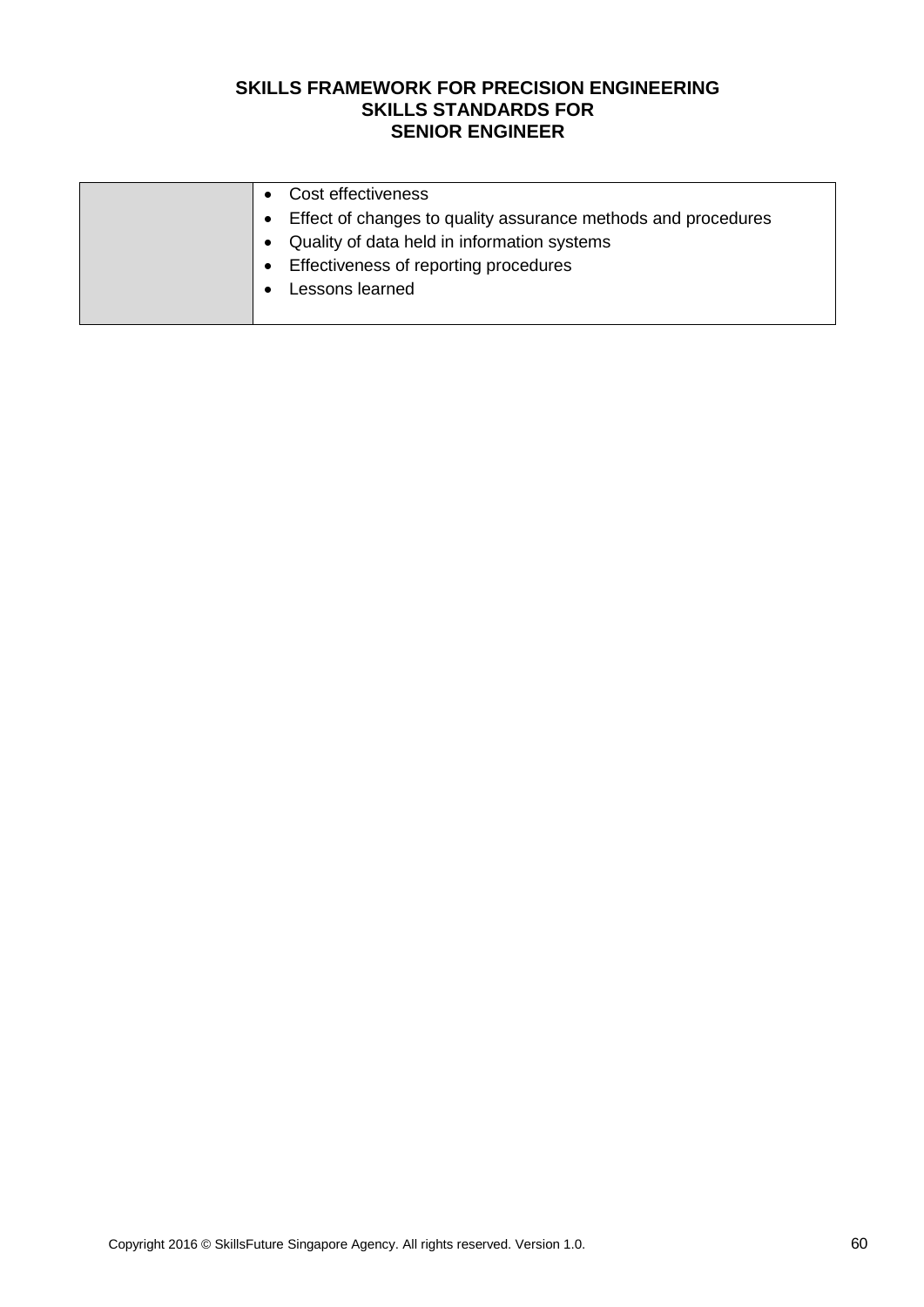| Cost effectiveness                                            |
|---------------------------------------------------------------|
| Effect of changes to quality assurance methods and procedures |
| Quality of data held in information systems                   |
| Effectiveness of reporting procedures<br>$\bullet$            |
| Lessons learned                                               |
|                                                               |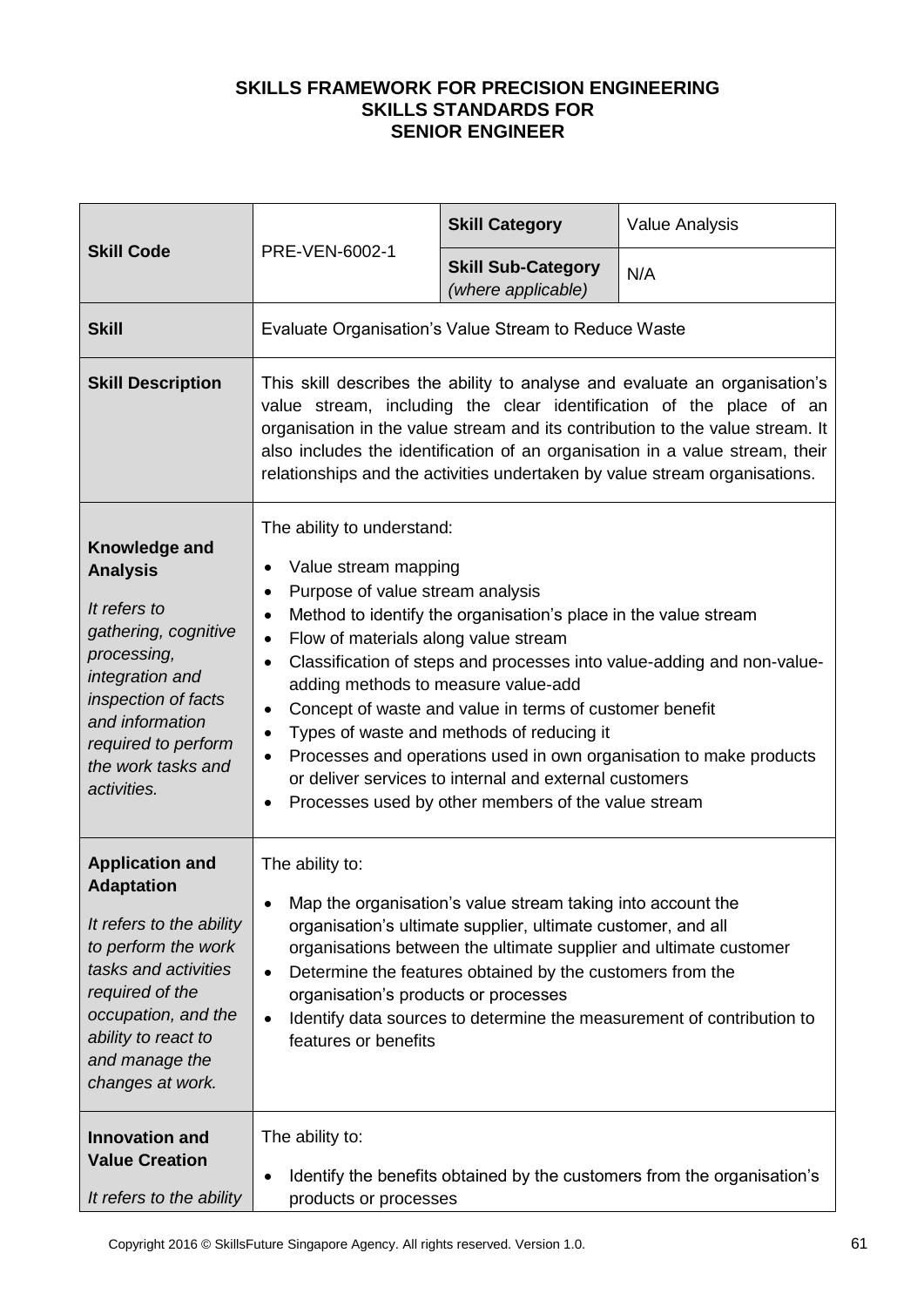| <b>Skill Code</b>                                                                                                                                                                                                             | PRE-VEN-6002-1                                                                                                                                                                                                                                                                                                                                                                                                                                                                                                                                                                                                                                                                                                 | <b>Skill Category</b>                           | <b>Value Analysis</b> |
|-------------------------------------------------------------------------------------------------------------------------------------------------------------------------------------------------------------------------------|----------------------------------------------------------------------------------------------------------------------------------------------------------------------------------------------------------------------------------------------------------------------------------------------------------------------------------------------------------------------------------------------------------------------------------------------------------------------------------------------------------------------------------------------------------------------------------------------------------------------------------------------------------------------------------------------------------------|-------------------------------------------------|-----------------------|
|                                                                                                                                                                                                                               |                                                                                                                                                                                                                                                                                                                                                                                                                                                                                                                                                                                                                                                                                                                | <b>Skill Sub-Category</b><br>(where applicable) | N/A                   |
| <b>Skill</b>                                                                                                                                                                                                                  | Evaluate Organisation's Value Stream to Reduce Waste                                                                                                                                                                                                                                                                                                                                                                                                                                                                                                                                                                                                                                                           |                                                 |                       |
| <b>Skill Description</b>                                                                                                                                                                                                      | This skill describes the ability to analyse and evaluate an organisation's<br>value stream, including the clear identification of the place of an<br>organisation in the value stream and its contribution to the value stream. It<br>also includes the identification of an organisation in a value stream, their<br>relationships and the activities undertaken by value stream organisations.                                                                                                                                                                                                                                                                                                               |                                                 |                       |
| Knowledge and<br><b>Analysis</b><br>It refers to<br>gathering, cognitive<br>processing,<br>integration and<br>inspection of facts<br>and information<br>required to perform<br>the work tasks and<br>activities.              | The ability to understand:<br>Value stream mapping<br>٠<br>Purpose of value stream analysis<br>$\bullet$<br>Method to identify the organisation's place in the value stream<br>٠<br>Flow of materials along value stream<br>$\bullet$<br>Classification of steps and processes into value-adding and non-value-<br>$\bullet$<br>adding methods to measure value-add<br>Concept of waste and value in terms of customer benefit<br>٠<br>Types of waste and methods of reducing it<br>$\bullet$<br>Processes and operations used in own organisation to make products<br>$\bullet$<br>or deliver services to internal and external customers<br>Processes used by other members of the value stream<br>$\bullet$ |                                                 |                       |
| <b>Application and</b><br><b>Adaptation</b><br>It refers to the ability<br>to perform the work<br>tasks and activities<br>required of the<br>occupation, and the<br>ability to react to<br>and manage the<br>changes at work. | The ability to:<br>Map the organisation's value stream taking into account the<br>$\bullet$<br>organisation's ultimate supplier, ultimate customer, and all<br>organisations between the ultimate supplier and ultimate customer<br>Determine the features obtained by the customers from the<br>$\bullet$<br>organisation's products or processes<br>Identify data sources to determine the measurement of contribution to<br>$\bullet$<br>features or benefits                                                                                                                                                                                                                                               |                                                 |                       |
| <b>Innovation and</b><br><b>Value Creation</b><br>It refers to the ability                                                                                                                                                    | The ability to:<br>Identify the benefits obtained by the customers from the organisation's<br>$\bullet$<br>products or processes                                                                                                                                                                                                                                                                                                                                                                                                                                                                                                                                                                               |                                                 |                       |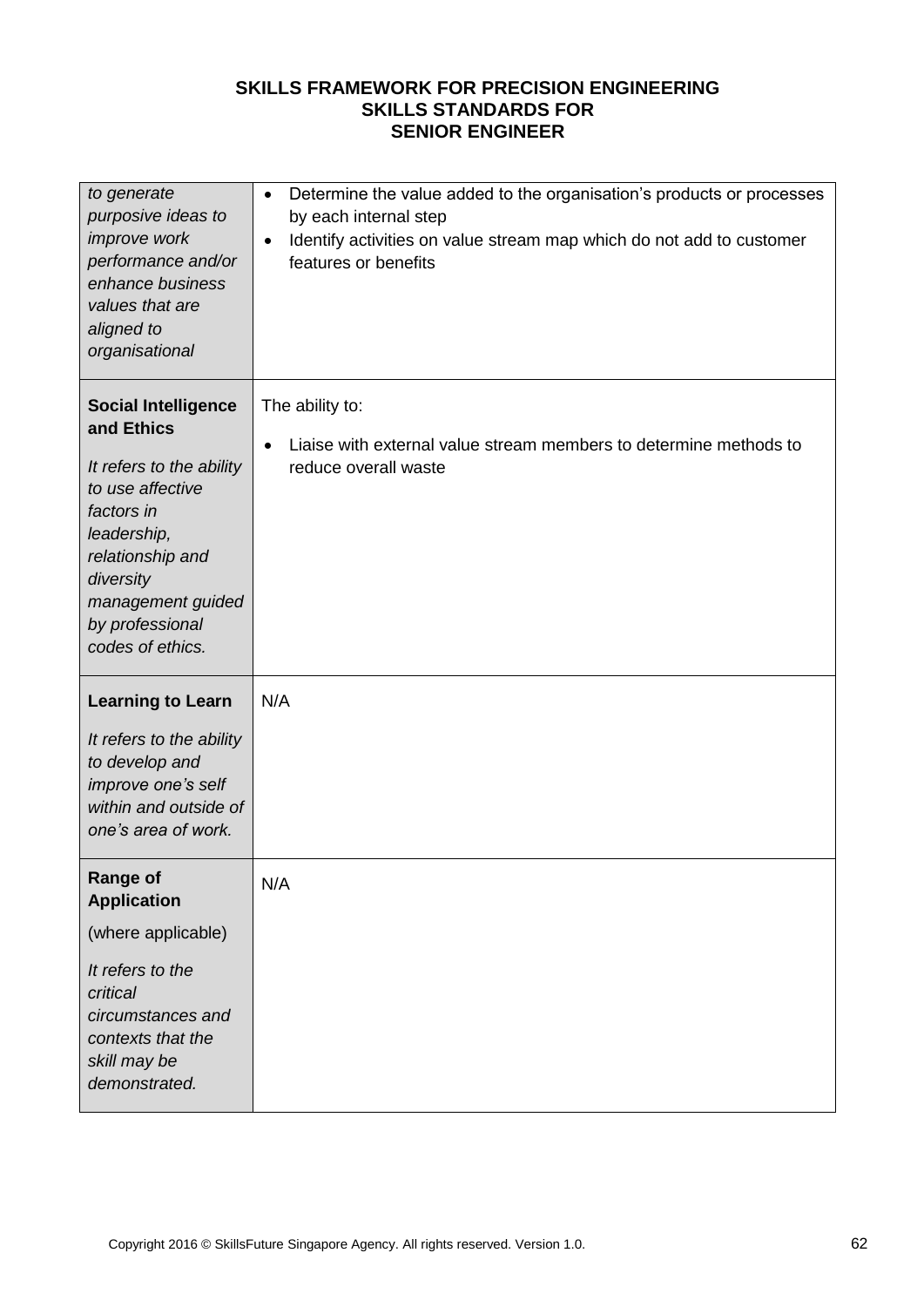| to generate<br>purposive ideas to<br>improve work<br>performance and/or<br>enhance business<br>values that are<br>aligned to<br>organisational                                                                     | Determine the value added to the organisation's products or processes<br>$\bullet$<br>by each internal step<br>Identify activities on value stream map which do not add to customer<br>$\bullet$<br>features or benefits |
|--------------------------------------------------------------------------------------------------------------------------------------------------------------------------------------------------------------------|--------------------------------------------------------------------------------------------------------------------------------------------------------------------------------------------------------------------------|
| <b>Social Intelligence</b><br>and Ethics<br>It refers to the ability<br>to use affective<br>factors in<br>leadership,<br>relationship and<br>diversity<br>management guided<br>by professional<br>codes of ethics. | The ability to:<br>Liaise with external value stream members to determine methods to<br>$\bullet$<br>reduce overall waste                                                                                                |
| <b>Learning to Learn</b><br>It refers to the ability<br>to develop and<br>improve one's self<br>within and outside of<br>one's area of work.                                                                       | N/A                                                                                                                                                                                                                      |
| <b>Range of</b><br><b>Application</b><br>(where applicable)<br>It refers to the<br>critical<br>circumstances and<br>contexts that the<br>skill may be<br>demonstrated.                                             | N/A                                                                                                                                                                                                                      |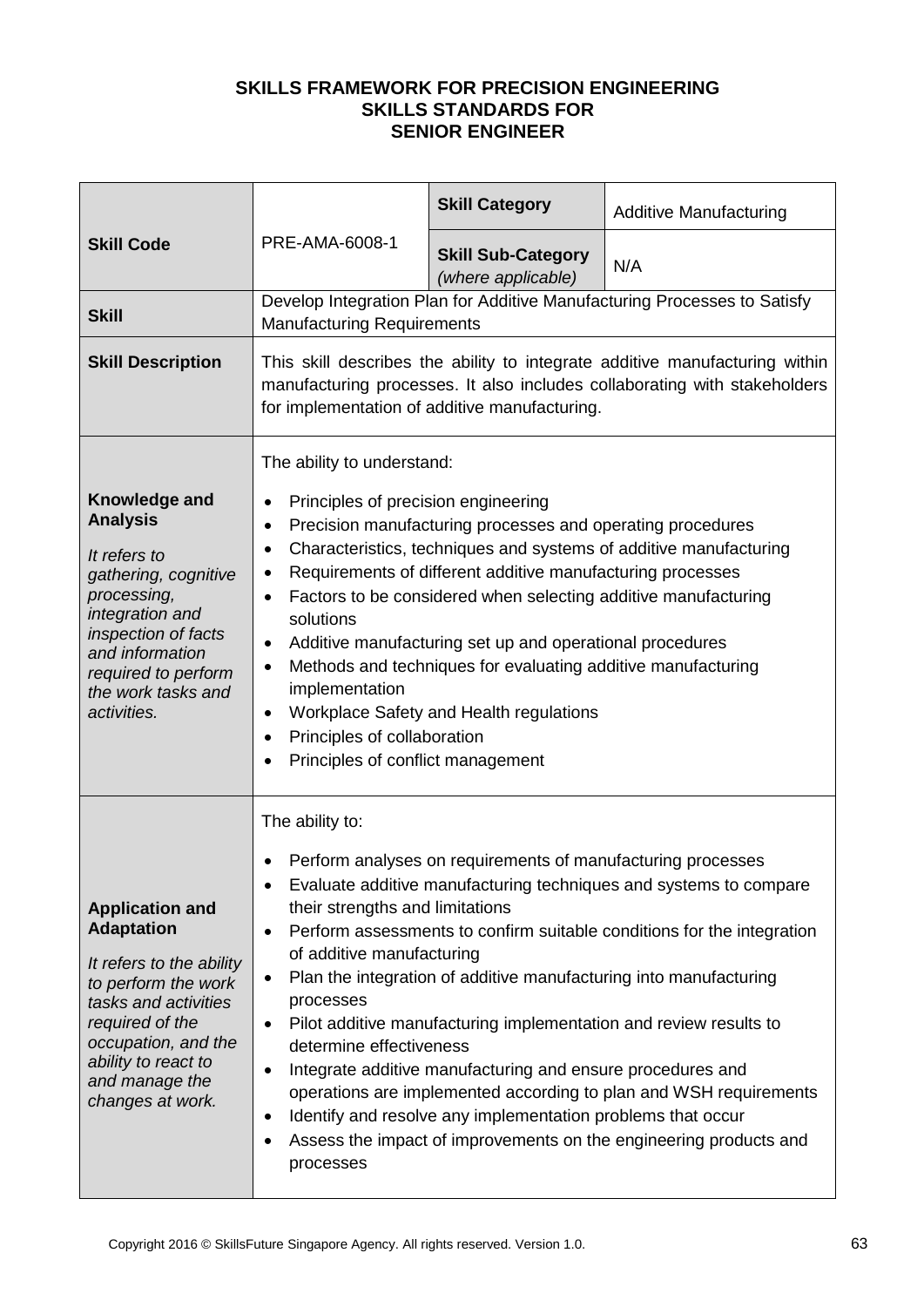| PRE-AMA-6008-1<br><b>Skill Code</b>                                                                                                                                                                                           |                                                                                                                                                                                                                                                                                                                                                                                                                                                                                                                                                                                                                                                                                                                                                                                                                                           | <b>Skill Category</b> | <b>Additive Manufacturing</b>                                            |
|-------------------------------------------------------------------------------------------------------------------------------------------------------------------------------------------------------------------------------|-------------------------------------------------------------------------------------------------------------------------------------------------------------------------------------------------------------------------------------------------------------------------------------------------------------------------------------------------------------------------------------------------------------------------------------------------------------------------------------------------------------------------------------------------------------------------------------------------------------------------------------------------------------------------------------------------------------------------------------------------------------------------------------------------------------------------------------------|-----------------------|--------------------------------------------------------------------------|
|                                                                                                                                                                                                                               | <b>Skill Sub-Category</b><br>(where applicable)                                                                                                                                                                                                                                                                                                                                                                                                                                                                                                                                                                                                                                                                                                                                                                                           | N/A                   |                                                                          |
| <b>Skill</b>                                                                                                                                                                                                                  | <b>Manufacturing Requirements</b>                                                                                                                                                                                                                                                                                                                                                                                                                                                                                                                                                                                                                                                                                                                                                                                                         |                       | Develop Integration Plan for Additive Manufacturing Processes to Satisfy |
| <b>Skill Description</b>                                                                                                                                                                                                      | This skill describes the ability to integrate additive manufacturing within<br>manufacturing processes. It also includes collaborating with stakeholders<br>for implementation of additive manufacturing.                                                                                                                                                                                                                                                                                                                                                                                                                                                                                                                                                                                                                                 |                       |                                                                          |
| Knowledge and<br><b>Analysis</b><br>It refers to<br>gathering, cognitive<br>processing,<br>integration and<br>inspection of facts<br>and information<br>required to perform<br>the work tasks and<br>activities.              | The ability to understand:<br>Principles of precision engineering<br>$\bullet$<br>Precision manufacturing processes and operating procedures<br>$\bullet$<br>Characteristics, techniques and systems of additive manufacturing<br>$\bullet$<br>Requirements of different additive manufacturing processes<br>٠<br>Factors to be considered when selecting additive manufacturing<br>$\bullet$<br>solutions<br>Additive manufacturing set up and operational procedures<br>$\bullet$<br>Methods and techniques for evaluating additive manufacturing<br>$\bullet$<br>implementation<br>Workplace Safety and Health regulations<br>$\bullet$<br>Principles of collaboration<br>$\bullet$<br>Principles of conflict management<br>$\bullet$                                                                                                  |                       |                                                                          |
| <b>Application and</b><br><b>Adaptation</b><br>It refers to the ability<br>to perform the work<br>tasks and activities<br>required of the<br>occupation, and the<br>ability to react to<br>and manage the<br>changes at work. | The ability to:<br>Perform analyses on requirements of manufacturing processes<br>Evaluate additive manufacturing techniques and systems to compare<br>their strengths and limitations<br>Perform assessments to confirm suitable conditions for the integration<br>$\bullet$<br>of additive manufacturing<br>Plan the integration of additive manufacturing into manufacturing<br>$\bullet$<br>processes<br>Pilot additive manufacturing implementation and review results to<br>$\bullet$<br>determine effectiveness<br>Integrate additive manufacturing and ensure procedures and<br>$\bullet$<br>operations are implemented according to plan and WSH requirements<br>Identify and resolve any implementation problems that occur<br>$\bullet$<br>Assess the impact of improvements on the engineering products and<br>٠<br>processes |                       |                                                                          |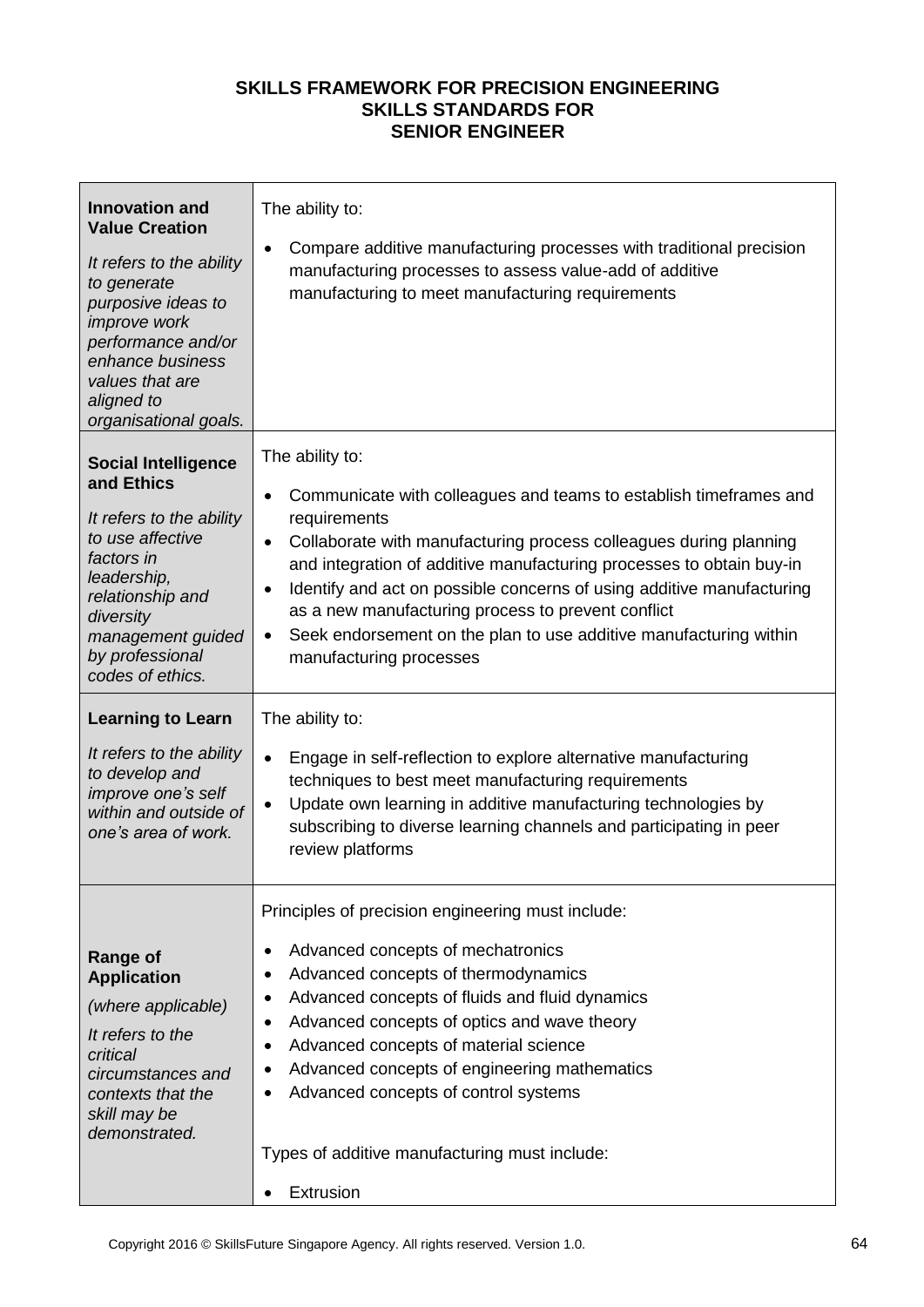| <b>Innovation and</b><br><b>Value Creation</b><br>It refers to the ability<br>to generate<br>purposive ideas to<br><i>improve</i> work<br>performance and/or<br>enhance business<br>values that are<br>aligned to<br>organisational goals.                                                   | The ability to:<br>Compare additive manufacturing processes with traditional precision<br>٠<br>manufacturing processes to assess value-add of additive<br>manufacturing to meet manufacturing requirements                                                                                                                                                                                                                                                                                                                                                                                                                     |
|----------------------------------------------------------------------------------------------------------------------------------------------------------------------------------------------------------------------------------------------------------------------------------------------|--------------------------------------------------------------------------------------------------------------------------------------------------------------------------------------------------------------------------------------------------------------------------------------------------------------------------------------------------------------------------------------------------------------------------------------------------------------------------------------------------------------------------------------------------------------------------------------------------------------------------------|
| <b>Social Intelligence</b><br>and Ethics<br>It refers to the ability<br>to use affective<br>factors in<br>leadership,<br>relationship and<br>diversity<br>management guided<br>by professional<br>codes of ethics.<br><b>Learning to Learn</b><br>It refers to the ability<br>to develop and | The ability to:<br>Communicate with colleagues and teams to establish timeframes and<br>$\bullet$<br>requirements<br>Collaborate with manufacturing process colleagues during planning<br>$\bullet$<br>and integration of additive manufacturing processes to obtain buy-in<br>Identify and act on possible concerns of using additive manufacturing<br>٠<br>as a new manufacturing process to prevent conflict<br>Seek endorsement on the plan to use additive manufacturing within<br>$\bullet$<br>manufacturing processes<br>The ability to:<br>Engage in self-reflection to explore alternative manufacturing<br>$\bullet$ |
| improve one's self<br>within and outside of<br>one's area of work.                                                                                                                                                                                                                           | techniques to best meet manufacturing requirements<br>Update own learning in additive manufacturing technologies by<br>$\bullet$<br>subscribing to diverse learning channels and participating in peer<br>review platforms                                                                                                                                                                                                                                                                                                                                                                                                     |
| <b>Range of</b><br><b>Application</b><br>(where applicable)<br>It refers to the<br>critical<br>circumstances and<br>contexts that the<br>skill may be<br>demonstrated.                                                                                                                       | Principles of precision engineering must include:<br>Advanced concepts of mechatronics<br>٠<br>Advanced concepts of thermodynamics<br>$\bullet$<br>Advanced concepts of fluids and fluid dynamics<br>Advanced concepts of optics and wave theory<br>$\bullet$<br>Advanced concepts of material science<br>Advanced concepts of engineering mathematics<br>Advanced concepts of control systems<br>٠<br>Types of additive manufacturing must include:<br>Extrusion<br>$\bullet$                                                                                                                                                 |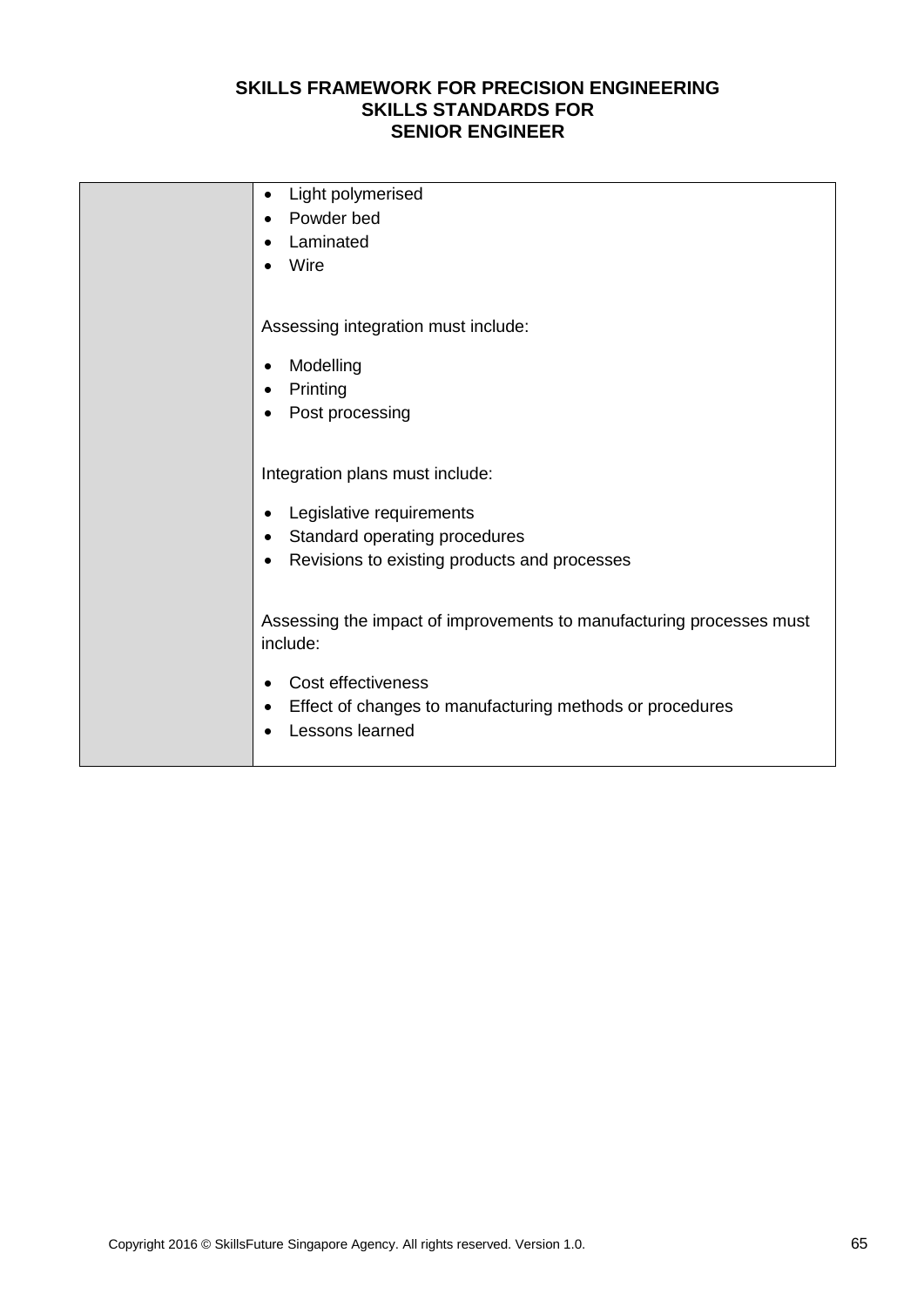| Light polymerised<br>٠                                               |
|----------------------------------------------------------------------|
| Powder bed<br>$\bullet$                                              |
| Laminated<br>$\bullet$                                               |
| Wire                                                                 |
|                                                                      |
| Assessing integration must include:                                  |
| Modelling<br>$\bullet$                                               |
| Printing<br>$\bullet$                                                |
| Post processing<br>$\bullet$                                         |
|                                                                      |
| Integration plans must include:                                      |
| Legislative requirements                                             |
| $\bullet$<br>Standard operating procedures<br>$\bullet$              |
| Revisions to existing products and processes<br>$\bullet$            |
|                                                                      |
|                                                                      |
| Assessing the impact of improvements to manufacturing processes must |
| include:                                                             |
| Cost effectiveness<br>$\bullet$                                      |
| Effect of changes to manufacturing methods or procedures<br>٠        |
| Lessons learned                                                      |
|                                                                      |
|                                                                      |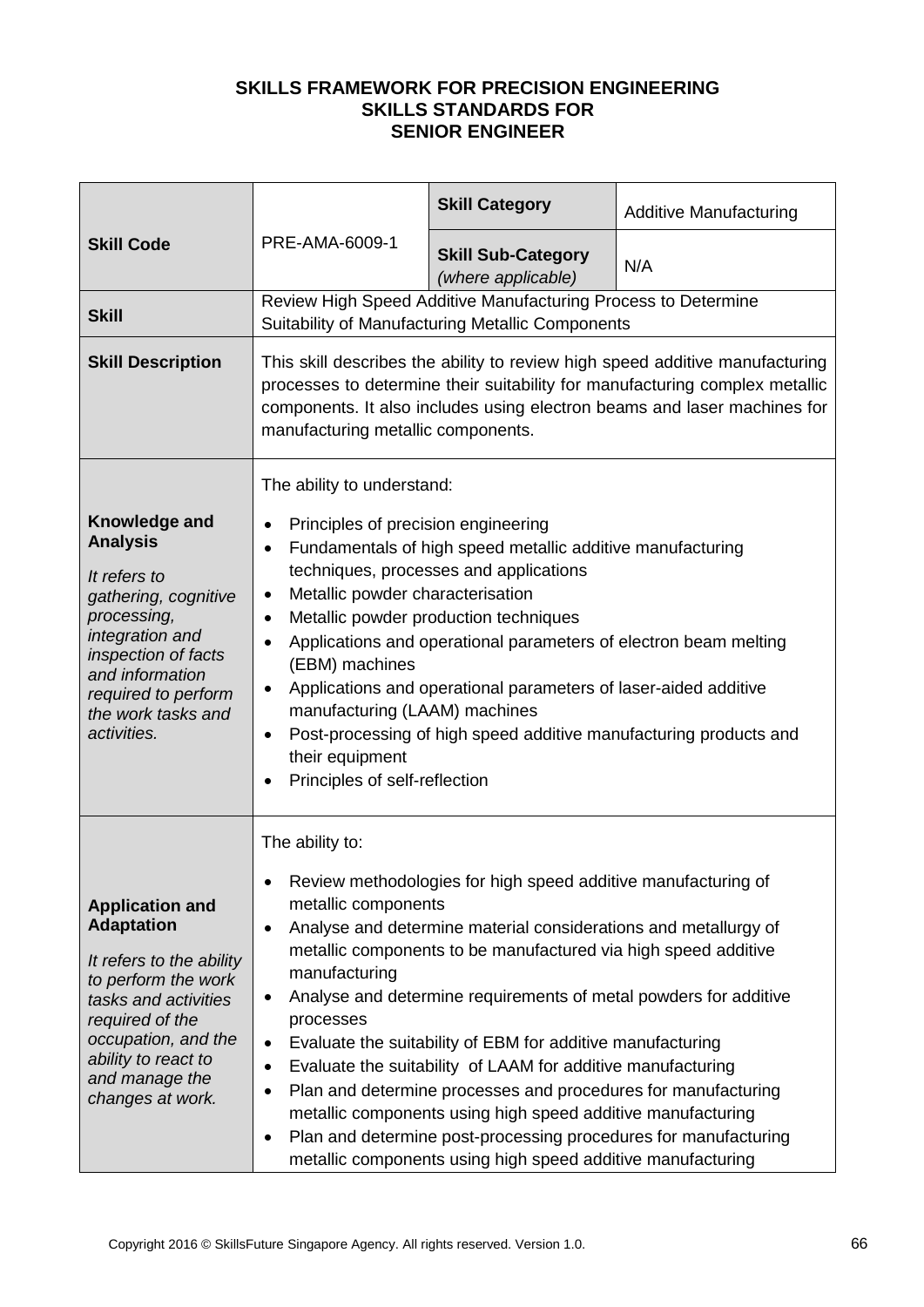| PRE-AMA-6009-1<br><b>Skill Code</b>                                                                                                                                                                                           |                                                                                                                                                                                                                                                                                                                                                                                                                                                                                                                                                                                                                                                                                                                                                                                                                          | <b>Skill Category</b>                                                                                             | <b>Additive Manufacturing</b> |
|-------------------------------------------------------------------------------------------------------------------------------------------------------------------------------------------------------------------------------|--------------------------------------------------------------------------------------------------------------------------------------------------------------------------------------------------------------------------------------------------------------------------------------------------------------------------------------------------------------------------------------------------------------------------------------------------------------------------------------------------------------------------------------------------------------------------------------------------------------------------------------------------------------------------------------------------------------------------------------------------------------------------------------------------------------------------|-------------------------------------------------------------------------------------------------------------------|-------------------------------|
|                                                                                                                                                                                                                               |                                                                                                                                                                                                                                                                                                                                                                                                                                                                                                                                                                                                                                                                                                                                                                                                                          | <b>Skill Sub-Category</b><br>(where applicable)                                                                   | N/A                           |
| <b>Skill</b>                                                                                                                                                                                                                  |                                                                                                                                                                                                                                                                                                                                                                                                                                                                                                                                                                                                                                                                                                                                                                                                                          | Review High Speed Additive Manufacturing Process to Determine<br>Suitability of Manufacturing Metallic Components |                               |
| <b>Skill Description</b>                                                                                                                                                                                                      | This skill describes the ability to review high speed additive manufacturing<br>processes to determine their suitability for manufacturing complex metallic<br>components. It also includes using electron beams and laser machines for<br>manufacturing metallic components.                                                                                                                                                                                                                                                                                                                                                                                                                                                                                                                                            |                                                                                                                   |                               |
| Knowledge and<br><b>Analysis</b><br>It refers to<br>gathering, cognitive<br>processing,<br>integration and<br>inspection of facts<br>and information<br>required to perform<br>the work tasks and<br>activities.              | The ability to understand:<br>Principles of precision engineering<br>$\bullet$<br>Fundamentals of high speed metallic additive manufacturing<br>$\bullet$<br>techniques, processes and applications<br>Metallic powder characterisation<br>$\bullet$<br>Metallic powder production techniques<br>$\bullet$<br>Applications and operational parameters of electron beam melting<br>$\bullet$<br>(EBM) machines<br>Applications and operational parameters of laser-aided additive<br>$\bullet$<br>manufacturing (LAAM) machines<br>Post-processing of high speed additive manufacturing products and<br>$\bullet$<br>their equipment<br>Principles of self-reflection<br>$\bullet$                                                                                                                                        |                                                                                                                   |                               |
| <b>Application and</b><br><b>Adaptation</b><br>It refers to the ability<br>to perform the work<br>tasks and activities<br>required of the<br>occupation, and the<br>ability to react to<br>and manage the<br>changes at work. | The ability to:<br>Review methodologies for high speed additive manufacturing of<br>٠<br>metallic components<br>Analyse and determine material considerations and metallurgy of<br>$\bullet$<br>metallic components to be manufactured via high speed additive<br>manufacturing<br>Analyse and determine requirements of metal powders for additive<br>٠<br>processes<br>Evaluate the suitability of EBM for additive manufacturing<br>$\bullet$<br>Evaluate the suitability of LAAM for additive manufacturing<br>$\bullet$<br>Plan and determine processes and procedures for manufacturing<br>$\bullet$<br>metallic components using high speed additive manufacturing<br>Plan and determine post-processing procedures for manufacturing<br>$\bullet$<br>metallic components using high speed additive manufacturing |                                                                                                                   |                               |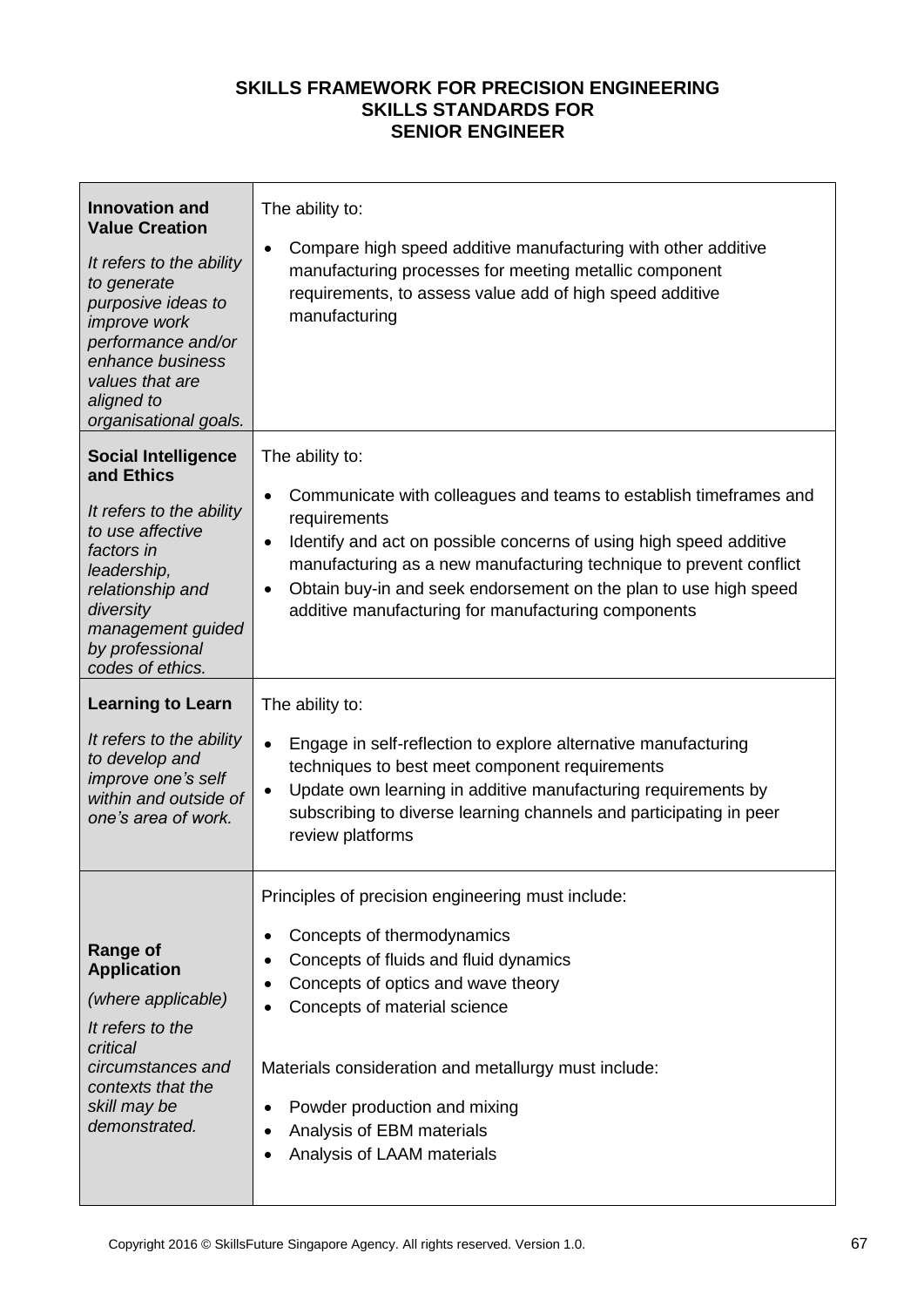| <b>Innovation and</b><br><b>Value Creation</b><br>It refers to the ability<br>to generate<br>purposive ideas to<br>improve work<br>performance and/or<br>enhance business<br>values that are<br>aligned to<br>organisational goals. | The ability to:<br>Compare high speed additive manufacturing with other additive<br>$\bullet$<br>manufacturing processes for meeting metallic component<br>requirements, to assess value add of high speed additive<br>manufacturing                                                                                                                                                                               |
|-------------------------------------------------------------------------------------------------------------------------------------------------------------------------------------------------------------------------------------|--------------------------------------------------------------------------------------------------------------------------------------------------------------------------------------------------------------------------------------------------------------------------------------------------------------------------------------------------------------------------------------------------------------------|
| <b>Social Intelligence</b><br>and Ethics<br>It refers to the ability<br>to use affective<br>factors in<br>leadership,<br>relationship and<br>diversity<br>management guided<br>by professional<br>codes of ethics.                  | The ability to:<br>Communicate with colleagues and teams to establish timeframes and<br>$\bullet$<br>requirements<br>Identify and act on possible concerns of using high speed additive<br>$\bullet$<br>manufacturing as a new manufacturing technique to prevent conflict<br>Obtain buy-in and seek endorsement on the plan to use high speed<br>$\bullet$<br>additive manufacturing for manufacturing components |
| <b>Learning to Learn</b><br>It refers to the ability<br>to develop and<br>improve one's self<br>within and outside of<br>one's area of work.                                                                                        | The ability to:<br>Engage in self-reflection to explore alternative manufacturing<br>$\bullet$<br>techniques to best meet component requirements<br>Update own learning in additive manufacturing requirements by<br>$\bullet$<br>subscribing to diverse learning channels and participating in peer<br>review platforms                                                                                           |
| <b>Range of</b><br><b>Application</b><br>(where applicable)<br>It refers to the<br>critical<br>circumstances and<br>contexts that the<br>skill may be<br>demonstrated.                                                              | Principles of precision engineering must include:<br>Concepts of thermodynamics<br>$\bullet$<br>Concepts of fluids and fluid dynamics<br>$\bullet$<br>Concepts of optics and wave theory<br>Concepts of material science<br>Materials consideration and metallurgy must include:<br>Powder production and mixing<br>$\bullet$<br>Analysis of EBM materials<br>$\bullet$<br>Analysis of LAAM materials              |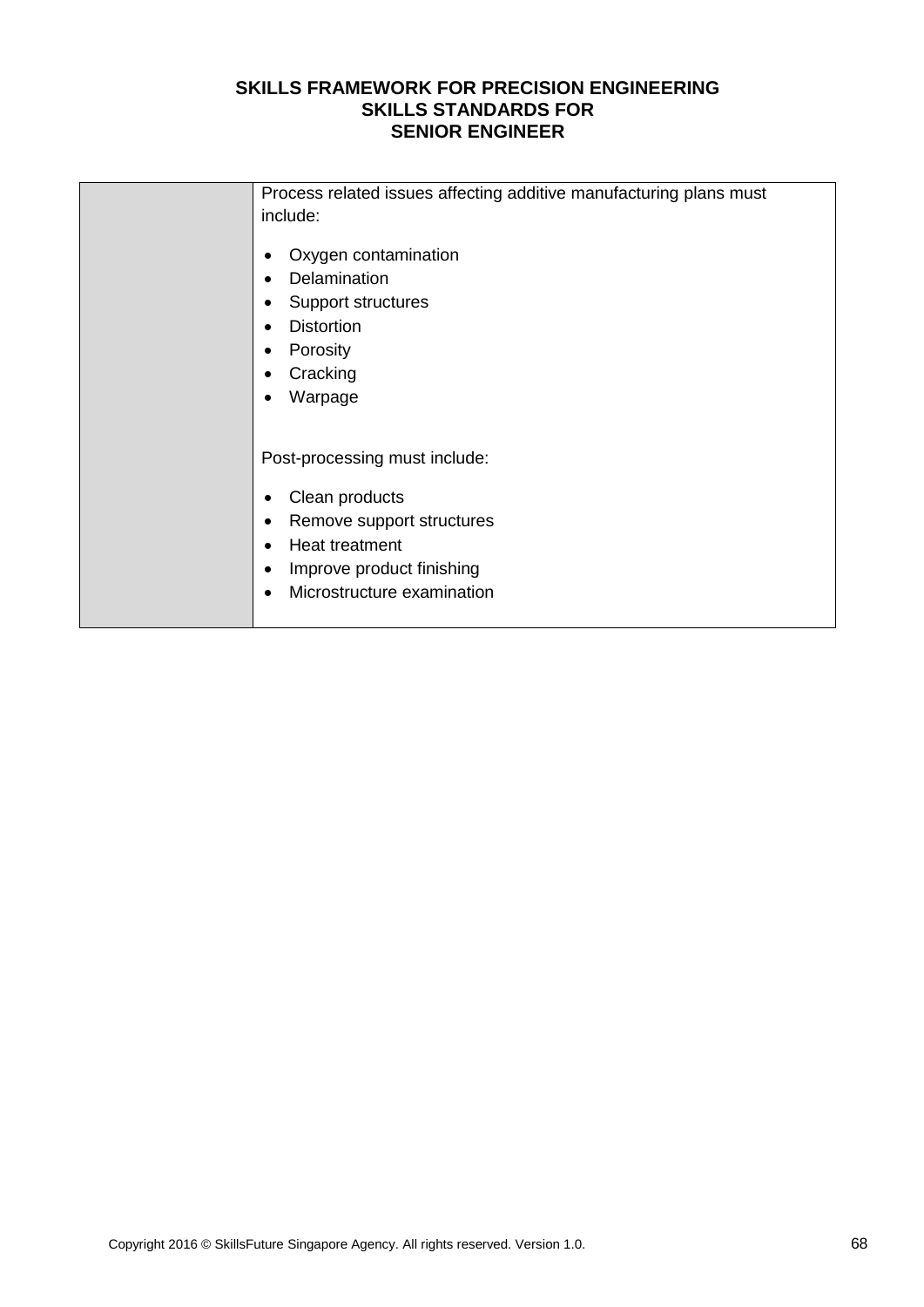| Process related issues affecting additive manufacturing plans must<br>include:                                                                                                                                     |
|--------------------------------------------------------------------------------------------------------------------------------------------------------------------------------------------------------------------|
| Oxygen contamination<br>$\bullet$<br>Delamination<br>$\bullet$<br>Support structures<br>$\bullet$<br><b>Distortion</b><br>$\bullet$<br>Porosity<br>$\bullet$<br>Cracking<br>$\bullet$<br>Warpage<br>$\bullet$      |
| Post-processing must include:<br>Clean products<br>٠<br>Remove support structures<br>$\bullet$<br>Heat treatment<br>$\bullet$<br>Improve product finishing<br>$\bullet$<br>Microstructure examination<br>$\bullet$ |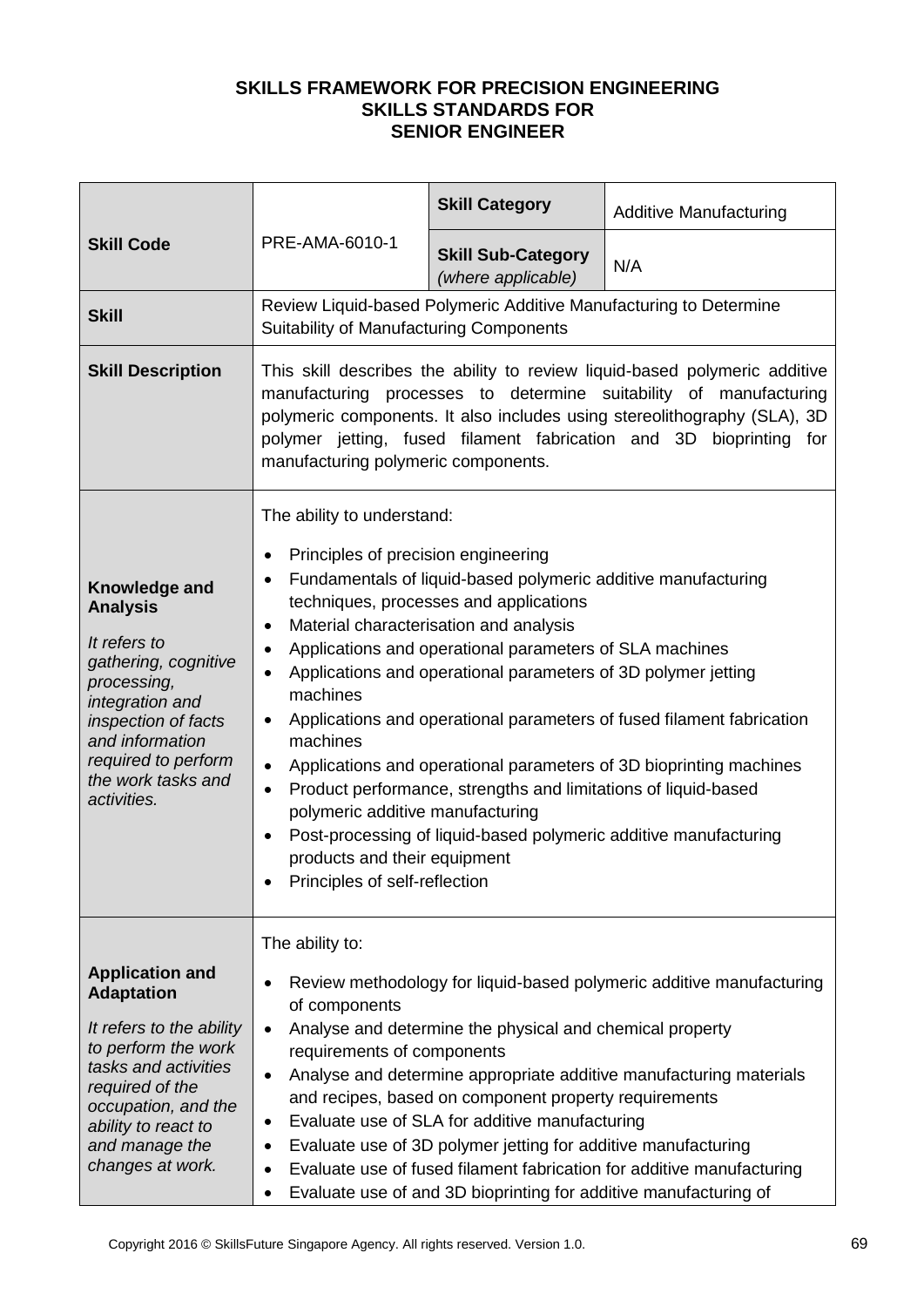| <b>Skill Code</b>                                                                                                                                                                                                             | PRE-AMA-6010-1                                                                                                                                                                                                                                                                                                                                                                                                                                                                                                                                                                                                                                                                                                                                                                                                                                    | <b>Skill Category</b>                           | <b>Additive Manufacturing</b>                                     |
|-------------------------------------------------------------------------------------------------------------------------------------------------------------------------------------------------------------------------------|---------------------------------------------------------------------------------------------------------------------------------------------------------------------------------------------------------------------------------------------------------------------------------------------------------------------------------------------------------------------------------------------------------------------------------------------------------------------------------------------------------------------------------------------------------------------------------------------------------------------------------------------------------------------------------------------------------------------------------------------------------------------------------------------------------------------------------------------------|-------------------------------------------------|-------------------------------------------------------------------|
|                                                                                                                                                                                                                               |                                                                                                                                                                                                                                                                                                                                                                                                                                                                                                                                                                                                                                                                                                                                                                                                                                                   | <b>Skill Sub-Category</b><br>(where applicable) | N/A                                                               |
| <b>Skill</b>                                                                                                                                                                                                                  | Suitability of Manufacturing Components                                                                                                                                                                                                                                                                                                                                                                                                                                                                                                                                                                                                                                                                                                                                                                                                           |                                                 | Review Liquid-based Polymeric Additive Manufacturing to Determine |
| <b>Skill Description</b>                                                                                                                                                                                                      | This skill describes the ability to review liquid-based polymeric additive<br>manufacturing processes to determine suitability of manufacturing<br>polymeric components. It also includes using stereolithography (SLA), 3D<br>polymer jetting, fused filament fabrication and 3D bioprinting for<br>manufacturing polymeric components.                                                                                                                                                                                                                                                                                                                                                                                                                                                                                                          |                                                 |                                                                   |
| Knowledge and<br><b>Analysis</b><br>It refers to<br>gathering, cognitive<br>processing,<br>integration and<br>inspection of facts<br>and information<br>required to perform<br>the work tasks and<br>activities.              | The ability to understand:<br>Principles of precision engineering<br>٠<br>Fundamentals of liquid-based polymeric additive manufacturing<br>٠<br>techniques, processes and applications<br>Material characterisation and analysis<br>$\bullet$<br>Applications and operational parameters of SLA machines<br>٠<br>Applications and operational parameters of 3D polymer jetting<br>$\bullet$<br>machines<br>Applications and operational parameters of fused filament fabrication<br>٠<br>machines<br>Applications and operational parameters of 3D bioprinting machines<br>$\bullet$<br>Product performance, strengths and limitations of liquid-based<br>$\bullet$<br>polymeric additive manufacturing<br>Post-processing of liquid-based polymeric additive manufacturing<br>٠<br>products and their equipment<br>Principles of self-reflection |                                                 |                                                                   |
| <b>Application and</b><br><b>Adaptation</b><br>It refers to the ability<br>to perform the work<br>tasks and activities<br>required of the<br>occupation, and the<br>ability to react to<br>and manage the<br>changes at work. | The ability to:<br>Review methodology for liquid-based polymeric additive manufacturing<br>$\bullet$<br>of components<br>Analyse and determine the physical and chemical property<br>$\bullet$<br>requirements of components<br>Analyse and determine appropriate additive manufacturing materials<br>٠<br>and recipes, based on component property requirements<br>Evaluate use of SLA for additive manufacturing<br>$\bullet$<br>Evaluate use of 3D polymer jetting for additive manufacturing<br>٠<br>Evaluate use of fused filament fabrication for additive manufacturing<br>$\bullet$<br>Evaluate use of and 3D bioprinting for additive manufacturing of<br>$\bullet$                                                                                                                                                                      |                                                 |                                                                   |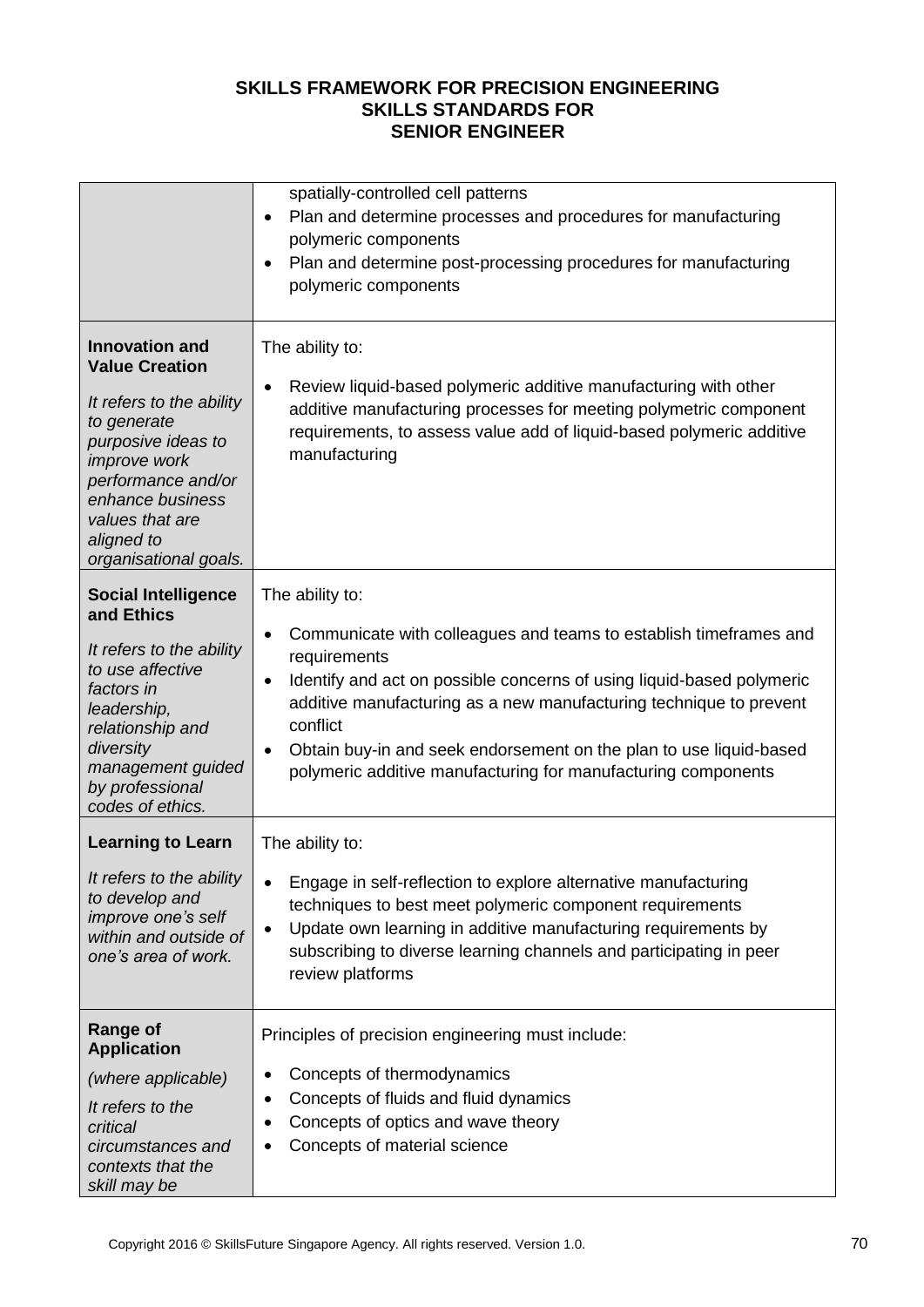|                                                                                                                                                                                                                                            | spatially-controlled cell patterns<br>Plan and determine processes and procedures for manufacturing<br>$\bullet$<br>polymeric components<br>Plan and determine post-processing procedures for manufacturing<br>$\bullet$<br>polymeric components                                                                                                                                                                                              |
|--------------------------------------------------------------------------------------------------------------------------------------------------------------------------------------------------------------------------------------------|-----------------------------------------------------------------------------------------------------------------------------------------------------------------------------------------------------------------------------------------------------------------------------------------------------------------------------------------------------------------------------------------------------------------------------------------------|
| <b>Innovation and</b><br><b>Value Creation</b><br>It refers to the ability<br>to generate<br>purposive ideas to<br><i>improve</i> work<br>performance and/or<br>enhance business<br>values that are<br>aligned to<br>organisational goals. | The ability to:<br>Review liquid-based polymeric additive manufacturing with other<br>$\bullet$<br>additive manufacturing processes for meeting polymetric component<br>requirements, to assess value add of liquid-based polymeric additive<br>manufacturing                                                                                                                                                                                 |
| <b>Social Intelligence</b><br>and Ethics<br>It refers to the ability<br>to use affective<br>factors in<br>leadership,<br>relationship and<br>diversity<br>management guided<br>by professional<br>codes of ethics.                         | The ability to:<br>Communicate with colleagues and teams to establish timeframes and<br>$\bullet$<br>requirements<br>Identify and act on possible concerns of using liquid-based polymeric<br>$\bullet$<br>additive manufacturing as a new manufacturing technique to prevent<br>conflict<br>Obtain buy-in and seek endorsement on the plan to use liquid-based<br>$\bullet$<br>polymeric additive manufacturing for manufacturing components |
| <b>Learning to Learn</b><br>It refers to the ability<br>to develop and<br>improve one's self<br>within and outside of<br>one's area of work.                                                                                               | The ability to:<br>Engage in self-reflection to explore alternative manufacturing<br>$\bullet$<br>techniques to best meet polymeric component requirements<br>Update own learning in additive manufacturing requirements by<br>$\bullet$<br>subscribing to diverse learning channels and participating in peer<br>review platforms                                                                                                            |
| Range of<br><b>Application</b><br>(where applicable)<br>It refers to the<br>critical<br>circumstances and<br>contexts that the<br>skill may be                                                                                             | Principles of precision engineering must include:<br>Concepts of thermodynamics<br>٠<br>Concepts of fluids and fluid dynamics<br>٠<br>Concepts of optics and wave theory<br>٠<br>Concepts of material science                                                                                                                                                                                                                                 |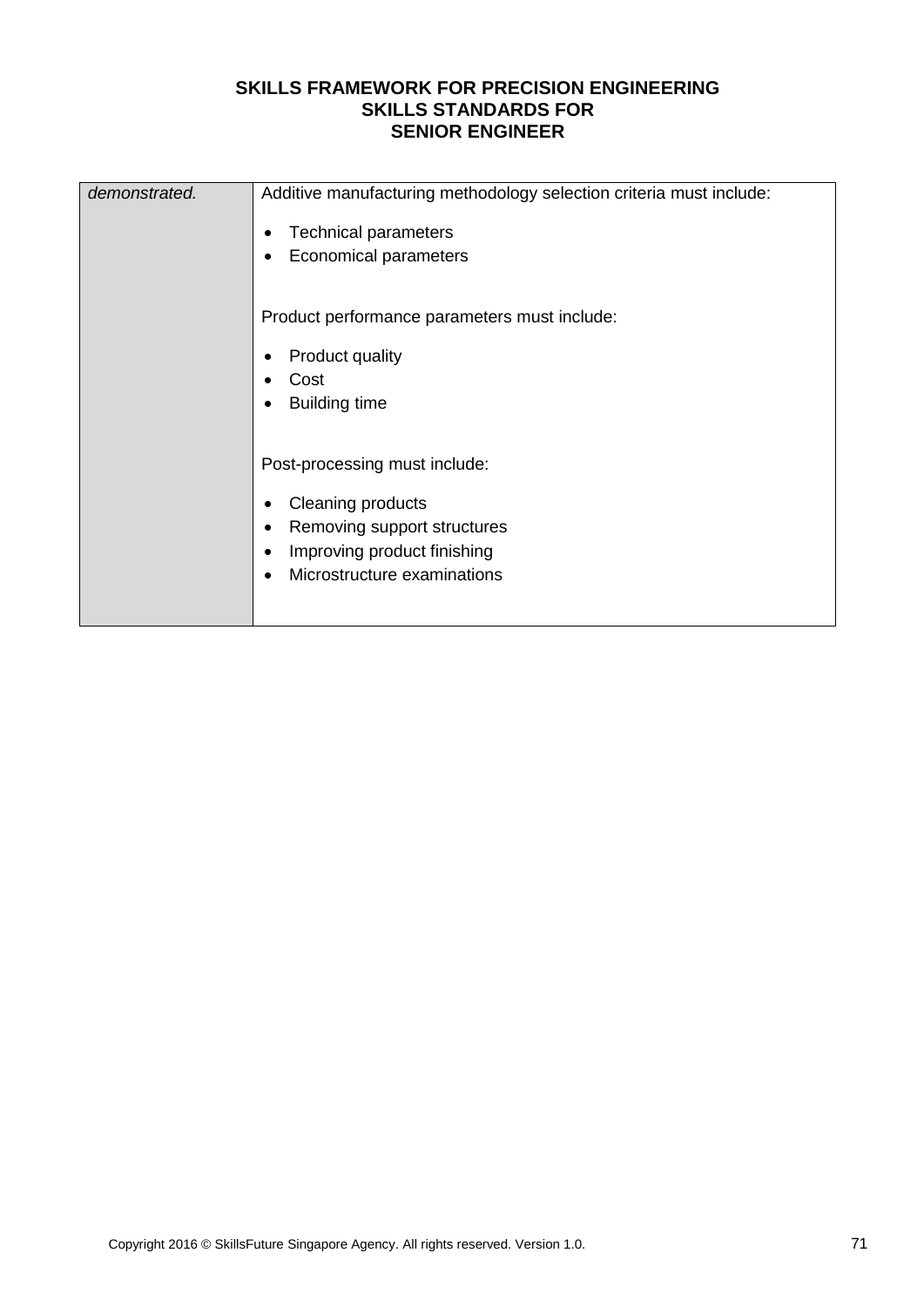| demonstrated. | Additive manufacturing methodology selection criteria must include:<br><b>Technical parameters</b><br>$\bullet$<br><b>Economical parameters</b><br>٠                                                |  |  |
|---------------|-----------------------------------------------------------------------------------------------------------------------------------------------------------------------------------------------------|--|--|
|               | Product performance parameters must include:<br><b>Product quality</b><br>$\bullet$<br>Cost<br>$\bullet$<br><b>Building time</b><br>$\bullet$                                                       |  |  |
|               | Post-processing must include:<br>Cleaning products<br>$\bullet$<br>Removing support structures<br>$\bullet$<br>Improving product finishing<br>$\bullet$<br>Microstructure examinations<br>$\bullet$ |  |  |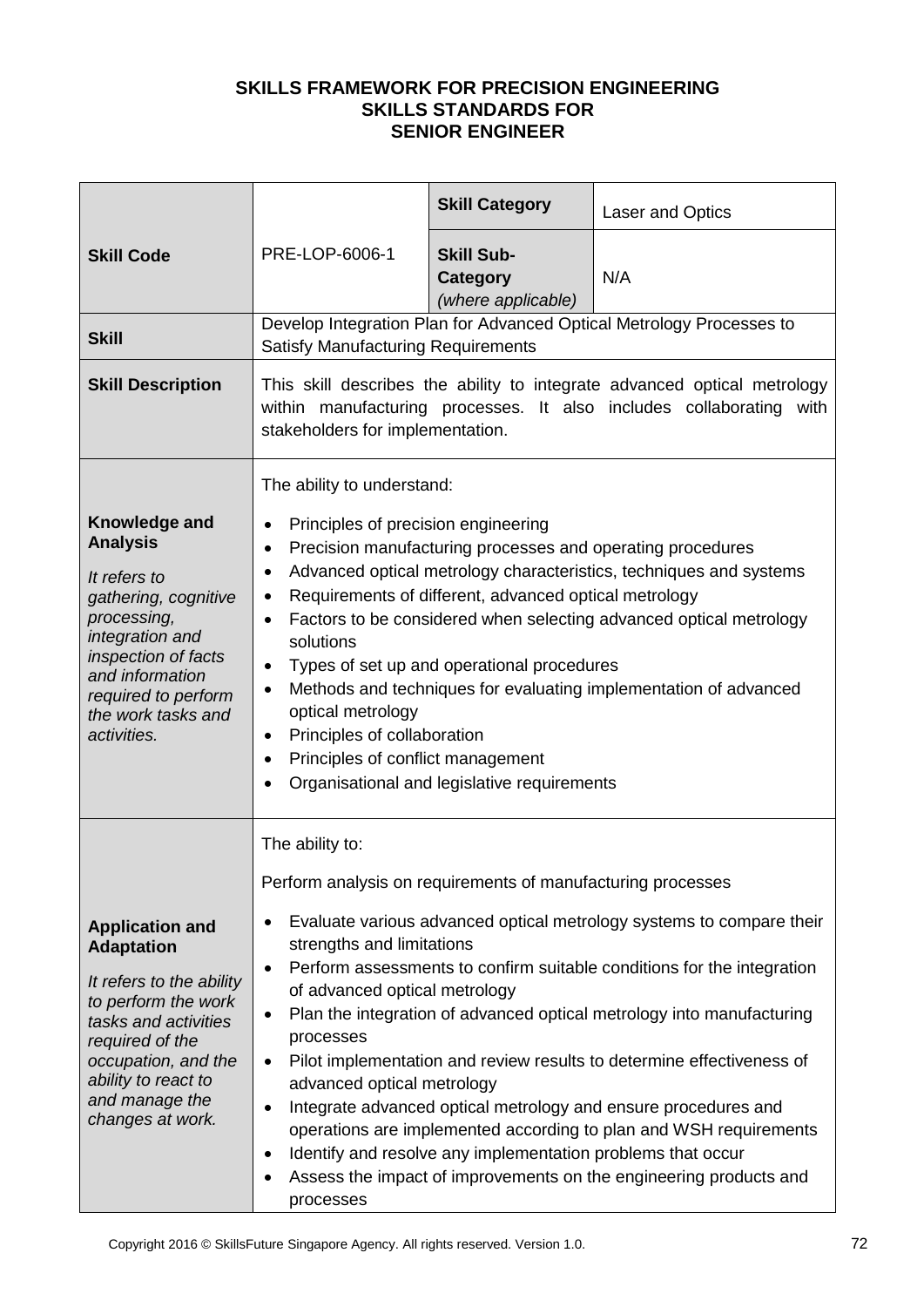|                                                                                                                                                                                                                               |                                                                                                                                                                                                                                                                                                                                                                                                                                                                                                                                                                                                                                                                                                                                                                                                                                                                        | <b>Skill Category</b>                                      | Laser and Optics                                                     |
|-------------------------------------------------------------------------------------------------------------------------------------------------------------------------------------------------------------------------------|------------------------------------------------------------------------------------------------------------------------------------------------------------------------------------------------------------------------------------------------------------------------------------------------------------------------------------------------------------------------------------------------------------------------------------------------------------------------------------------------------------------------------------------------------------------------------------------------------------------------------------------------------------------------------------------------------------------------------------------------------------------------------------------------------------------------------------------------------------------------|------------------------------------------------------------|----------------------------------------------------------------------|
| <b>Skill Code</b>                                                                                                                                                                                                             | PRE-LOP-6006-1                                                                                                                                                                                                                                                                                                                                                                                                                                                                                                                                                                                                                                                                                                                                                                                                                                                         | <b>Skill Sub-</b><br><b>Category</b><br>(where applicable) | N/A                                                                  |
| <b>Skill</b>                                                                                                                                                                                                                  | Satisfy Manufacturing Requirements                                                                                                                                                                                                                                                                                                                                                                                                                                                                                                                                                                                                                                                                                                                                                                                                                                     |                                                            | Develop Integration Plan for Advanced Optical Metrology Processes to |
| <b>Skill Description</b>                                                                                                                                                                                                      | This skill describes the ability to integrate advanced optical metrology<br>within manufacturing processes. It also includes collaborating<br>with<br>stakeholders for implementation.                                                                                                                                                                                                                                                                                                                                                                                                                                                                                                                                                                                                                                                                                 |                                                            |                                                                      |
| Knowledge and<br><b>Analysis</b><br>It refers to<br>gathering, cognitive<br>processing,<br>integration and<br>inspection of facts<br>and information<br>required to perform<br>the work tasks and<br>activities.              | The ability to understand:<br>Principles of precision engineering<br>$\bullet$<br>Precision manufacturing processes and operating procedures<br>$\bullet$<br>Advanced optical metrology characteristics, techniques and systems<br>$\bullet$<br>Requirements of different, advanced optical metrology<br>٠<br>Factors to be considered when selecting advanced optical metrology<br>$\bullet$<br>solutions<br>Types of set up and operational procedures<br>٠<br>Methods and techniques for evaluating implementation of advanced<br>٠<br>optical metrology<br>Principles of collaboration<br>$\bullet$<br>Principles of conflict management<br>$\bullet$<br>Organisational and legislative requirements<br>$\bullet$                                                                                                                                                  |                                                            |                                                                      |
| <b>Application and</b><br><b>Adaptation</b><br>It refers to the ability<br>to perform the work<br>tasks and activities<br>required of the<br>occupation, and the<br>ability to react to<br>and manage the<br>changes at work. | The ability to:<br>Perform analysis on requirements of manufacturing processes<br>Evaluate various advanced optical metrology systems to compare their<br>$\bullet$<br>strengths and limitations<br>Perform assessments to confirm suitable conditions for the integration<br>$\bullet$<br>of advanced optical metrology<br>Plan the integration of advanced optical metrology into manufacturing<br>$\bullet$<br>processes<br>Pilot implementation and review results to determine effectiveness of<br>$\bullet$<br>advanced optical metrology<br>Integrate advanced optical metrology and ensure procedures and<br>$\bullet$<br>operations are implemented according to plan and WSH requirements<br>Identify and resolve any implementation problems that occur<br>$\bullet$<br>Assess the impact of improvements on the engineering products and<br>٠<br>processes |                                                            |                                                                      |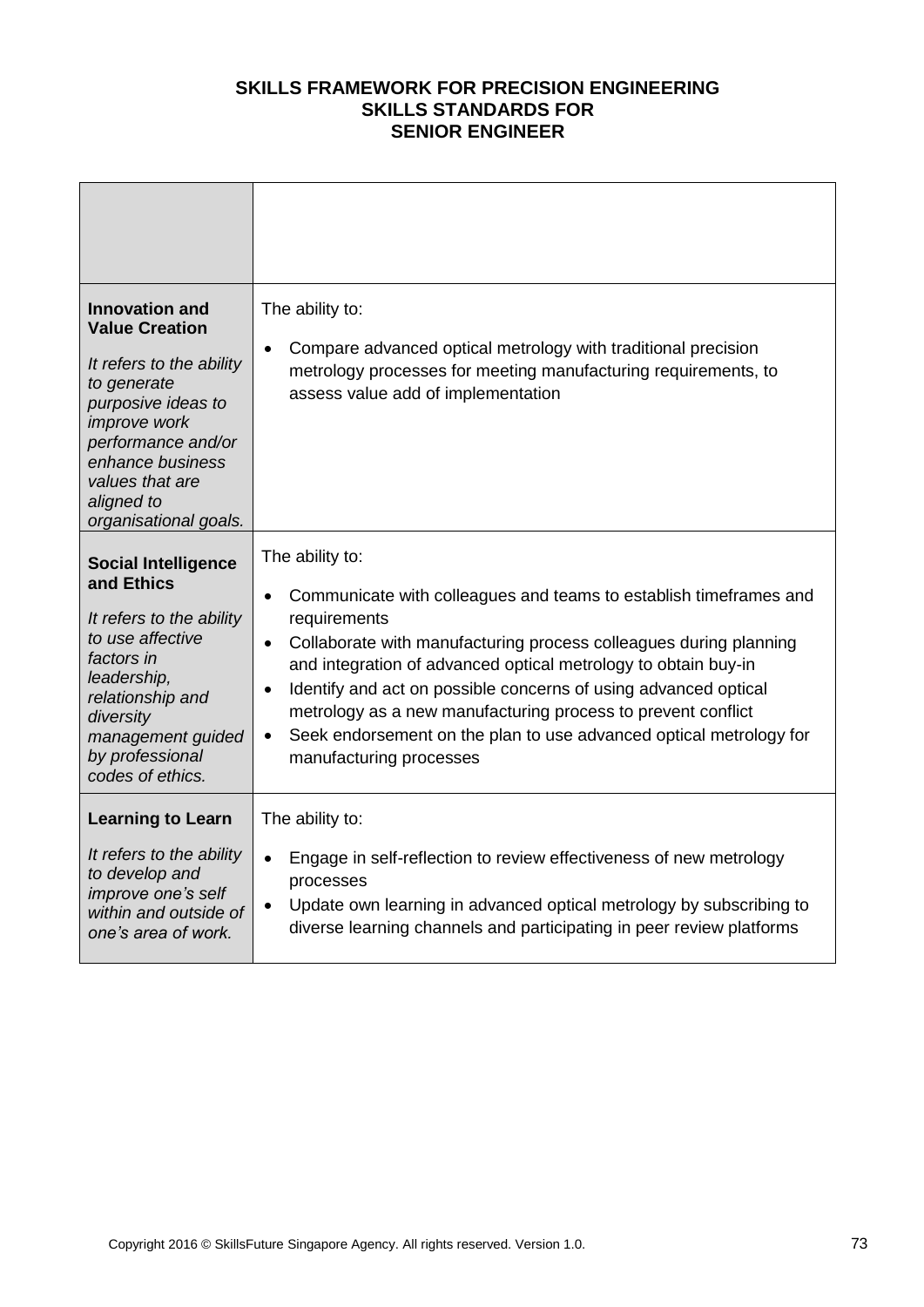| <b>Innovation and</b><br><b>Value Creation</b><br>It refers to the ability<br>to generate<br>purposive ideas to<br><i>improve</i> work<br>performance and/or<br>enhance business<br>values that are<br>aligned to<br>organisational goals. | The ability to:<br>Compare advanced optical metrology with traditional precision<br>$\bullet$<br>metrology processes for meeting manufacturing requirements, to<br>assess value add of implementation                                                                                                                                                                                                                                                                                                                               |
|--------------------------------------------------------------------------------------------------------------------------------------------------------------------------------------------------------------------------------------------|-------------------------------------------------------------------------------------------------------------------------------------------------------------------------------------------------------------------------------------------------------------------------------------------------------------------------------------------------------------------------------------------------------------------------------------------------------------------------------------------------------------------------------------|
| <b>Social Intelligence</b><br>and Ethics<br>It refers to the ability<br>to use affective<br>factors in<br>leadership,<br>relationship and<br>diversity<br>management guided<br>by professional<br>codes of ethics.                         | The ability to:<br>Communicate with colleagues and teams to establish timeframes and<br>$\bullet$<br>requirements<br>Collaborate with manufacturing process colleagues during planning<br>$\bullet$<br>and integration of advanced optical metrology to obtain buy-in<br>Identify and act on possible concerns of using advanced optical<br>$\bullet$<br>metrology as a new manufacturing process to prevent conflict<br>Seek endorsement on the plan to use advanced optical metrology for<br>$\bullet$<br>manufacturing processes |
| <b>Learning to Learn</b><br>It refers to the ability<br>to develop and<br>improve one's self<br>within and outside of<br>one's area of work.                                                                                               | The ability to:<br>Engage in self-reflection to review effectiveness of new metrology<br>$\bullet$<br>processes<br>Update own learning in advanced optical metrology by subscribing to<br>$\bullet$<br>diverse learning channels and participating in peer review platforms                                                                                                                                                                                                                                                         |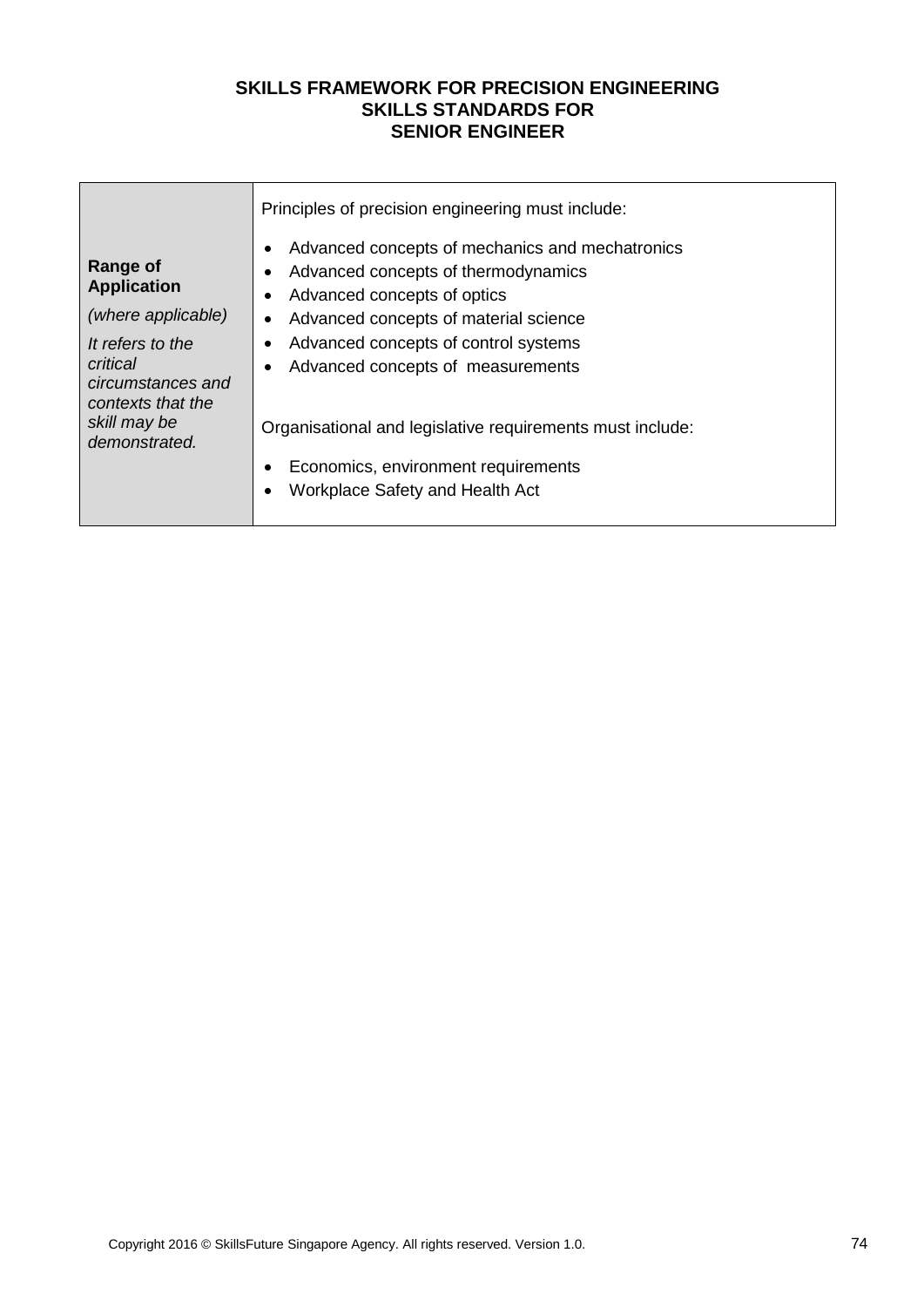|                                                                        | Principles of precision engineering must include:                                                                                                                                                          |  |  |
|------------------------------------------------------------------------|------------------------------------------------------------------------------------------------------------------------------------------------------------------------------------------------------------|--|--|
| <b>Range of</b><br><b>Application</b><br>(where applicable)            | Advanced concepts of mechanics and mechatronics<br>$\bullet$<br>Advanced concepts of thermodynamics<br>$\bullet$<br>Advanced concepts of optics<br>٠<br>Advanced concepts of material science<br>$\bullet$ |  |  |
| It refers to the<br>critical<br>circumstances and<br>contexts that the | Advanced concepts of control systems<br>Advanced concepts of measurements<br>٠                                                                                                                             |  |  |
| skill may be<br>demonstrated.                                          | Organisational and legislative requirements must include:<br>Economics, environment requirements<br>$\bullet$<br>Workplace Safety and Health Act<br>$\bullet$                                              |  |  |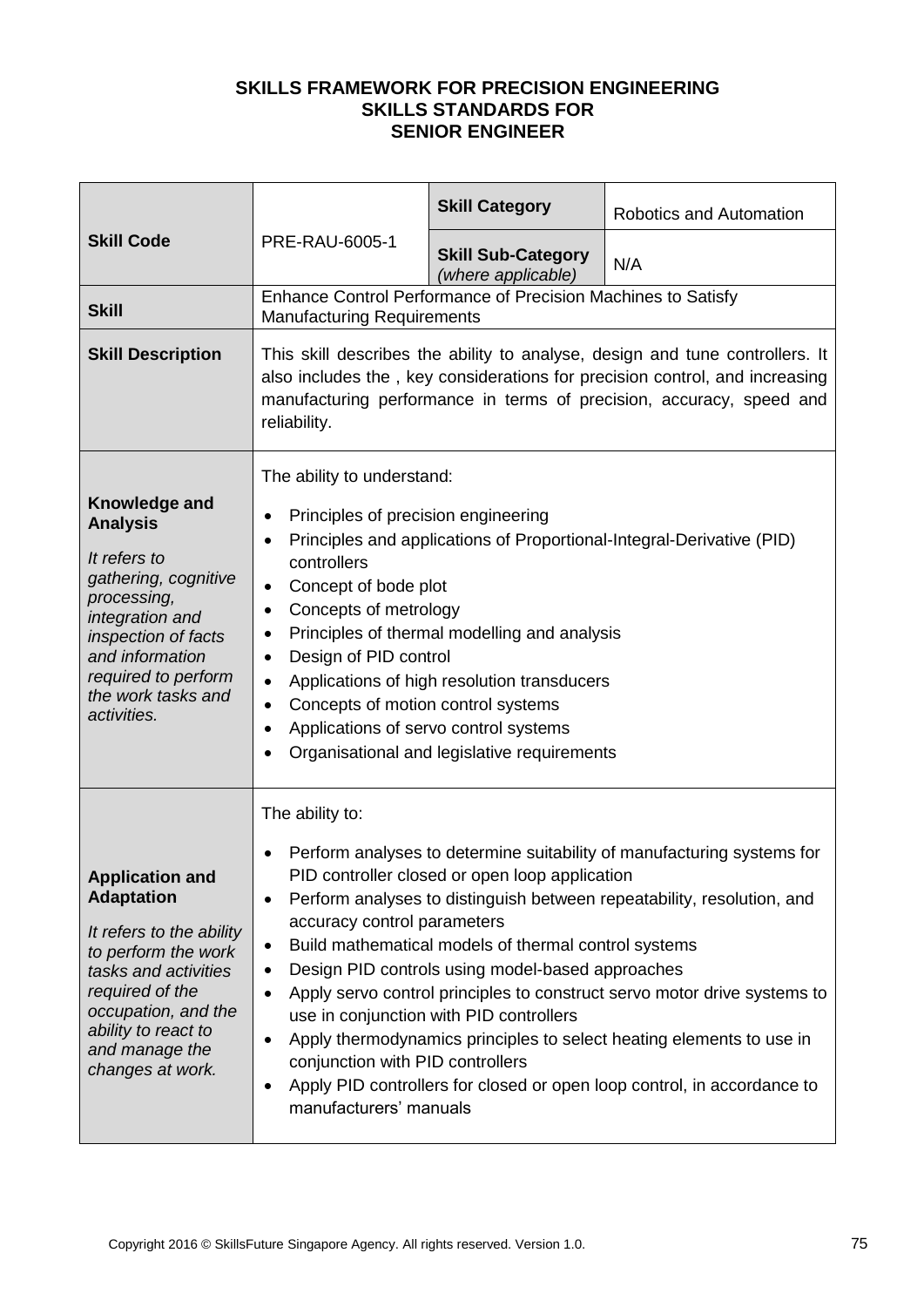|                                                                                                                                                                                                                               | <b>PRE-RAU-6005-1</b>                                                                                                                                                                                                                                                                                                                                                                                                                                                                                                                                                                                                                                                                                                                                          | <b>Skill Category</b>                                        | Robotics and Automation |
|-------------------------------------------------------------------------------------------------------------------------------------------------------------------------------------------------------------------------------|----------------------------------------------------------------------------------------------------------------------------------------------------------------------------------------------------------------------------------------------------------------------------------------------------------------------------------------------------------------------------------------------------------------------------------------------------------------------------------------------------------------------------------------------------------------------------------------------------------------------------------------------------------------------------------------------------------------------------------------------------------------|--------------------------------------------------------------|-------------------------|
| <b>Skill Code</b>                                                                                                                                                                                                             |                                                                                                                                                                                                                                                                                                                                                                                                                                                                                                                                                                                                                                                                                                                                                                | <b>Skill Sub-Category</b><br>(where applicable)              | N/A                     |
| <b>Skill</b>                                                                                                                                                                                                                  | <b>Manufacturing Requirements</b>                                                                                                                                                                                                                                                                                                                                                                                                                                                                                                                                                                                                                                                                                                                              | Enhance Control Performance of Precision Machines to Satisfy |                         |
| <b>Skill Description</b>                                                                                                                                                                                                      | This skill describes the ability to analyse, design and tune controllers. It<br>also includes the, key considerations for precision control, and increasing<br>manufacturing performance in terms of precision, accuracy, speed and<br>reliability.                                                                                                                                                                                                                                                                                                                                                                                                                                                                                                            |                                                              |                         |
| Knowledge and<br><b>Analysis</b><br>It refers to<br>gathering, cognitive<br>processing,<br>integration and<br>inspection of facts<br>and information<br>required to perform<br>the work tasks and<br>activities.              | The ability to understand:<br>Principles of precision engineering<br>$\bullet$<br>Principles and applications of Proportional-Integral-Derivative (PID)<br>٠<br>controllers<br>Concept of bode plot<br>$\bullet$<br>Concepts of metrology<br>٠<br>Principles of thermal modelling and analysis<br>$\bullet$<br>Design of PID control<br>$\bullet$<br>Applications of high resolution transducers<br>$\bullet$<br>Concepts of motion control systems<br>$\bullet$<br>Applications of servo control systems<br>٠<br>Organisational and legislative requirements<br>$\bullet$                                                                                                                                                                                     |                                                              |                         |
| <b>Application and</b><br><b>Adaptation</b><br>It refers to the ability<br>to perform the work<br>tasks and activities<br>required of the<br>occupation, and the<br>ability to react to<br>and manage the<br>changes at work. | The ability to:<br>Perform analyses to determine suitability of manufacturing systems for<br>PID controller closed or open loop application<br>Perform analyses to distinguish between repeatability, resolution, and<br>٠<br>accuracy control parameters<br>Build mathematical models of thermal control systems<br>$\bullet$<br>Design PID controls using model-based approaches<br>٠<br>Apply servo control principles to construct servo motor drive systems to<br>$\bullet$<br>use in conjunction with PID controllers<br>Apply thermodynamics principles to select heating elements to use in<br>$\bullet$<br>conjunction with PID controllers<br>Apply PID controllers for closed or open loop control, in accordance to<br>٠<br>manufacturers' manuals |                                                              |                         |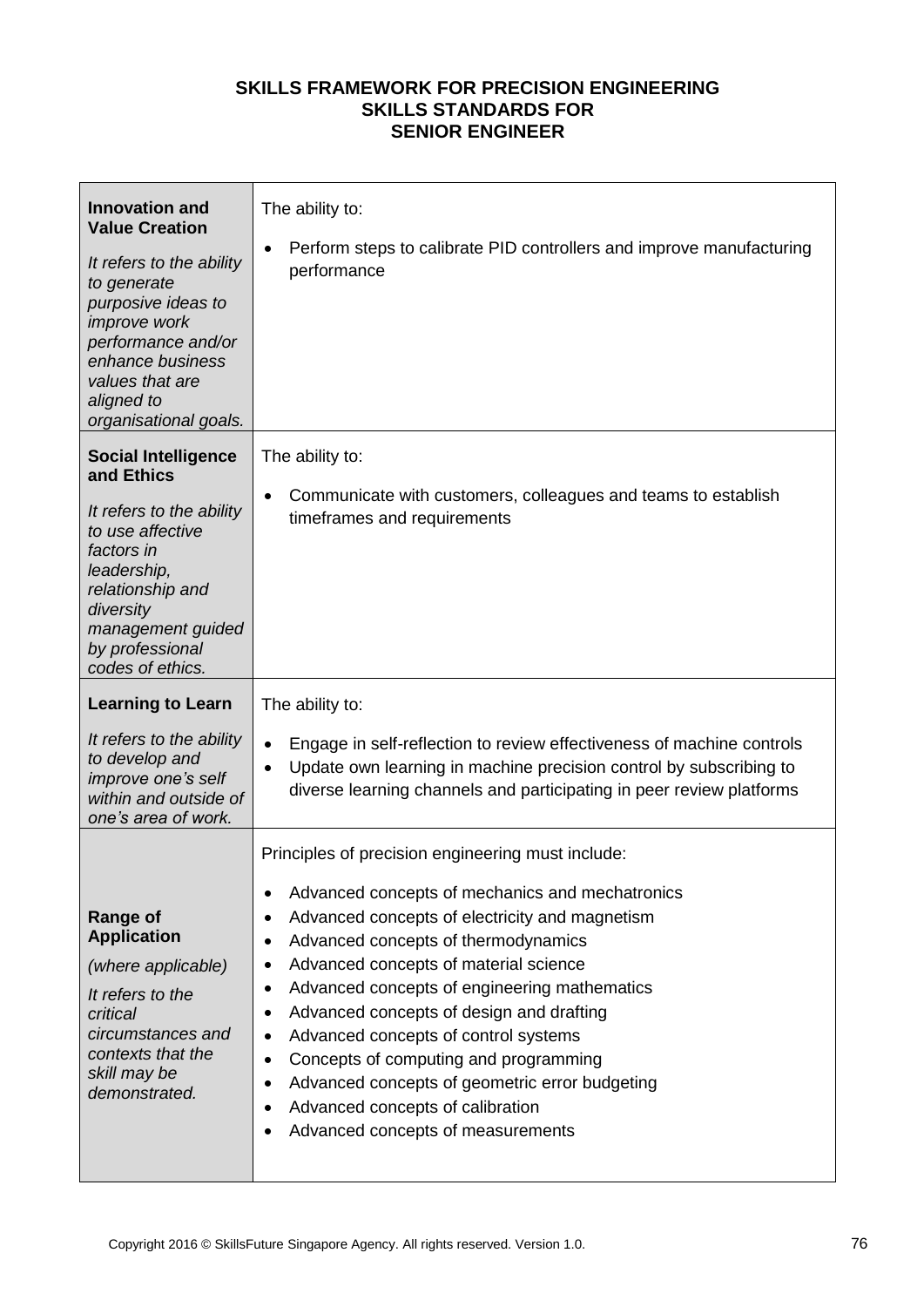| <b>Innovation and</b><br><b>Value Creation</b><br>It refers to the ability<br>to generate<br>purposive ideas to<br><i>improve</i> work<br>performance and/or<br>enhance business<br>values that are<br>aligned to<br>organisational goals. | The ability to:<br>Perform steps to calibrate PID controllers and improve manufacturing<br>$\bullet$<br>performance                                                                                                                                                                                                                                                                                                                                                                                                                                                                                                                   |
|--------------------------------------------------------------------------------------------------------------------------------------------------------------------------------------------------------------------------------------------|---------------------------------------------------------------------------------------------------------------------------------------------------------------------------------------------------------------------------------------------------------------------------------------------------------------------------------------------------------------------------------------------------------------------------------------------------------------------------------------------------------------------------------------------------------------------------------------------------------------------------------------|
| <b>Social Intelligence</b><br>and Ethics<br>It refers to the ability<br>to use affective<br>factors in<br>leadership,<br>relationship and<br>diversity<br>management guided<br>by professional<br>codes of ethics.                         | The ability to:<br>Communicate with customers, colleagues and teams to establish<br>$\bullet$<br>timeframes and requirements                                                                                                                                                                                                                                                                                                                                                                                                                                                                                                          |
| <b>Learning to Learn</b><br>It refers to the ability<br>to develop and<br>improve one's self<br>within and outside of<br>one's area of work.                                                                                               | The ability to:<br>Engage in self-reflection to review effectiveness of machine controls<br>$\bullet$<br>Update own learning in machine precision control by subscribing to<br>$\bullet$<br>diverse learning channels and participating in peer review platforms                                                                                                                                                                                                                                                                                                                                                                      |
| <b>Range of</b><br><b>Application</b><br>(where applicable)<br>It refers to the<br>critical<br>circumstances and<br>contexts that the<br>skill may be<br>demonstrated.                                                                     | Principles of precision engineering must include:<br>Advanced concepts of mechanics and mechatronics<br>$\bullet$<br>Advanced concepts of electricity and magnetism<br>٠<br>Advanced concepts of thermodynamics<br>٠<br>Advanced concepts of material science<br>٠<br>Advanced concepts of engineering mathematics<br>٠<br>Advanced concepts of design and drafting<br>٠<br>Advanced concepts of control systems<br>$\bullet$<br>Concepts of computing and programming<br>$\bullet$<br>Advanced concepts of geometric error budgeting<br>٠<br>Advanced concepts of calibration<br>٠<br>Advanced concepts of measurements<br>$\bullet$ |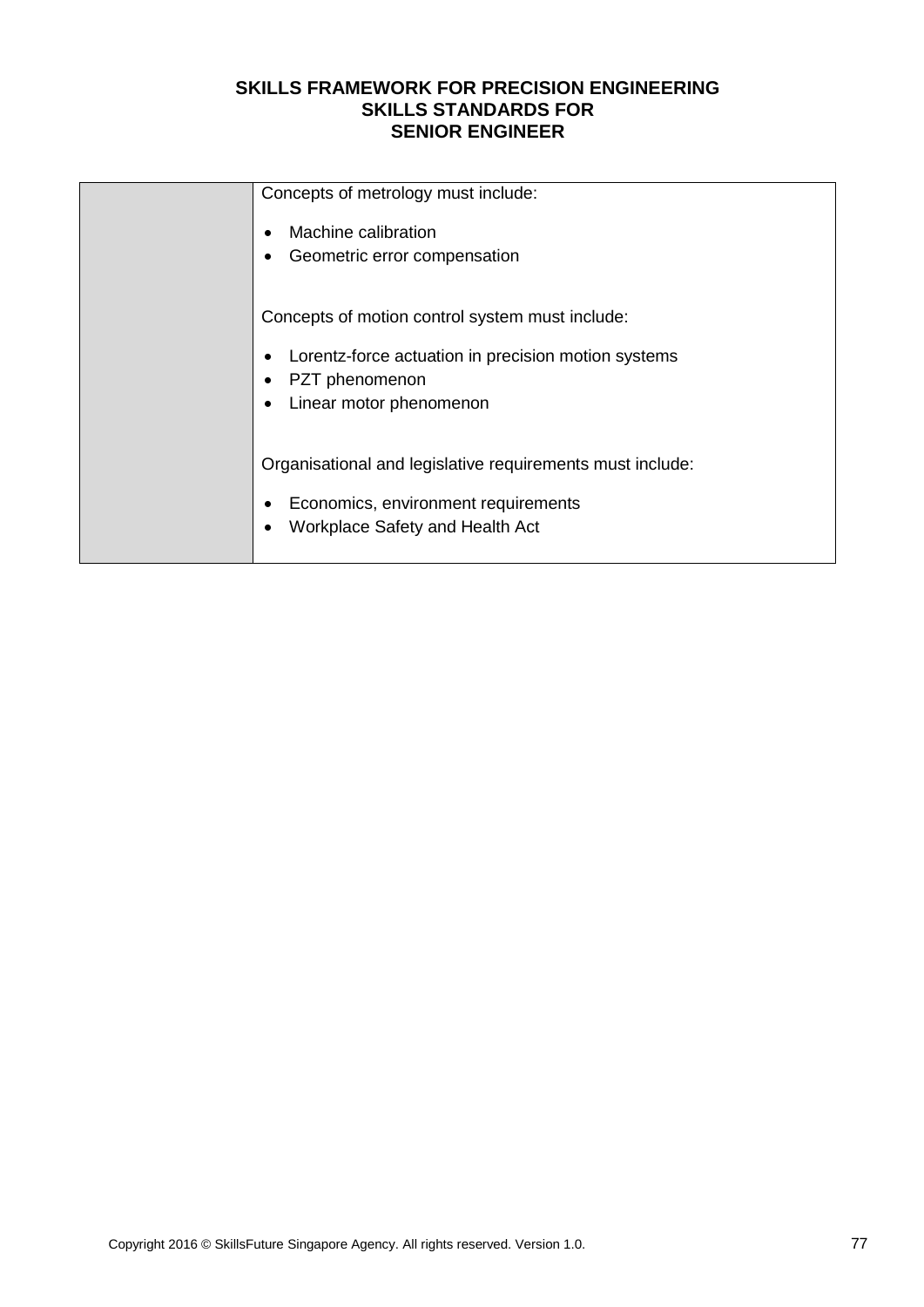| Concepts of metrology must include:                       |
|-----------------------------------------------------------|
| Machine calibration                                       |
| Geometric error compensation                              |
|                                                           |
| Concepts of motion control system must include:           |
| Lorentz-force actuation in precision motion systems       |
| PZT phenomenon                                            |
| Linear motor phenomenon                                   |
|                                                           |
| Organisational and legislative requirements must include: |
| Economics, environment requirements                       |
| Workplace Safety and Health Act                           |
|                                                           |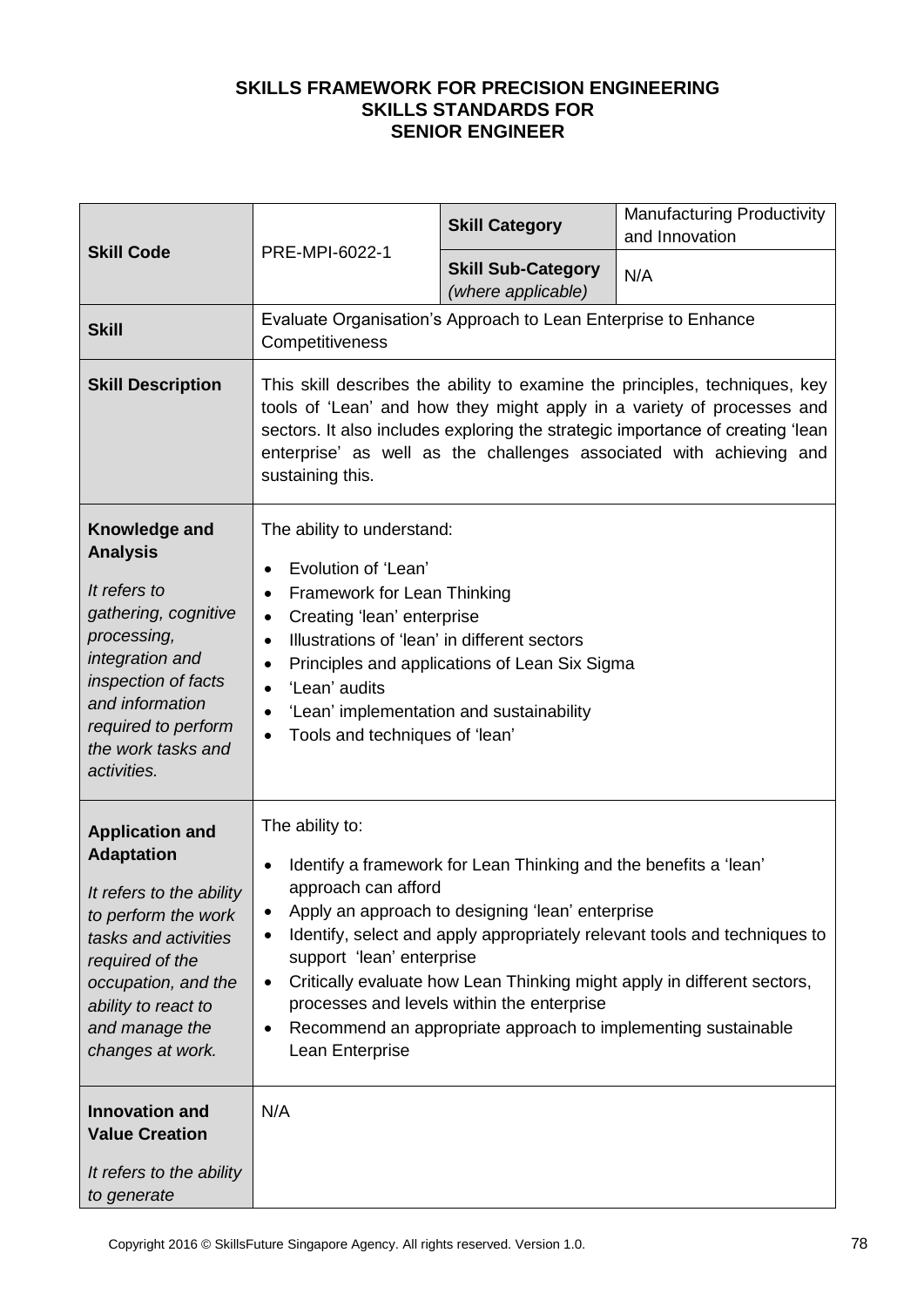| <b>Skill Code</b>                                                                                                                                                                                                             | PRE-MPI-6022-1                                                                                                                                                                                                                                                                                                                                                                                                                                                                                                                 | <b>Skill Category</b>                           | <b>Manufacturing Productivity</b><br>and Innovation |
|-------------------------------------------------------------------------------------------------------------------------------------------------------------------------------------------------------------------------------|--------------------------------------------------------------------------------------------------------------------------------------------------------------------------------------------------------------------------------------------------------------------------------------------------------------------------------------------------------------------------------------------------------------------------------------------------------------------------------------------------------------------------------|-------------------------------------------------|-----------------------------------------------------|
|                                                                                                                                                                                                                               |                                                                                                                                                                                                                                                                                                                                                                                                                                                                                                                                | <b>Skill Sub-Category</b><br>(where applicable) | N/A                                                 |
| <b>Skill</b>                                                                                                                                                                                                                  | Evaluate Organisation's Approach to Lean Enterprise to Enhance<br>Competitiveness                                                                                                                                                                                                                                                                                                                                                                                                                                              |                                                 |                                                     |
| <b>Skill Description</b>                                                                                                                                                                                                      | This skill describes the ability to examine the principles, techniques, key<br>tools of 'Lean' and how they might apply in a variety of processes and<br>sectors. It also includes exploring the strategic importance of creating 'lean<br>enterprise' as well as the challenges associated with achieving and<br>sustaining this.                                                                                                                                                                                             |                                                 |                                                     |
| Knowledge and<br><b>Analysis</b><br>It refers to<br>gathering, cognitive<br>processing,<br>integration and<br>inspection of facts<br>and information<br>required to perform<br>the work tasks and<br>activities.              | The ability to understand:<br>Evolution of 'Lean'<br>$\bullet$<br>Framework for Lean Thinking<br>٠<br>Creating 'lean' enterprise<br>٠<br>Illustrations of 'lean' in different sectors<br>$\bullet$<br>Principles and applications of Lean Six Sigma<br>$\bullet$<br>'Lean' audits<br>$\bullet$<br>'Lean' implementation and sustainability<br>$\bullet$<br>Tools and techniques of 'lean'<br>$\bullet$                                                                                                                         |                                                 |                                                     |
| <b>Application and</b><br><b>Adaptation</b><br>It refers to the ability<br>to perform the work<br>tasks and activities<br>required of the<br>occupation, and the<br>ability to react to<br>and manage the<br>changes at work. | The ability to:<br>Identify a framework for Lean Thinking and the benefits a 'lean'<br>$\bullet$<br>approach can afford<br>Apply an approach to designing 'lean' enterprise<br>٠<br>Identify, select and apply appropriately relevant tools and techniques to<br>٠<br>support 'lean' enterprise<br>Critically evaluate how Lean Thinking might apply in different sectors,<br>$\bullet$<br>processes and levels within the enterprise<br>Recommend an appropriate approach to implementing sustainable<br>٠<br>Lean Enterprise |                                                 |                                                     |
| <b>Innovation and</b><br><b>Value Creation</b><br>It refers to the ability<br>to generate                                                                                                                                     | N/A                                                                                                                                                                                                                                                                                                                                                                                                                                                                                                                            |                                                 |                                                     |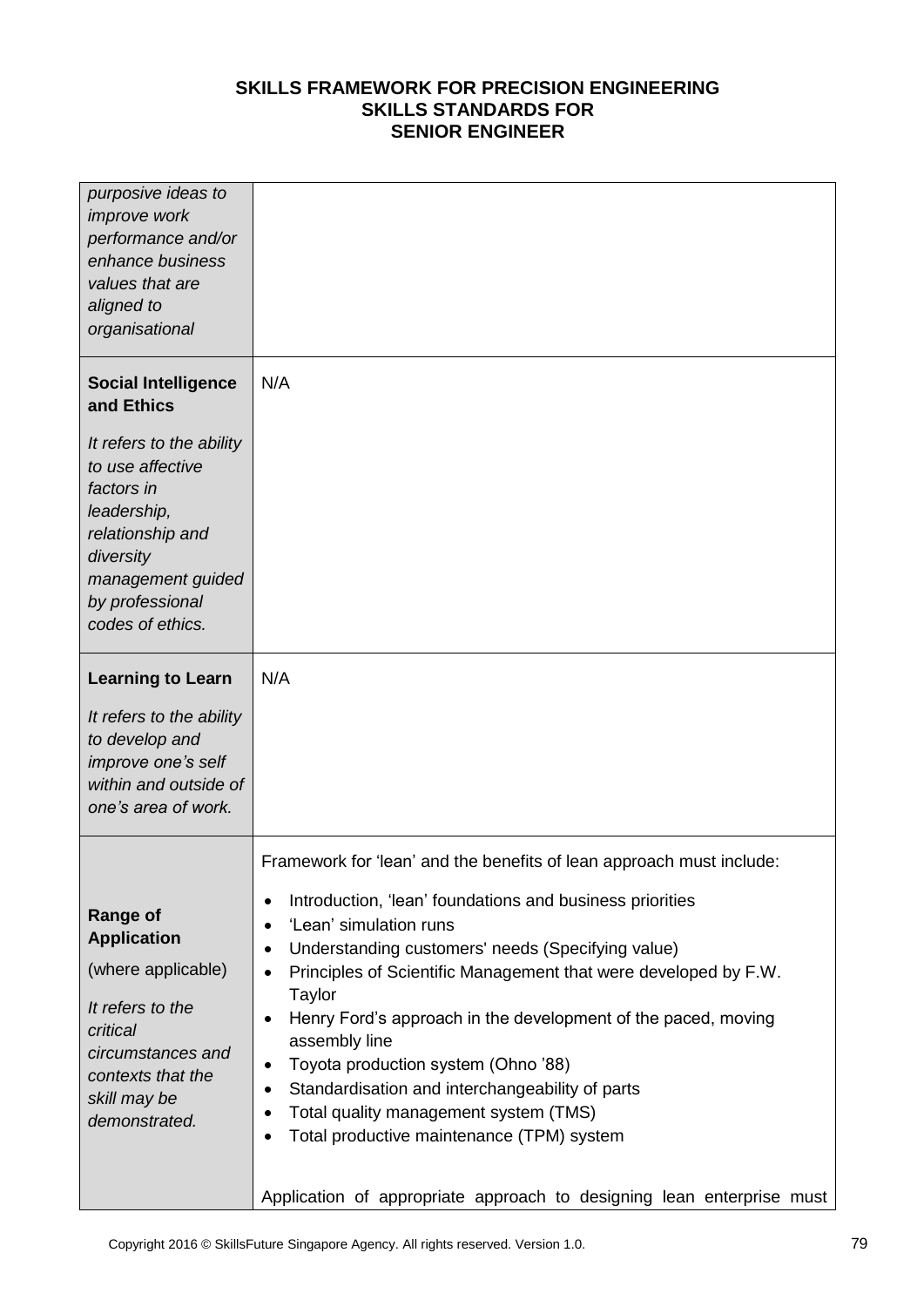| purposive ideas to<br>improve work<br>performance and/or<br>enhance business<br>values that are<br>aligned to<br>organisational                                        |                                                                                                                                                                                                                                                                                                                                                                                                                                                                                                                                                                                                                                              |
|------------------------------------------------------------------------------------------------------------------------------------------------------------------------|----------------------------------------------------------------------------------------------------------------------------------------------------------------------------------------------------------------------------------------------------------------------------------------------------------------------------------------------------------------------------------------------------------------------------------------------------------------------------------------------------------------------------------------------------------------------------------------------------------------------------------------------|
| <b>Social Intelligence</b><br>and Ethics                                                                                                                               | N/A                                                                                                                                                                                                                                                                                                                                                                                                                                                                                                                                                                                                                                          |
| It refers to the ability<br>to use affective<br>factors in<br>leadership,<br>relationship and<br>diversity<br>management guided<br>by professional<br>codes of ethics. |                                                                                                                                                                                                                                                                                                                                                                                                                                                                                                                                                                                                                                              |
| <b>Learning to Learn</b>                                                                                                                                               | N/A                                                                                                                                                                                                                                                                                                                                                                                                                                                                                                                                                                                                                                          |
| It refers to the ability<br>to develop and<br>improve one's self<br>within and outside of<br>one's area of work.                                                       |                                                                                                                                                                                                                                                                                                                                                                                                                                                                                                                                                                                                                                              |
|                                                                                                                                                                        | Framework for 'lean' and the benefits of lean approach must include:                                                                                                                                                                                                                                                                                                                                                                                                                                                                                                                                                                         |
| <b>Range of</b><br><b>Application</b><br>(where applicable)<br>It refers to the<br>critical<br>circumstances and<br>contexts that the<br>skill may be<br>demonstrated. | Introduction, 'lean' foundations and business priorities<br>٠<br>'Lean' simulation runs<br>$\bullet$<br>Understanding customers' needs (Specifying value)<br>$\bullet$<br>Principles of Scientific Management that were developed by F.W.<br>$\bullet$<br>Taylor<br>Henry Ford's approach in the development of the paced, moving<br>$\bullet$<br>assembly line<br>Toyota production system (Ohno '88)<br>٠<br>Standardisation and interchangeability of parts<br>٠<br>Total quality management system (TMS)<br>٠<br>Total productive maintenance (TPM) system<br>٠<br>Application of appropriate approach to designing lean enterprise must |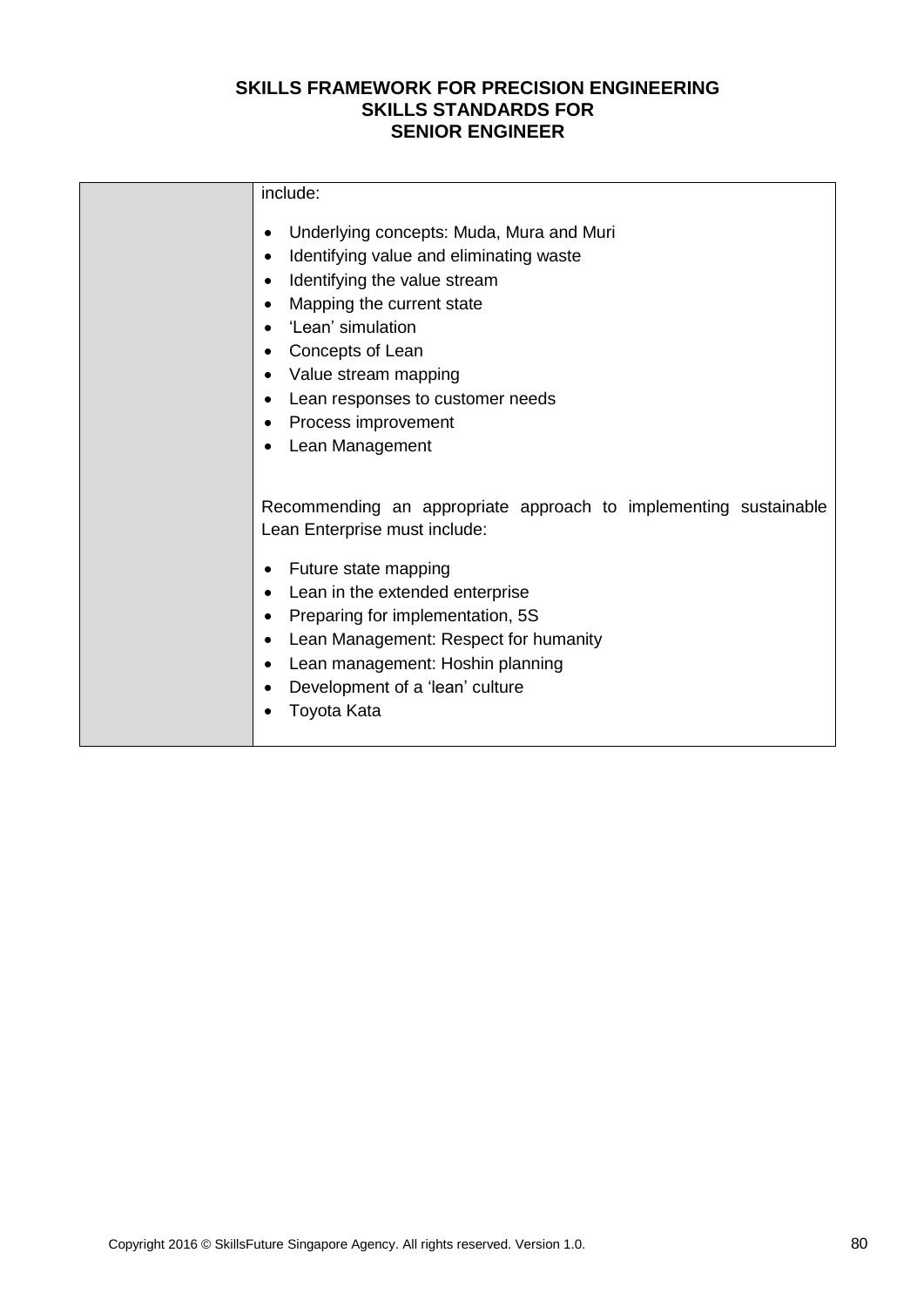| include:                                                                                                                                                                                                                                                                                                                        |
|---------------------------------------------------------------------------------------------------------------------------------------------------------------------------------------------------------------------------------------------------------------------------------------------------------------------------------|
| Underlying concepts: Muda, Mura and Muri<br>Identifying value and eliminating waste<br>Identifying the value stream<br>Mapping the current state<br>'Lean' simulation<br>Concepts of Lean<br>Value stream mapping<br>Lean responses to customer needs<br>Process improvement<br>Lean Management                                 |
| Recommending an appropriate approach to implementing sustainable<br>Lean Enterprise must include:<br>Future state mapping<br>Lean in the extended enterprise<br>Preparing for implementation, 5S<br>Lean Management: Respect for humanity<br>Lean management: Hoshin planning<br>Development of a 'lean' culture<br>Toyota Kata |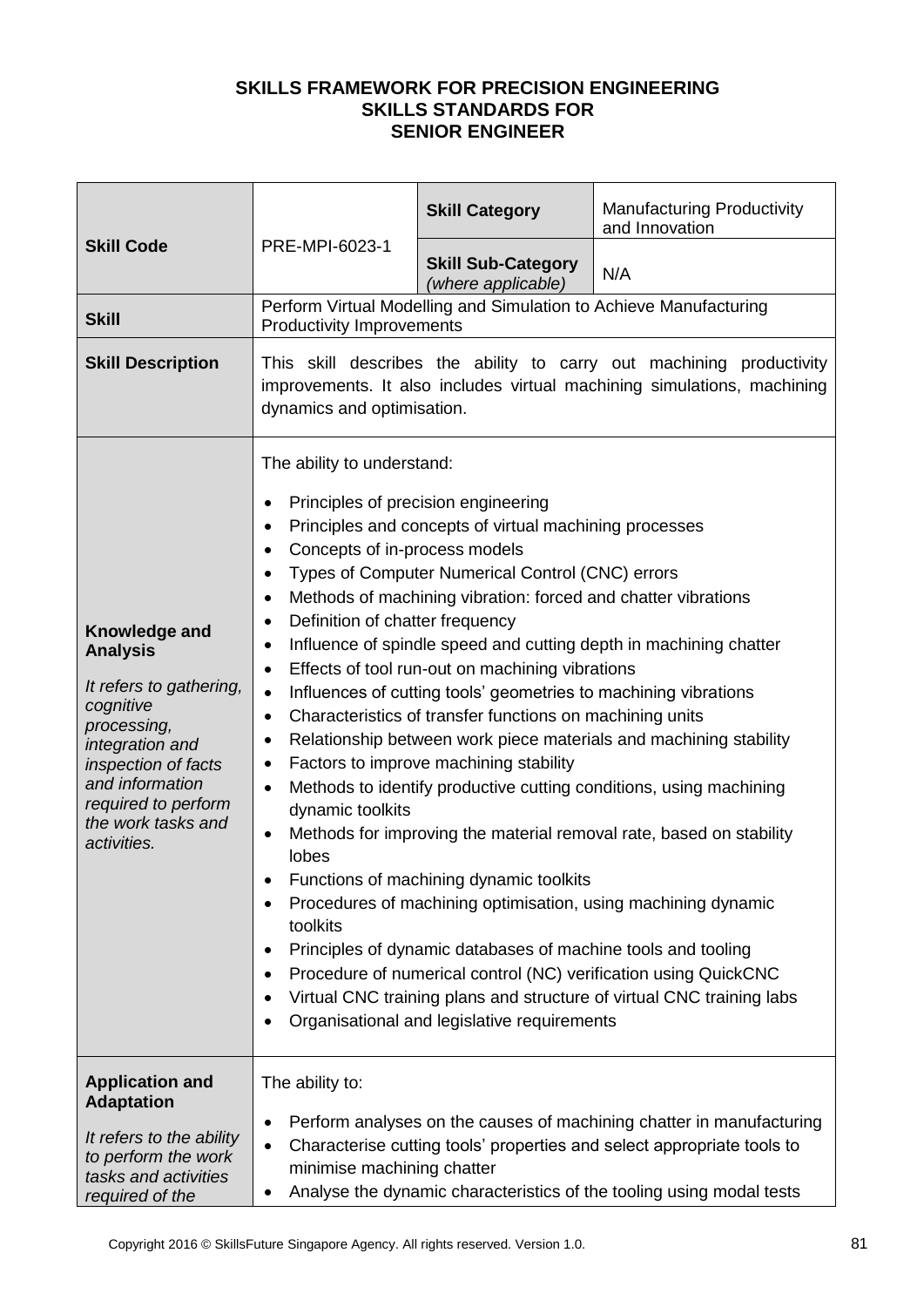|                                                                                                                                                                                                                         |                                                                                                                                                                                                                                                                                                                                                                                                                                                                                                                                                                                                                                                                                                                                                                                                                                                                                                                                                                                                                                                                                                                                                                                                                                                                                                                    | <b>Skill Category</b>                                             | <b>Manufacturing Productivity</b><br>and Innovation |
|-------------------------------------------------------------------------------------------------------------------------------------------------------------------------------------------------------------------------|--------------------------------------------------------------------------------------------------------------------------------------------------------------------------------------------------------------------------------------------------------------------------------------------------------------------------------------------------------------------------------------------------------------------------------------------------------------------------------------------------------------------------------------------------------------------------------------------------------------------------------------------------------------------------------------------------------------------------------------------------------------------------------------------------------------------------------------------------------------------------------------------------------------------------------------------------------------------------------------------------------------------------------------------------------------------------------------------------------------------------------------------------------------------------------------------------------------------------------------------------------------------------------------------------------------------|-------------------------------------------------------------------|-----------------------------------------------------|
| <b>Skill Code</b>                                                                                                                                                                                                       | PRE-MPI-6023-1                                                                                                                                                                                                                                                                                                                                                                                                                                                                                                                                                                                                                                                                                                                                                                                                                                                                                                                                                                                                                                                                                                                                                                                                                                                                                                     | <b>Skill Sub-Category</b><br>(where applicable)                   | N/A                                                 |
| <b>Skill</b>                                                                                                                                                                                                            | <b>Productivity Improvements</b>                                                                                                                                                                                                                                                                                                                                                                                                                                                                                                                                                                                                                                                                                                                                                                                                                                                                                                                                                                                                                                                                                                                                                                                                                                                                                   | Perform Virtual Modelling and Simulation to Achieve Manufacturing |                                                     |
| <b>Skill Description</b>                                                                                                                                                                                                | This skill describes the ability to carry out machining productivity<br>improvements. It also includes virtual machining simulations, machining<br>dynamics and optimisation.                                                                                                                                                                                                                                                                                                                                                                                                                                                                                                                                                                                                                                                                                                                                                                                                                                                                                                                                                                                                                                                                                                                                      |                                                                   |                                                     |
| <b>Knowledge and</b><br><b>Analysis</b><br>It refers to gathering,<br>cognitive<br>processing,<br>integration and<br>inspection of facts<br>and information<br>required to perform<br>the work tasks and<br>activities. | The ability to understand:<br>Principles of precision engineering<br>Principles and concepts of virtual machining processes<br>Concepts of in-process models<br>Types of Computer Numerical Control (CNC) errors<br>Methods of machining vibration: forced and chatter vibrations<br>Definition of chatter frequency<br>Influence of spindle speed and cutting depth in machining chatter<br>٠<br>Effects of tool run-out on machining vibrations<br>Influences of cutting tools' geometries to machining vibrations<br>$\bullet$<br>Characteristics of transfer functions on machining units<br>$\bullet$<br>Relationship between work piece materials and machining stability<br>٠<br>Factors to improve machining stability<br>٠<br>Methods to identify productive cutting conditions, using machining<br>$\bullet$<br>dynamic toolkits<br>Methods for improving the material removal rate, based on stability<br>٠<br>lobes<br>Functions of machining dynamic toolkits<br>Procedures of machining optimisation, using machining dynamic<br>toolkits<br>Principles of dynamic databases of machine tools and tooling<br>Procedure of numerical control (NC) verification using QuickCNC<br>Virtual CNC training plans and structure of virtual CNC training labs<br>Organisational and legislative requirements |                                                                   |                                                     |
| <b>Application and</b><br><b>Adaptation</b>                                                                                                                                                                             | The ability to:                                                                                                                                                                                                                                                                                                                                                                                                                                                                                                                                                                                                                                                                                                                                                                                                                                                                                                                                                                                                                                                                                                                                                                                                                                                                                                    |                                                                   |                                                     |
| It refers to the ability<br>to perform the work<br>tasks and activities<br>required of the                                                                                                                              | Perform analyses on the causes of machining chatter in manufacturing<br>٠<br>Characterise cutting tools' properties and select appropriate tools to<br>$\bullet$<br>minimise machining chatter<br>Analyse the dynamic characteristics of the tooling using modal tests                                                                                                                                                                                                                                                                                                                                                                                                                                                                                                                                                                                                                                                                                                                                                                                                                                                                                                                                                                                                                                             |                                                                   |                                                     |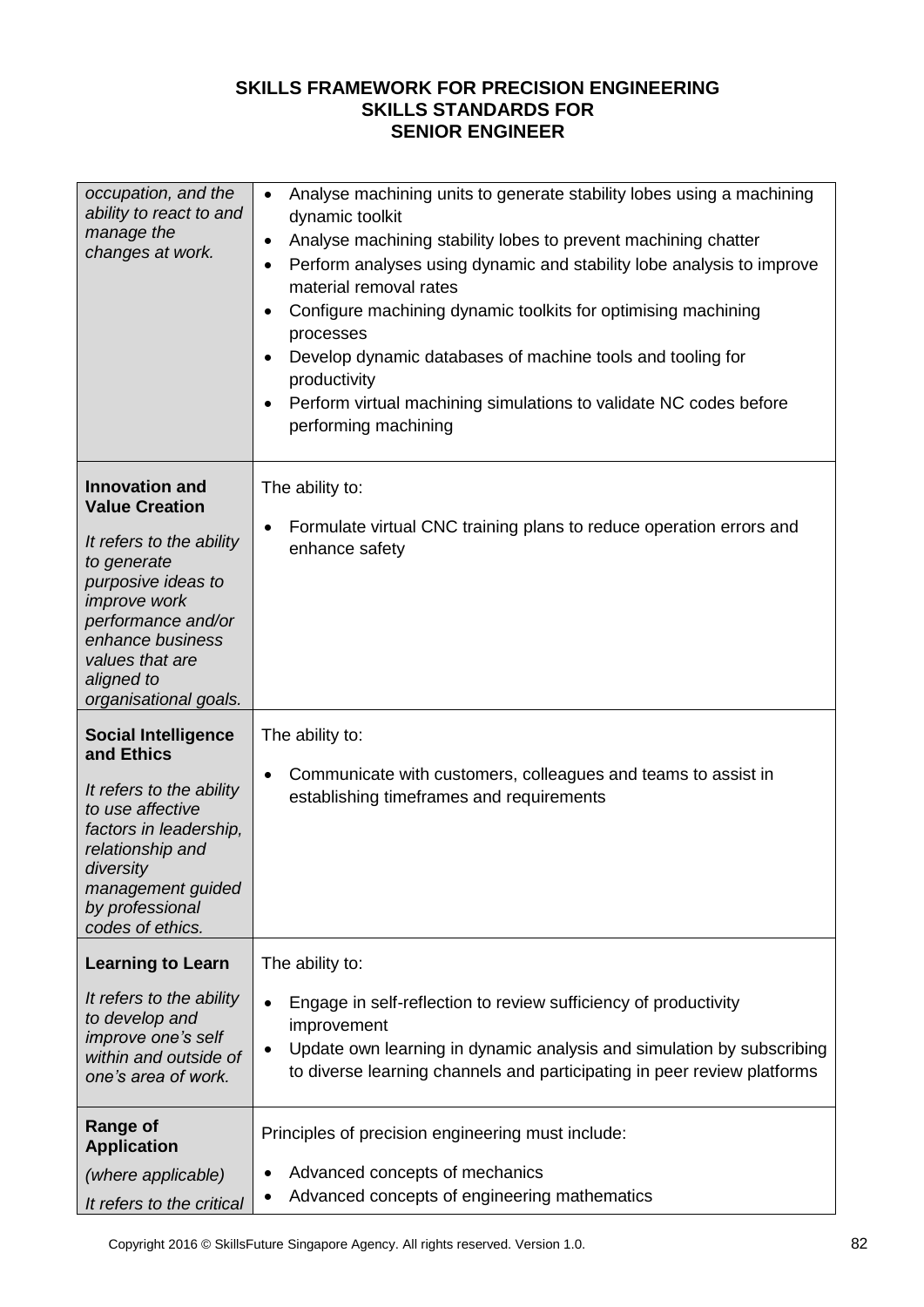| occupation, and the<br>ability to react to and<br>manage the<br>changes at work.                                                                                                                                                    | Analyse machining units to generate stability lobes using a machining<br>$\bullet$<br>dynamic toolkit<br>Analyse machining stability lobes to prevent machining chatter<br>$\bullet$<br>Perform analyses using dynamic and stability lobe analysis to improve<br>٠<br>material removal rates<br>Configure machining dynamic toolkits for optimising machining<br>$\bullet$<br>processes<br>Develop dynamic databases of machine tools and tooling for<br>$\bullet$<br>productivity<br>Perform virtual machining simulations to validate NC codes before<br>$\bullet$<br>performing machining |
|-------------------------------------------------------------------------------------------------------------------------------------------------------------------------------------------------------------------------------------|----------------------------------------------------------------------------------------------------------------------------------------------------------------------------------------------------------------------------------------------------------------------------------------------------------------------------------------------------------------------------------------------------------------------------------------------------------------------------------------------------------------------------------------------------------------------------------------------|
| <b>Innovation and</b><br><b>Value Creation</b><br>It refers to the ability<br>to generate<br>purposive ideas to<br>improve work<br>performance and/or<br>enhance business<br>values that are<br>aligned to<br>organisational goals. | The ability to:<br>Formulate virtual CNC training plans to reduce operation errors and<br>$\bullet$<br>enhance safety                                                                                                                                                                                                                                                                                                                                                                                                                                                                        |
| <b>Social Intelligence</b><br>and Ethics<br>It refers to the ability<br>to use affective<br>factors in leadership,<br>relationship and<br>diversity<br>management guided<br>by professional<br>codes of ethics.                     | The ability to:<br>Communicate with customers, colleagues and teams to assist in<br>$\bullet$<br>establishing timeframes and requirements                                                                                                                                                                                                                                                                                                                                                                                                                                                    |
| <b>Learning to Learn</b><br>It refers to the ability<br>to develop and<br>improve one's self<br>within and outside of<br>one's area of work.                                                                                        | The ability to:<br>Engage in self-reflection to review sufficiency of productivity<br>$\bullet$<br>improvement<br>Update own learning in dynamic analysis and simulation by subscribing<br>$\bullet$<br>to diverse learning channels and participating in peer review platforms                                                                                                                                                                                                                                                                                                              |
| <b>Range of</b><br><b>Application</b><br>(where applicable)<br>It refers to the critical                                                                                                                                            | Principles of precision engineering must include:<br>Advanced concepts of mechanics<br>Advanced concepts of engineering mathematics                                                                                                                                                                                                                                                                                                                                                                                                                                                          |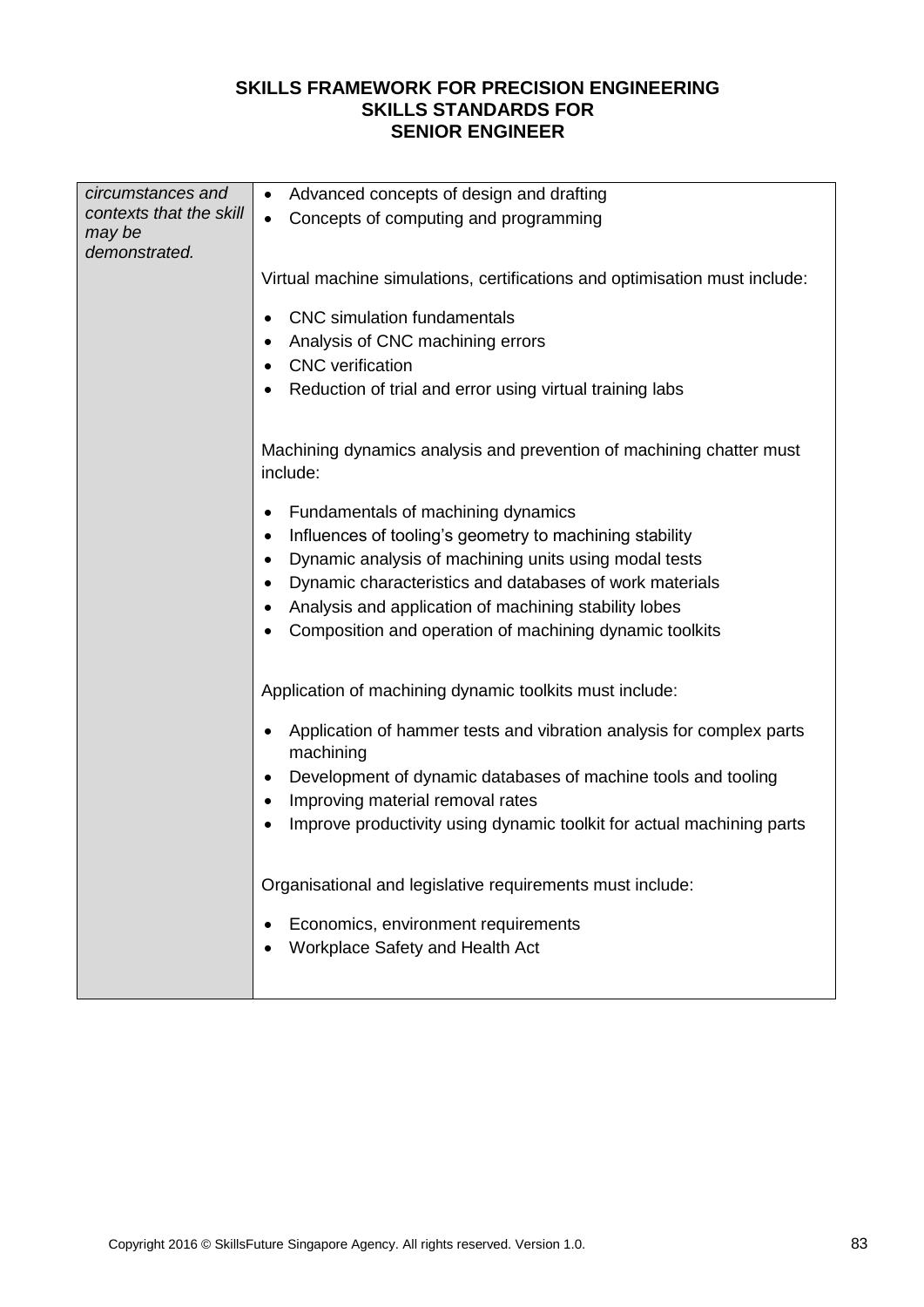| circumstances and                                  | Advanced concepts of design and drafting<br>$\bullet$                                                                  |  |  |  |  |
|----------------------------------------------------|------------------------------------------------------------------------------------------------------------------------|--|--|--|--|
| contexts that the skill<br>may be<br>demonstrated. | Concepts of computing and programming<br>$\bullet$                                                                     |  |  |  |  |
|                                                    | Virtual machine simulations, certifications and optimisation must include:                                             |  |  |  |  |
|                                                    | <b>CNC</b> simulation fundamentals<br>$\bullet$                                                                        |  |  |  |  |
|                                                    | Analysis of CNC machining errors                                                                                       |  |  |  |  |
|                                                    | <b>CNC</b> verification                                                                                                |  |  |  |  |
|                                                    | Reduction of trial and error using virtual training labs<br>٠                                                          |  |  |  |  |
|                                                    | Machining dynamics analysis and prevention of machining chatter must<br>include:                                       |  |  |  |  |
|                                                    | Fundamentals of machining dynamics<br>٠                                                                                |  |  |  |  |
|                                                    | Influences of tooling's geometry to machining stability<br>$\bullet$                                                   |  |  |  |  |
|                                                    | Dynamic analysis of machining units using modal tests<br>$\bullet$                                                     |  |  |  |  |
|                                                    | Dynamic characteristics and databases of work materials<br>$\bullet$                                                   |  |  |  |  |
|                                                    | Analysis and application of machining stability lobes<br>$\bullet$                                                     |  |  |  |  |
|                                                    | Composition and operation of machining dynamic toolkits                                                                |  |  |  |  |
|                                                    | Application of machining dynamic toolkits must include:                                                                |  |  |  |  |
|                                                    | Application of hammer tests and vibration analysis for complex parts<br>$\bullet$<br>machining                         |  |  |  |  |
|                                                    | Development of dynamic databases of machine tools and tooling<br>$\bullet$                                             |  |  |  |  |
|                                                    | Improving material removal rates<br>$\bullet$<br>Improve productivity using dynamic toolkit for actual machining parts |  |  |  |  |
|                                                    |                                                                                                                        |  |  |  |  |
|                                                    | Organisational and legislative requirements must include:                                                              |  |  |  |  |
|                                                    | Economics, environment requirements<br>٠                                                                               |  |  |  |  |
|                                                    | Workplace Safety and Health Act<br>$\bullet$                                                                           |  |  |  |  |
|                                                    |                                                                                                                        |  |  |  |  |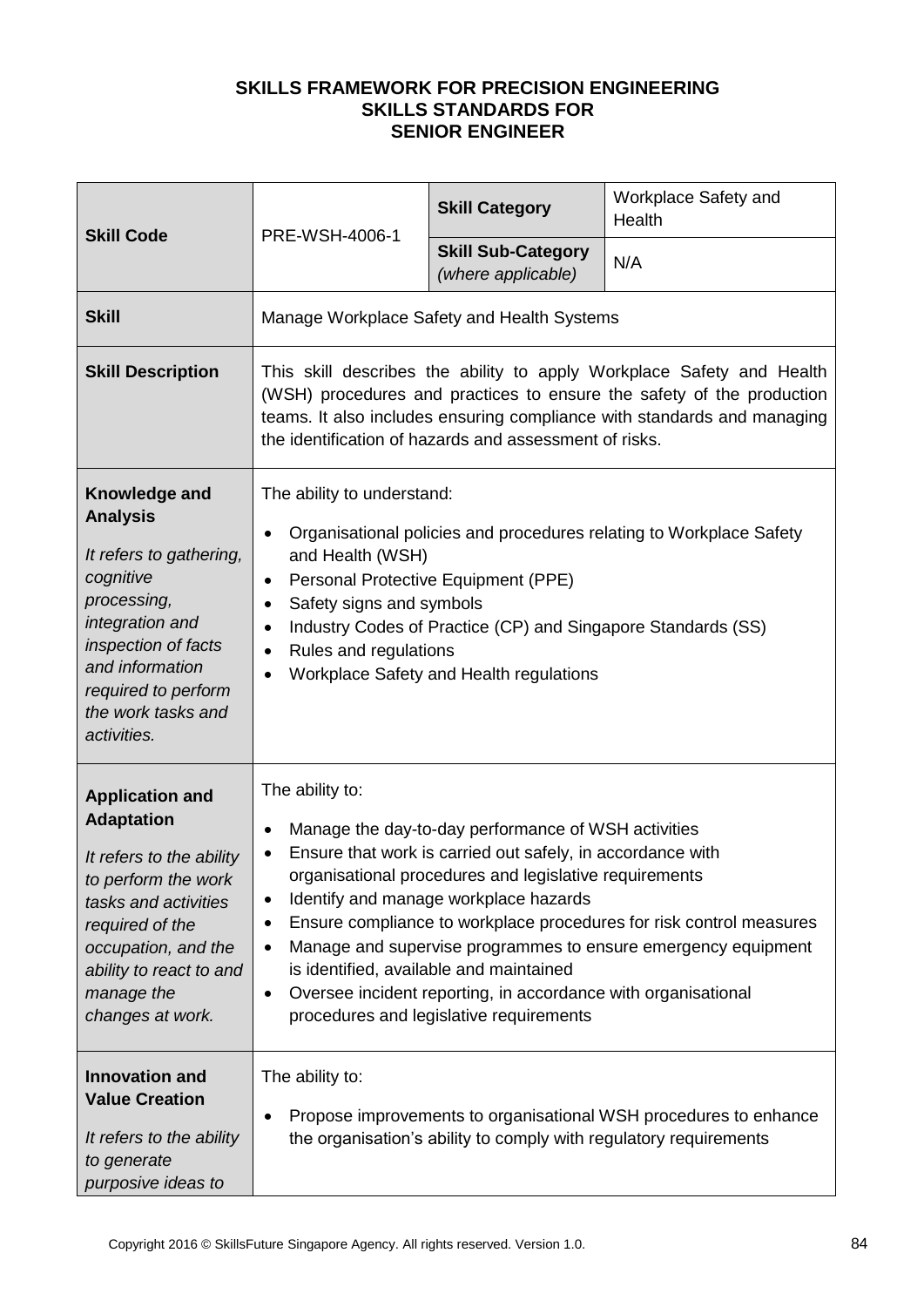| <b>Skill Code</b>                                                                                                                                                                                                             | PRE-WSH-4006-1                                                                                                                                                                                                                                                                                                                                                                                                                                                                                                                                                                          | <b>Skill Category</b>                           | Workplace Safety and<br>Health |
|-------------------------------------------------------------------------------------------------------------------------------------------------------------------------------------------------------------------------------|-----------------------------------------------------------------------------------------------------------------------------------------------------------------------------------------------------------------------------------------------------------------------------------------------------------------------------------------------------------------------------------------------------------------------------------------------------------------------------------------------------------------------------------------------------------------------------------------|-------------------------------------------------|--------------------------------|
|                                                                                                                                                                                                                               |                                                                                                                                                                                                                                                                                                                                                                                                                                                                                                                                                                                         | <b>Skill Sub-Category</b><br>(where applicable) | N/A                            |
| <b>Skill</b>                                                                                                                                                                                                                  |                                                                                                                                                                                                                                                                                                                                                                                                                                                                                                                                                                                         | Manage Workplace Safety and Health Systems      |                                |
| <b>Skill Description</b>                                                                                                                                                                                                      | This skill describes the ability to apply Workplace Safety and Health<br>(WSH) procedures and practices to ensure the safety of the production<br>teams. It also includes ensuring compliance with standards and managing<br>the identification of hazards and assessment of risks.                                                                                                                                                                                                                                                                                                     |                                                 |                                |
| Knowledge and<br><b>Analysis</b><br>It refers to gathering,<br>cognitive<br>processing,<br>integration and<br>inspection of facts<br>and information<br>required to perform<br>the work tasks and<br>activities.              | The ability to understand:<br>Organisational policies and procedures relating to Workplace Safety<br>$\bullet$<br>and Health (WSH)<br>Personal Protective Equipment (PPE)<br>٠<br>Safety signs and symbols<br>$\bullet$<br>Industry Codes of Practice (CP) and Singapore Standards (SS)<br>٠<br>Rules and regulations<br>$\bullet$<br>Workplace Safety and Health regulations<br>٠                                                                                                                                                                                                      |                                                 |                                |
| <b>Application and</b><br><b>Adaptation</b><br>It refers to the ability<br>to perform the work<br>tasks and activities<br>required of the<br>occupation, and the<br>ability to react to and<br>manage the<br>changes at work. | The ability to:<br>Manage the day-to-day performance of WSH activities<br>$\bullet$<br>Ensure that work is carried out safely, in accordance with<br>organisational procedures and legislative requirements<br>Identify and manage workplace hazards<br>$\bullet$<br>Ensure compliance to workplace procedures for risk control measures<br>٠<br>Manage and supervise programmes to ensure emergency equipment<br>$\bullet$<br>is identified, available and maintained<br>Oversee incident reporting, in accordance with organisational<br>٠<br>procedures and legislative requirements |                                                 |                                |
| <b>Innovation and</b><br><b>Value Creation</b><br>It refers to the ability<br>to generate<br>purposive ideas to                                                                                                               | The ability to:<br>Propose improvements to organisational WSH procedures to enhance<br>the organisation's ability to comply with regulatory requirements                                                                                                                                                                                                                                                                                                                                                                                                                                |                                                 |                                |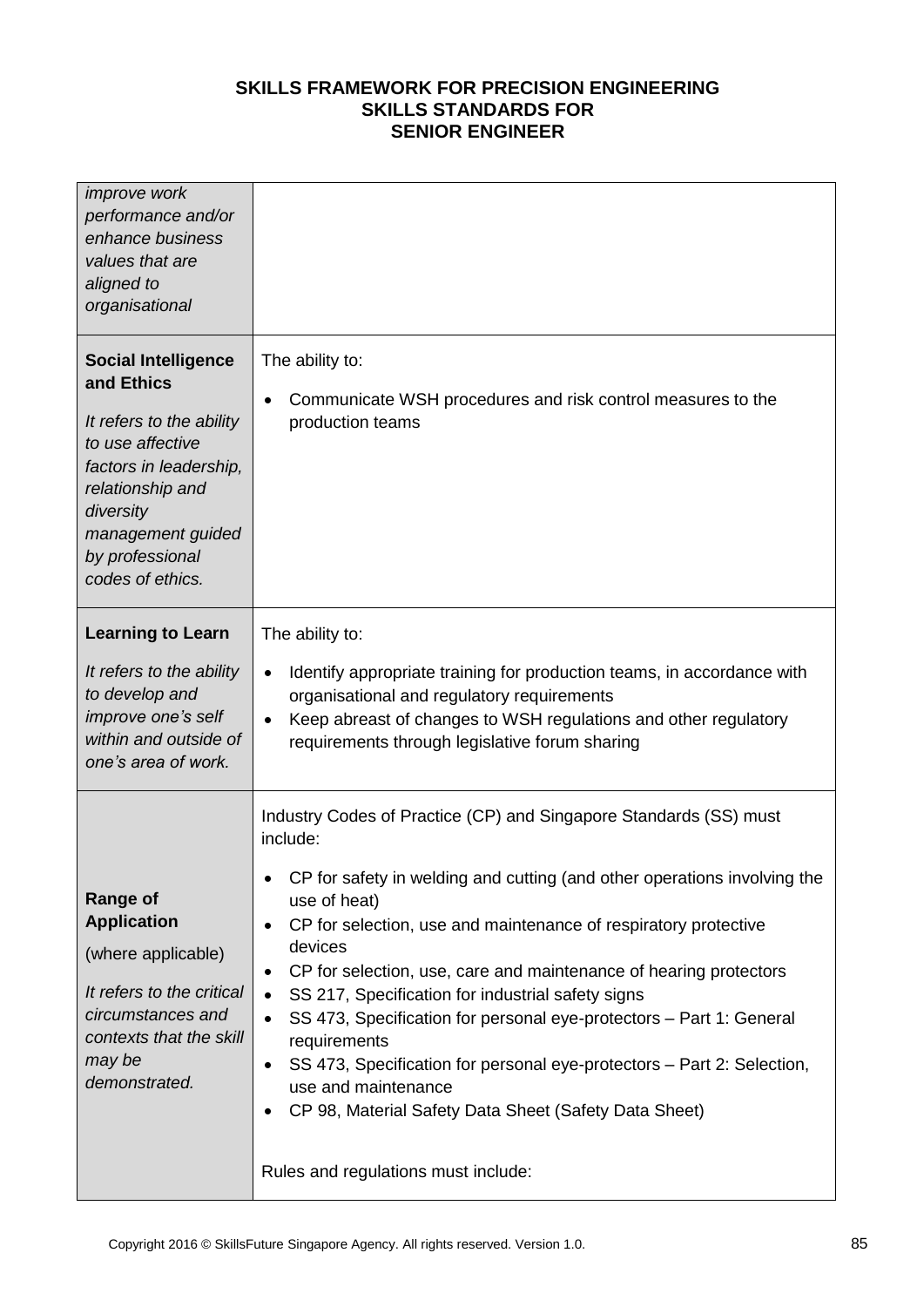| <i>improve</i> work<br>performance and/or<br>enhance business<br>values that are<br>aligned to<br>organisational                                                                                                |                                                                                                                                                                                                                                                                                                                                                                                                                                                                                                                                                                                                                                                                                                                                                 |
|-----------------------------------------------------------------------------------------------------------------------------------------------------------------------------------------------------------------|-------------------------------------------------------------------------------------------------------------------------------------------------------------------------------------------------------------------------------------------------------------------------------------------------------------------------------------------------------------------------------------------------------------------------------------------------------------------------------------------------------------------------------------------------------------------------------------------------------------------------------------------------------------------------------------------------------------------------------------------------|
| <b>Social Intelligence</b><br>and Ethics<br>It refers to the ability<br>to use affective<br>factors in leadership,<br>relationship and<br>diversity<br>management guided<br>by professional<br>codes of ethics. | The ability to:<br>Communicate WSH procedures and risk control measures to the<br>$\bullet$<br>production teams                                                                                                                                                                                                                                                                                                                                                                                                                                                                                                                                                                                                                                 |
| <b>Learning to Learn</b><br>It refers to the ability<br>to develop and<br>improve one's self<br>within and outside of<br>one's area of work.                                                                    | The ability to:<br>Identify appropriate training for production teams, in accordance with<br>$\bullet$<br>organisational and regulatory requirements<br>Keep abreast of changes to WSH regulations and other regulatory<br>$\bullet$<br>requirements through legislative forum sharing                                                                                                                                                                                                                                                                                                                                                                                                                                                          |
| <b>Range of</b><br><b>Application</b><br>(where applicable)<br>It refers to the critical<br>circumstances and<br>contexts that the skill<br>may be<br>demonstrated.                                             | Industry Codes of Practice (CP) and Singapore Standards (SS) must<br>include:<br>CP for safety in welding and cutting (and other operations involving the<br>use of heat)<br>CP for selection, use and maintenance of respiratory protective<br>$\bullet$<br>devices<br>CP for selection, use, care and maintenance of hearing protectors<br>٠<br>SS 217, Specification for industrial safety signs<br>$\bullet$<br>SS 473, Specification for personal eye-protectors - Part 1: General<br>$\bullet$<br>requirements<br>SS 473, Specification for personal eye-protectors - Part 2: Selection,<br>$\bullet$<br>use and maintenance<br>CP 98, Material Safety Data Sheet (Safety Data Sheet)<br>$\bullet$<br>Rules and regulations must include: |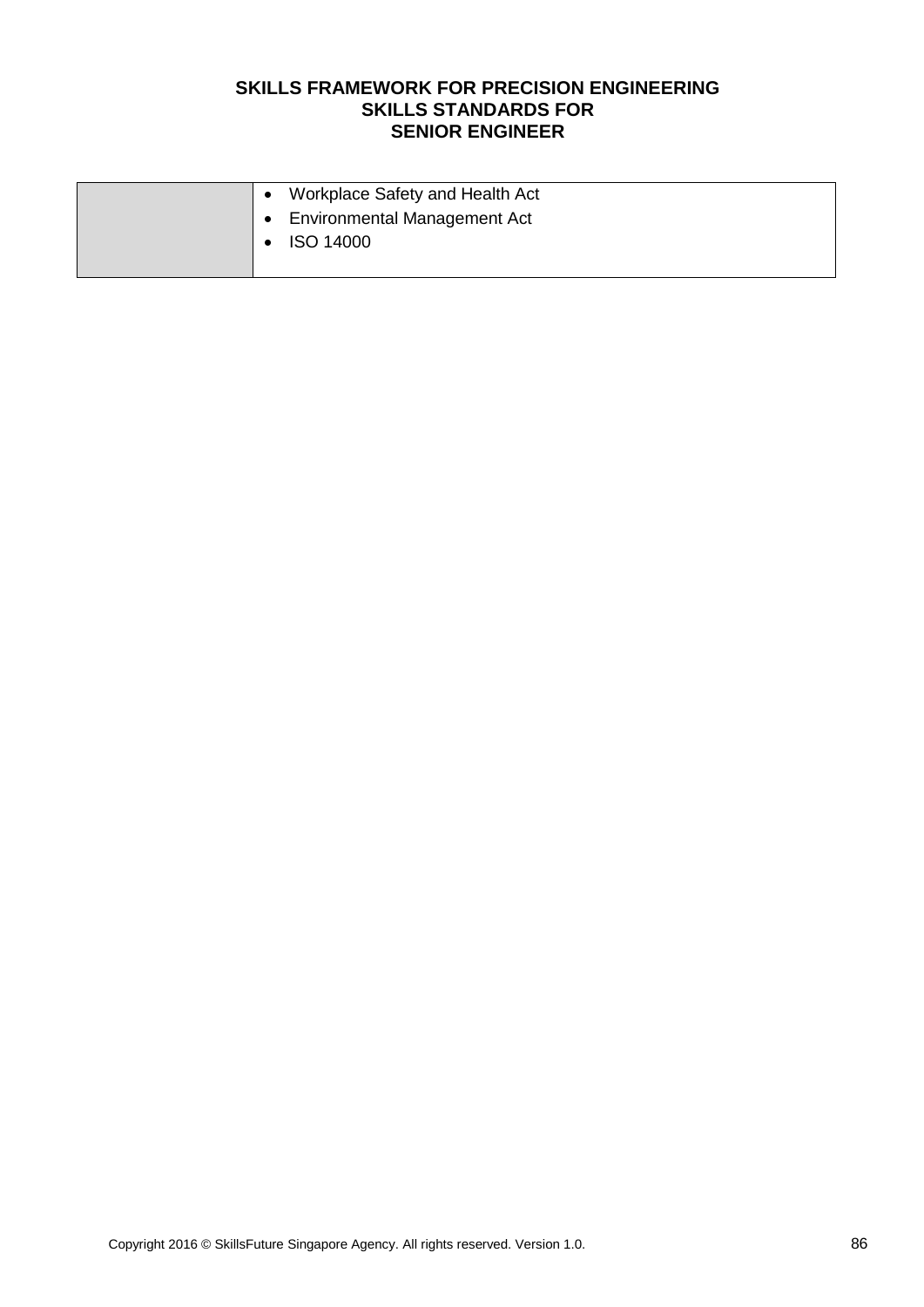|  | Workplace Safety and Health Act |
|--|---------------------------------|
|  | • Environmental Management Act  |
|  | <b>ISO 14000</b>                |
|  |                                 |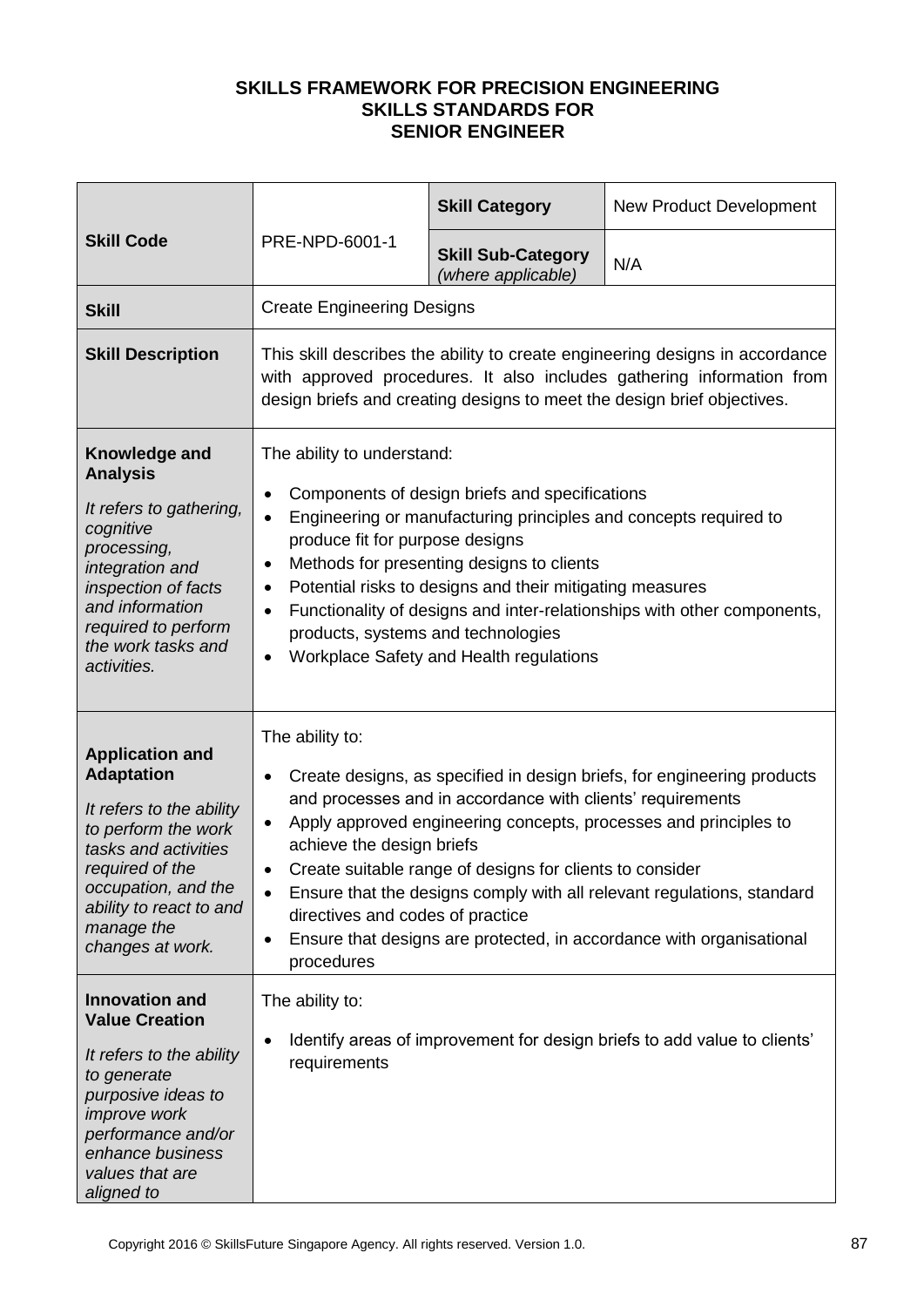| <b>Skill Code</b>                                                                                                                                                                                                             |                                                                                                                                                                                                                                                                                                                                                                                                                                                                                                                                                                                    | <b>Skill Category</b>                           | <b>New Product Development</b>                                           |  |
|-------------------------------------------------------------------------------------------------------------------------------------------------------------------------------------------------------------------------------|------------------------------------------------------------------------------------------------------------------------------------------------------------------------------------------------------------------------------------------------------------------------------------------------------------------------------------------------------------------------------------------------------------------------------------------------------------------------------------------------------------------------------------------------------------------------------------|-------------------------------------------------|--------------------------------------------------------------------------|--|
|                                                                                                                                                                                                                               | PRE-NPD-6001-1                                                                                                                                                                                                                                                                                                                                                                                                                                                                                                                                                                     | <b>Skill Sub-Category</b><br>(where applicable) | N/A                                                                      |  |
| <b>Skill</b>                                                                                                                                                                                                                  | <b>Create Engineering Designs</b>                                                                                                                                                                                                                                                                                                                                                                                                                                                                                                                                                  |                                                 |                                                                          |  |
| <b>Skill Description</b>                                                                                                                                                                                                      | This skill describes the ability to create engineering designs in accordance<br>with approved procedures. It also includes gathering information from<br>design briefs and creating designs to meet the design brief objectives.                                                                                                                                                                                                                                                                                                                                                   |                                                 |                                                                          |  |
| Knowledge and<br><b>Analysis</b><br>It refers to gathering,<br>cognitive<br>processing,<br>integration and<br>inspection of facts<br>and information<br>required to perform<br>the work tasks and<br>activities.              | The ability to understand:<br>Components of design briefs and specifications<br>$\bullet$<br>Engineering or manufacturing principles and concepts required to<br>$\bullet$<br>produce fit for purpose designs<br>Methods for presenting designs to clients<br>٠<br>Potential risks to designs and their mitigating measures<br>$\bullet$<br>Functionality of designs and inter-relationships with other components,<br>$\bullet$<br>products, systems and technologies<br>Workplace Safety and Health regulations<br>$\bullet$                                                     |                                                 |                                                                          |  |
| <b>Application and</b><br><b>Adaptation</b><br>It refers to the ability<br>to perform the work<br>tasks and activities<br>required of the<br>occupation, and the<br>ability to react to and<br>manage the<br>changes at work. | The ability to:<br>Create designs, as specified in design briefs, for engineering products<br>٠<br>and processes and in accordance with clients' requirements<br>Apply approved engineering concepts, processes and principles to<br>$\bullet$<br>achieve the design briefs<br>Create suitable range of designs for clients to consider<br>$\bullet$<br>Ensure that the designs comply with all relevant regulations, standard<br>$\bullet$<br>directives and codes of practice<br>Ensure that designs are protected, in accordance with organisational<br>$\bullet$<br>procedures |                                                 |                                                                          |  |
| <b>Innovation and</b><br><b>Value Creation</b><br>It refers to the ability<br>to generate<br>purposive ideas to<br><i>improve</i> work<br>performance and/or<br>enhance business<br>values that are<br>aligned to             | The ability to:<br>$\bullet$<br>requirements                                                                                                                                                                                                                                                                                                                                                                                                                                                                                                                                       |                                                 | Identify areas of improvement for design briefs to add value to clients' |  |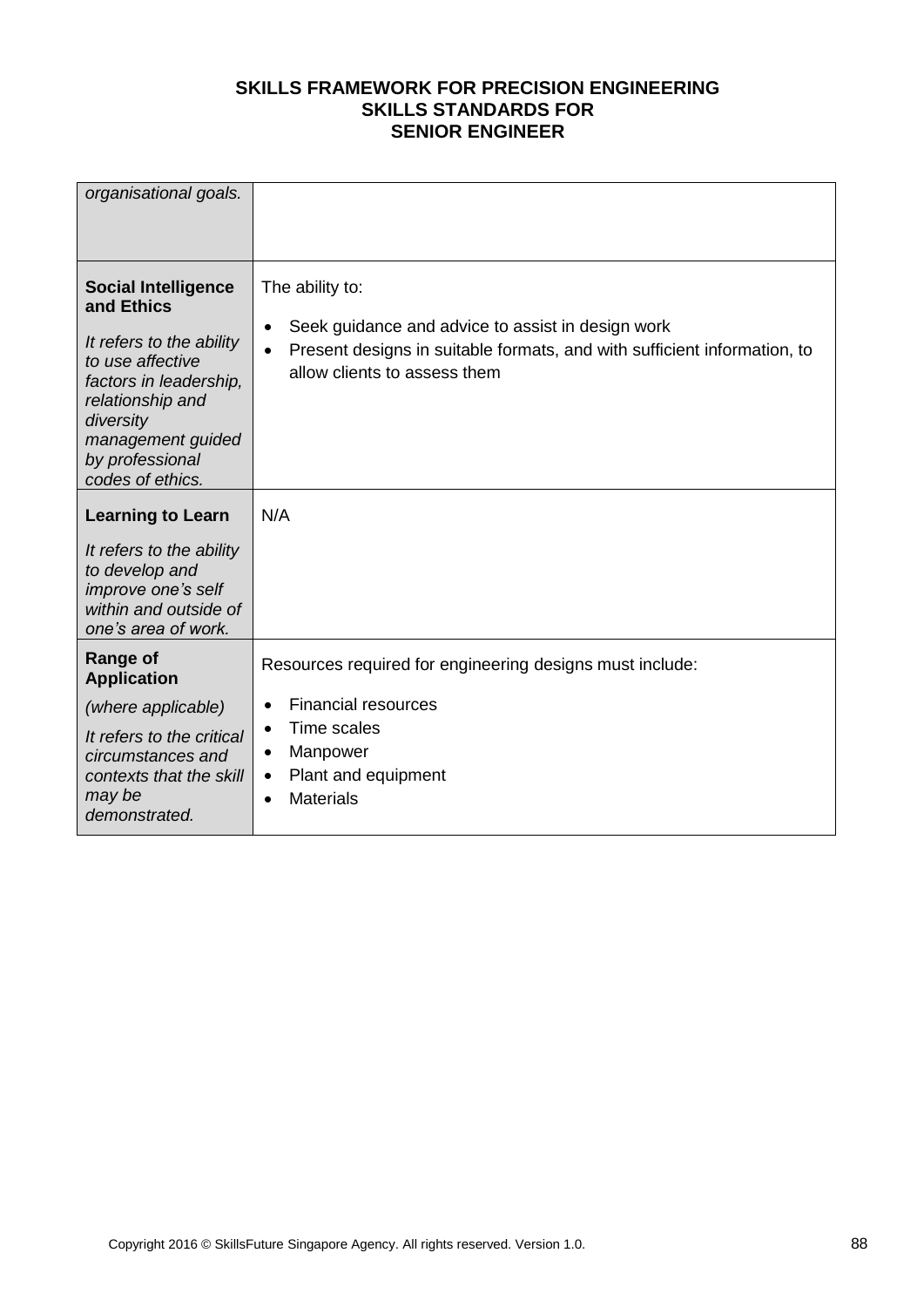| organisational goals.                                                                                                                                                                                           |                                                                                                                                                                                                            |
|-----------------------------------------------------------------------------------------------------------------------------------------------------------------------------------------------------------------|------------------------------------------------------------------------------------------------------------------------------------------------------------------------------------------------------------|
| <b>Social Intelligence</b><br>and Ethics<br>It refers to the ability<br>to use affective<br>factors in leadership,<br>relationship and<br>diversity<br>management guided<br>by professional<br>codes of ethics. | The ability to:<br>Seek guidance and advice to assist in design work<br>$\bullet$<br>Present designs in suitable formats, and with sufficient information, to<br>$\bullet$<br>allow clients to assess them |
| <b>Learning to Learn</b>                                                                                                                                                                                        | N/A                                                                                                                                                                                                        |
| It refers to the ability<br>to develop and<br>improve one's self<br>within and outside of<br>one's area of work.                                                                                                |                                                                                                                                                                                                            |
| Range of<br><b>Application</b>                                                                                                                                                                                  | Resources required for engineering designs must include:                                                                                                                                                   |
| (where applicable)                                                                                                                                                                                              | <b>Financial resources</b><br>$\bullet$                                                                                                                                                                    |
| It refers to the critical<br>circumstances and<br>contexts that the skill<br>may be<br>demonstrated.                                                                                                            | Time scales<br>$\bullet$<br>Manpower<br>٠<br>Plant and equipment<br>$\bullet$<br><b>Materials</b><br>$\bullet$                                                                                             |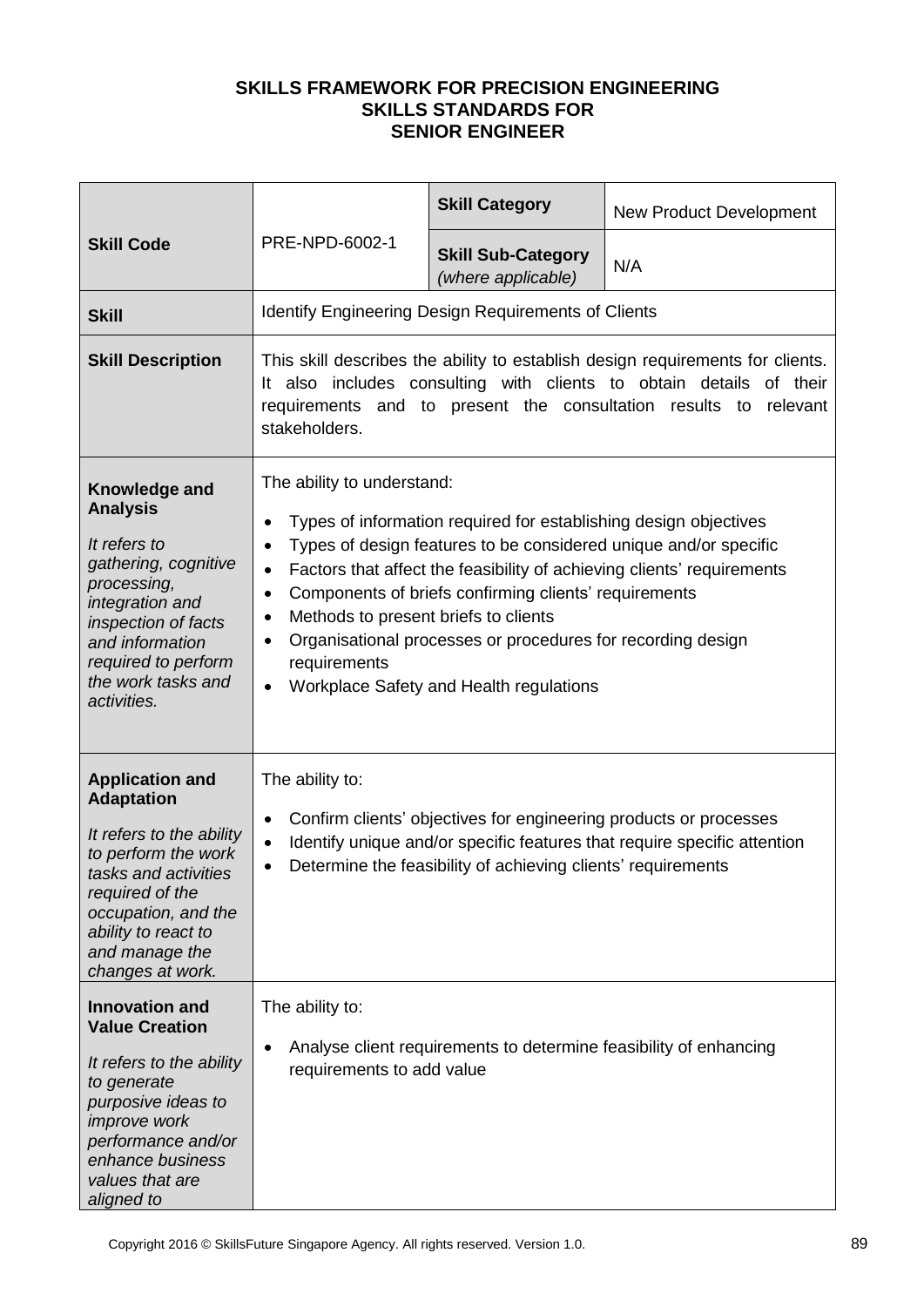| <b>Skill Code</b>                                                                                                                                                                                                             | PRE-NPD-6002-1                                                                                                                                                                                                                                                                                                                                                                                                                                                                                                                             | <b>Skill Category</b>                                                                                                             | <b>New Product Development</b>                                           |  |
|-------------------------------------------------------------------------------------------------------------------------------------------------------------------------------------------------------------------------------|--------------------------------------------------------------------------------------------------------------------------------------------------------------------------------------------------------------------------------------------------------------------------------------------------------------------------------------------------------------------------------------------------------------------------------------------------------------------------------------------------------------------------------------------|-----------------------------------------------------------------------------------------------------------------------------------|--------------------------------------------------------------------------|--|
|                                                                                                                                                                                                                               |                                                                                                                                                                                                                                                                                                                                                                                                                                                                                                                                            | <b>Skill Sub-Category</b><br>(where applicable)                                                                                   | N/A                                                                      |  |
| <b>Skill</b>                                                                                                                                                                                                                  |                                                                                                                                                                                                                                                                                                                                                                                                                                                                                                                                            | <b>Identify Engineering Design Requirements of Clients</b>                                                                        |                                                                          |  |
| <b>Skill Description</b>                                                                                                                                                                                                      | This skill describes the ability to establish design requirements for clients.<br>It also includes consulting with clients to obtain details of their<br>requirements and to present the consultation results<br>relevant<br>to<br>stakeholders.                                                                                                                                                                                                                                                                                           |                                                                                                                                   |                                                                          |  |
| Knowledge and<br><b>Analysis</b><br>It refers to<br>gathering, cognitive<br>processing,<br>integration and<br>inspection of facts<br>and information<br>required to perform<br>the work tasks and<br>activities.              | The ability to understand:<br>Types of information required for establishing design objectives<br>٠<br>Types of design features to be considered unique and/or specific<br>$\bullet$<br>Factors that affect the feasibility of achieving clients' requirements<br>$\bullet$<br>Components of briefs confirming clients' requirements<br>$\bullet$<br>Methods to present briefs to clients<br>٠<br>Organisational processes or procedures for recording design<br>٠<br>requirements<br>Workplace Safety and Health regulations<br>$\bullet$ |                                                                                                                                   |                                                                          |  |
| <b>Application and</b><br><b>Adaptation</b><br>It refers to the ability<br>to perform the work<br>tasks and activities<br>required of the<br>occupation, and the<br>ability to react to<br>and manage the<br>changes at work. | The ability to:<br>$\bullet$<br>$\bullet$<br>٠                                                                                                                                                                                                                                                                                                                                                                                                                                                                                             | Confirm clients' objectives for engineering products or processes<br>Determine the feasibility of achieving clients' requirements | Identify unique and/or specific features that require specific attention |  |
| <b>Innovation and</b><br><b>Value Creation</b><br>It refers to the ability<br>to generate<br>purposive ideas to<br><i>improve</i> work<br>performance and/or<br>enhance business<br>values that are<br>aligned to             | The ability to:<br>$\bullet$<br>requirements to add value                                                                                                                                                                                                                                                                                                                                                                                                                                                                                  | Analyse client requirements to determine feasibility of enhancing                                                                 |                                                                          |  |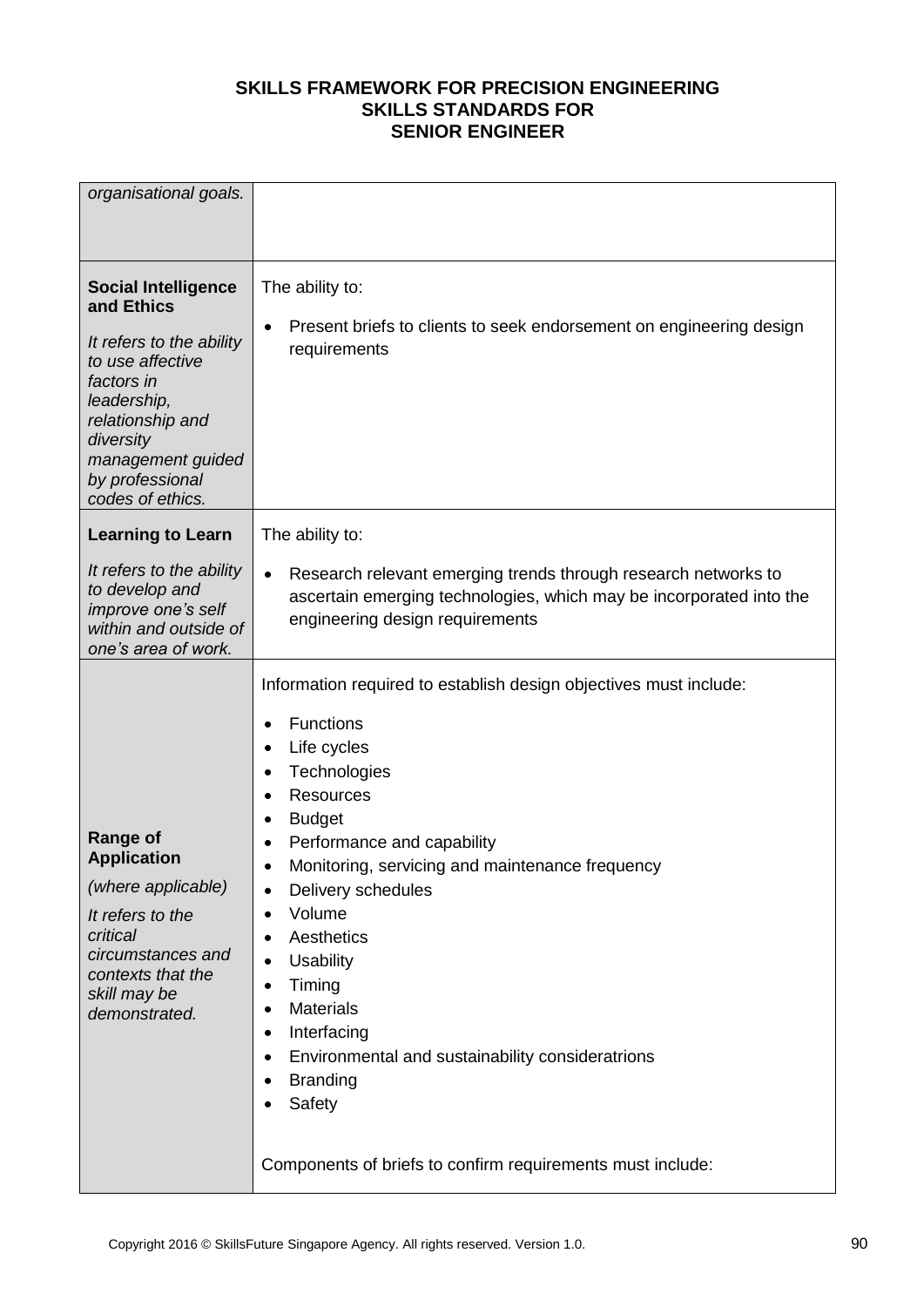| organisational goals.                                                                                                                                                                                              |                                                                                                                                                                                                                                                                                                                                                                                                                                                                                                                                                                                                                                                                      |
|--------------------------------------------------------------------------------------------------------------------------------------------------------------------------------------------------------------------|----------------------------------------------------------------------------------------------------------------------------------------------------------------------------------------------------------------------------------------------------------------------------------------------------------------------------------------------------------------------------------------------------------------------------------------------------------------------------------------------------------------------------------------------------------------------------------------------------------------------------------------------------------------------|
| <b>Social Intelligence</b><br>and Ethics<br>It refers to the ability<br>to use affective<br>factors in<br>leadership,<br>relationship and<br>diversity<br>management guided<br>by professional<br>codes of ethics. | The ability to:<br>Present briefs to clients to seek endorsement on engineering design<br>$\bullet$<br>requirements                                                                                                                                                                                                                                                                                                                                                                                                                                                                                                                                                  |
| <b>Learning to Learn</b>                                                                                                                                                                                           | The ability to:                                                                                                                                                                                                                                                                                                                                                                                                                                                                                                                                                                                                                                                      |
| It refers to the ability<br>to develop and<br>improve one's self<br>within and outside of<br>one's area of work.                                                                                                   | Research relevant emerging trends through research networks to<br>$\bullet$<br>ascertain emerging technologies, which may be incorporated into the<br>engineering design requirements                                                                                                                                                                                                                                                                                                                                                                                                                                                                                |
| <b>Range of</b><br><b>Application</b><br>(where applicable)<br>It refers to the<br>critical<br>circumstances and<br>contexts that the<br>skill may be<br>demonstrated.                                             | Information required to establish design objectives must include:<br>Functions<br>٠<br>Life cycles<br>$\bullet$<br>Technologies<br>٠<br><b>Resources</b><br>$\bullet$<br><b>Budget</b><br>٠<br>Performance and capability<br>Monitoring, servicing and maintenance frequency<br>$\bullet$<br>Delivery schedules<br>$\bullet$<br>Volume<br>$\bullet$<br>Aesthetics<br>$\bullet$<br><b>Usability</b><br>$\bullet$<br>Timing<br>$\bullet$<br><b>Materials</b><br>$\bullet$<br>Interfacing<br>٠<br>Environmental and sustainability consideratrions<br>$\bullet$<br><b>Branding</b><br>$\bullet$<br>Safety<br>Components of briefs to confirm requirements must include: |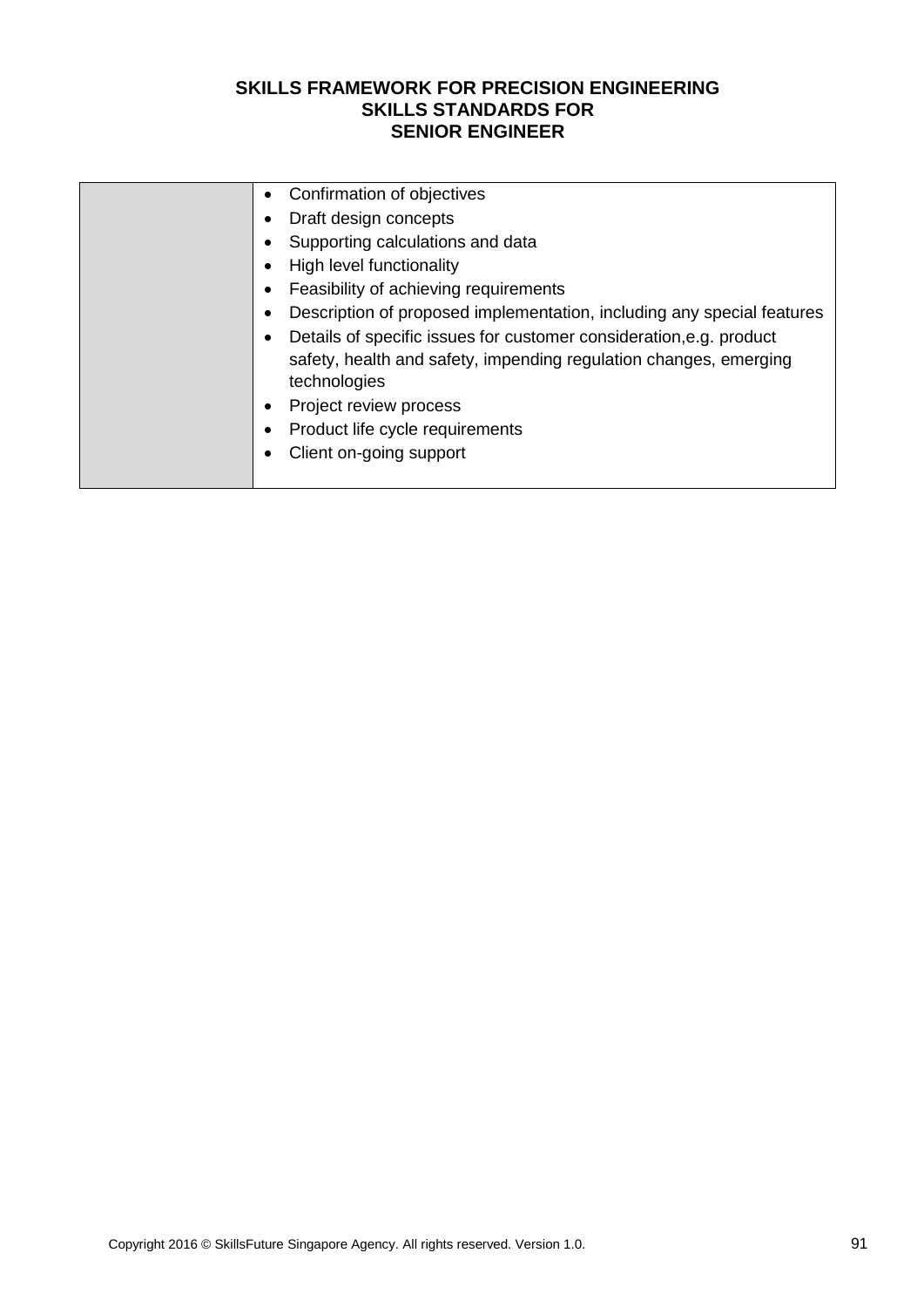| Confirmation of objectives<br>$\bullet$                                                                                                                  |
|----------------------------------------------------------------------------------------------------------------------------------------------------------|
| Draft design concepts                                                                                                                                    |
| Supporting calculations and data                                                                                                                         |
| High level functionality                                                                                                                                 |
| Feasibility of achieving requirements<br>$\bullet$                                                                                                       |
| Description of proposed implementation, including any special features                                                                                   |
| Details of specific issues for customer consideration, e.g. product<br>safety, health and safety, impending regulation changes, emerging<br>technologies |
| Project review process<br>$\bullet$                                                                                                                      |
| Product life cycle requirements                                                                                                                          |
| Client on-going support                                                                                                                                  |
|                                                                                                                                                          |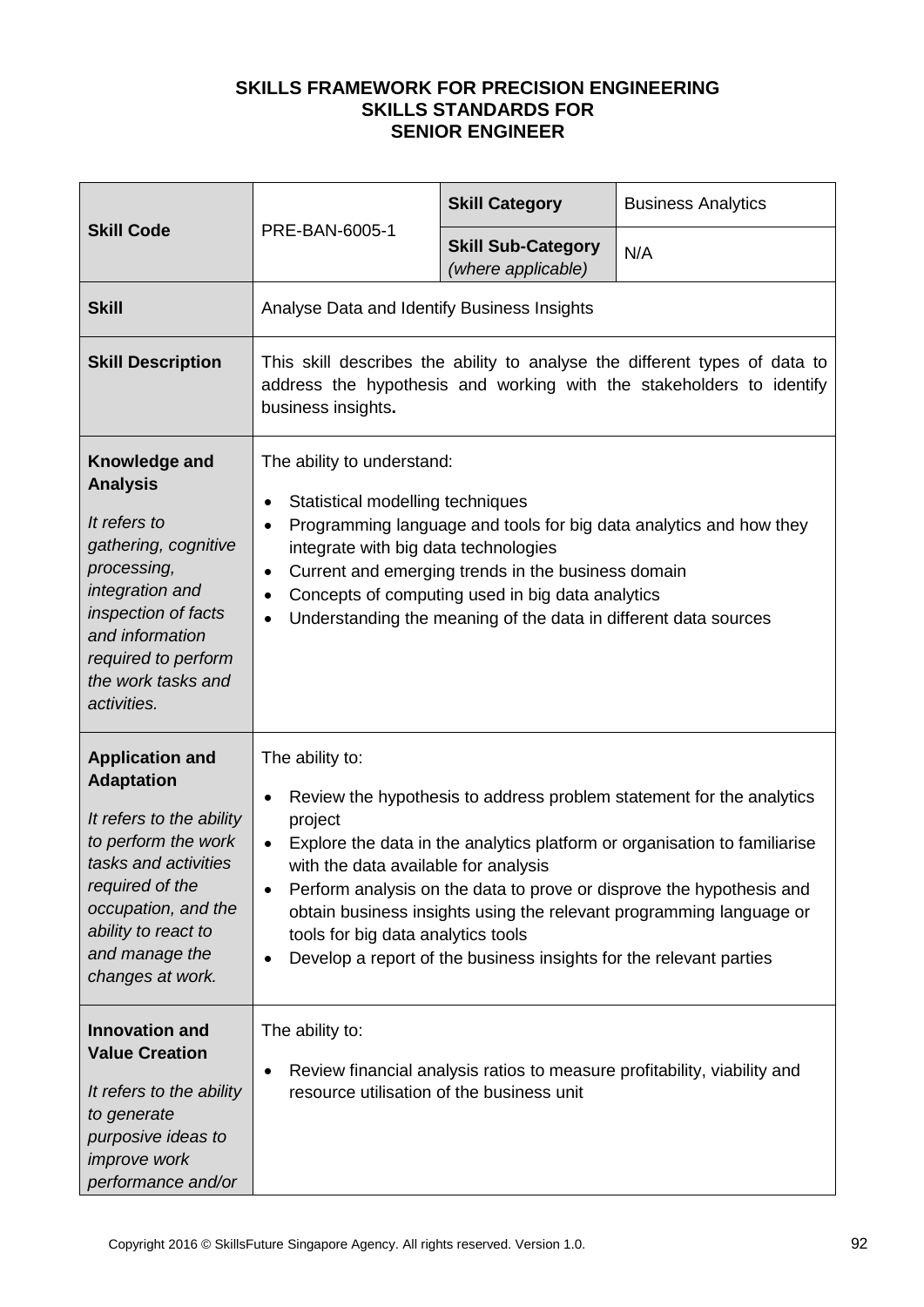| <b>Skill Code</b>                                                                                                                                                                                                             |                                                                                                                                                                                                                                                                                                                                                                                                                                                                                                                                | <b>Skill Category</b>                           | <b>Business Analytics</b>                                                |  |
|-------------------------------------------------------------------------------------------------------------------------------------------------------------------------------------------------------------------------------|--------------------------------------------------------------------------------------------------------------------------------------------------------------------------------------------------------------------------------------------------------------------------------------------------------------------------------------------------------------------------------------------------------------------------------------------------------------------------------------------------------------------------------|-------------------------------------------------|--------------------------------------------------------------------------|--|
|                                                                                                                                                                                                                               | PRE-BAN-6005-1                                                                                                                                                                                                                                                                                                                                                                                                                                                                                                                 | <b>Skill Sub-Category</b><br>(where applicable) | N/A                                                                      |  |
| <b>Skill</b>                                                                                                                                                                                                                  | Analyse Data and Identify Business Insights                                                                                                                                                                                                                                                                                                                                                                                                                                                                                    |                                                 |                                                                          |  |
| <b>Skill Description</b>                                                                                                                                                                                                      | This skill describes the ability to analyse the different types of data to<br>address the hypothesis and working with the stakeholders to identify<br>business insights.                                                                                                                                                                                                                                                                                                                                                       |                                                 |                                                                          |  |
| Knowledge and<br><b>Analysis</b><br>It refers to<br>gathering, cognitive<br>processing,<br>integration and<br>inspection of facts<br>and information<br>required to perform<br>the work tasks and<br>activities.              | The ability to understand:<br>Statistical modelling techniques<br>$\bullet$<br>Programming language and tools for big data analytics and how they<br>$\bullet$<br>integrate with big data technologies<br>Current and emerging trends in the business domain<br>$\bullet$<br>Concepts of computing used in big data analytics<br>$\bullet$<br>Understanding the meaning of the data in different data sources<br>$\bullet$                                                                                                     |                                                 |                                                                          |  |
| <b>Application and</b><br><b>Adaptation</b><br>It refers to the ability<br>to perform the work<br>tasks and activities<br>required of the<br>occupation, and the<br>ability to react to<br>and manage the<br>changes at work. | The ability to:<br>Review the hypothesis to address problem statement for the analytics<br>٠<br>project<br>Explore the data in the analytics platform or organisation to familiarise<br>$\bullet$<br>with the data available for analysis<br>Perform analysis on the data to prove or disprove the hypothesis and<br>$\bullet$<br>obtain business insights using the relevant programming language or<br>tools for big data analytics tools<br>Develop a report of the business insights for the relevant parties<br>$\bullet$ |                                                 |                                                                          |  |
| <b>Innovation and</b><br><b>Value Creation</b><br>It refers to the ability<br>to generate<br>purposive ideas to<br>improve work<br>performance and/or                                                                         | The ability to:<br>$\bullet$<br>resource utilisation of the business unit                                                                                                                                                                                                                                                                                                                                                                                                                                                      |                                                 | Review financial analysis ratios to measure profitability, viability and |  |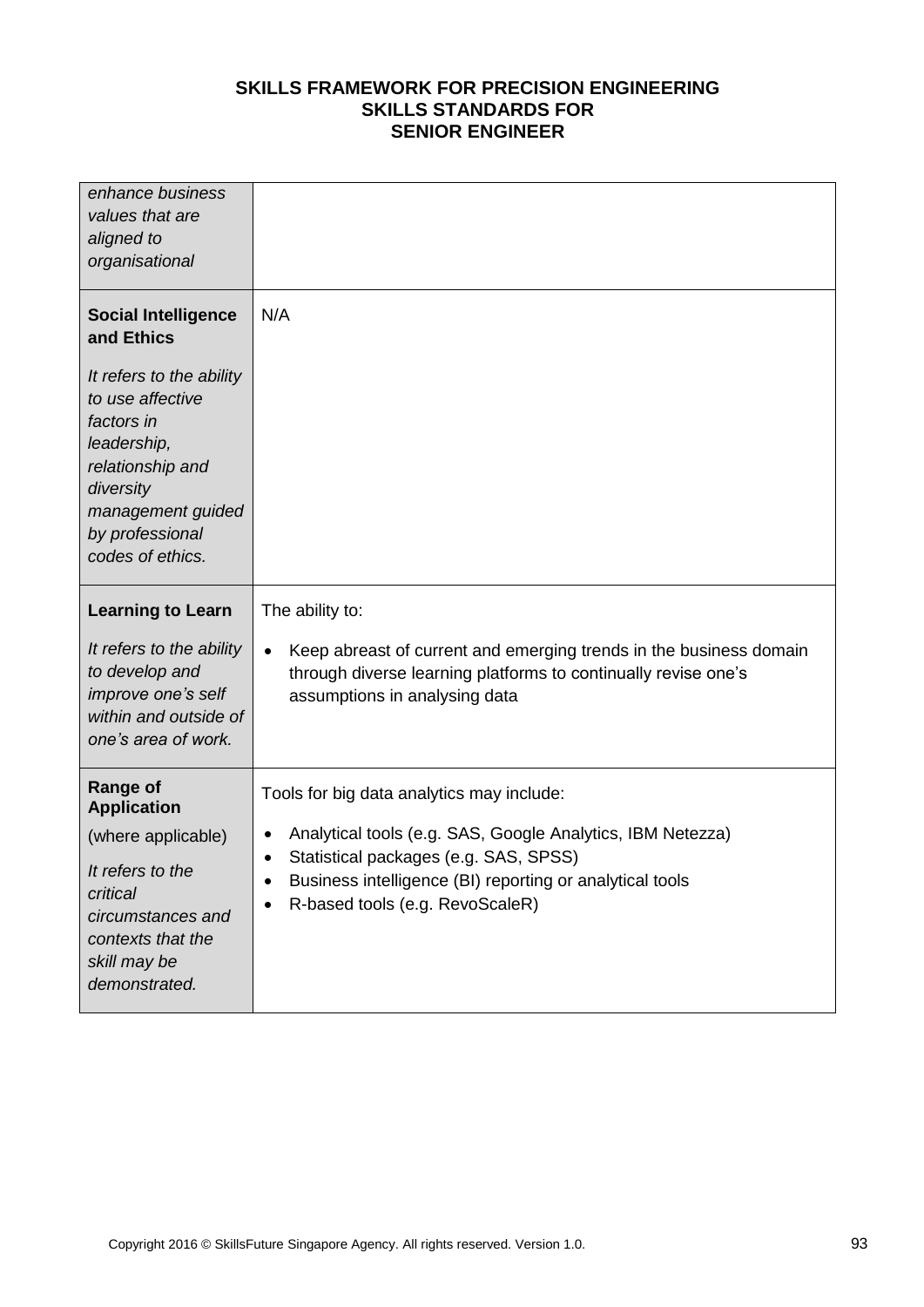| enhance business<br>values that are<br>aligned to<br>organisational                                                                                                    |                                                                                                                                                                                                                                                                           |
|------------------------------------------------------------------------------------------------------------------------------------------------------------------------|---------------------------------------------------------------------------------------------------------------------------------------------------------------------------------------------------------------------------------------------------------------------------|
| <b>Social Intelligence</b><br>and Ethics                                                                                                                               | N/A                                                                                                                                                                                                                                                                       |
| It refers to the ability<br>to use affective<br>factors in<br>leadership,<br>relationship and<br>diversity<br>management guided<br>by professional<br>codes of ethics. |                                                                                                                                                                                                                                                                           |
| <b>Learning to Learn</b>                                                                                                                                               | The ability to:                                                                                                                                                                                                                                                           |
| It refers to the ability<br>to develop and<br>improve one's self<br>within and outside of<br>one's area of work.                                                       | Keep abreast of current and emerging trends in the business domain<br>$\bullet$<br>through diverse learning platforms to continually revise one's<br>assumptions in analysing data                                                                                        |
| <b>Range of</b><br><b>Application</b><br>(where applicable)<br>It refers to the<br>critical<br>circumstances and<br>contexts that the<br>skill may be                  | Tools for big data analytics may include:<br>Analytical tools (e.g. SAS, Google Analytics, IBM Netezza)<br>$\bullet$<br>Statistical packages (e.g. SAS, SPSS)<br>$\bullet$<br>Business intelligence (BI) reporting or analytical tools<br>R-based tools (e.g. RevoScaleR) |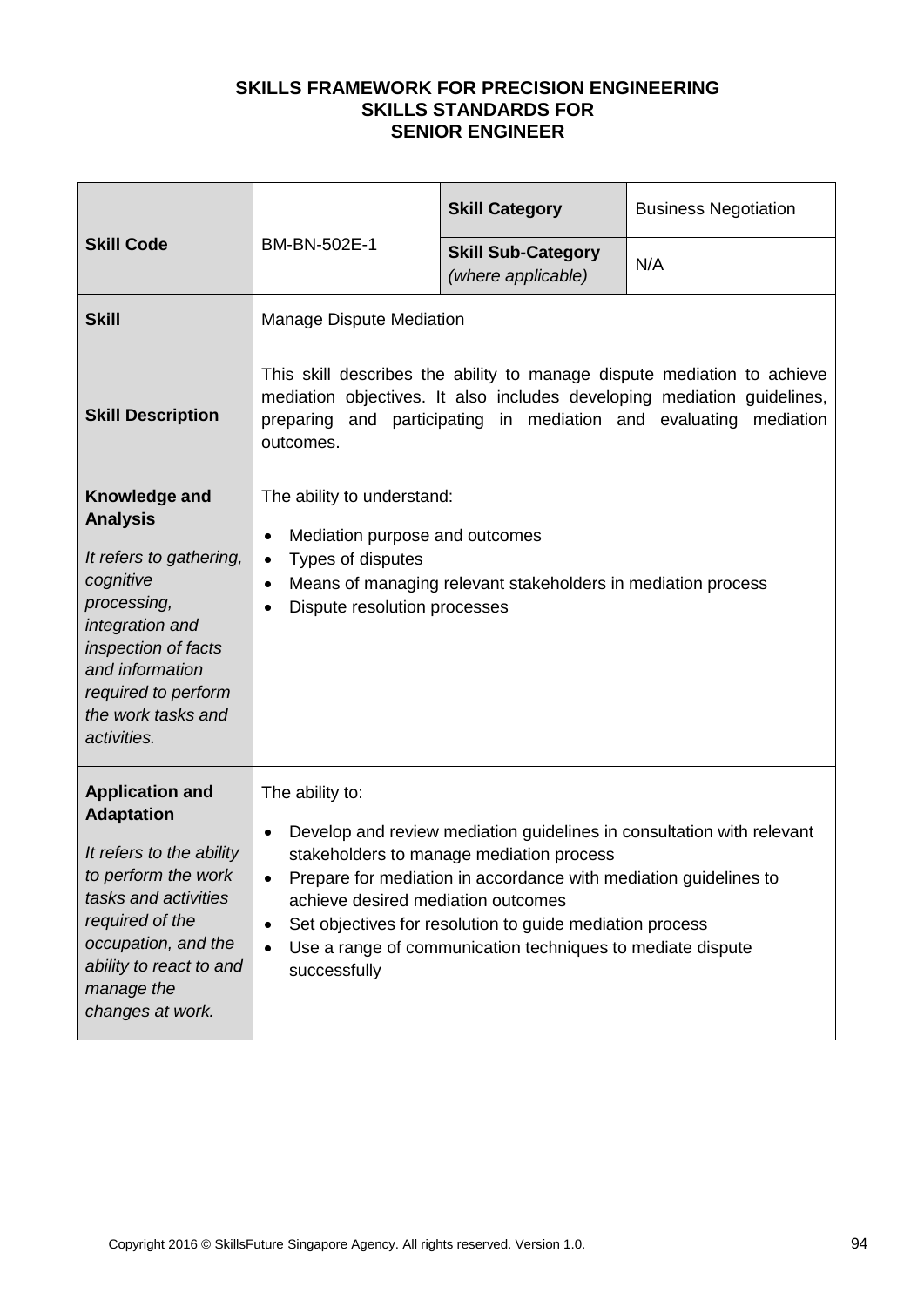| <b>Skill Code</b>                                                                                                                                                                                                             | BM-BN-502E-1                                                                                                                                                                                                                                                                                                                                                                                                                    | <b>Skill Category</b>                           | <b>Business Negotiation</b> |
|-------------------------------------------------------------------------------------------------------------------------------------------------------------------------------------------------------------------------------|---------------------------------------------------------------------------------------------------------------------------------------------------------------------------------------------------------------------------------------------------------------------------------------------------------------------------------------------------------------------------------------------------------------------------------|-------------------------------------------------|-----------------------------|
|                                                                                                                                                                                                                               |                                                                                                                                                                                                                                                                                                                                                                                                                                 | <b>Skill Sub-Category</b><br>(where applicable) | N/A                         |
| <b>Skill</b>                                                                                                                                                                                                                  | <b>Manage Dispute Mediation</b>                                                                                                                                                                                                                                                                                                                                                                                                 |                                                 |                             |
| <b>Skill Description</b>                                                                                                                                                                                                      | This skill describes the ability to manage dispute mediation to achieve<br>mediation objectives. It also includes developing mediation guidelines,<br>preparing and participating in mediation and evaluating mediation<br>outcomes.                                                                                                                                                                                            |                                                 |                             |
| Knowledge and<br><b>Analysis</b><br>It refers to gathering,<br>cognitive<br>processing,<br>integration and<br>inspection of facts<br>and information<br>required to perform<br>the work tasks and<br>activities.              | The ability to understand:<br>Mediation purpose and outcomes<br>$\bullet$<br>Types of disputes<br>$\bullet$<br>Means of managing relevant stakeholders in mediation process<br>$\bullet$<br>Dispute resolution processes                                                                                                                                                                                                        |                                                 |                             |
| <b>Application and</b><br><b>Adaptation</b><br>It refers to the ability<br>to perform the work<br>tasks and activities<br>required of the<br>occupation, and the<br>ability to react to and<br>manage the<br>changes at work. | The ability to:<br>Develop and review mediation guidelines in consultation with relevant<br>$\bullet$<br>stakeholders to manage mediation process<br>Prepare for mediation in accordance with mediation guidelines to<br>achieve desired mediation outcomes<br>Set objectives for resolution to guide mediation process<br>$\bullet$<br>Use a range of communication techniques to mediate dispute<br>$\bullet$<br>successfully |                                                 |                             |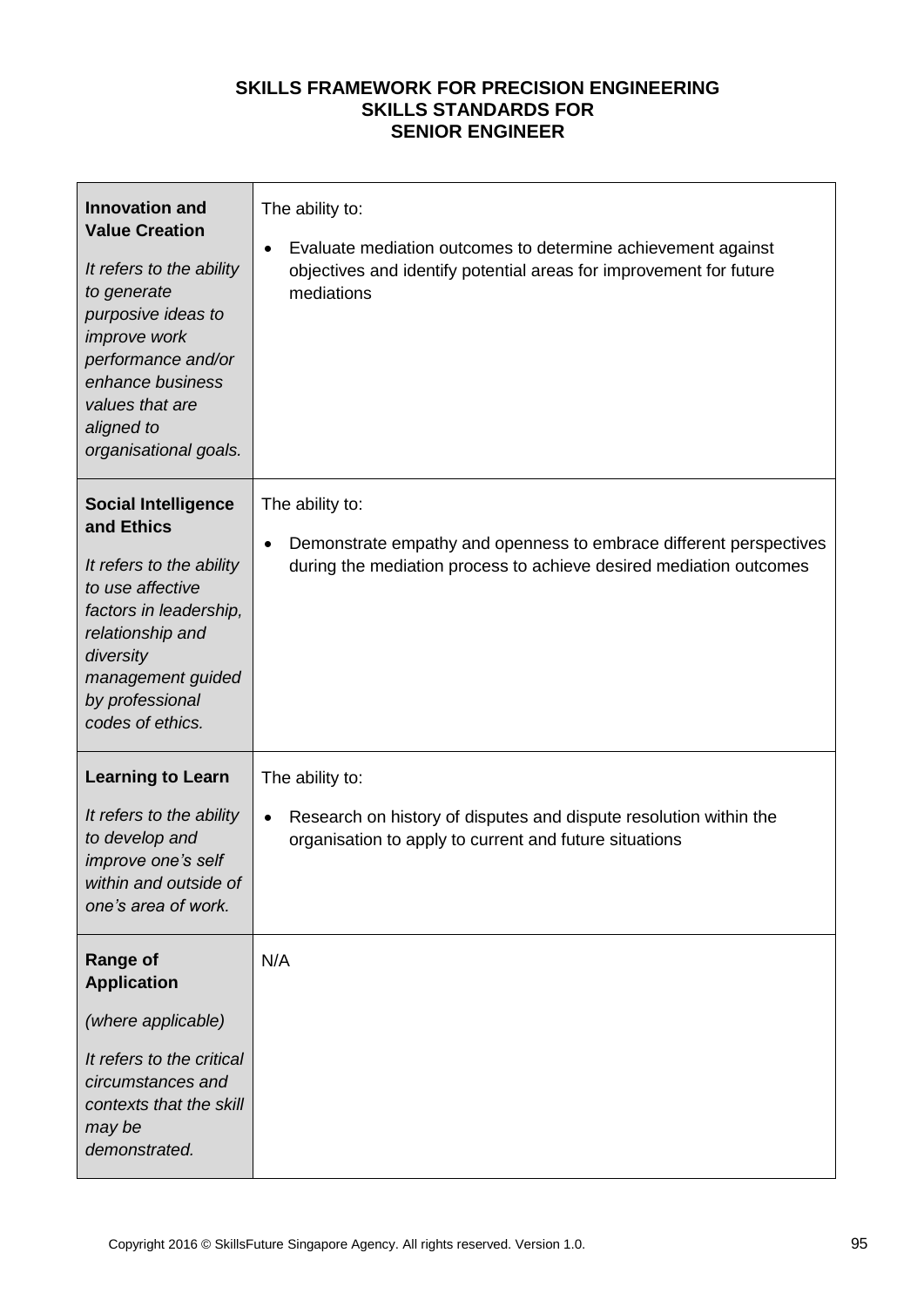| <b>Innovation and</b><br><b>Value Creation</b><br>It refers to the ability<br>to generate<br>purposive ideas to<br>improve work<br>performance and/or<br>enhance business<br>values that are<br>aligned to<br>organisational goals. | The ability to:<br>Evaluate mediation outcomes to determine achievement against<br>objectives and identify potential areas for improvement for future<br>mediations      |
|-------------------------------------------------------------------------------------------------------------------------------------------------------------------------------------------------------------------------------------|--------------------------------------------------------------------------------------------------------------------------------------------------------------------------|
| <b>Social Intelligence</b><br>and Ethics<br>It refers to the ability<br>to use affective<br>factors in leadership,<br>relationship and<br>diversity<br>management guided<br>by professional<br>codes of ethics.                     | The ability to:<br>Demonstrate empathy and openness to embrace different perspectives<br>$\bullet$<br>during the mediation process to achieve desired mediation outcomes |
| <b>Learning to Learn</b><br>It refers to the ability<br>to develop and<br>improve one's self<br>within and outside of<br>one's area of work.                                                                                        | The ability to:<br>Research on history of disputes and dispute resolution within the<br>$\bullet$<br>organisation to apply to current and future situations              |
| <b>Range of</b><br><b>Application</b><br>(where applicable)<br>It refers to the critical<br>circumstances and<br>contexts that the skill<br>may be<br>demonstrated.                                                                 | N/A                                                                                                                                                                      |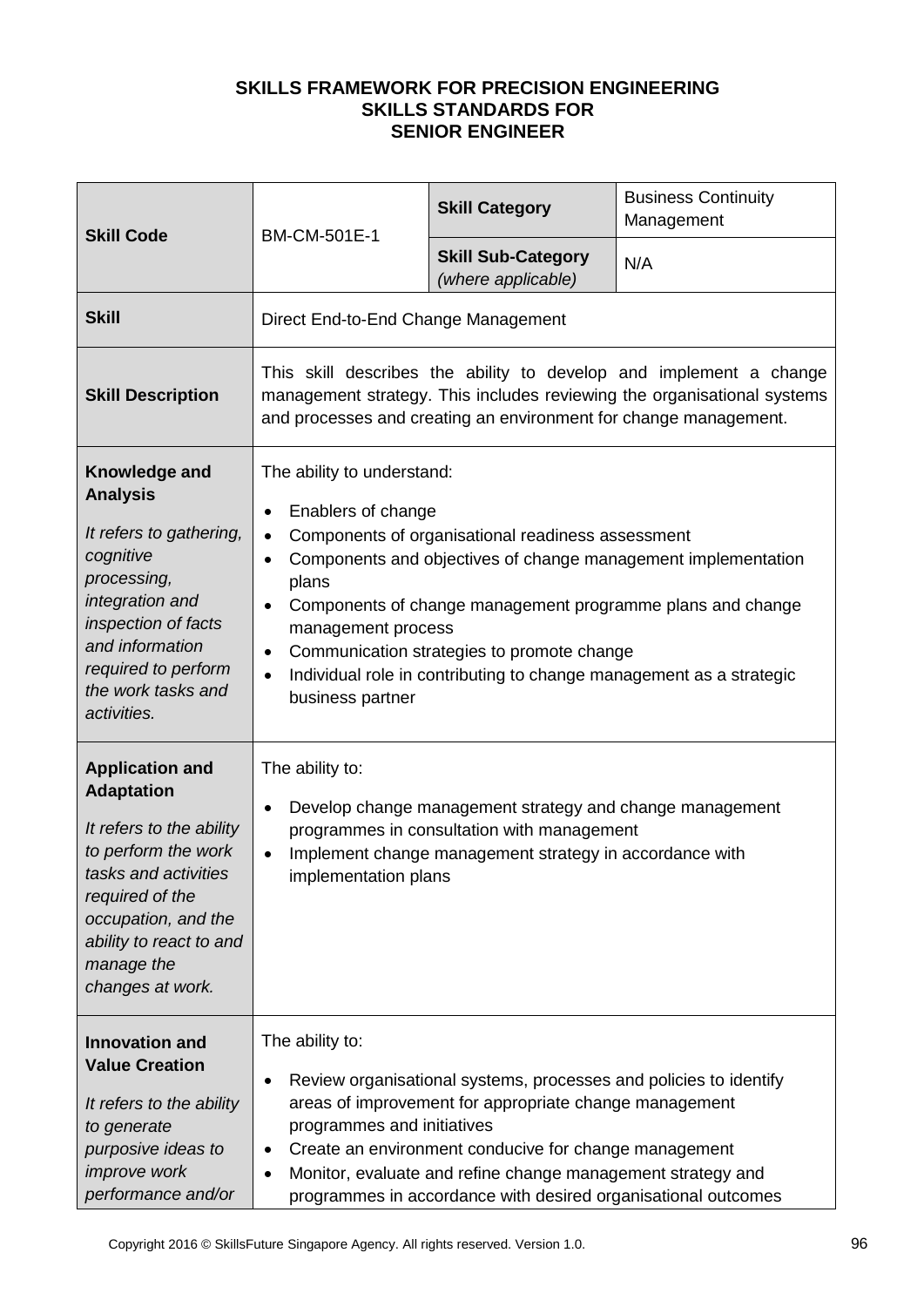| <b>Skill Code</b>                                                                                                                                                                                                             | BM-CM-501E-1                                                                                                                                                                                                                                                                                                                                                                                                                                             | <b>Skill Category</b>                           | <b>Business Continuity</b><br>Management |  |
|-------------------------------------------------------------------------------------------------------------------------------------------------------------------------------------------------------------------------------|----------------------------------------------------------------------------------------------------------------------------------------------------------------------------------------------------------------------------------------------------------------------------------------------------------------------------------------------------------------------------------------------------------------------------------------------------------|-------------------------------------------------|------------------------------------------|--|
|                                                                                                                                                                                                                               |                                                                                                                                                                                                                                                                                                                                                                                                                                                          | <b>Skill Sub-Category</b><br>(where applicable) | N/A                                      |  |
| <b>Skill</b>                                                                                                                                                                                                                  | Direct End-to-End Change Management                                                                                                                                                                                                                                                                                                                                                                                                                      |                                                 |                                          |  |
| <b>Skill Description</b>                                                                                                                                                                                                      | This skill describes the ability to develop and implement a change<br>management strategy. This includes reviewing the organisational systems<br>and processes and creating an environment for change management.                                                                                                                                                                                                                                        |                                                 |                                          |  |
| Knowledge and<br><b>Analysis</b><br>It refers to gathering,<br>cognitive<br>processing,<br>integration and<br>inspection of facts<br>and information<br>required to perform<br>the work tasks and<br>activities.              | The ability to understand:<br>Enablers of change<br>$\bullet$<br>Components of organisational readiness assessment<br>Components and objectives of change management implementation<br>٠<br>plans<br>Components of change management programme plans and change<br>$\bullet$<br>management process<br>Communication strategies to promote change<br>$\bullet$<br>Individual role in contributing to change management as a strategic<br>business partner |                                                 |                                          |  |
| <b>Application and</b><br><b>Adaptation</b><br>It refers to the ability<br>to perform the work<br>tasks and activities<br>required of the<br>occupation, and the<br>ability to react to and<br>manage the<br>changes at work. | The ability to:<br>Develop change management strategy and change management<br>$\bullet$<br>programmes in consultation with management<br>Implement change management strategy in accordance with<br>$\bullet$<br>implementation plans                                                                                                                                                                                                                   |                                                 |                                          |  |
| <b>Innovation and</b><br><b>Value Creation</b><br>It refers to the ability<br>to generate<br>purposive ideas to<br><i>improve</i> work<br>performance and/or                                                                  | The ability to:<br>Review organisational systems, processes and policies to identify<br>٠<br>areas of improvement for appropriate change management<br>programmes and initiatives<br>Create an environment conducive for change management<br>٠<br>Monitor, evaluate and refine change management strategy and<br>$\bullet$<br>programmes in accordance with desired organisational outcomes                                                             |                                                 |                                          |  |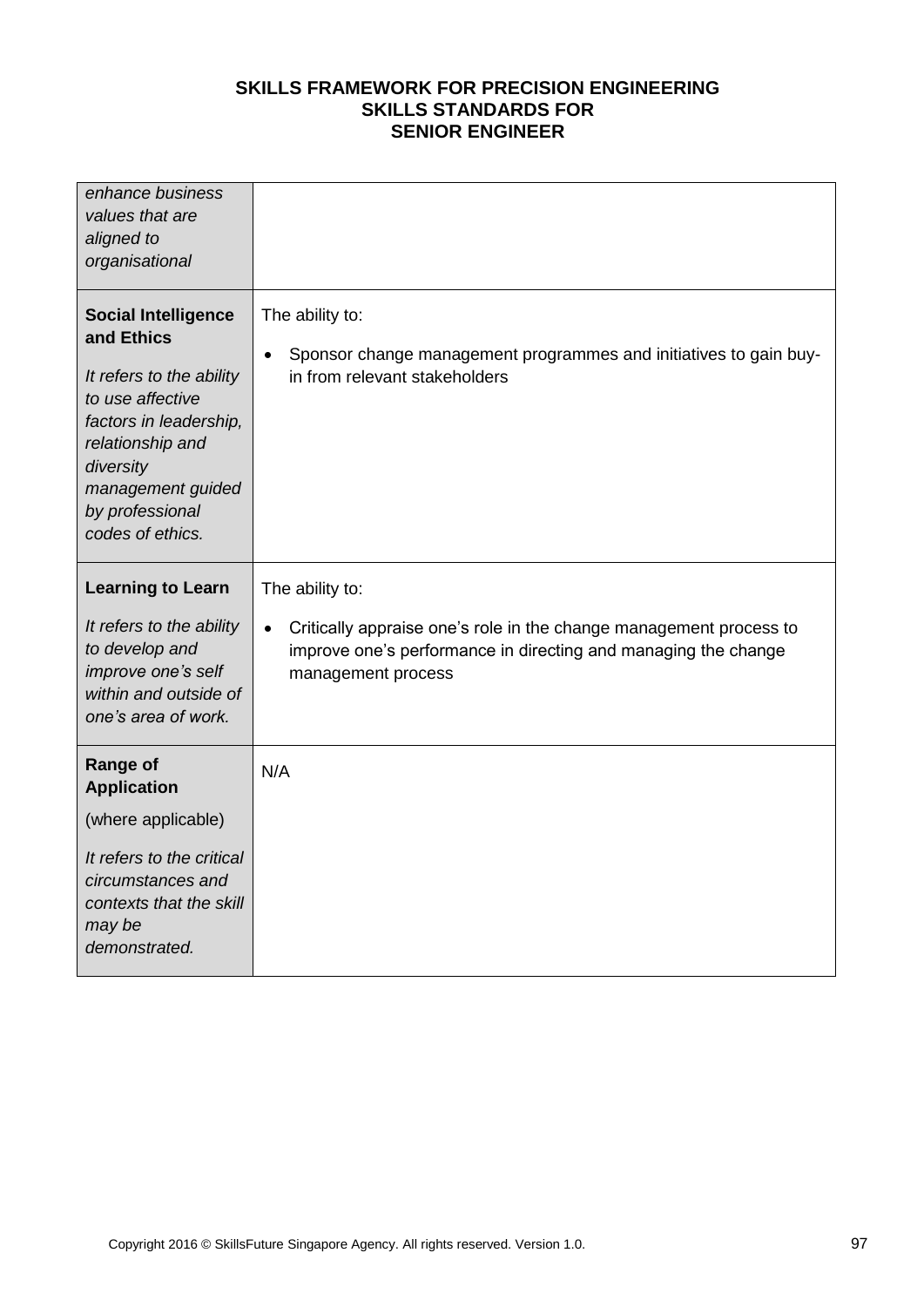| enhance business<br>values that are<br>aligned to<br>organisational                                                                                                                                             |                                                                                                                                                                         |
|-----------------------------------------------------------------------------------------------------------------------------------------------------------------------------------------------------------------|-------------------------------------------------------------------------------------------------------------------------------------------------------------------------|
| <b>Social Intelligence</b><br>and Ethics<br>It refers to the ability<br>to use affective<br>factors in leadership,<br>relationship and<br>diversity<br>management guided<br>by professional<br>codes of ethics. | The ability to:<br>Sponsor change management programmes and initiatives to gain buy-<br>$\bullet$<br>in from relevant stakeholders                                      |
| <b>Learning to Learn</b>                                                                                                                                                                                        | The ability to:                                                                                                                                                         |
| It refers to the ability<br>to develop and<br>improve one's self<br>within and outside of<br>one's area of work.                                                                                                | Critically appraise one's role in the change management process to<br>$\bullet$<br>improve one's performance in directing and managing the change<br>management process |
| <b>Range of</b><br><b>Application</b>                                                                                                                                                                           | N/A                                                                                                                                                                     |
| (where applicable)                                                                                                                                                                                              |                                                                                                                                                                         |
| It refers to the critical<br>circumstances and<br>contexts that the skill<br>may be<br>demonstrated.                                                                                                            |                                                                                                                                                                         |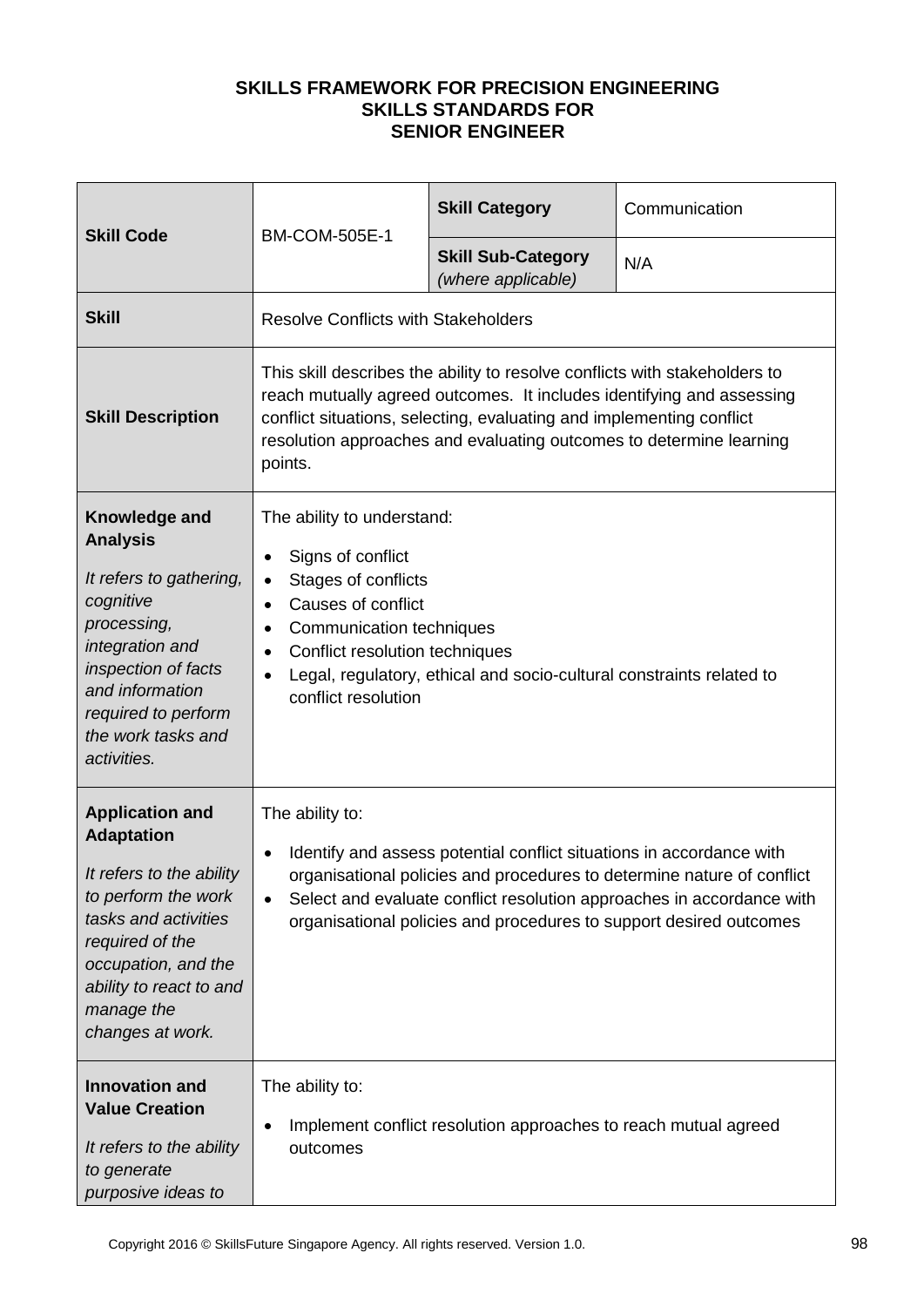| <b>Skill Code</b>                                                                                                                                                                                                             | <b>BM-COM-505E-1</b>                                                                                                                                                                                                                                                                                                                       | <b>Skill Category</b>                                                                                                                                                                                                                                                                              | Communication |
|-------------------------------------------------------------------------------------------------------------------------------------------------------------------------------------------------------------------------------|--------------------------------------------------------------------------------------------------------------------------------------------------------------------------------------------------------------------------------------------------------------------------------------------------------------------------------------------|----------------------------------------------------------------------------------------------------------------------------------------------------------------------------------------------------------------------------------------------------------------------------------------------------|---------------|
|                                                                                                                                                                                                                               |                                                                                                                                                                                                                                                                                                                                            | <b>Skill Sub-Category</b><br>(where applicable)                                                                                                                                                                                                                                                    | N/A           |
| <b>Skill</b>                                                                                                                                                                                                                  | <b>Resolve Conflicts with Stakeholders</b>                                                                                                                                                                                                                                                                                                 |                                                                                                                                                                                                                                                                                                    |               |
| <b>Skill Description</b>                                                                                                                                                                                                      | points.                                                                                                                                                                                                                                                                                                                                    | This skill describes the ability to resolve conflicts with stakeholders to<br>reach mutually agreed outcomes. It includes identifying and assessing<br>conflict situations, selecting, evaluating and implementing conflict<br>resolution approaches and evaluating outcomes to determine learning |               |
| Knowledge and<br><b>Analysis</b><br>It refers to gathering,<br>cognitive<br>processing,<br>integration and<br>inspection of facts<br>and information<br>required to perform<br>the work tasks and<br>activities.              | The ability to understand:<br>Signs of conflict<br>$\bullet$<br>Stages of conflicts<br>$\bullet$<br>Causes of conflict<br>$\bullet$<br>Communication techniques<br>Conflict resolution techniques<br>$\bullet$<br>$\bullet$<br>conflict resolution                                                                                         | Legal, regulatory, ethical and socio-cultural constraints related to                                                                                                                                                                                                                               |               |
| <b>Application and</b><br><b>Adaptation</b><br>It refers to the ability<br>to perform the work<br>tasks and activities<br>required of the<br>occupation, and the<br>ability to react to and<br>manage the<br>changes at work. | The ability to:<br>Identify and assess potential conflict situations in accordance with<br>$\bullet$<br>organisational policies and procedures to determine nature of conflict<br>Select and evaluate conflict resolution approaches in accordance with<br>$\bullet$<br>organisational policies and procedures to support desired outcomes |                                                                                                                                                                                                                                                                                                    |               |
| <b>Innovation and</b><br><b>Value Creation</b><br>It refers to the ability<br>to generate<br>purposive ideas to                                                                                                               | The ability to:<br>$\bullet$<br>outcomes                                                                                                                                                                                                                                                                                                   | Implement conflict resolution approaches to reach mutual agreed                                                                                                                                                                                                                                    |               |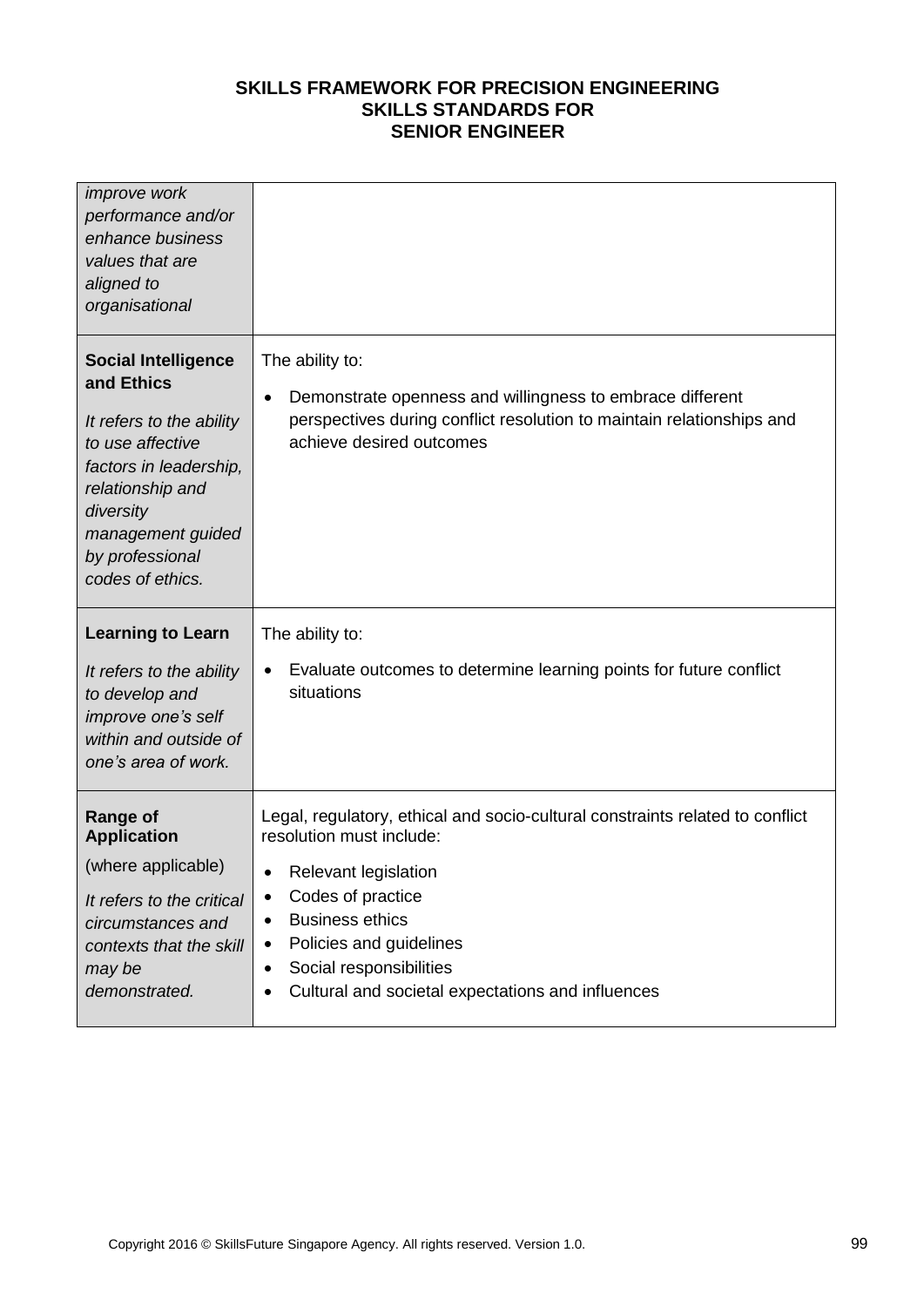| <i>improve</i> work<br>performance and/or<br>enhance business<br>values that are<br>aligned to<br>organisational                                                                                                |                                                                                                                                                                                                |
|-----------------------------------------------------------------------------------------------------------------------------------------------------------------------------------------------------------------|------------------------------------------------------------------------------------------------------------------------------------------------------------------------------------------------|
| <b>Social Intelligence</b><br>and Ethics<br>It refers to the ability<br>to use affective<br>factors in leadership,<br>relationship and<br>diversity<br>management guided<br>by professional<br>codes of ethics. | The ability to:<br>Demonstrate openness and willingness to embrace different<br>$\bullet$<br>perspectives during conflict resolution to maintain relationships and<br>achieve desired outcomes |
| <b>Learning to Learn</b>                                                                                                                                                                                        | The ability to:                                                                                                                                                                                |
|                                                                                                                                                                                                                 |                                                                                                                                                                                                |
| It refers to the ability<br>to develop and<br>improve one's self<br>within and outside of<br>one's area of work.                                                                                                | Evaluate outcomes to determine learning points for future conflict<br>$\bullet$<br>situations                                                                                                  |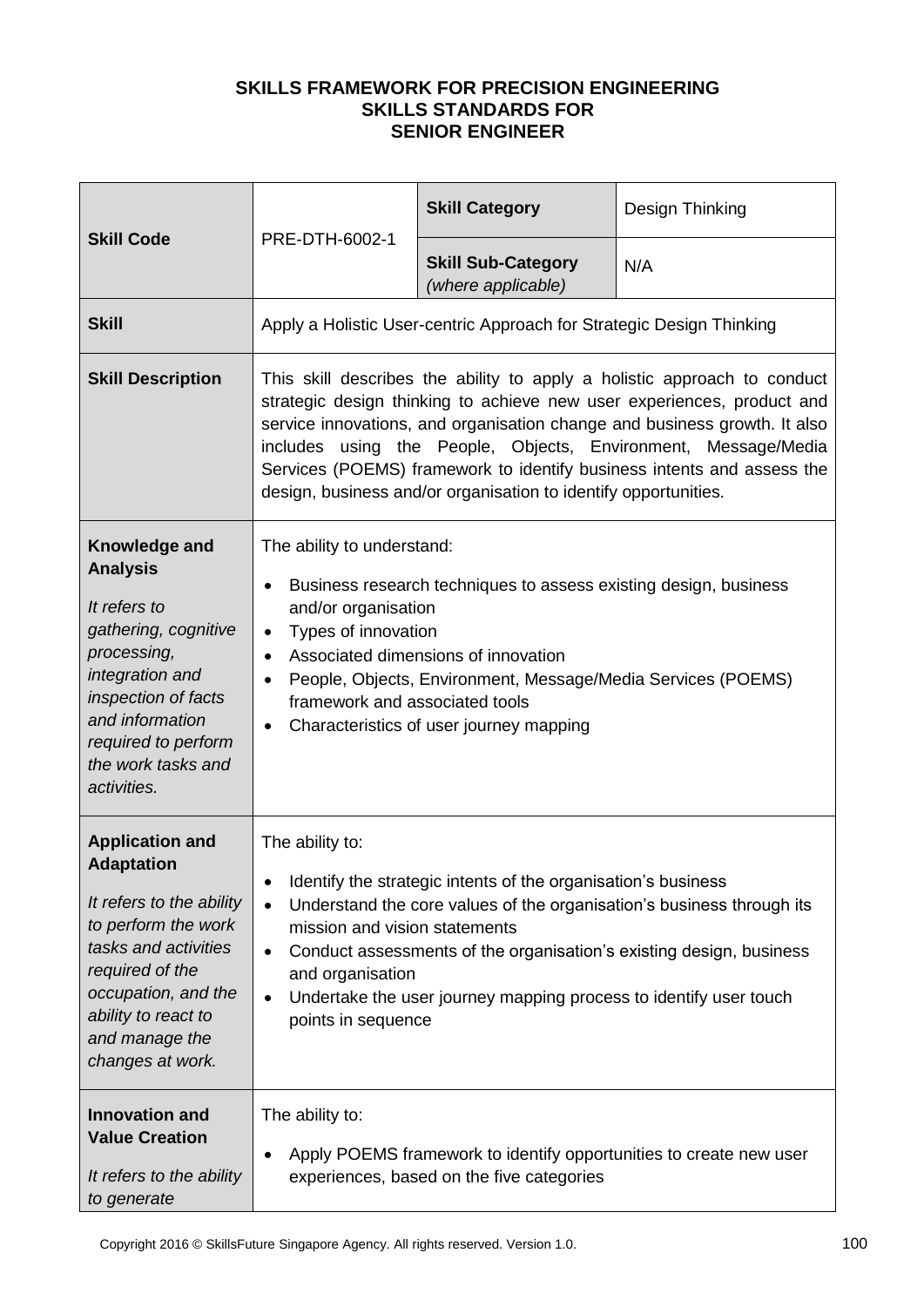|                                                                                                                                                                                                                               |                                                                                                                                                                                                                                                                                                                                                                                                                                                | <b>Skill Category</b>                                                                                                                                                                                              | Design Thinking                                                       |
|-------------------------------------------------------------------------------------------------------------------------------------------------------------------------------------------------------------------------------|------------------------------------------------------------------------------------------------------------------------------------------------------------------------------------------------------------------------------------------------------------------------------------------------------------------------------------------------------------------------------------------------------------------------------------------------|--------------------------------------------------------------------------------------------------------------------------------------------------------------------------------------------------------------------|-----------------------------------------------------------------------|
| <b>Skill Code</b>                                                                                                                                                                                                             | PRE-DTH-6002-1                                                                                                                                                                                                                                                                                                                                                                                                                                 | <b>Skill Sub-Category</b><br>(where applicable)                                                                                                                                                                    | N/A                                                                   |
| <b>Skill</b>                                                                                                                                                                                                                  |                                                                                                                                                                                                                                                                                                                                                                                                                                                | Apply a Holistic User-centric Approach for Strategic Design Thinking                                                                                                                                               |                                                                       |
| <b>Skill Description</b>                                                                                                                                                                                                      | This skill describes the ability to apply a holistic approach to conduct<br>strategic design thinking to achieve new user experiences, product and<br>service innovations, and organisation change and business growth. It also<br>includes using the People, Objects, Environment, Message/Media<br>Services (POEMS) framework to identify business intents and assess the<br>design, business and/or organisation to identify opportunities. |                                                                                                                                                                                                                    |                                                                       |
| Knowledge and<br><b>Analysis</b><br>It refers to<br>gathering, cognitive<br>processing,<br>integration and<br>inspection of facts<br>and information<br>required to perform<br>the work tasks and<br>activities.              | The ability to understand:<br>$\bullet$<br>and/or organisation<br>Types of innovation<br>$\bullet$<br>$\bullet$<br>framework and associated tools<br>$\bullet$                                                                                                                                                                                                                                                                                 | Business research techniques to assess existing design, business<br>Associated dimensions of innovation<br>People, Objects, Environment, Message/Media Services (POEMS)<br>Characteristics of user journey mapping |                                                                       |
| <b>Application and</b><br><b>Adaptation</b><br>It refers to the ability<br>to perform the work<br>tasks and activities<br>required of the<br>occupation, and the<br>ability to react to<br>and manage the<br>changes at work. | The ability to:<br>$\bullet$<br>$\bullet$<br>mission and vision statements<br>$\bullet$<br>and organisation<br>$\bullet$<br>points in sequence                                                                                                                                                                                                                                                                                                 | Identify the strategic intents of the organisation's business<br>Conduct assessments of the organisation's existing design, business<br>Undertake the user journey mapping process to identify user touch          | Understand the core values of the organisation's business through its |
| <b>Innovation and</b><br><b>Value Creation</b><br>It refers to the ability<br>to generate                                                                                                                                     | The ability to:<br>$\bullet$                                                                                                                                                                                                                                                                                                                                                                                                                   | Apply POEMS framework to identify opportunities to create new user<br>experiences, based on the five categories                                                                                                    |                                                                       |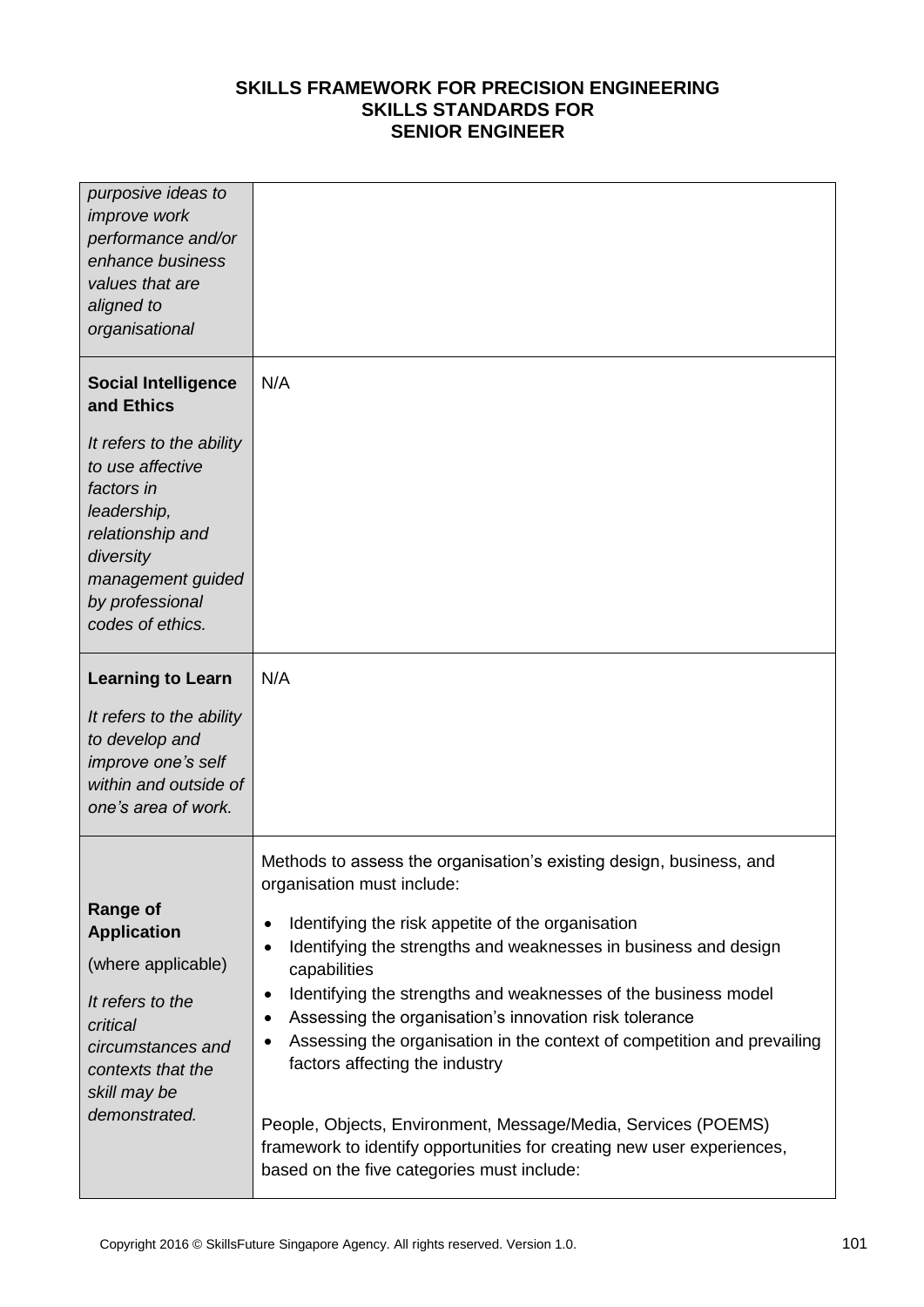| purposive ideas to<br><i>improve</i> work<br>performance and/or<br>enhance business<br>values that are<br>aligned to<br>organisational                                 |                                                                                                                                                                                                                                                             |
|------------------------------------------------------------------------------------------------------------------------------------------------------------------------|-------------------------------------------------------------------------------------------------------------------------------------------------------------------------------------------------------------------------------------------------------------|
| <b>Social Intelligence</b><br>and Ethics                                                                                                                               | N/A                                                                                                                                                                                                                                                         |
| It refers to the ability<br>to use affective<br>factors in<br>leadership,<br>relationship and<br>diversity<br>management guided<br>by professional<br>codes of ethics. |                                                                                                                                                                                                                                                             |
| <b>Learning to Learn</b>                                                                                                                                               | N/A                                                                                                                                                                                                                                                         |
| It refers to the ability<br>to develop and<br>improve one's self<br>within and outside of<br>one's area of work.                                                       |                                                                                                                                                                                                                                                             |
| <b>Range of</b><br><b>Application</b><br>(where applicable)                                                                                                            | Methods to assess the organisation's existing design, business, and<br>organisation must include:<br>Identifying the risk appetite of the organisation<br>٠<br>Identifying the strengths and weaknesses in business and design<br>$\bullet$<br>capabilities |
| It refers to the<br>critical<br>circumstances and<br>contexts that the<br>skill may be                                                                                 | Identifying the strengths and weaknesses of the business model<br>٠<br>Assessing the organisation's innovation risk tolerance<br>٠<br>Assessing the organisation in the context of competition and prevailing<br>٠<br>factors affecting the industry        |
| demonstrated.                                                                                                                                                          | People, Objects, Environment, Message/Media, Services (POEMS)<br>framework to identify opportunities for creating new user experiences,<br>based on the five categories must include:                                                                       |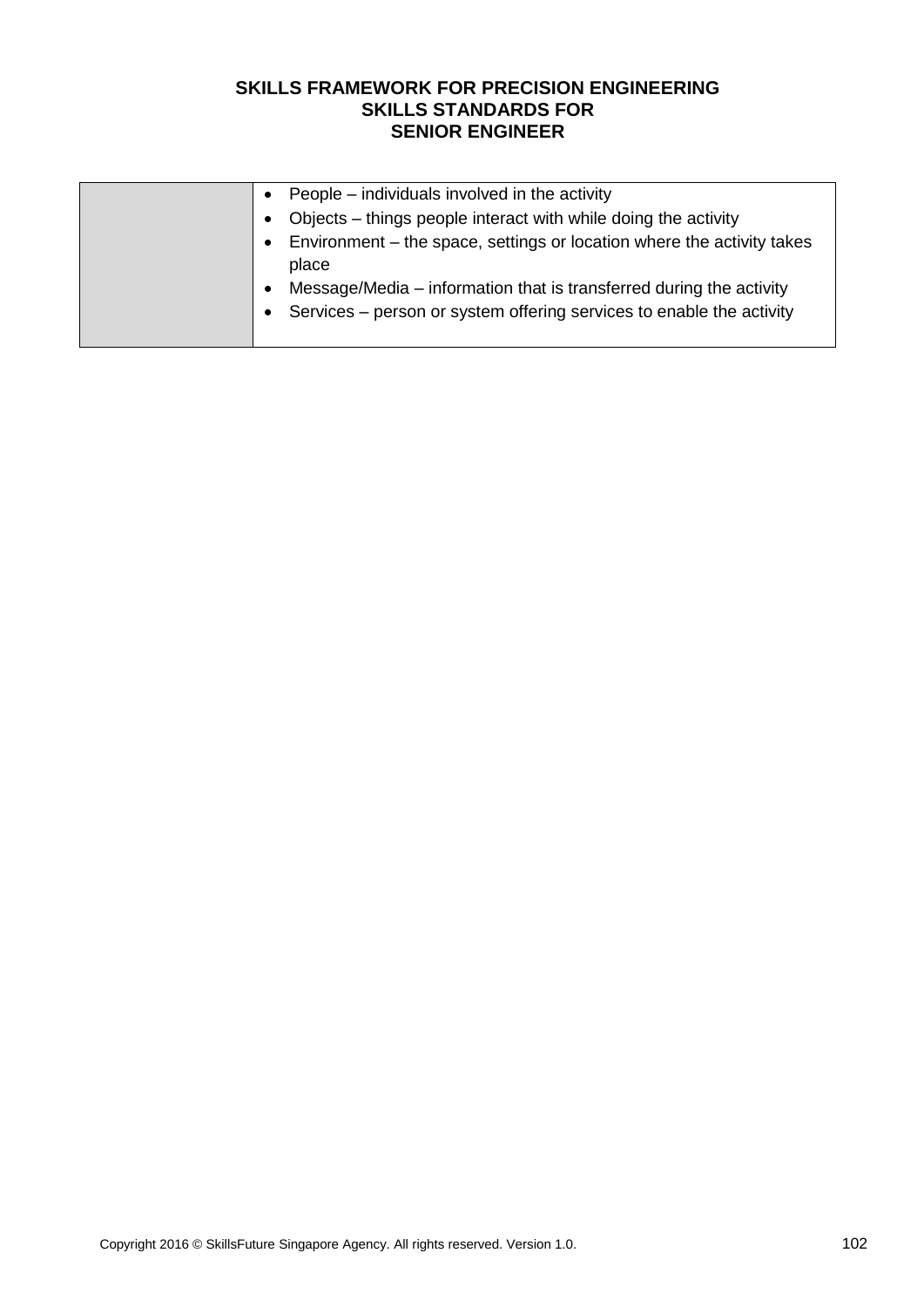| People – individuals involved in the activity<br>$\bullet$                          |  |
|-------------------------------------------------------------------------------------|--|
| Objects – things people interact with while doing the activity<br>$\bullet$         |  |
| Environment – the space, settings or location where the activity takes<br>$\bullet$ |  |
| place                                                                               |  |
| Message/Media – information that is transferred during the activity<br>٠            |  |
| Services – person or system offering services to enable the activity<br>$\bullet$   |  |
|                                                                                     |  |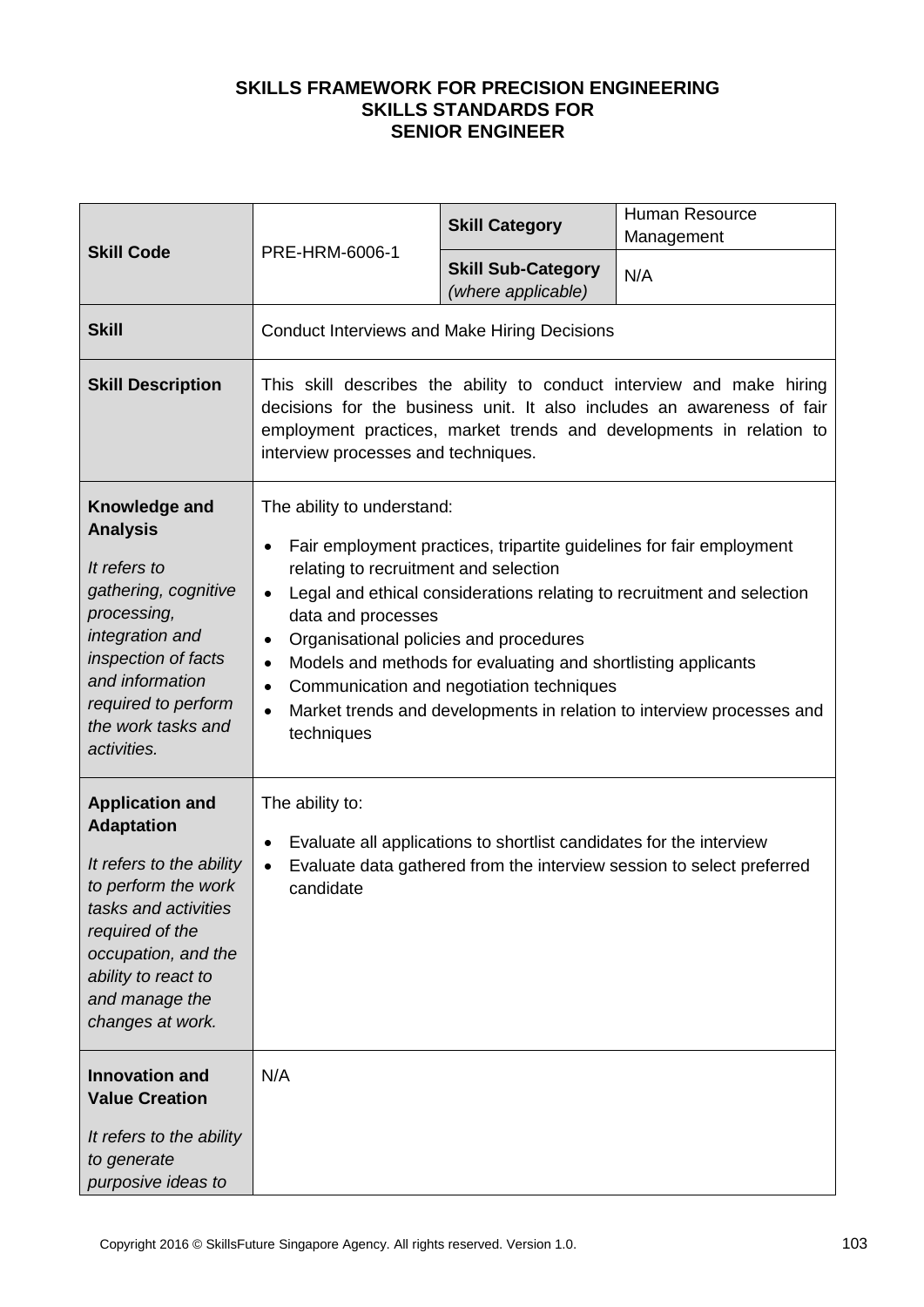| <b>Skill Code</b>                                                                                                                                                                                                             |                                                                                                                                                                                                                 | <b>Skill Category</b>                                                                                     | <b>Human Resource</b><br>Management                                                                                                                                                                                     |
|-------------------------------------------------------------------------------------------------------------------------------------------------------------------------------------------------------------------------------|-----------------------------------------------------------------------------------------------------------------------------------------------------------------------------------------------------------------|-----------------------------------------------------------------------------------------------------------|-------------------------------------------------------------------------------------------------------------------------------------------------------------------------------------------------------------------------|
|                                                                                                                                                                                                                               | PRE-HRM-6006-1                                                                                                                                                                                                  | <b>Skill Sub-Category</b><br>(where applicable)                                                           | N/A                                                                                                                                                                                                                     |
| <b>Skill</b>                                                                                                                                                                                                                  | <b>Conduct Interviews and Make Hiring Decisions</b>                                                                                                                                                             |                                                                                                           |                                                                                                                                                                                                                         |
| <b>Skill Description</b>                                                                                                                                                                                                      | interview processes and techniques.                                                                                                                                                                             |                                                                                                           | This skill describes the ability to conduct interview and make hiring<br>decisions for the business unit. It also includes an awareness of fair<br>employment practices, market trends and developments in relation to  |
| Knowledge and<br><b>Analysis</b><br>It refers to<br>gathering, cognitive<br>processing,<br>integration and<br>inspection of facts<br>and information<br>required to perform<br>the work tasks and<br>activities.              | The ability to understand:<br>$\bullet$<br>relating to recruitment and selection<br>$\bullet$<br>data and processes<br>Organisational policies and procedures<br>٠<br>$\bullet$<br>٠<br>$\bullet$<br>techniques | Models and methods for evaluating and shortlisting applicants<br>Communication and negotiation techniques | Fair employment practices, tripartite guidelines for fair employment<br>Legal and ethical considerations relating to recruitment and selection<br>Market trends and developments in relation to interview processes and |
| <b>Application and</b><br><b>Adaptation</b><br>It refers to the ability<br>to perform the work<br>tasks and activities<br>required of the<br>occupation, and the<br>ability to react to<br>and manage the<br>changes at work. | The ability to:<br>$\bullet$<br>$\bullet$<br>candidate                                                                                                                                                          | Evaluate all applications to shortlist candidates for the interview                                       | Evaluate data gathered from the interview session to select preferred                                                                                                                                                   |
| <b>Innovation and</b><br><b>Value Creation</b><br>It refers to the ability<br>to generate<br>purposive ideas to                                                                                                               | N/A                                                                                                                                                                                                             |                                                                                                           |                                                                                                                                                                                                                         |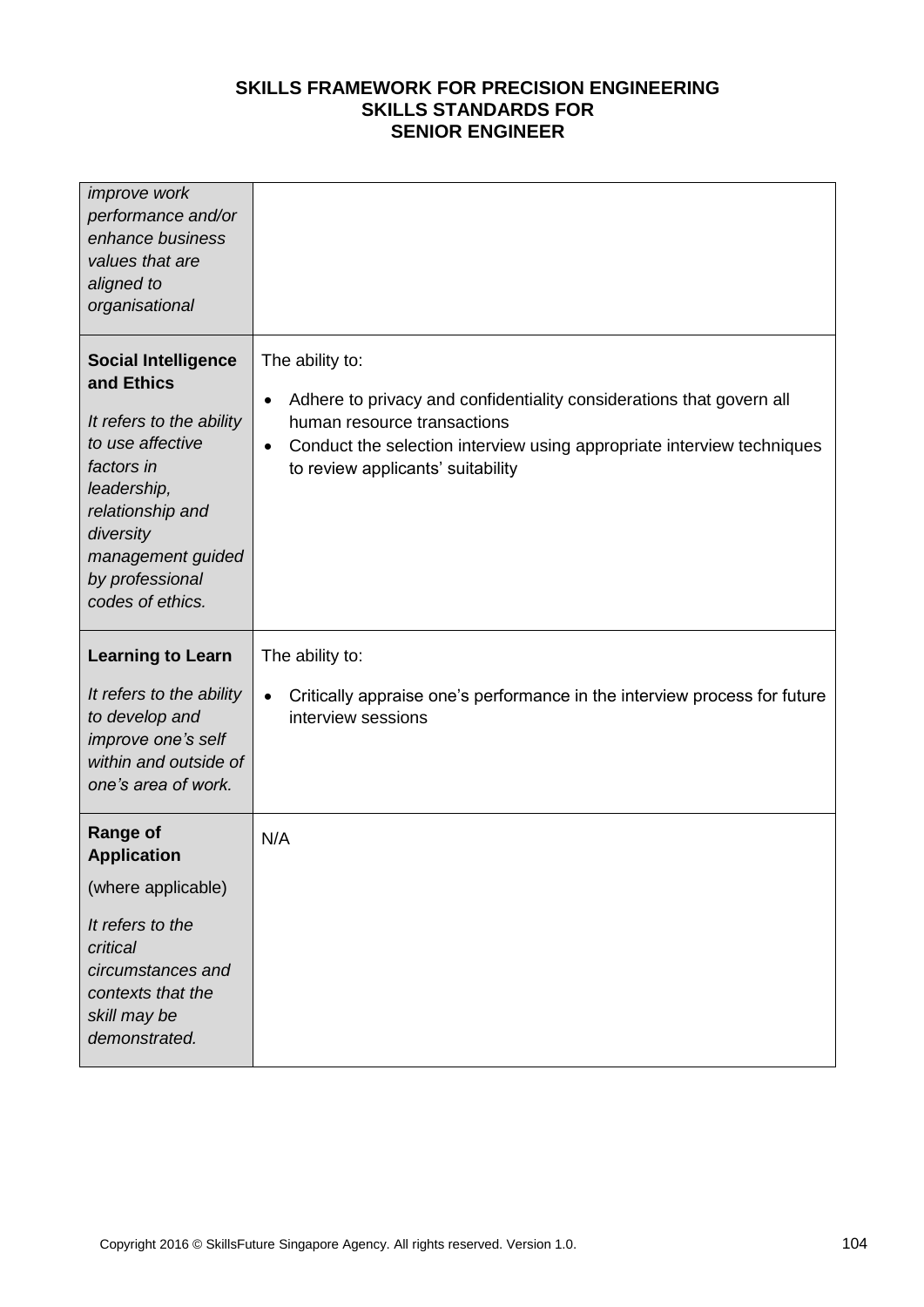| <i>improve</i> work<br>performance and/or<br>enhance business<br>values that are<br>aligned to<br>organisational                                                                                                   |                                                                                                                                                                                                                                                                 |
|--------------------------------------------------------------------------------------------------------------------------------------------------------------------------------------------------------------------|-----------------------------------------------------------------------------------------------------------------------------------------------------------------------------------------------------------------------------------------------------------------|
| <b>Social Intelligence</b><br>and Ethics<br>It refers to the ability<br>to use affective<br>factors in<br>leadership,<br>relationship and<br>diversity<br>management guided<br>by professional<br>codes of ethics. | The ability to:<br>Adhere to privacy and confidentiality considerations that govern all<br>$\bullet$<br>human resource transactions<br>Conduct the selection interview using appropriate interview techniques<br>$\bullet$<br>to review applicants' suitability |
|                                                                                                                                                                                                                    | The ability to:                                                                                                                                                                                                                                                 |
| <b>Learning to Learn</b>                                                                                                                                                                                           |                                                                                                                                                                                                                                                                 |
| It refers to the ability<br>to develop and<br>improve one's self<br>within and outside of<br>one's area of work.                                                                                                   | Critically appraise one's performance in the interview process for future<br>$\bullet$<br>interview sessions                                                                                                                                                    |
| <b>Range of</b><br><b>Application</b>                                                                                                                                                                              | N/A                                                                                                                                                                                                                                                             |
| (where applicable)                                                                                                                                                                                                 |                                                                                                                                                                                                                                                                 |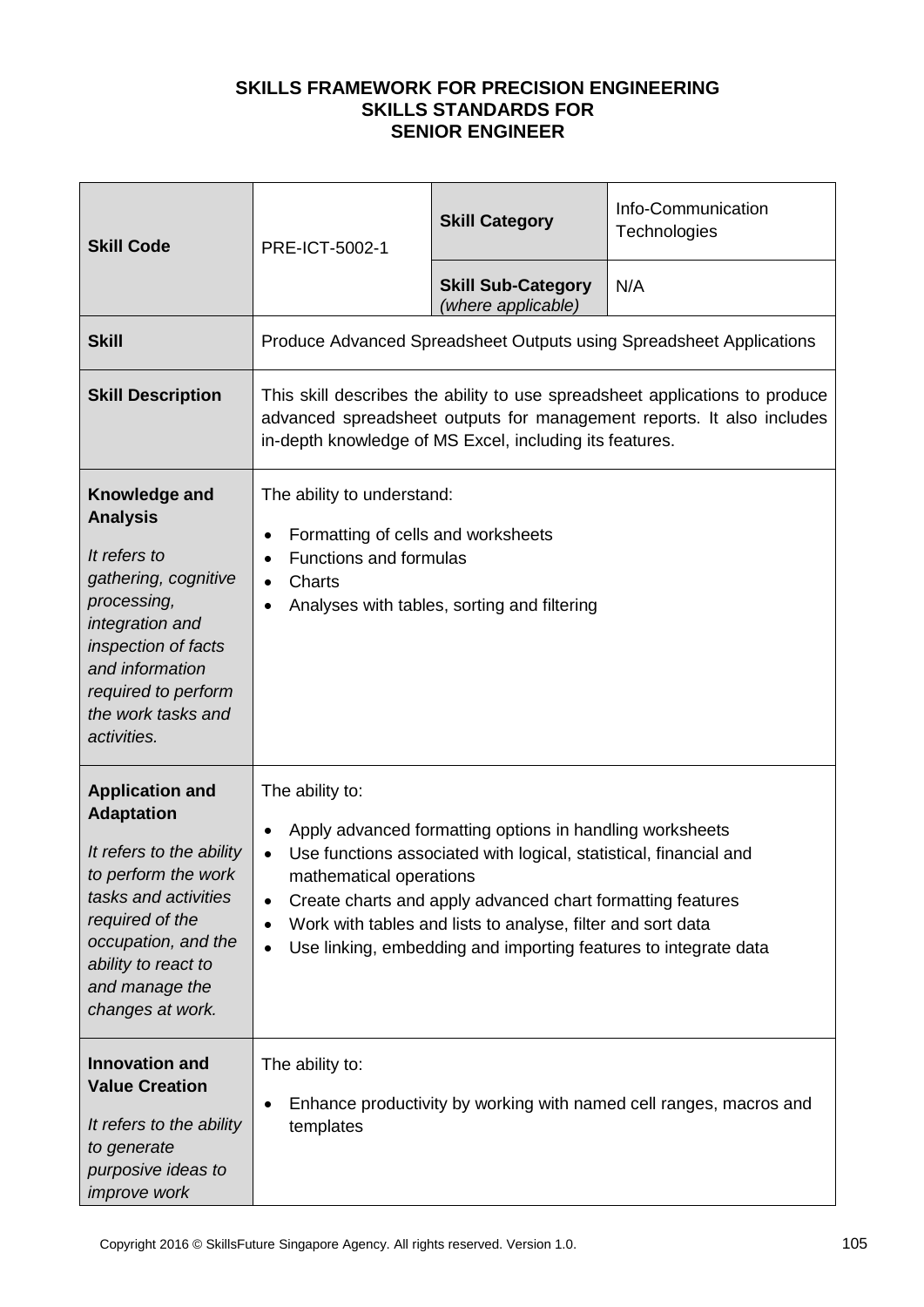| <b>Skill Code</b>                                                                                                                                                                                                             | PRE-ICT-5002-1                                                                                                                                          | <b>Skill Category</b>                                                                                                                                                                                                                                                                                                         | Info-Communication<br>Technologies                                                                                                                   |
|-------------------------------------------------------------------------------------------------------------------------------------------------------------------------------------------------------------------------------|---------------------------------------------------------------------------------------------------------------------------------------------------------|-------------------------------------------------------------------------------------------------------------------------------------------------------------------------------------------------------------------------------------------------------------------------------------------------------------------------------|------------------------------------------------------------------------------------------------------------------------------------------------------|
|                                                                                                                                                                                                                               |                                                                                                                                                         | <b>Skill Sub-Category</b><br>(where applicable)                                                                                                                                                                                                                                                                               | N/A                                                                                                                                                  |
| <b>Skill</b>                                                                                                                                                                                                                  |                                                                                                                                                         |                                                                                                                                                                                                                                                                                                                               | Produce Advanced Spreadsheet Outputs using Spreadsheet Applications                                                                                  |
| <b>Skill Description</b>                                                                                                                                                                                                      |                                                                                                                                                         | in-depth knowledge of MS Excel, including its features.                                                                                                                                                                                                                                                                       | This skill describes the ability to use spreadsheet applications to produce<br>advanced spreadsheet outputs for management reports. It also includes |
| Knowledge and<br><b>Analysis</b><br>It refers to<br>gathering, cognitive<br>processing,<br>integration and<br>inspection of facts<br>and information<br>required to perform<br>the work tasks and<br>activities.              | The ability to understand:<br>Formatting of cells and worksheets<br>٠<br><b>Functions and formulas</b><br>$\bullet$<br>Charts<br>$\bullet$<br>$\bullet$ | Analyses with tables, sorting and filtering                                                                                                                                                                                                                                                                                   |                                                                                                                                                      |
| <b>Application and</b><br><b>Adaptation</b><br>It refers to the ability<br>to perform the work<br>tasks and activities<br>required of the<br>occupation, and the<br>ability to react to<br>and manage the<br>changes at work. | The ability to:<br>$\bullet$<br>$\bullet$<br>mathematical operations<br>$\bullet$<br>$\bullet$<br>$\bullet$                                             | Apply advanced formatting options in handling worksheets<br>Use functions associated with logical, statistical, financial and<br>Create charts and apply advanced chart formatting features<br>Work with tables and lists to analyse, filter and sort data<br>Use linking, embedding and importing features to integrate data |                                                                                                                                                      |
| <b>Innovation and</b><br><b>Value Creation</b><br>It refers to the ability<br>to generate<br>purposive ideas to<br><i>improve</i> work                                                                                        | The ability to:<br>$\bullet$<br>templates                                                                                                               |                                                                                                                                                                                                                                                                                                                               | Enhance productivity by working with named cell ranges, macros and                                                                                   |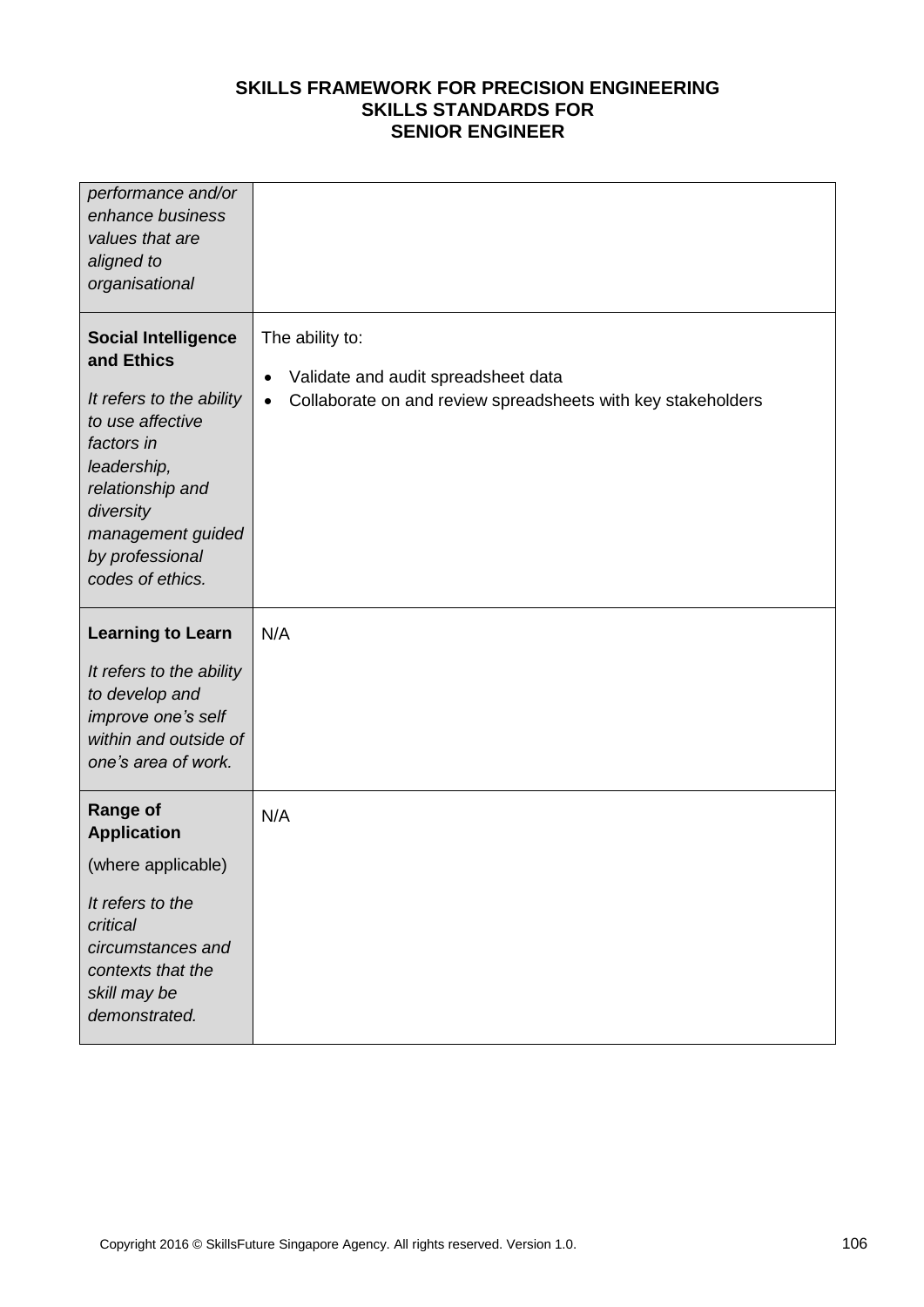| performance and/or<br>enhance business<br>values that are<br>aligned to<br>organisational                                                                                                                          |                                                                                                                                                  |
|--------------------------------------------------------------------------------------------------------------------------------------------------------------------------------------------------------------------|--------------------------------------------------------------------------------------------------------------------------------------------------|
| <b>Social Intelligence</b><br>and Ethics<br>It refers to the ability<br>to use affective<br>factors in<br>leadership,<br>relationship and<br>diversity<br>management guided<br>by professional<br>codes of ethics. | The ability to:<br>Validate and audit spreadsheet data<br>$\bullet$<br>Collaborate on and review spreadsheets with key stakeholders<br>$\bullet$ |
| <b>Learning to Learn</b><br>It refers to the ability<br>to develop and<br>improve one's self<br>within and outside of<br>one's area of work.                                                                       | N/A                                                                                                                                              |
| <b>Range of</b><br><b>Application</b><br>(where applicable)<br>It refers to the<br>critical<br>circumstances and<br>contexts that the<br>skill may be<br>demonstrated.                                             | N/A                                                                                                                                              |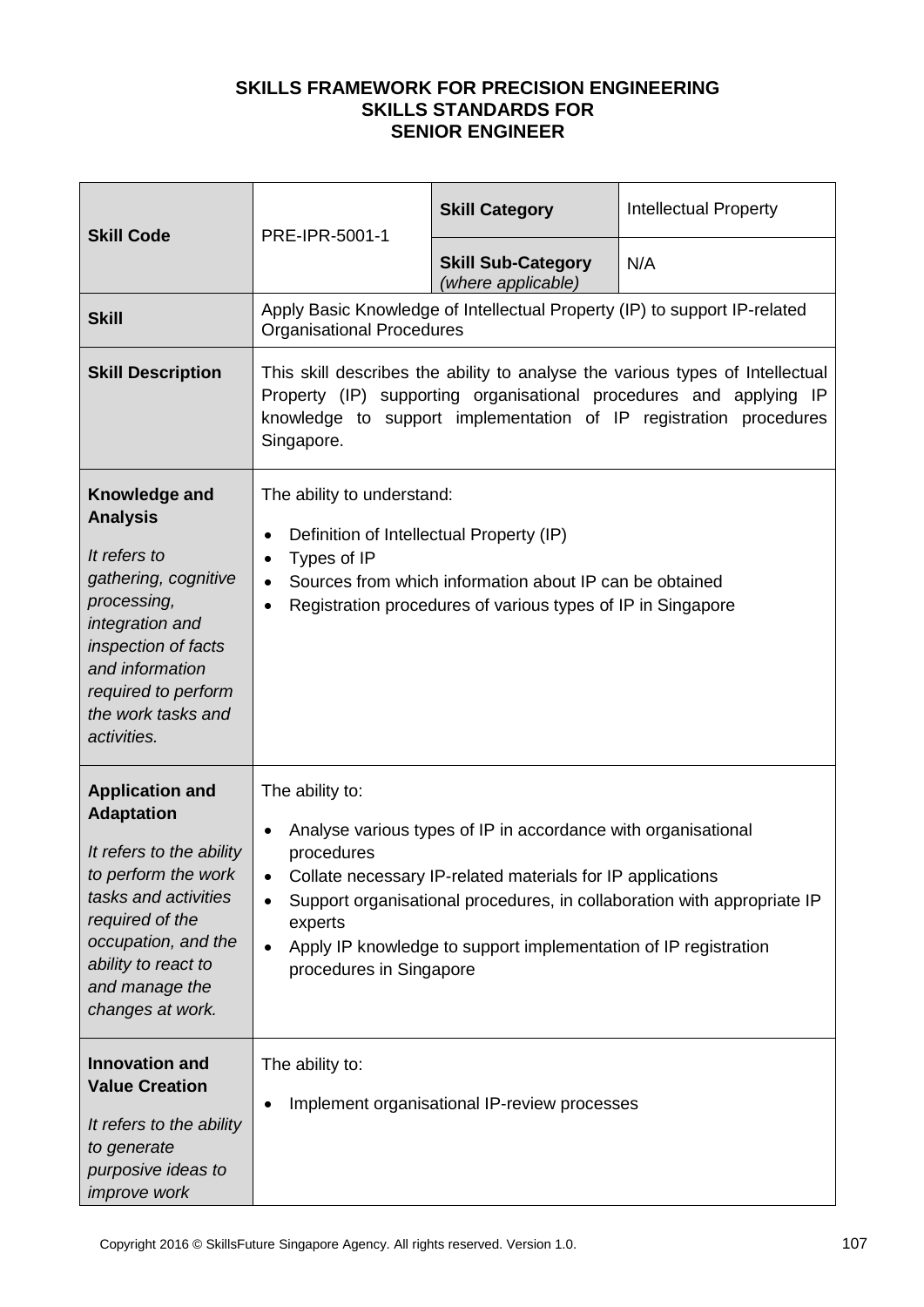| <b>Skill Code</b>                                                                                                                                                                                                             | PRE-IPR-5001-1                                                                                                                            | <b>Skill Category</b>                                                                                                                                                                          | <b>Intellectual Property</b>                                                                                                                                                                                             |
|-------------------------------------------------------------------------------------------------------------------------------------------------------------------------------------------------------------------------------|-------------------------------------------------------------------------------------------------------------------------------------------|------------------------------------------------------------------------------------------------------------------------------------------------------------------------------------------------|--------------------------------------------------------------------------------------------------------------------------------------------------------------------------------------------------------------------------|
|                                                                                                                                                                                                                               |                                                                                                                                           | <b>Skill Sub-Category</b><br>(where applicable)                                                                                                                                                | N/A                                                                                                                                                                                                                      |
| <b>Skill</b>                                                                                                                                                                                                                  | <b>Organisational Procedures</b>                                                                                                          |                                                                                                                                                                                                | Apply Basic Knowledge of Intellectual Property (IP) to support IP-related                                                                                                                                                |
| <b>Skill Description</b>                                                                                                                                                                                                      | Singapore.                                                                                                                                |                                                                                                                                                                                                | This skill describes the ability to analyse the various types of Intellectual<br>Property (IP) supporting organisational procedures and applying IP<br>knowledge to support implementation of IP registration procedures |
| Knowledge and<br><b>Analysis</b><br>It refers to<br>gathering, cognitive<br>processing,<br>integration and<br>inspection of facts<br>and information<br>required to perform<br>the work tasks and<br>activities.              | The ability to understand:<br>Definition of Intellectual Property (IP)<br>$\bullet$<br>Types of IP<br>$\bullet$<br>$\bullet$<br>$\bullet$ | Sources from which information about IP can be obtained<br>Registration procedures of various types of IP in Singapore                                                                         |                                                                                                                                                                                                                          |
| <b>Application and</b><br><b>Adaptation</b><br>It refers to the ability<br>to perform the work<br>tasks and activities<br>required of the<br>occupation, and the<br>ability to react to<br>and manage the<br>changes at work. | The ability to:<br>$\bullet$<br>procedures<br>experts<br>$\bullet$<br>procedures in Singapore                                             | Analyse various types of IP in accordance with organisational<br>Collate necessary IP-related materials for IP applications<br>Apply IP knowledge to support implementation of IP registration | Support organisational procedures, in collaboration with appropriate IP                                                                                                                                                  |
| <b>Innovation and</b><br><b>Value Creation</b><br>It refers to the ability<br>to generate<br>purposive ideas to<br><i>improve</i> work                                                                                        | The ability to:                                                                                                                           | Implement organisational IP-review processes                                                                                                                                                   |                                                                                                                                                                                                                          |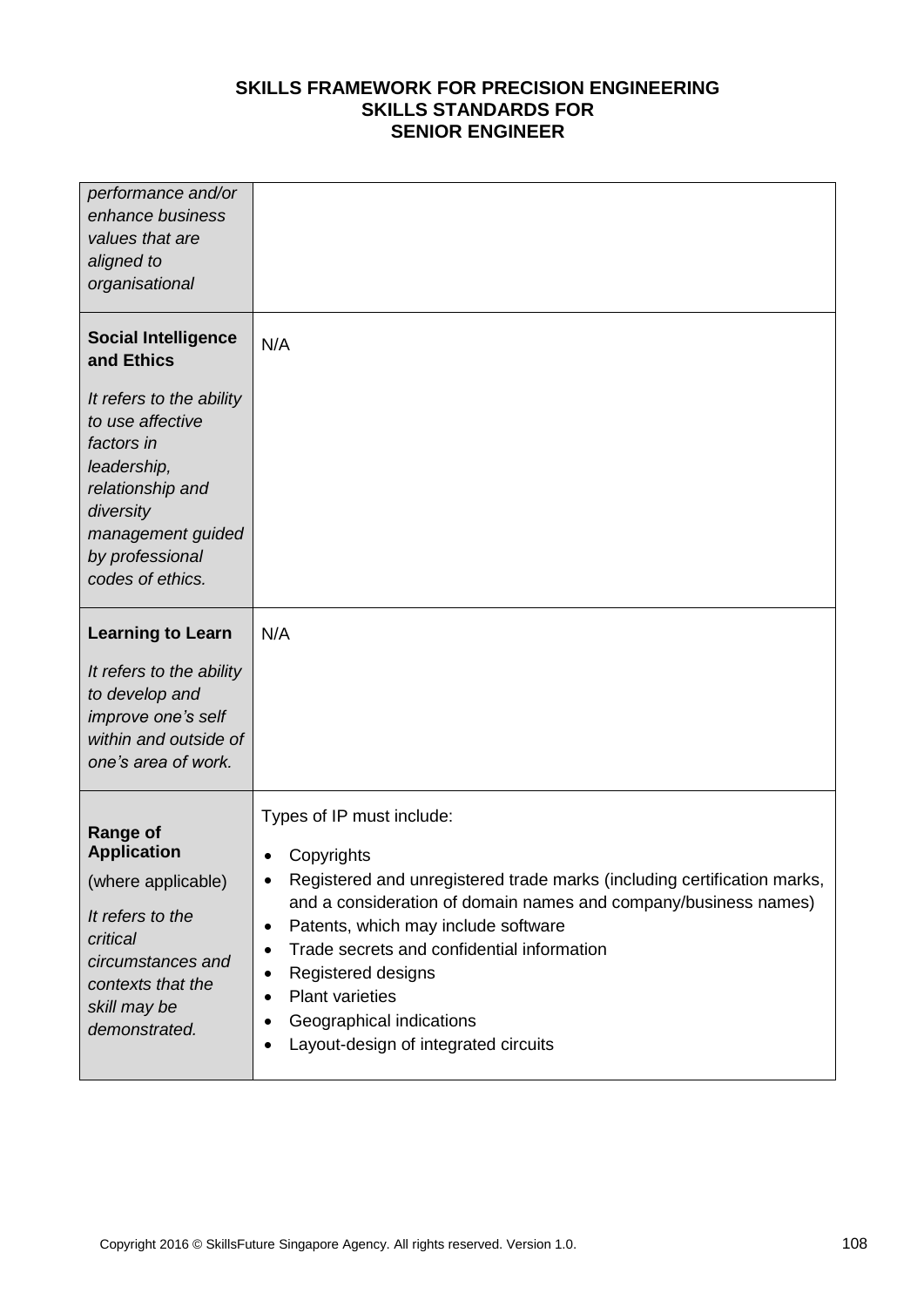| performance and/or<br>enhance business<br>values that are<br>aligned to<br>organisational                                                                              |                                                                                                                                                                                                                                                                                                                                                                                                                                                                                |
|------------------------------------------------------------------------------------------------------------------------------------------------------------------------|--------------------------------------------------------------------------------------------------------------------------------------------------------------------------------------------------------------------------------------------------------------------------------------------------------------------------------------------------------------------------------------------------------------------------------------------------------------------------------|
| <b>Social Intelligence</b><br>and Ethics                                                                                                                               | N/A                                                                                                                                                                                                                                                                                                                                                                                                                                                                            |
| It refers to the ability<br>to use affective<br>factors in<br>leadership,<br>relationship and<br>diversity<br>management guided<br>by professional<br>codes of ethics. |                                                                                                                                                                                                                                                                                                                                                                                                                                                                                |
| <b>Learning to Learn</b><br>It refers to the ability<br>to develop and<br>improve one's self<br>within and outside of<br>one's area of work.                           | N/A                                                                                                                                                                                                                                                                                                                                                                                                                                                                            |
| <b>Range of</b><br><b>Application</b><br>(where applicable)<br>It refers to the<br>critical<br>circumstances and<br>contexts that the<br>skill may be<br>demonstrated. | Types of IP must include:<br>Copyrights<br>$\bullet$<br>Registered and unregistered trade marks (including certification marks,<br>٠<br>and a consideration of domain names and company/business names)<br>Patents, which may include software<br>$\bullet$<br>Trade secrets and confidential information<br>٠<br>Registered designs<br>٠<br><b>Plant varieties</b><br>$\bullet$<br>Geographical indications<br>$\bullet$<br>Layout-design of integrated circuits<br>$\bullet$ |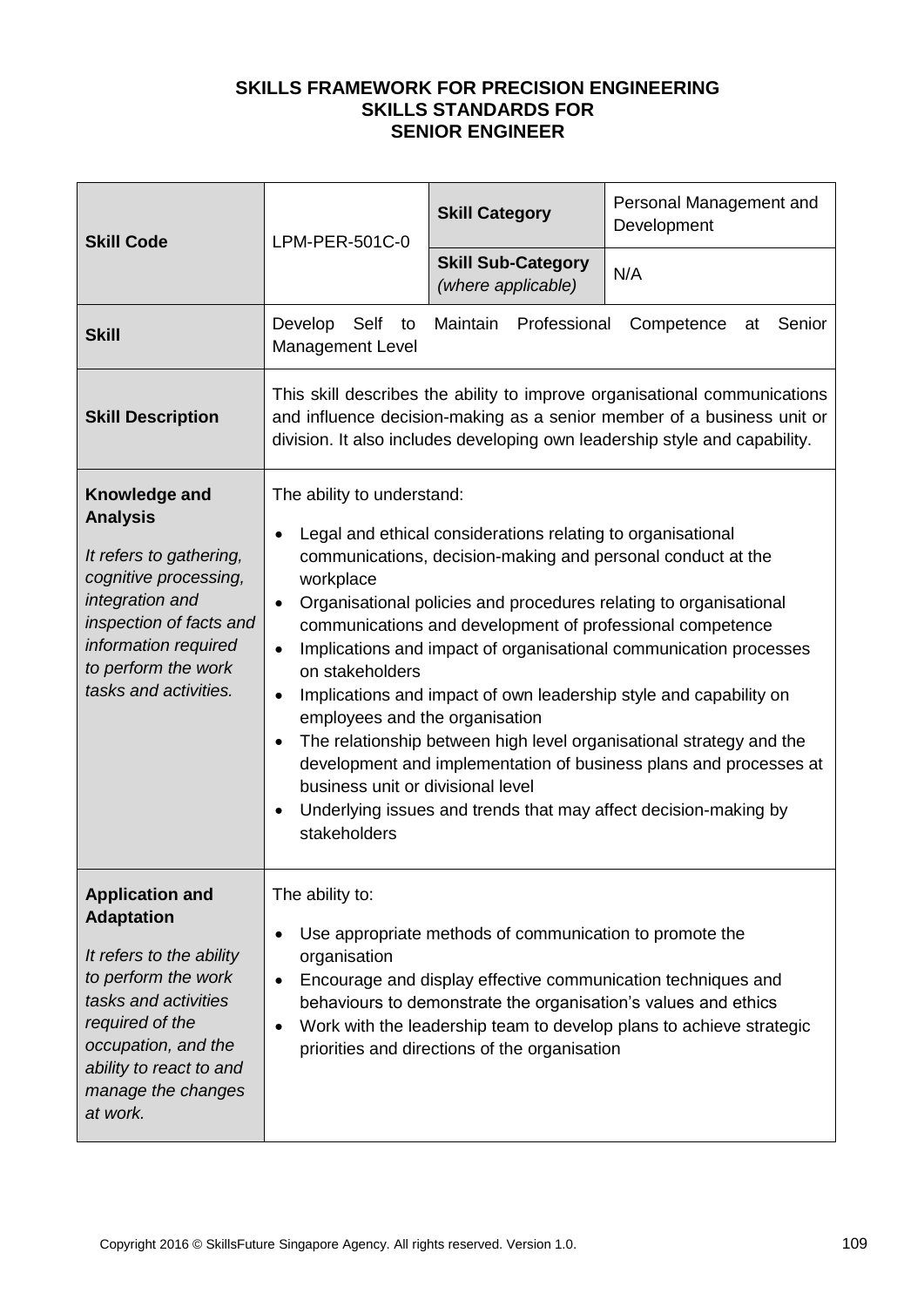| <b>Skill Code</b>                                                                                                                                                                                                             | LPM-PER-501C-0                                                                                                                                                                                                                                                                                                                                                                                                                                                                                                                                                                                                                                                                                                                                                                                                    | <b>Skill Category</b>                           | Personal Management and<br>Development |
|-------------------------------------------------------------------------------------------------------------------------------------------------------------------------------------------------------------------------------|-------------------------------------------------------------------------------------------------------------------------------------------------------------------------------------------------------------------------------------------------------------------------------------------------------------------------------------------------------------------------------------------------------------------------------------------------------------------------------------------------------------------------------------------------------------------------------------------------------------------------------------------------------------------------------------------------------------------------------------------------------------------------------------------------------------------|-------------------------------------------------|----------------------------------------|
|                                                                                                                                                                                                                               |                                                                                                                                                                                                                                                                                                                                                                                                                                                                                                                                                                                                                                                                                                                                                                                                                   | <b>Skill Sub-Category</b><br>(where applicable) | N/A                                    |
| <b>Skill</b>                                                                                                                                                                                                                  | Develop<br>Self<br>Maintain Professional<br>Senior<br>Competence<br>to<br>at<br>Management Level                                                                                                                                                                                                                                                                                                                                                                                                                                                                                                                                                                                                                                                                                                                  |                                                 |                                        |
| <b>Skill Description</b>                                                                                                                                                                                                      | This skill describes the ability to improve organisational communications<br>and influence decision-making as a senior member of a business unit or<br>division. It also includes developing own leadership style and capability.                                                                                                                                                                                                                                                                                                                                                                                                                                                                                                                                                                                 |                                                 |                                        |
| Knowledge and<br><b>Analysis</b><br>It refers to gathering,<br>cognitive processing,<br>integration and<br>inspection of facts and<br>information required<br>to perform the work<br>tasks and activities.                    | The ability to understand:<br>Legal and ethical considerations relating to organisational<br>$\bullet$<br>communications, decision-making and personal conduct at the<br>workplace<br>Organisational policies and procedures relating to organisational<br>$\bullet$<br>communications and development of professional competence<br>Implications and impact of organisational communication processes<br>on stakeholders<br>Implications and impact of own leadership style and capability on<br>employees and the organisation<br>The relationship between high level organisational strategy and the<br>development and implementation of business plans and processes at<br>business unit or divisional level<br>Underlying issues and trends that may affect decision-making by<br>$\bullet$<br>stakeholders |                                                 |                                        |
| <b>Application and</b><br><b>Adaptation</b><br>It refers to the ability<br>to perform the work<br>tasks and activities<br>required of the<br>occupation, and the<br>ability to react to and<br>manage the changes<br>at work. | The ability to:<br>Use appropriate methods of communication to promote the<br>$\bullet$<br>organisation<br>Encourage and display effective communication techniques and<br>$\bullet$<br>behaviours to demonstrate the organisation's values and ethics<br>Work with the leadership team to develop plans to achieve strategic<br>$\bullet$<br>priorities and directions of the organisation                                                                                                                                                                                                                                                                                                                                                                                                                       |                                                 |                                        |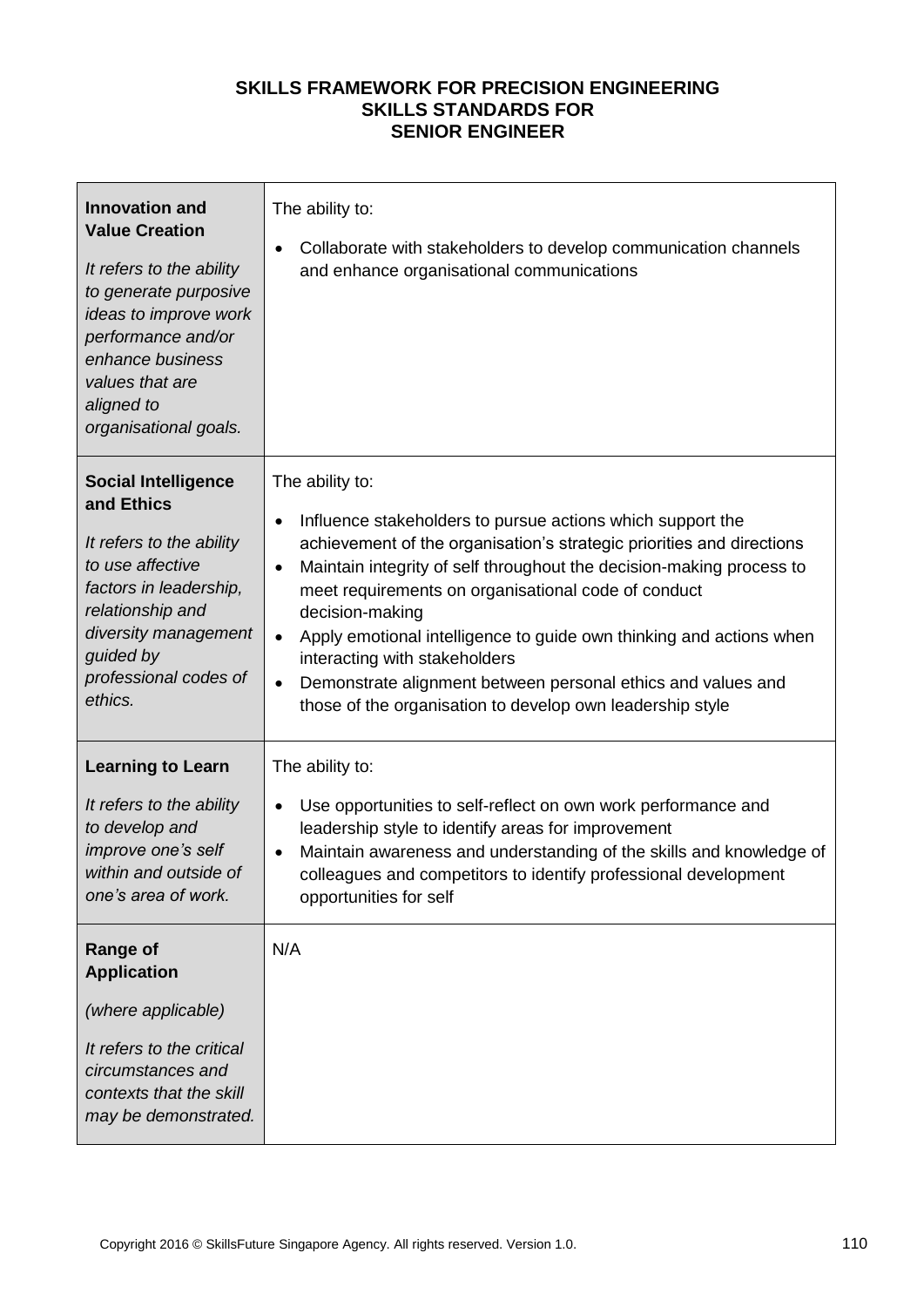| <b>Innovation and</b><br><b>Value Creation</b><br>It refers to the ability<br>to generate purposive<br>ideas to improve work<br>performance and/or<br>enhance business<br>values that are<br>aligned to<br>organisational goals.                                                                                 | The ability to:<br>Collaborate with stakeholders to develop communication channels<br>and enhance organisational communications                                                                                                                                                                                                                                                                                                                                                                                                                                                                   |
|------------------------------------------------------------------------------------------------------------------------------------------------------------------------------------------------------------------------------------------------------------------------------------------------------------------|---------------------------------------------------------------------------------------------------------------------------------------------------------------------------------------------------------------------------------------------------------------------------------------------------------------------------------------------------------------------------------------------------------------------------------------------------------------------------------------------------------------------------------------------------------------------------------------------------|
| <b>Social Intelligence</b><br>and Ethics<br>It refers to the ability<br>to use affective<br>factors in leadership,<br>relationship and<br>diversity management<br>guided by<br>professional codes of<br>ethics.                                                                                                  | The ability to:<br>Influence stakeholders to pursue actions which support the<br>$\bullet$<br>achievement of the organisation's strategic priorities and directions<br>Maintain integrity of self throughout the decision-making process to<br>$\bullet$<br>meet requirements on organisational code of conduct<br>decision-making<br>Apply emotional intelligence to guide own thinking and actions when<br>$\bullet$<br>interacting with stakeholders<br>Demonstrate alignment between personal ethics and values and<br>$\bullet$<br>those of the organisation to develop own leadership style |
| <b>Learning to Learn</b><br>It refers to the ability<br>to develop and<br>improve one's self<br>within and outside of<br>one's area of work.<br><b>Range of</b><br><b>Application</b><br>(where applicable)<br>It refers to the critical<br>circumstances and<br>contexts that the skill<br>may be demonstrated. | The ability to:<br>Use opportunities to self-reflect on own work performance and<br>leadership style to identify areas for improvement<br>Maintain awareness and understanding of the skills and knowledge of<br>colleagues and competitors to identify professional development<br>opportunities for self<br>N/A                                                                                                                                                                                                                                                                                 |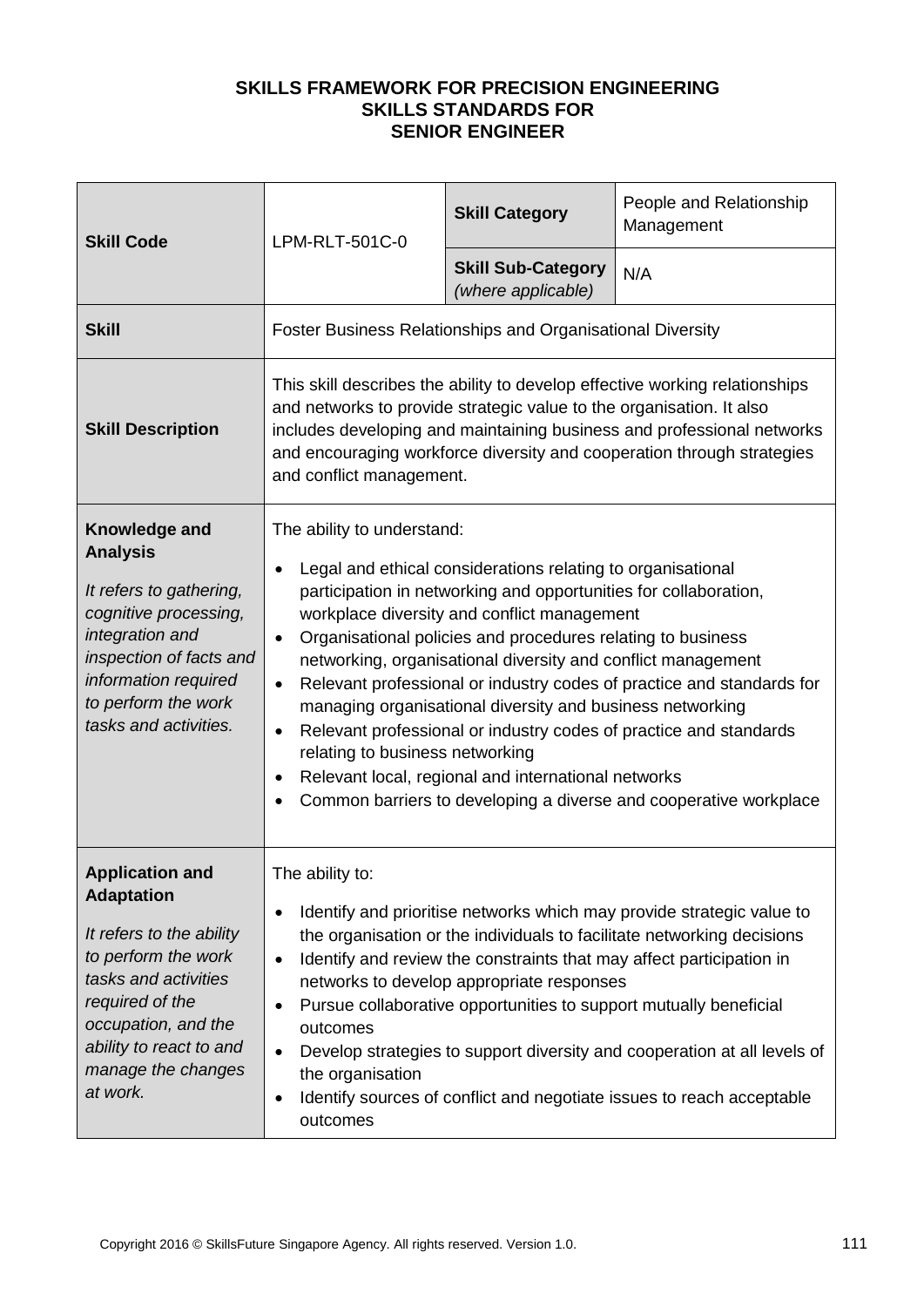| <b>Skill Code</b>                                                                                                                                                                                                             | LPM-RLT-501C-0                                                                                                                                                                                                                                                                                                                                                                                                                                                                                                                                                                                                                                                                                                                                               | <b>Skill Category</b>                           | People and Relationship<br>Management |
|-------------------------------------------------------------------------------------------------------------------------------------------------------------------------------------------------------------------------------|--------------------------------------------------------------------------------------------------------------------------------------------------------------------------------------------------------------------------------------------------------------------------------------------------------------------------------------------------------------------------------------------------------------------------------------------------------------------------------------------------------------------------------------------------------------------------------------------------------------------------------------------------------------------------------------------------------------------------------------------------------------|-------------------------------------------------|---------------------------------------|
|                                                                                                                                                                                                                               |                                                                                                                                                                                                                                                                                                                                                                                                                                                                                                                                                                                                                                                                                                                                                              | <b>Skill Sub-Category</b><br>(where applicable) | N/A                                   |
| <b>Skill</b>                                                                                                                                                                                                                  | <b>Foster Business Relationships and Organisational Diversity</b>                                                                                                                                                                                                                                                                                                                                                                                                                                                                                                                                                                                                                                                                                            |                                                 |                                       |
| <b>Skill Description</b>                                                                                                                                                                                                      | This skill describes the ability to develop effective working relationships<br>and networks to provide strategic value to the organisation. It also<br>includes developing and maintaining business and professional networks<br>and encouraging workforce diversity and cooperation through strategies<br>and conflict management.                                                                                                                                                                                                                                                                                                                                                                                                                          |                                                 |                                       |
| Knowledge and<br><b>Analysis</b><br>It refers to gathering,<br>cognitive processing,<br>integration and<br>inspection of facts and<br>information required<br>to perform the work<br>tasks and activities.                    | The ability to understand:<br>Legal and ethical considerations relating to organisational<br>$\bullet$<br>participation in networking and opportunities for collaboration,<br>workplace diversity and conflict management<br>Organisational policies and procedures relating to business<br>$\bullet$<br>networking, organisational diversity and conflict management<br>Relevant professional or industry codes of practice and standards for<br>managing organisational diversity and business networking<br>Relevant professional or industry codes of practice and standards<br>$\bullet$<br>relating to business networking<br>Relevant local, regional and international networks<br>Common barriers to developing a diverse and cooperative workplace |                                                 |                                       |
| <b>Application and</b><br><b>Adaptation</b><br>It refers to the ability<br>to perform the work<br>tasks and activities<br>required of the<br>occupation, and the<br>ability to react to and<br>manage the changes<br>at work. | The ability to:<br>Identify and prioritise networks which may provide strategic value to<br>$\bullet$<br>the organisation or the individuals to facilitate networking decisions<br>Identify and review the constraints that may affect participation in<br>$\bullet$<br>networks to develop appropriate responses<br>Pursue collaborative opportunities to support mutually beneficial<br>outcomes<br>Develop strategies to support diversity and cooperation at all levels of<br>$\bullet$<br>the organisation<br>Identify sources of conflict and negotiate issues to reach acceptable<br>outcomes                                                                                                                                                         |                                                 |                                       |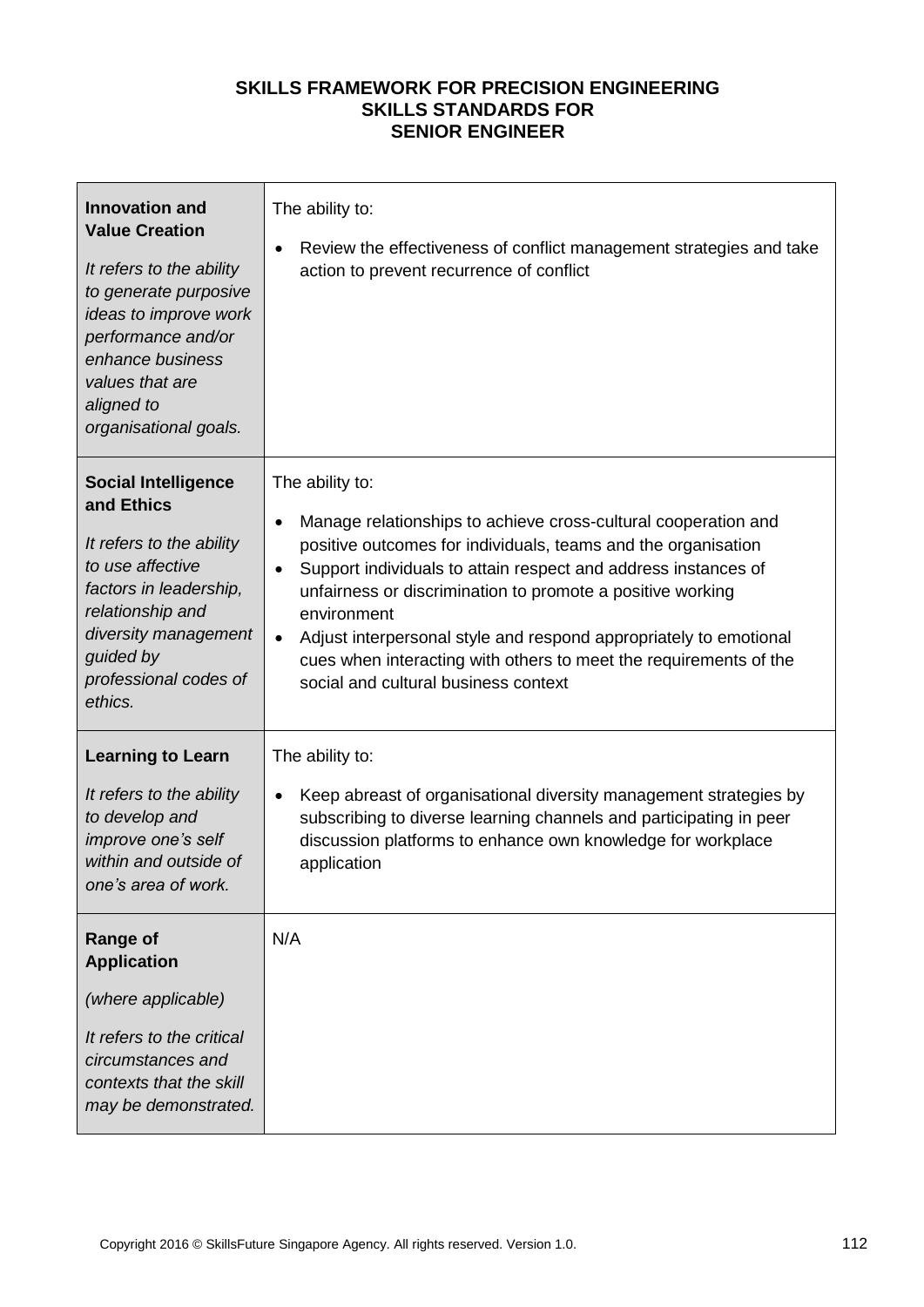| <b>Innovation and</b><br><b>Value Creation</b><br>It refers to the ability<br>to generate purposive<br>ideas to improve work<br>performance and/or<br>enhance business<br>values that are<br>aligned to<br>organisational goals. | The ability to:<br>Review the effectiveness of conflict management strategies and take<br>$\bullet$<br>action to prevent recurrence of conflict                                                                                                                                                                                                                                                                                                                                                                            |
|----------------------------------------------------------------------------------------------------------------------------------------------------------------------------------------------------------------------------------|----------------------------------------------------------------------------------------------------------------------------------------------------------------------------------------------------------------------------------------------------------------------------------------------------------------------------------------------------------------------------------------------------------------------------------------------------------------------------------------------------------------------------|
| <b>Social Intelligence</b><br>and Ethics<br>It refers to the ability<br>to use affective<br>factors in leadership,<br>relationship and<br>diversity management<br>guided by<br>professional codes of<br>ethics.                  | The ability to:<br>Manage relationships to achieve cross-cultural cooperation and<br>$\bullet$<br>positive outcomes for individuals, teams and the organisation<br>Support individuals to attain respect and address instances of<br>$\bullet$<br>unfairness or discrimination to promote a positive working<br>environment<br>Adjust interpersonal style and respond appropriately to emotional<br>$\bullet$<br>cues when interacting with others to meet the requirements of the<br>social and cultural business context |
| <b>Learning to Learn</b><br>It refers to the ability<br>to develop and<br>improve one's self<br>within and outside of<br>one's area of work.                                                                                     | The ability to:<br>Keep abreast of organisational diversity management strategies by<br>$\bullet$<br>subscribing to diverse learning channels and participating in peer<br>discussion platforms to enhance own knowledge for workplace<br>application                                                                                                                                                                                                                                                                      |
| <b>Range of</b><br><b>Application</b><br>(where applicable)<br>It refers to the critical<br>circumstances and<br>contexts that the skill<br>may be demonstrated.                                                                 | N/A                                                                                                                                                                                                                                                                                                                                                                                                                                                                                                                        |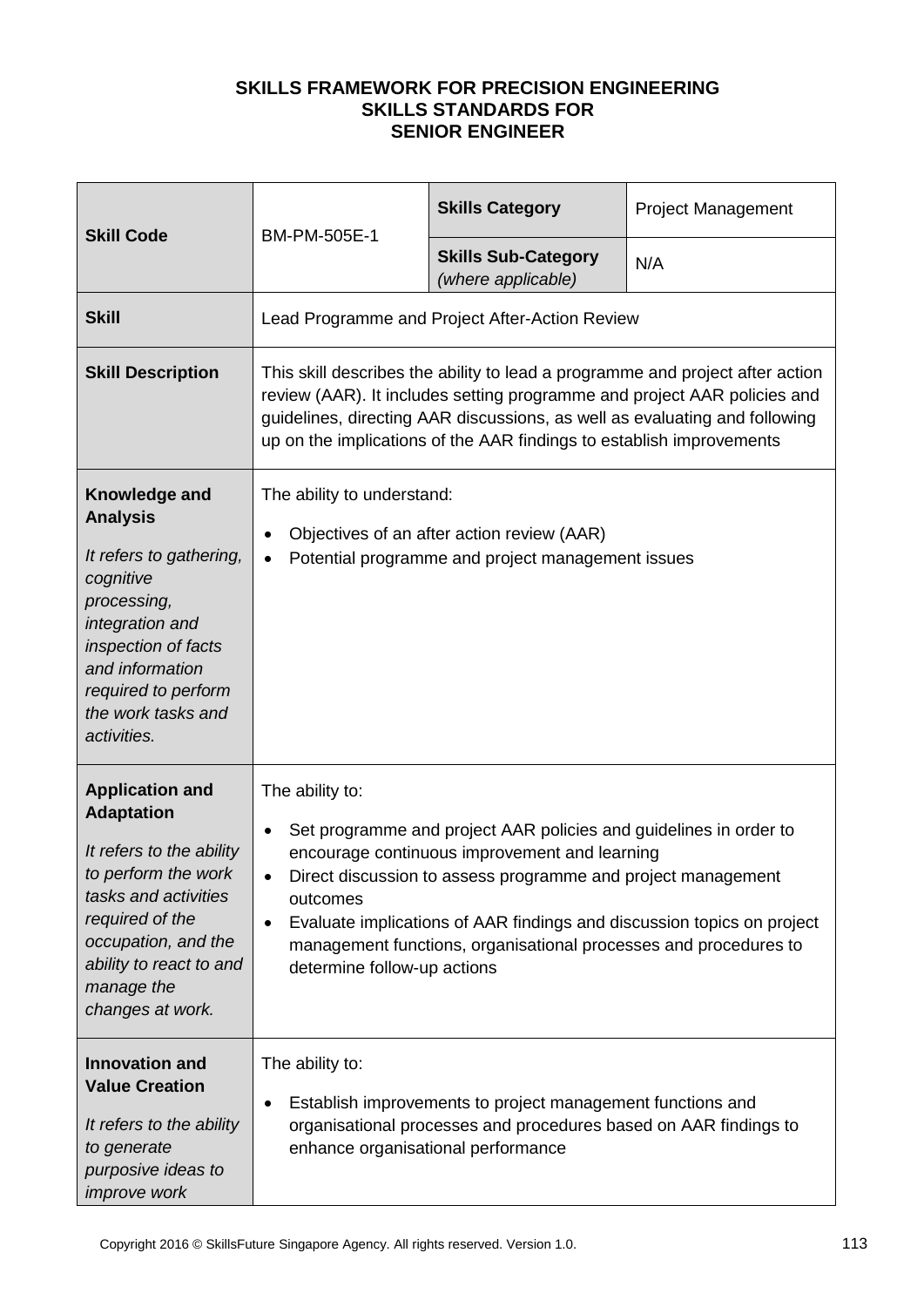| <b>Skill Code</b>                                                                                                                                                                                                             | BM-PM-505E-1                                                                                                                                                                                                                                                                                                                                                                                                             | <b>Skills Category</b>                           | <b>Project Management</b> |
|-------------------------------------------------------------------------------------------------------------------------------------------------------------------------------------------------------------------------------|--------------------------------------------------------------------------------------------------------------------------------------------------------------------------------------------------------------------------------------------------------------------------------------------------------------------------------------------------------------------------------------------------------------------------|--------------------------------------------------|---------------------------|
|                                                                                                                                                                                                                               |                                                                                                                                                                                                                                                                                                                                                                                                                          | <b>Skills Sub-Category</b><br>(where applicable) | N/A                       |
| <b>Skill</b>                                                                                                                                                                                                                  |                                                                                                                                                                                                                                                                                                                                                                                                                          | Lead Programme and Project After-Action Review   |                           |
| <b>Skill Description</b>                                                                                                                                                                                                      | This skill describes the ability to lead a programme and project after action<br>review (AAR). It includes setting programme and project AAR policies and<br>guidelines, directing AAR discussions, as well as evaluating and following<br>up on the implications of the AAR findings to establish improvements                                                                                                          |                                                  |                           |
| Knowledge and<br><b>Analysis</b><br>It refers to gathering,<br>cognitive<br>processing,<br>integration and<br>inspection of facts<br>and information<br>required to perform<br>the work tasks and<br>activities.              | The ability to understand:<br>Objectives of an after action review (AAR)<br>$\bullet$<br>Potential programme and project management issues<br>$\bullet$                                                                                                                                                                                                                                                                  |                                                  |                           |
| <b>Application and</b><br><b>Adaptation</b><br>It refers to the ability<br>to perform the work<br>tasks and activities<br>required of the<br>occupation, and the<br>ability to react to and<br>manage the<br>changes at work. | The ability to:<br>Set programme and project AAR policies and guidelines in order to<br>$\bullet$<br>encourage continuous improvement and learning<br>Direct discussion to assess programme and project management<br>outcomes<br>Evaluate implications of AAR findings and discussion topics on project<br>$\bullet$<br>management functions, organisational processes and procedures to<br>determine follow-up actions |                                                  |                           |
| <b>Innovation and</b><br><b>Value Creation</b><br>It refers to the ability<br>to generate<br>purposive ideas to<br><i>improve</i> work                                                                                        | The ability to:<br>Establish improvements to project management functions and<br>$\bullet$<br>organisational processes and procedures based on AAR findings to<br>enhance organisational performance                                                                                                                                                                                                                     |                                                  |                           |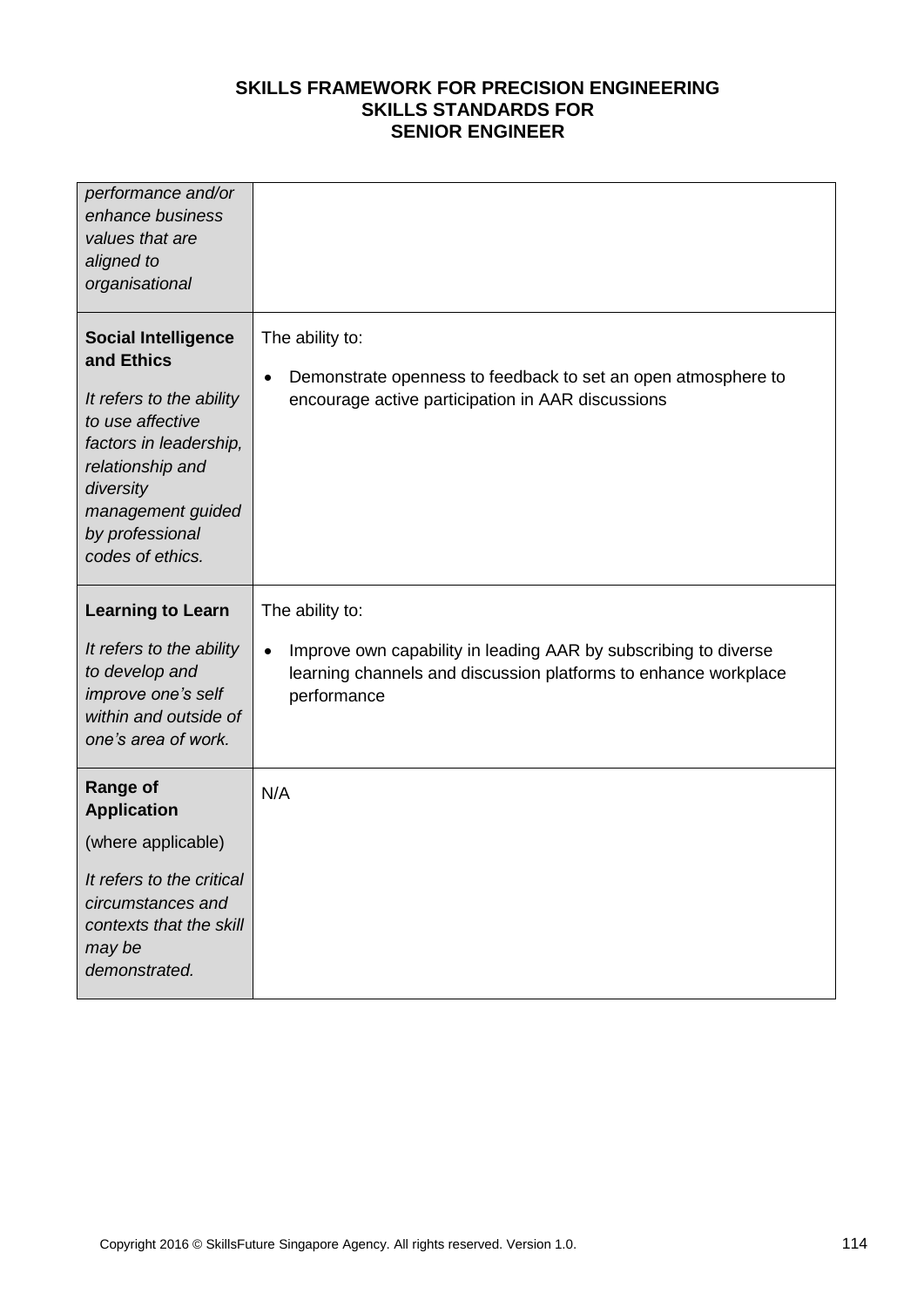| performance and/or<br>enhance business<br>values that are<br>aligned to<br>organisational                                                                                                                       |                                                                                                                                                                                   |
|-----------------------------------------------------------------------------------------------------------------------------------------------------------------------------------------------------------------|-----------------------------------------------------------------------------------------------------------------------------------------------------------------------------------|
| <b>Social Intelligence</b><br>and Ethics<br>It refers to the ability<br>to use affective<br>factors in leadership,<br>relationship and<br>diversity<br>management guided<br>by professional<br>codes of ethics. | The ability to:<br>Demonstrate openness to feedback to set an open atmosphere to<br>$\bullet$<br>encourage active participation in AAR discussions                                |
| <b>Learning to Learn</b><br>It refers to the ability<br>to develop and<br>improve one's self<br>within and outside of<br>one's area of work.                                                                    | The ability to:<br>Improve own capability in leading AAR by subscribing to diverse<br>$\bullet$<br>learning channels and discussion platforms to enhance workplace<br>performance |
| <b>Range of</b><br><b>Application</b><br>(where applicable)<br>It refers to the critical<br>circumstances and<br>contexts that the skill<br>may be<br>demonstrated.                                             | N/A                                                                                                                                                                               |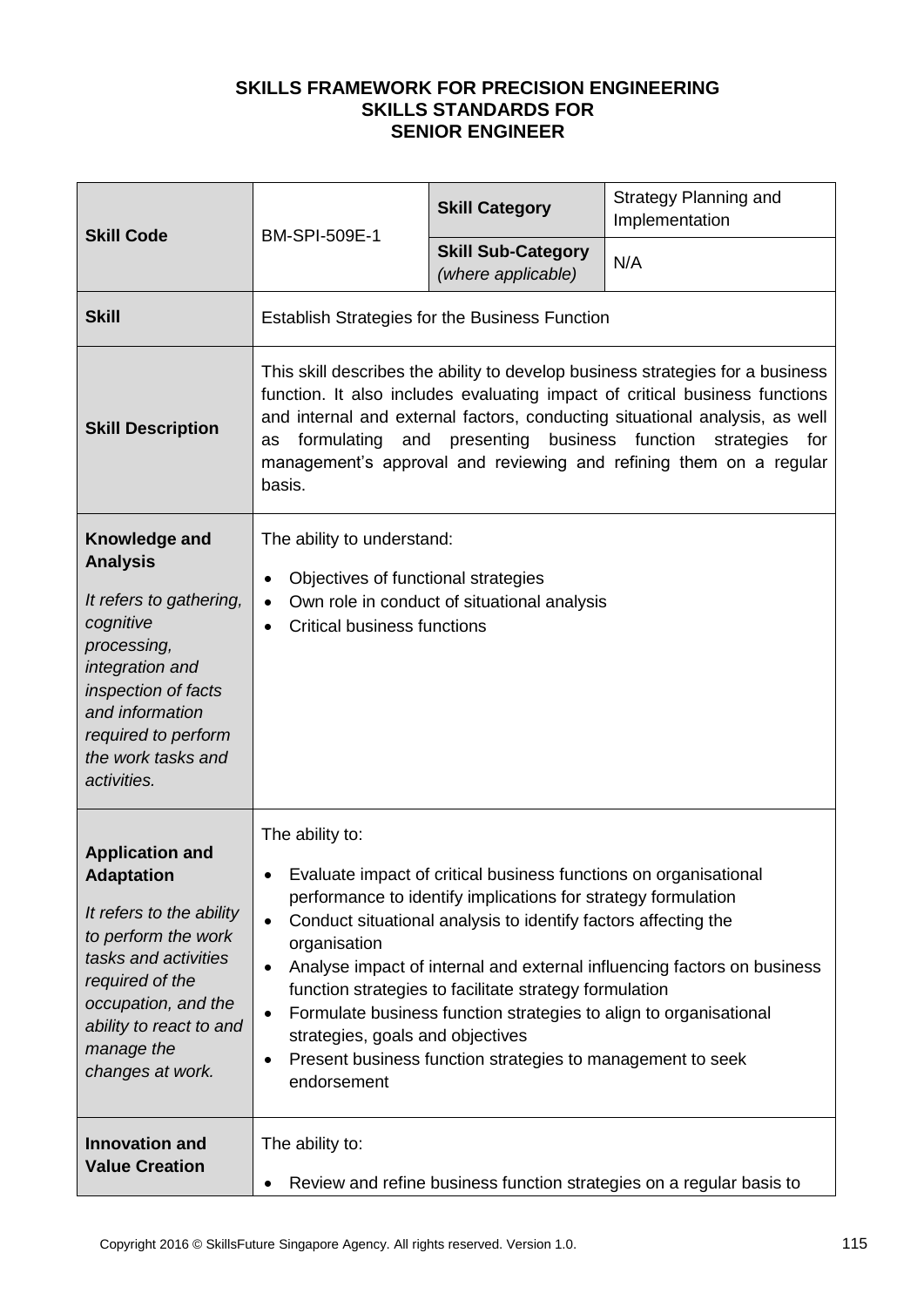| <b>Skill Code</b>                                                                                                                                                                                                             | BM-SPI-509E-1                                                                                                                                                                                                                                                                                                                                                                                                                                                                                                                                                                                 | <b>Skill Category</b>                           | <b>Strategy Planning and</b><br>Implementation |
|-------------------------------------------------------------------------------------------------------------------------------------------------------------------------------------------------------------------------------|-----------------------------------------------------------------------------------------------------------------------------------------------------------------------------------------------------------------------------------------------------------------------------------------------------------------------------------------------------------------------------------------------------------------------------------------------------------------------------------------------------------------------------------------------------------------------------------------------|-------------------------------------------------|------------------------------------------------|
|                                                                                                                                                                                                                               |                                                                                                                                                                                                                                                                                                                                                                                                                                                                                                                                                                                               | <b>Skill Sub-Category</b><br>(where applicable) | N/A                                            |
| <b>Skill</b>                                                                                                                                                                                                                  | <b>Establish Strategies for the Business Function</b>                                                                                                                                                                                                                                                                                                                                                                                                                                                                                                                                         |                                                 |                                                |
| <b>Skill Description</b>                                                                                                                                                                                                      | This skill describes the ability to develop business strategies for a business<br>function. It also includes evaluating impact of critical business functions<br>and internal and external factors, conducting situational analysis, as well<br>and presenting business function strategies for<br>formulating<br>as<br>management's approval and reviewing and refining them on a regular<br>basis.                                                                                                                                                                                          |                                                 |                                                |
| Knowledge and<br><b>Analysis</b><br>It refers to gathering,<br>cognitive<br>processing,<br>integration and<br>inspection of facts<br>and information<br>required to perform<br>the work tasks and<br>activities.              | The ability to understand:<br>Objectives of functional strategies<br>$\bullet$<br>Own role in conduct of situational analysis<br>$\bullet$<br><b>Critical business functions</b><br>$\bullet$                                                                                                                                                                                                                                                                                                                                                                                                 |                                                 |                                                |
| <b>Application and</b><br><b>Adaptation</b><br>It refers to the ability<br>to perform the work<br>tasks and activities<br>required of the<br>occupation, and the<br>ability to react to and<br>manage the<br>changes at work. | The ability to:<br>Evaluate impact of critical business functions on organisational<br>performance to identify implications for strategy formulation<br>Conduct situational analysis to identify factors affecting the<br>$\bullet$<br>organisation<br>Analyse impact of internal and external influencing factors on business<br>٠<br>function strategies to facilitate strategy formulation<br>Formulate business function strategies to align to organisational<br>٠<br>strategies, goals and objectives<br>Present business function strategies to management to seek<br>٠<br>endorsement |                                                 |                                                |
| <b>Innovation and</b><br><b>Value Creation</b>                                                                                                                                                                                | The ability to:<br>Review and refine business function strategies on a regular basis to<br>$\bullet$                                                                                                                                                                                                                                                                                                                                                                                                                                                                                          |                                                 |                                                |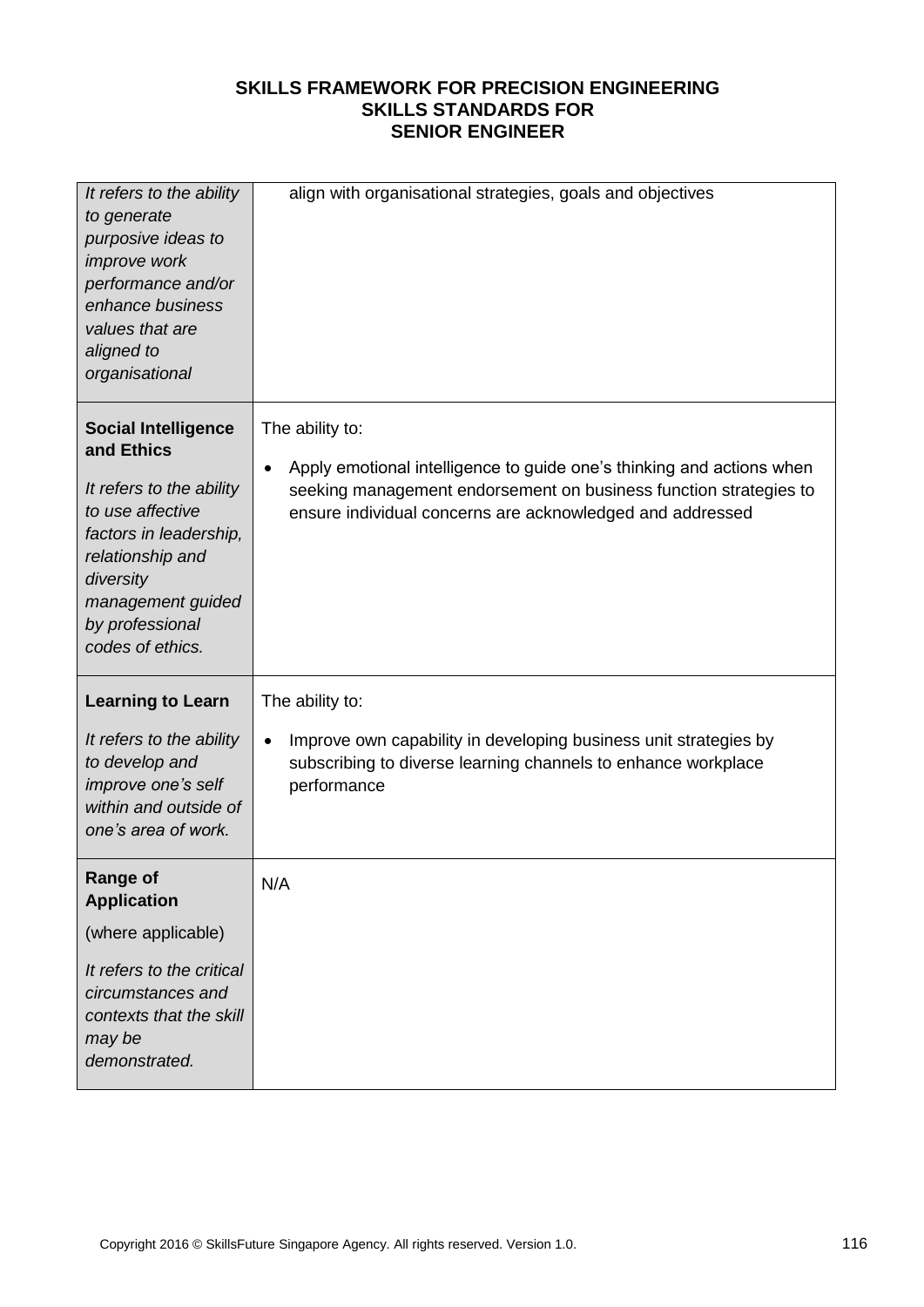| It refers to the ability<br>to generate<br>purposive ideas to<br>improve work<br>performance and/or<br>enhance business<br>values that are<br>aligned to<br>organisational                                      | align with organisational strategies, goals and objectives                                                                                                                                                                              |
|-----------------------------------------------------------------------------------------------------------------------------------------------------------------------------------------------------------------|-----------------------------------------------------------------------------------------------------------------------------------------------------------------------------------------------------------------------------------------|
| <b>Social Intelligence</b><br>and Ethics<br>It refers to the ability<br>to use affective<br>factors in leadership,<br>relationship and<br>diversity<br>management guided<br>by professional<br>codes of ethics. | The ability to:<br>Apply emotional intelligence to guide one's thinking and actions when<br>$\bullet$<br>seeking management endorsement on business function strategies to<br>ensure individual concerns are acknowledged and addressed |
| <b>Learning to Learn</b><br>It refers to the ability<br>to develop and<br>improve one's self<br>within and outside of<br>one's area of work.                                                                    | The ability to:<br>Improve own capability in developing business unit strategies by<br>$\bullet$<br>subscribing to diverse learning channels to enhance workplace<br>performance                                                        |
| <b>Range of</b><br><b>Application</b><br>(where applicable)<br>It refers to the critical<br>circumstances and<br>contexts that the skill<br>may be<br>demonstrated.                                             | N/A                                                                                                                                                                                                                                     |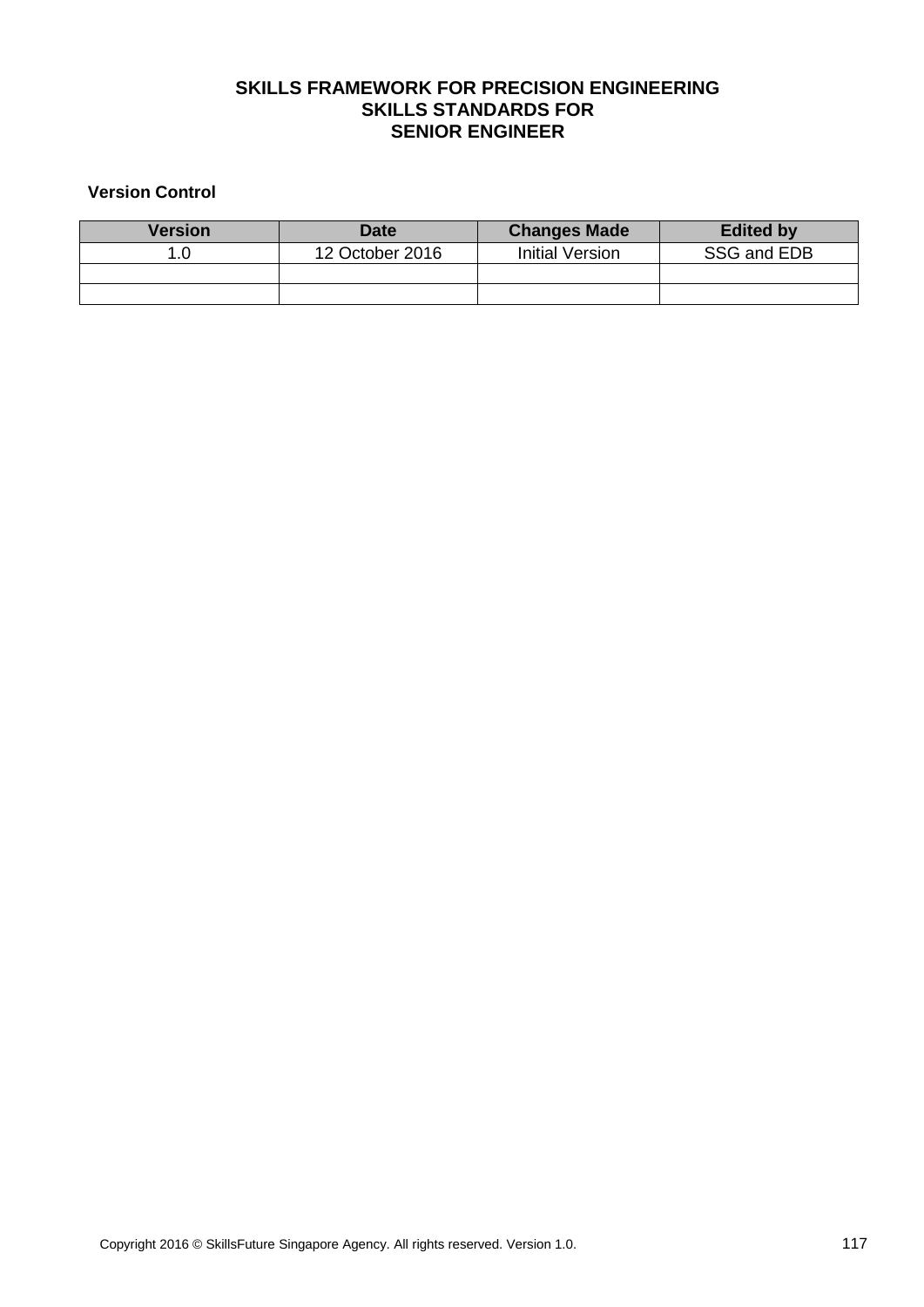#### **Version Control**

| Version | <b>Date</b>     | <b>Changes Made</b> | <b>Edited by</b> |
|---------|-----------------|---------------------|------------------|
|         | 12 October 2016 | Initial Version     | SSG and EDB      |
|         |                 |                     |                  |
|         |                 |                     |                  |